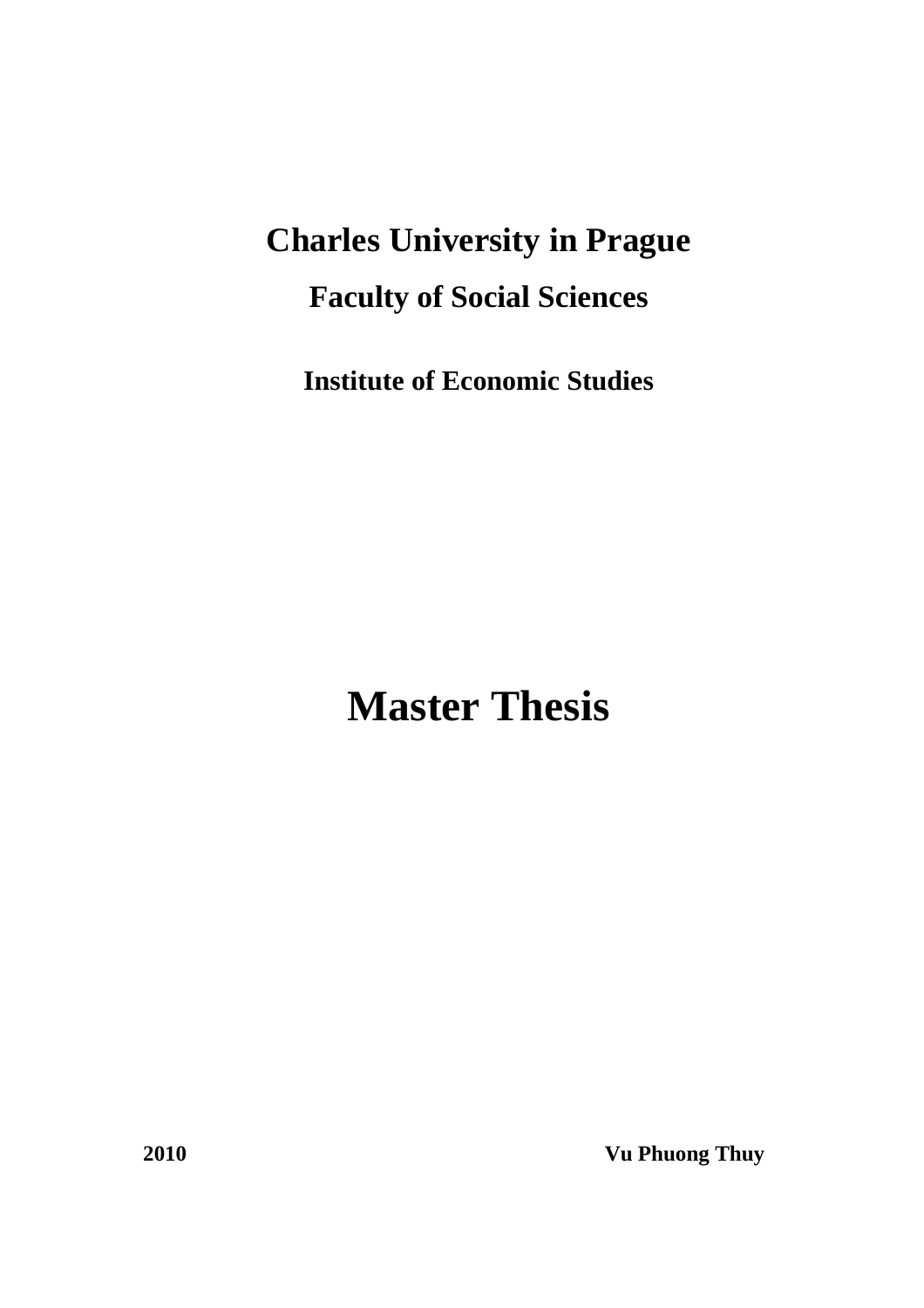# **Charles University in Prague Faculty of Social Sciences**

**Institute of Economic Studies** 

**Master Thesis** 

**2010 Vu Phuong Thuy**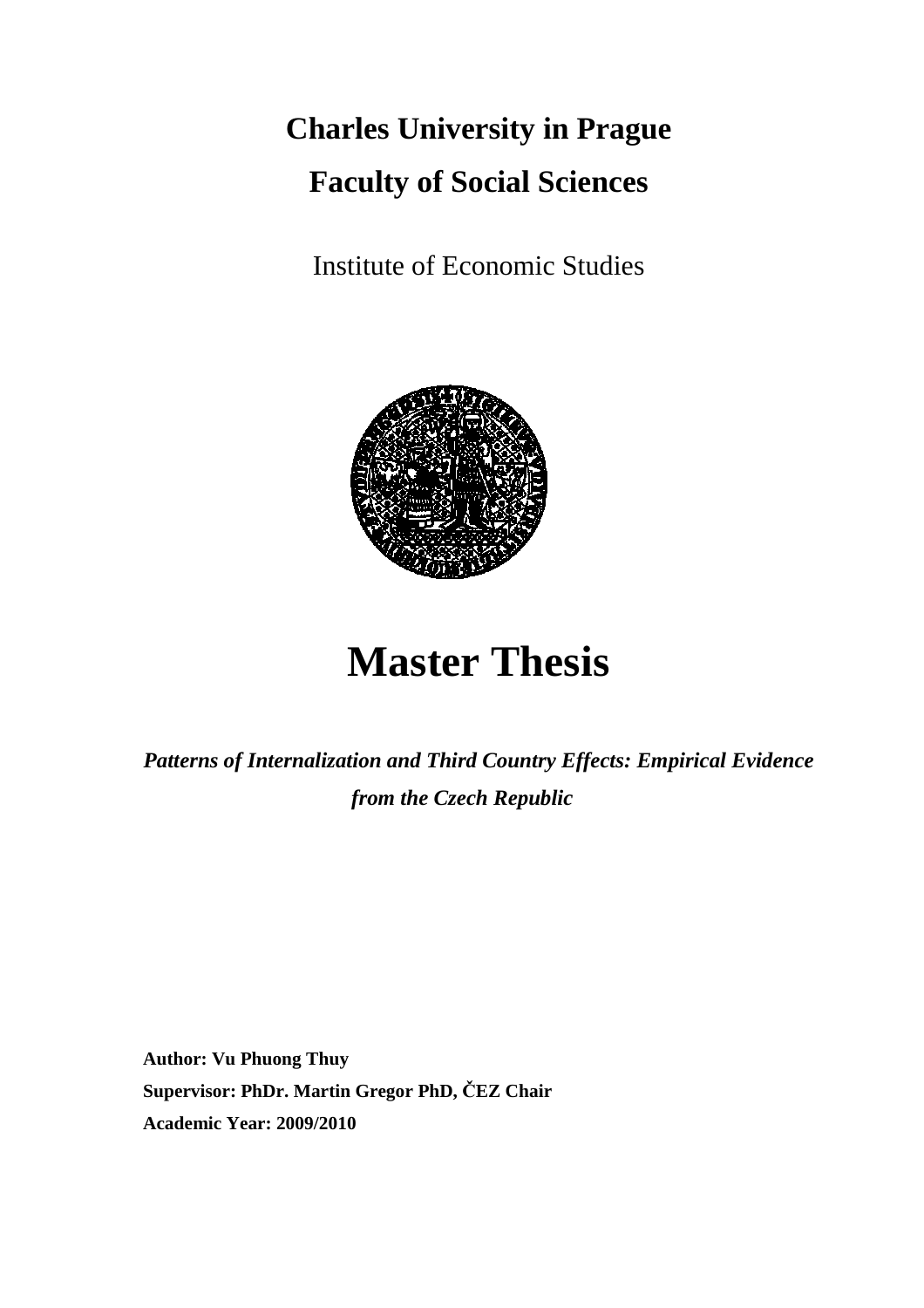# **Charles University in Prague Faculty of Social Sciences**

Institute of Economic Studies



# **Master Thesis**

*Patterns of Internalization and Third Country Effects: Empirical Evidence from the Czech Republic* 

**Author: Vu Phuong Thuy Supervisor: PhDr. Martin Gregor PhD, ČEZ Chair Academic Year: 2009/2010**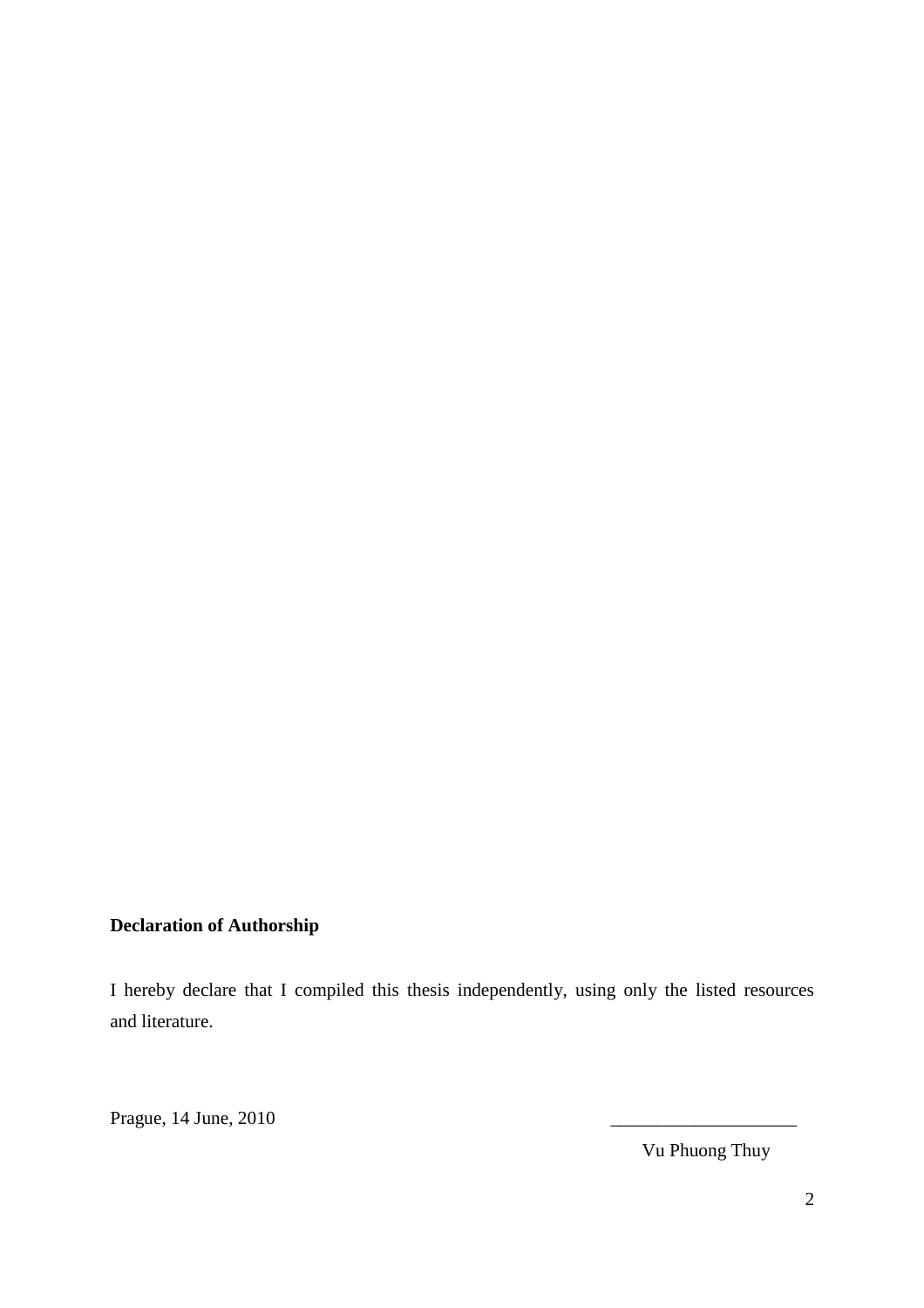## **Declaration of Authorship**

I hereby declare that I compiled this thesis independently, using only the listed resources and literature.

Prague, 14 June, 2010

Vu Phuong Thuy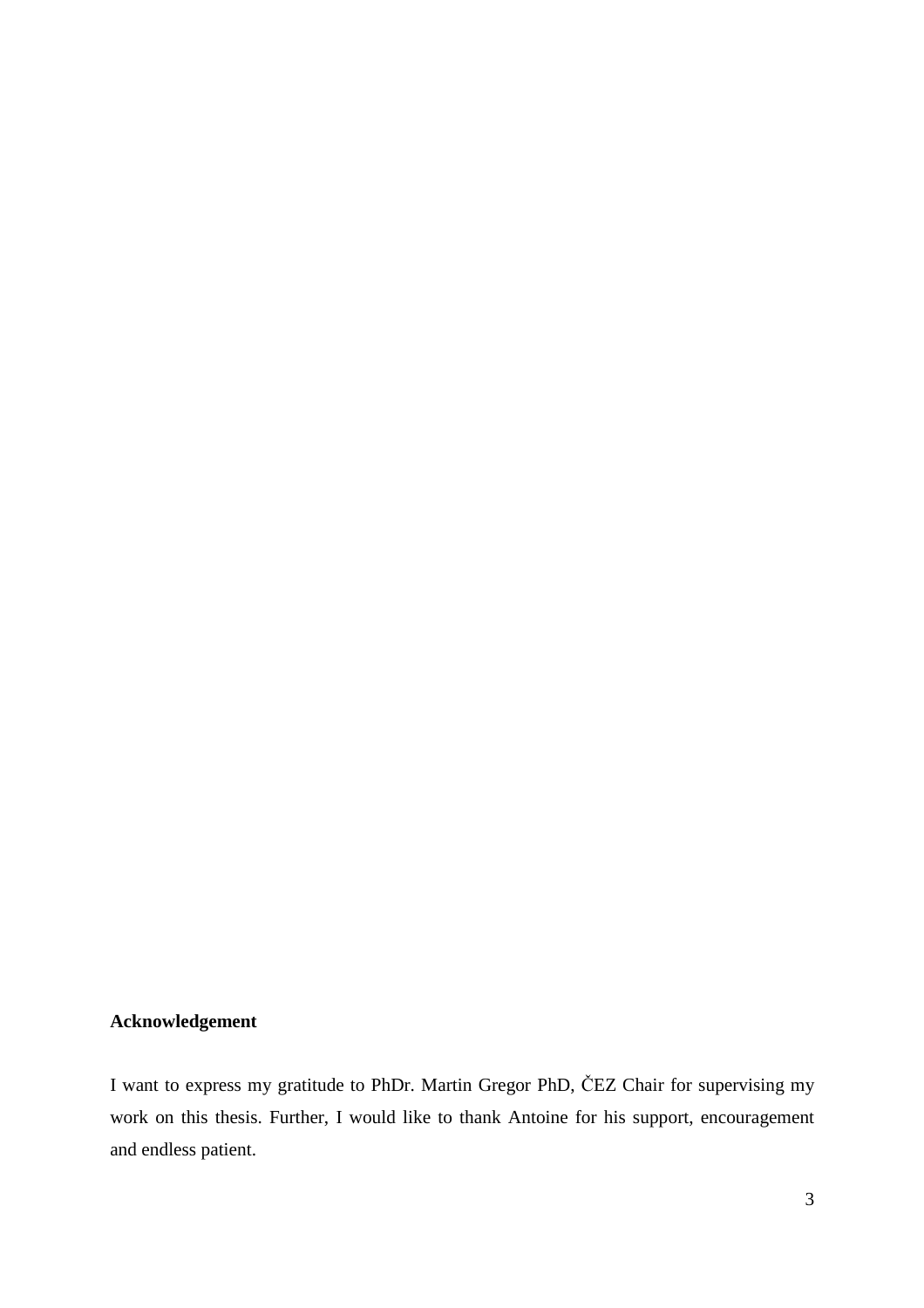## **Acknowledgement**

I want to express my gratitude to PhDr. Martin Gregor PhD, ČEZ Chair for supervising my work on this thesis. Further, I would like to thank Antoine for his support, encouragement and endless patient.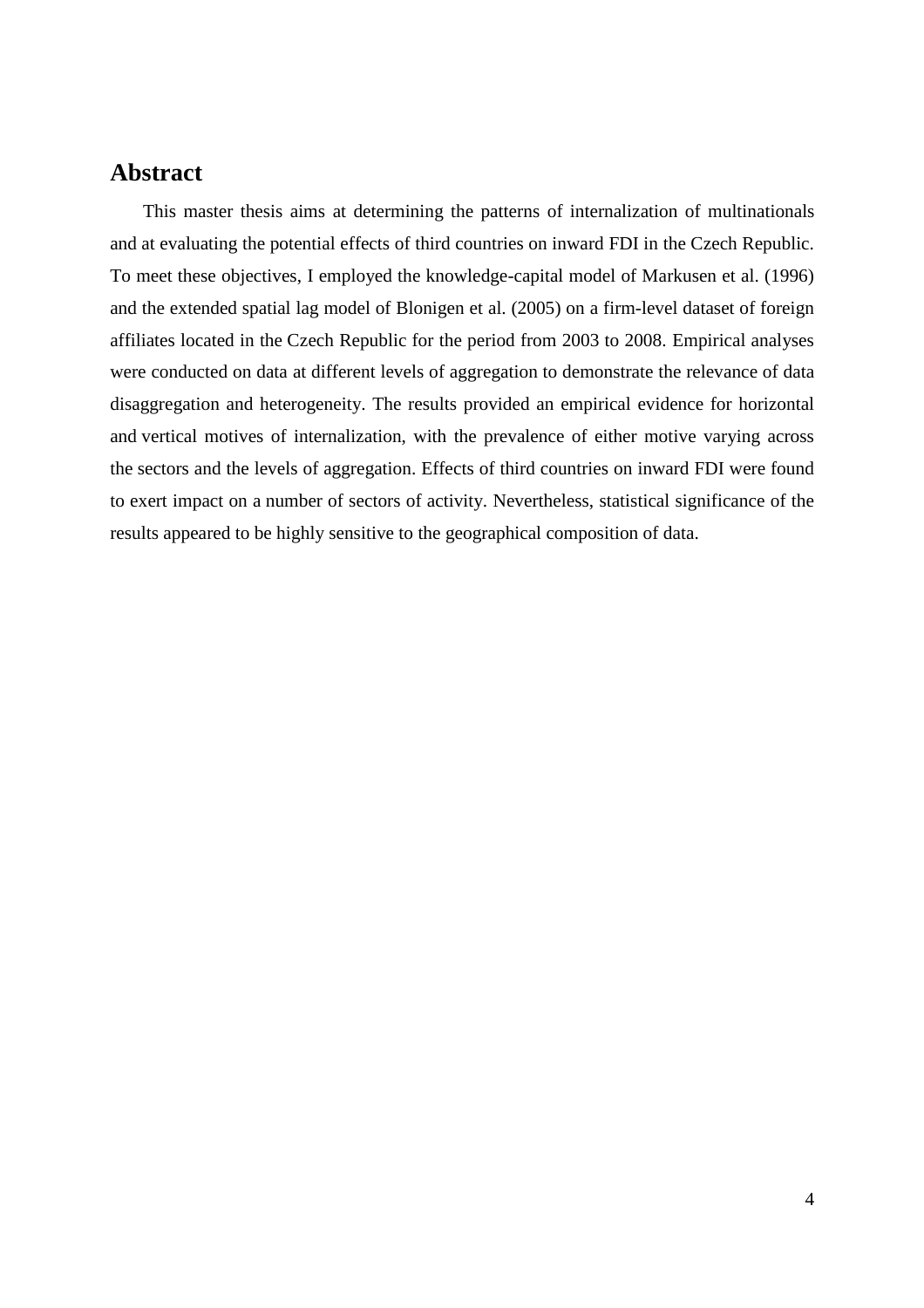## **Abstract**

This master thesis aims at determining the patterns of internalization of multinationals and at evaluating the potential effects of third countries on inward FDI in the Czech Republic. To meet these objectives, I employed the knowledge-capital model of Markusen et al. (1996) and the extended spatial lag model of Blonigen et al. (2005) on a firm-level dataset of foreign affiliates located in the Czech Republic for the period from 2003 to 2008. Empirical analyses were conducted on data at different levels of aggregation to demonstrate the relevance of data disaggregation and heterogeneity. The results provided an empirical evidence for horizontal and vertical motives of internalization, with the prevalence of either motive varying across the sectors and the levels of aggregation. Effects of third countries on inward FDI were found to exert impact on a number of sectors of activity. Nevertheless, statistical significance of the results appeared to be highly sensitive to the geographical composition of data.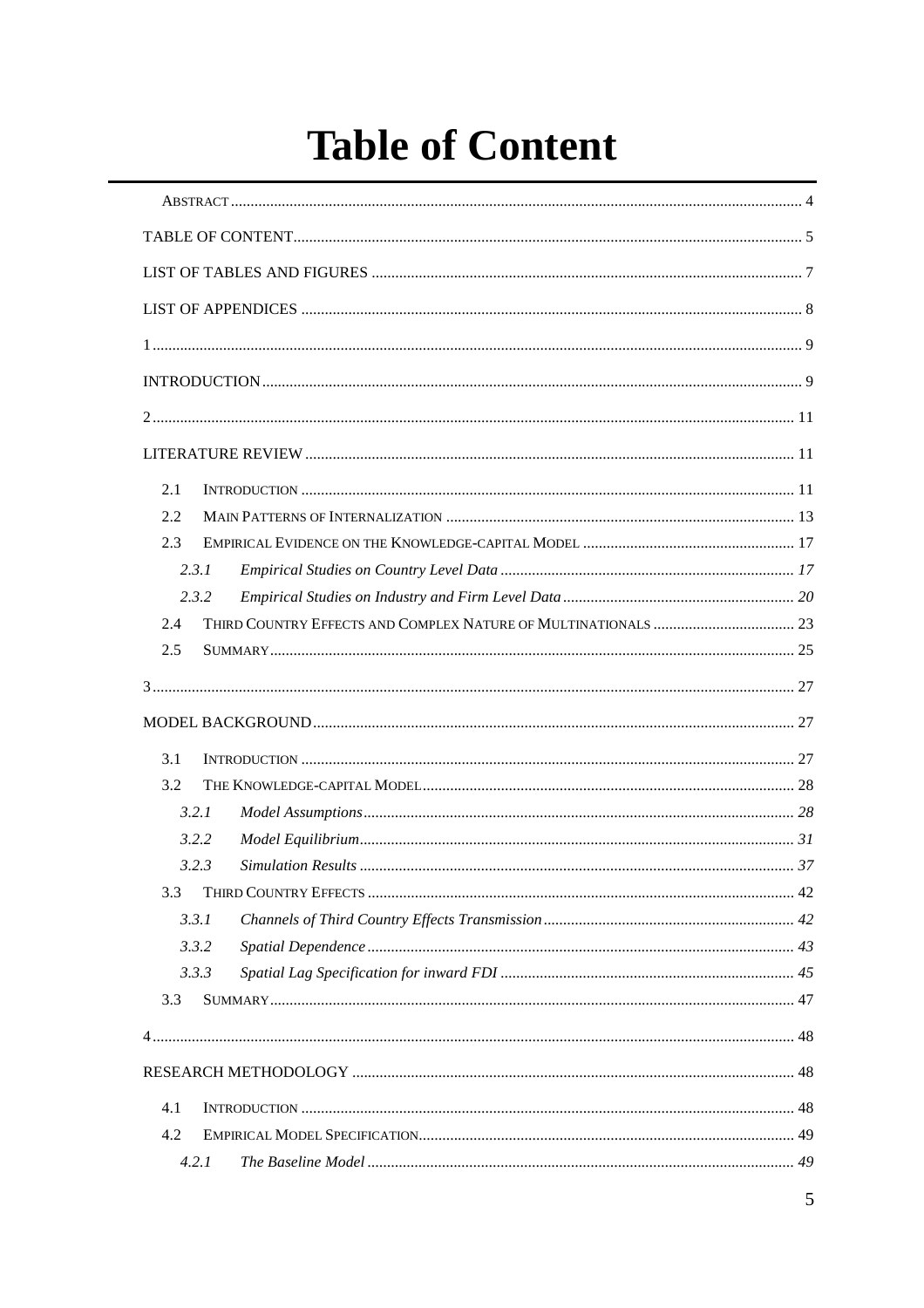# **Table of Content**

| 2.1   |  |  |  |  |  |
|-------|--|--|--|--|--|
| 2.2   |  |  |  |  |  |
| 2.3   |  |  |  |  |  |
| 2.3.1 |  |  |  |  |  |
| 2.3.2 |  |  |  |  |  |
| 2.4   |  |  |  |  |  |
| 2.5   |  |  |  |  |  |
|       |  |  |  |  |  |
|       |  |  |  |  |  |
|       |  |  |  |  |  |
| 3.1   |  |  |  |  |  |
| 3.2   |  |  |  |  |  |
| 3.2.1 |  |  |  |  |  |
| 3.2.2 |  |  |  |  |  |
| 3.2.3 |  |  |  |  |  |
| 3.3   |  |  |  |  |  |
| 3.3.1 |  |  |  |  |  |
| 3.3.2 |  |  |  |  |  |
| 3.3.3 |  |  |  |  |  |
| 3.3   |  |  |  |  |  |
|       |  |  |  |  |  |
|       |  |  |  |  |  |
|       |  |  |  |  |  |
| 4.1   |  |  |  |  |  |
| 4.2   |  |  |  |  |  |
| 4.2.1 |  |  |  |  |  |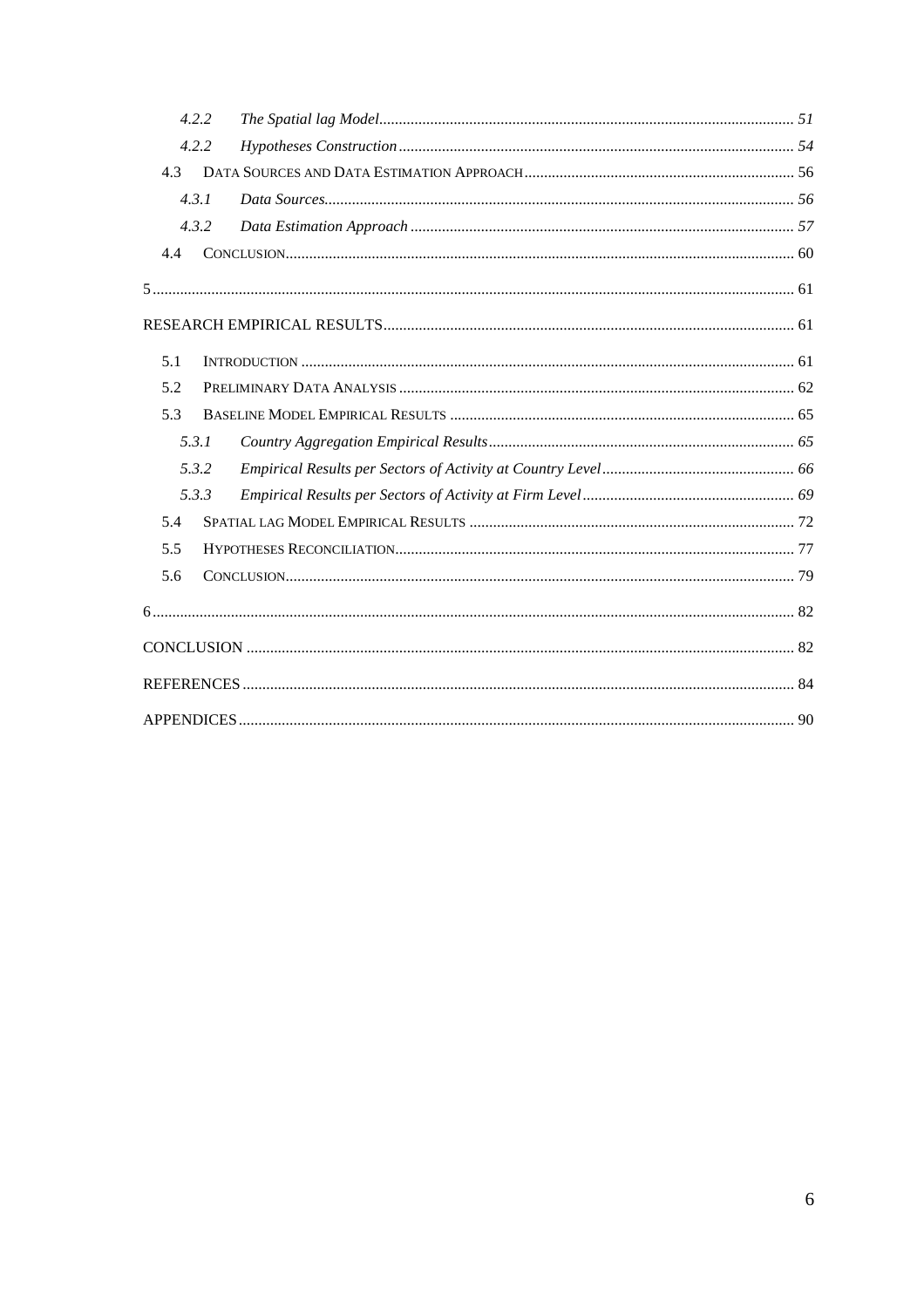| 4.2.2 |  |
|-------|--|
| 4.2.2 |  |
| 4.3   |  |
| 4.3.1 |  |
| 4.3.2 |  |
| 4.4   |  |
|       |  |
|       |  |
| 5.1   |  |
| 5.2   |  |
| 5.3   |  |
| 5.3.1 |  |
| 5.3.2 |  |
| 5.3.3 |  |
| 5.4   |  |
| 5.5   |  |
| 5.6   |  |
|       |  |
|       |  |
|       |  |
|       |  |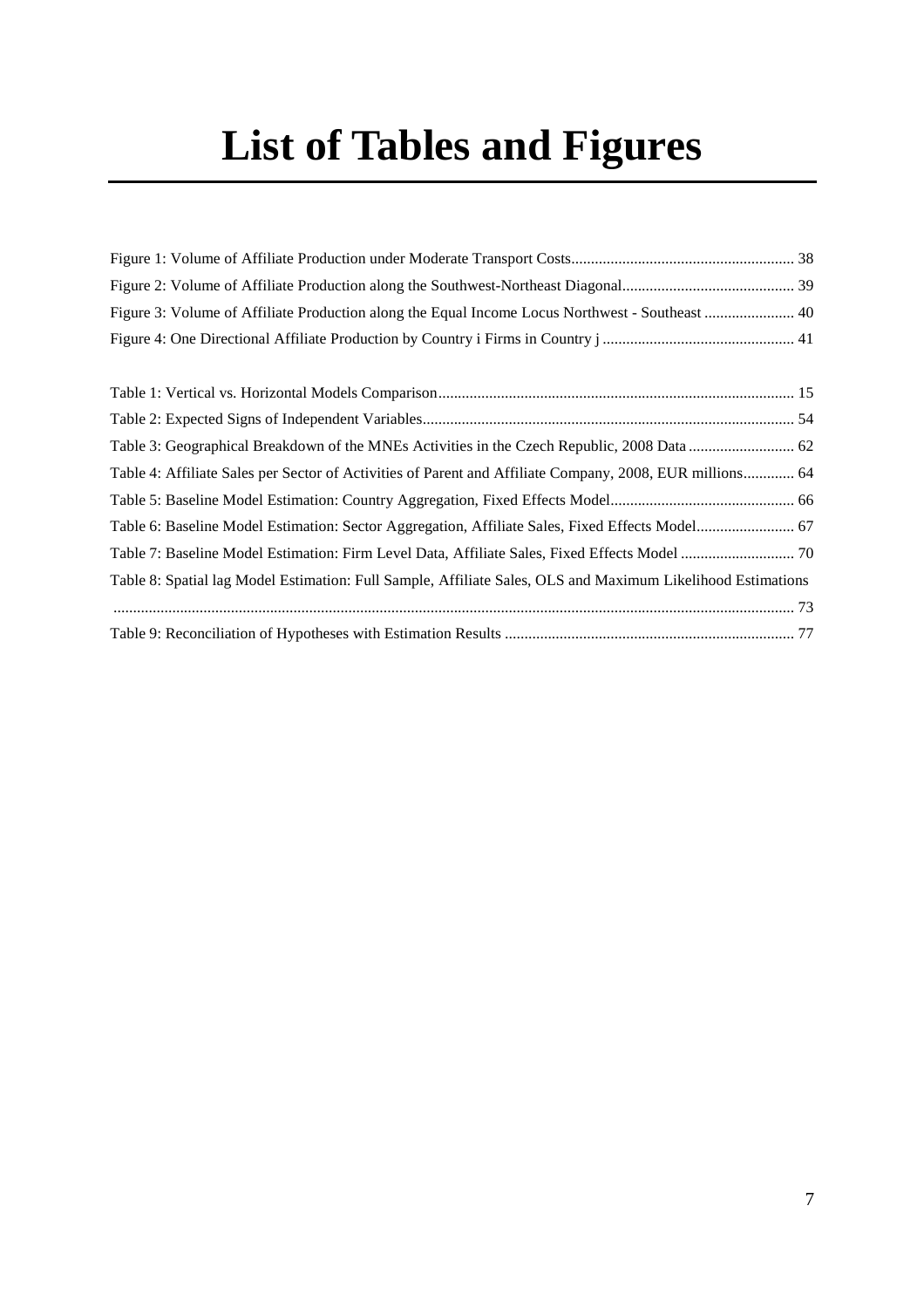# **List of Tables and Figures**

| Figure 3: Volume of Affiliate Production along the Equal Income Locus Northwest - Southeast  40             |  |
|-------------------------------------------------------------------------------------------------------------|--|
|                                                                                                             |  |
|                                                                                                             |  |
|                                                                                                             |  |
|                                                                                                             |  |
| Table 4: Affiliate Sales per Sector of Activities of Parent and Affiliate Company, 2008, EUR millions 64    |  |
|                                                                                                             |  |
| Table 6: Baseline Model Estimation: Sector Aggregation, Affiliate Sales, Fixed Effects Model 67             |  |
|                                                                                                             |  |
| Table 8: Spatial lag Model Estimation: Full Sample, Affiliate Sales, OLS and Maximum Likelihood Estimations |  |
|                                                                                                             |  |
|                                                                                                             |  |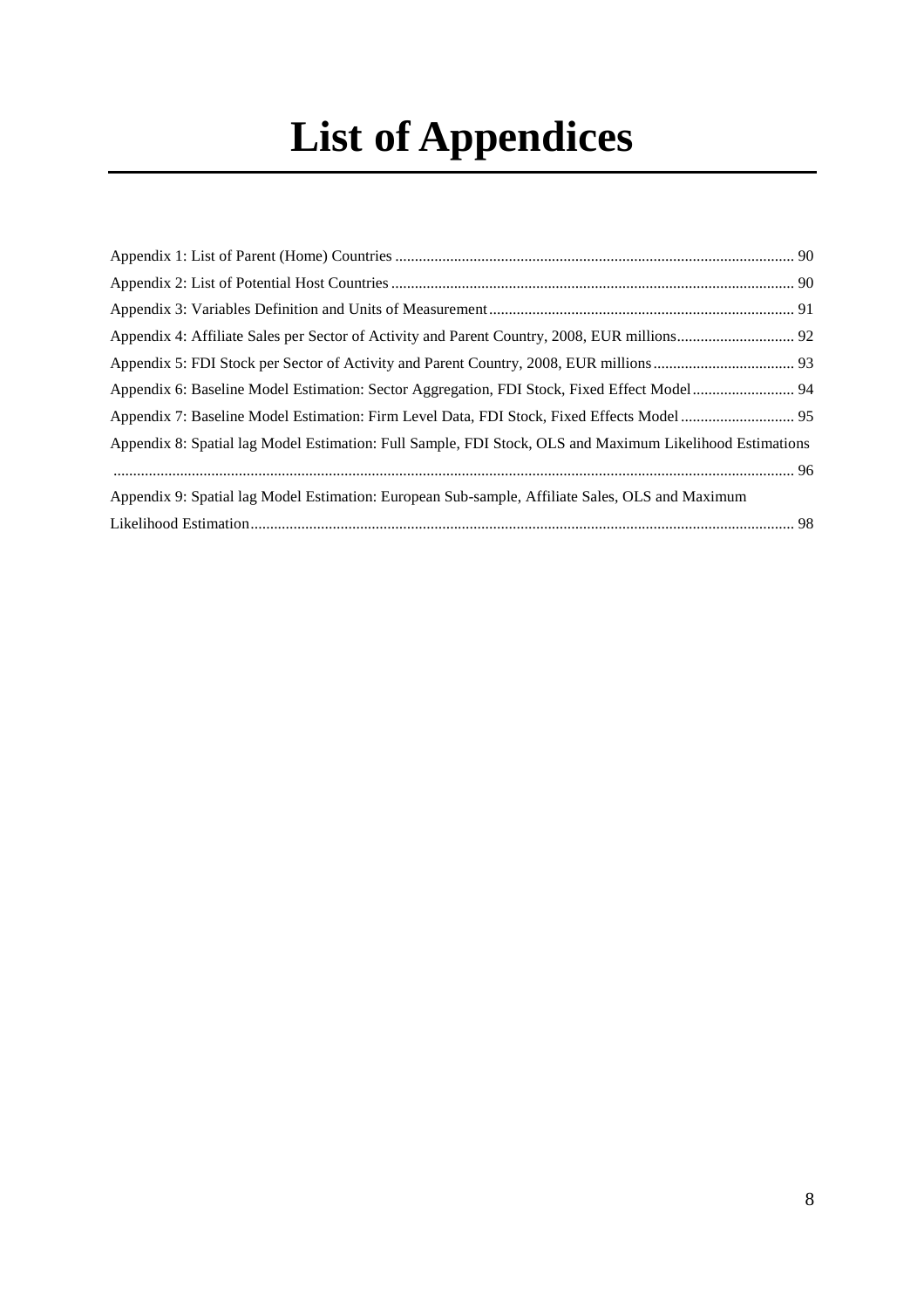# **List of Appendices**

| Appendix 6: Baseline Model Estimation: Sector Aggregation, FDI Stock, Fixed Effect Model 94              |  |
|----------------------------------------------------------------------------------------------------------|--|
|                                                                                                          |  |
| Appendix 8: Spatial lag Model Estimation: Full Sample, FDI Stock, OLS and Maximum Likelihood Estimations |  |
|                                                                                                          |  |
| Appendix 9: Spatial lag Model Estimation: European Sub-sample, Affiliate Sales, OLS and Maximum          |  |
|                                                                                                          |  |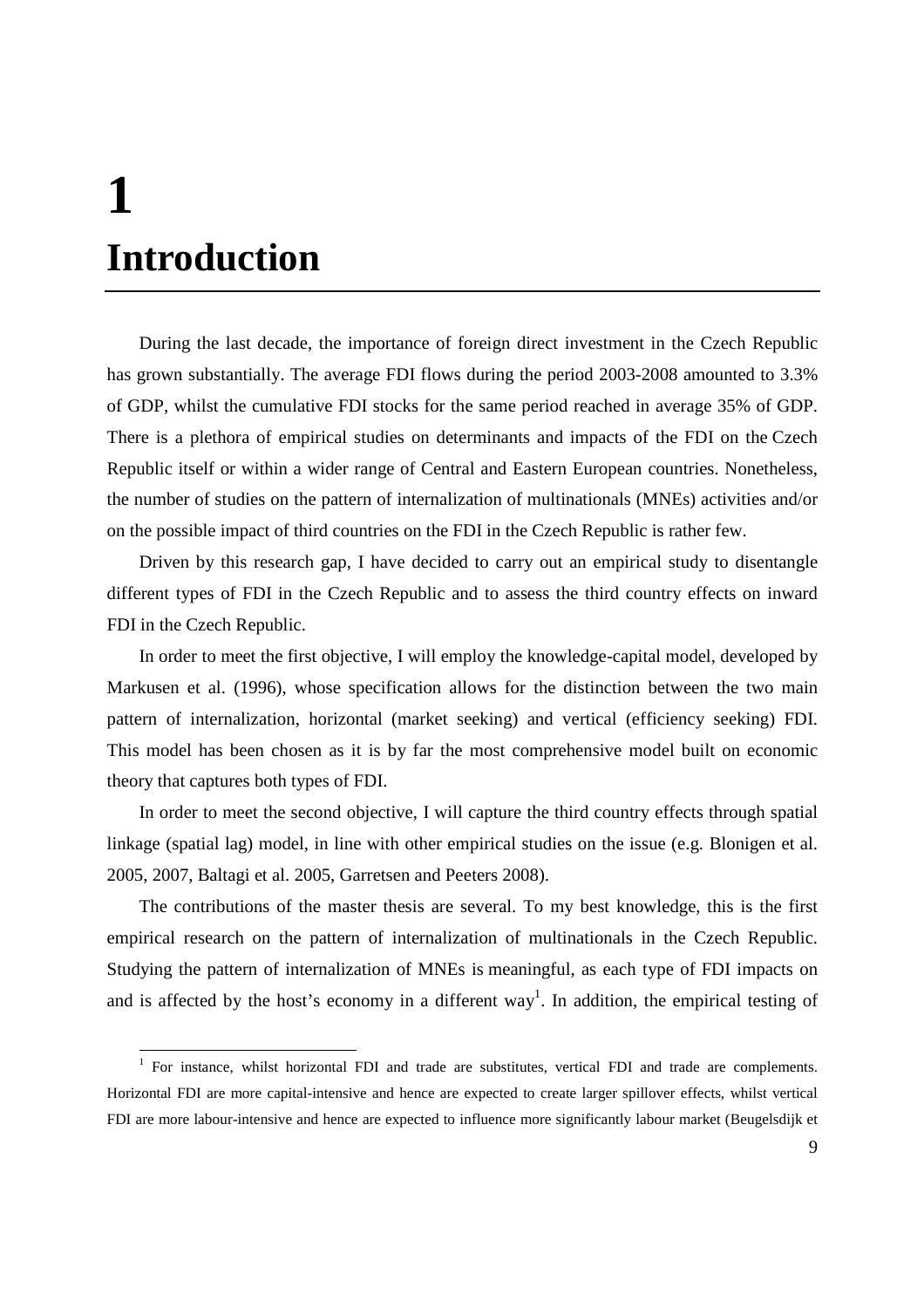# **1 Introduction**

 $\overline{a}$ 

During the last decade, the importance of foreign direct investment in the Czech Republic has grown substantially. The average FDI flows during the period 2003-2008 amounted to 3.3% of GDP, whilst the cumulative FDI stocks for the same period reached in average 35% of GDP. There is a plethora of empirical studies on determinants and impacts of the FDI on the Czech Republic itself or within a wider range of Central and Eastern European countries. Nonetheless, the number of studies on the pattern of internalization of multinationals (MNEs) activities and/or on the possible impact of third countries on the FDI in the Czech Republic is rather few.

Driven by this research gap, I have decided to carry out an empirical study to disentangle different types of FDI in the Czech Republic and to assess the third country effects on inward FDI in the Czech Republic.

In order to meet the first objective, I will employ the knowledge-capital model, developed by Markusen et al. (1996), whose specification allows for the distinction between the two main pattern of internalization, horizontal (market seeking) and vertical (efficiency seeking) FDI. This model has been chosen as it is by far the most comprehensive model built on economic theory that captures both types of FDI.

In order to meet the second objective, I will capture the third country effects through spatial linkage (spatial lag) model, in line with other empirical studies on the issue (e.g. Blonigen et al. 2005, 2007, Baltagi et al. 2005, Garretsen and Peeters 2008).

The contributions of the master thesis are several. To my best knowledge, this is the first empirical research on the pattern of internalization of multinationals in the Czech Republic. Studying the pattern of internalization of MNEs is meaningful, as each type of FDI impacts on and is affected by the host's economy in a different way<sup>1</sup>. In addition, the empirical testing of

<sup>&</sup>lt;sup>1</sup> For instance, whilst horizontal FDI and trade are substitutes, vertical FDI and trade are complements. Horizontal FDI are more capital-intensive and hence are expected to create larger spillover effects, whilst vertical FDI are more labour-intensive and hence are expected to influence more significantly labour market (Beugelsdijk et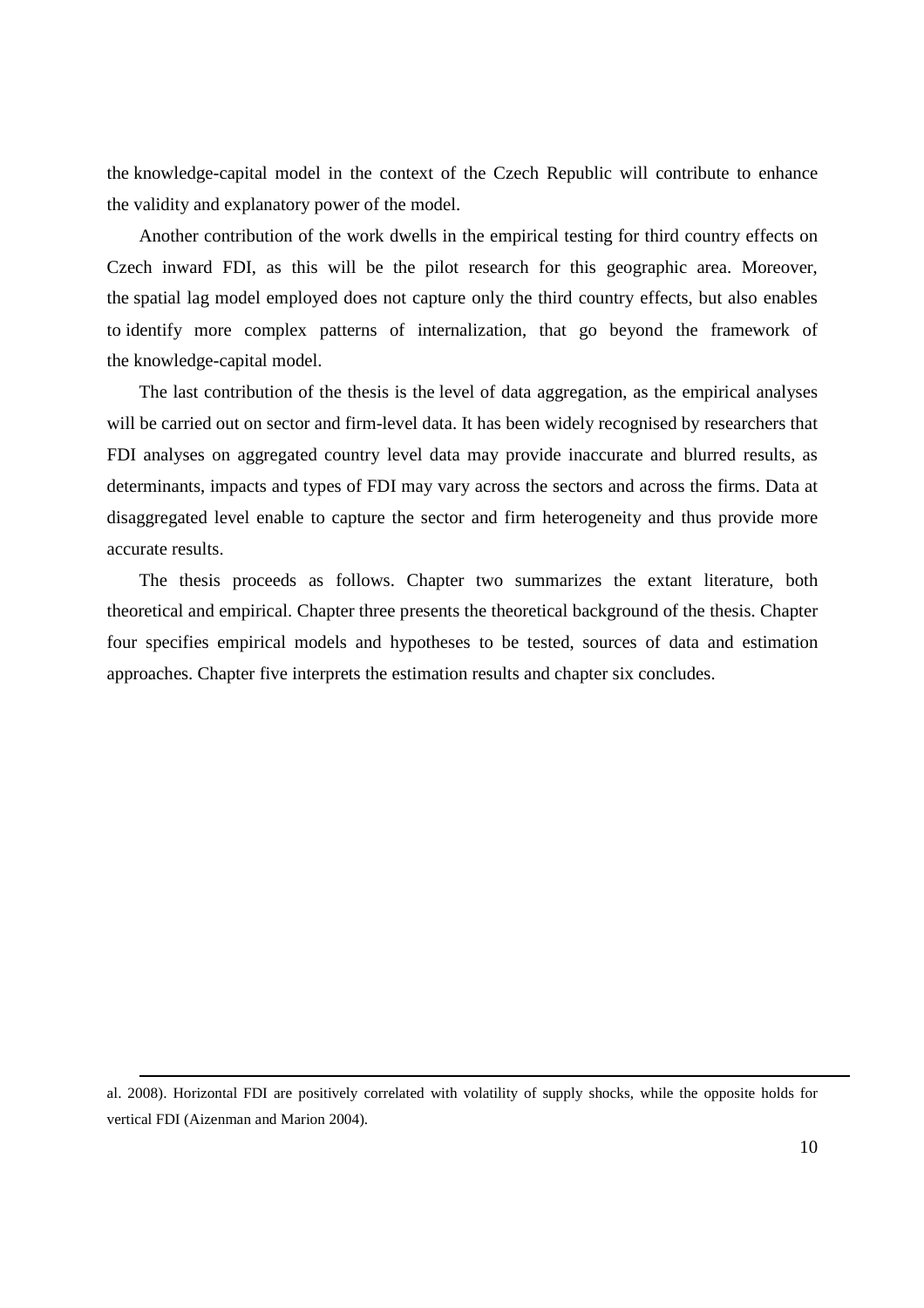the knowledge-capital model in the context of the Czech Republic will contribute to enhance the validity and explanatory power of the model.

Another contribution of the work dwells in the empirical testing for third country effects on Czech inward FDI, as this will be the pilot research for this geographic area. Moreover, the spatial lag model employed does not capture only the third country effects, but also enables to identify more complex patterns of internalization, that go beyond the framework of the knowledge-capital model.

The last contribution of the thesis is the level of data aggregation, as the empirical analyses will be carried out on sector and firm-level data. It has been widely recognised by researchers that FDI analyses on aggregated country level data may provide inaccurate and blurred results, as determinants, impacts and types of FDI may vary across the sectors and across the firms. Data at disaggregated level enable to capture the sector and firm heterogeneity and thus provide more accurate results.

The thesis proceeds as follows. Chapter two summarizes the extant literature, both theoretical and empirical. Chapter three presents the theoretical background of the thesis. Chapter four specifies empirical models and hypotheses to be tested, sources of data and estimation approaches. Chapter five interprets the estimation results and chapter six concludes.

al. 2008). Horizontal FDI are positively correlated with volatility of supply shocks, while the opposite holds for vertical FDI (Aizenman and Marion 2004).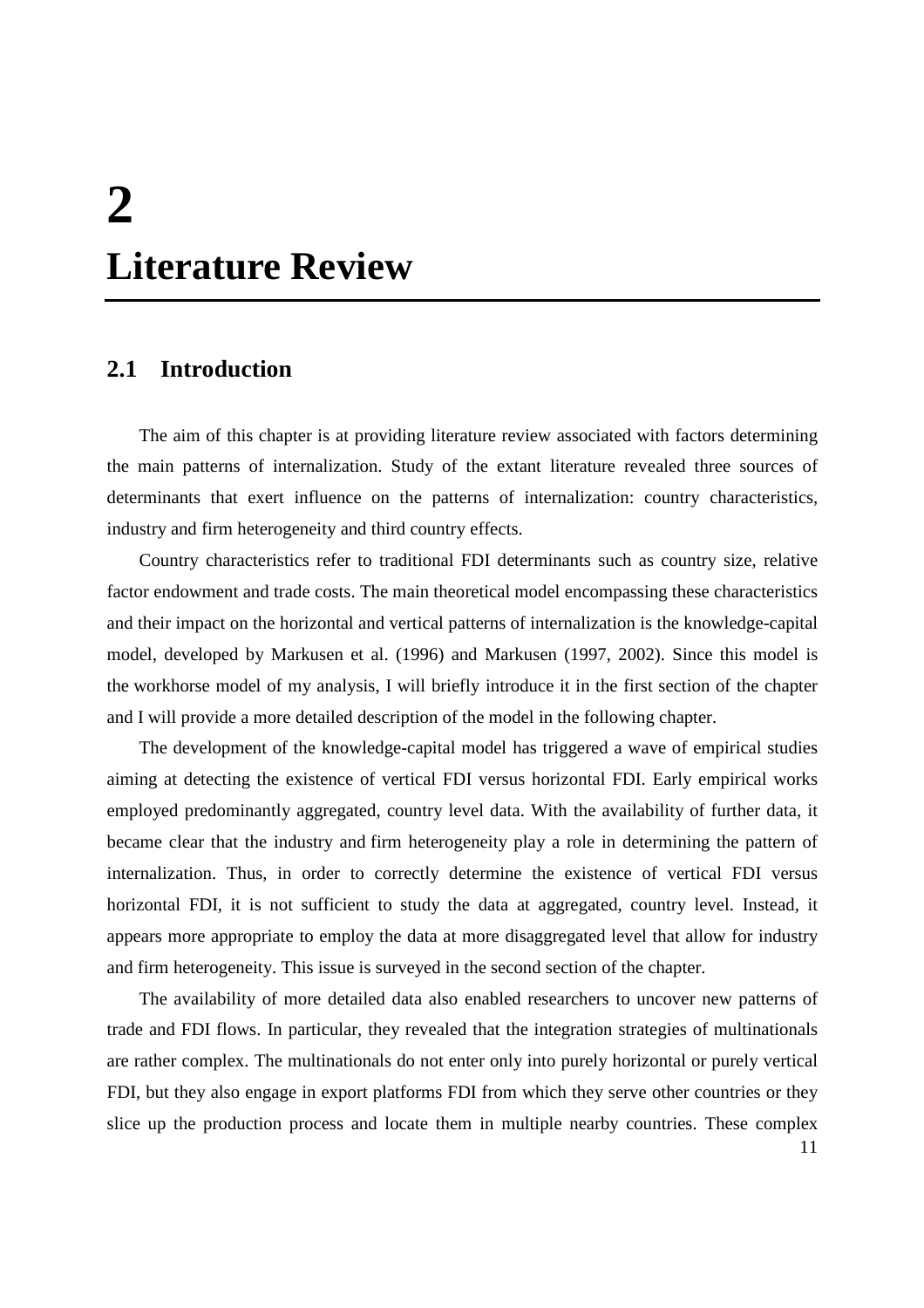# **2 Literature Review**

## **2.1 Introduction**

The aim of this chapter is at providing literature review associated with factors determining the main patterns of internalization. Study of the extant literature revealed three sources of determinants that exert influence on the patterns of internalization: country characteristics, industry and firm heterogeneity and third country effects.

Country characteristics refer to traditional FDI determinants such as country size, relative factor endowment and trade costs. The main theoretical model encompassing these characteristics and their impact on the horizontal and vertical patterns of internalization is the knowledge-capital model, developed by Markusen et al. (1996) and Markusen (1997, 2002). Since this model is the workhorse model of my analysis, I will briefly introduce it in the first section of the chapter and I will provide a more detailed description of the model in the following chapter.

The development of the knowledge-capital model has triggered a wave of empirical studies aiming at detecting the existence of vertical FDI versus horizontal FDI. Early empirical works employed predominantly aggregated, country level data. With the availability of further data, it became clear that the industry and firm heterogeneity play a role in determining the pattern of internalization. Thus, in order to correctly determine the existence of vertical FDI versus horizontal FDI, it is not sufficient to study the data at aggregated, country level. Instead, it appears more appropriate to employ the data at more disaggregated level that allow for industry and firm heterogeneity. This issue is surveyed in the second section of the chapter.

The availability of more detailed data also enabled researchers to uncover new patterns of trade and FDI flows. In particular, they revealed that the integration strategies of multinationals are rather complex. The multinationals do not enter only into purely horizontal or purely vertical FDI, but they also engage in export platforms FDI from which they serve other countries or they slice up the production process and locate them in multiple nearby countries. These complex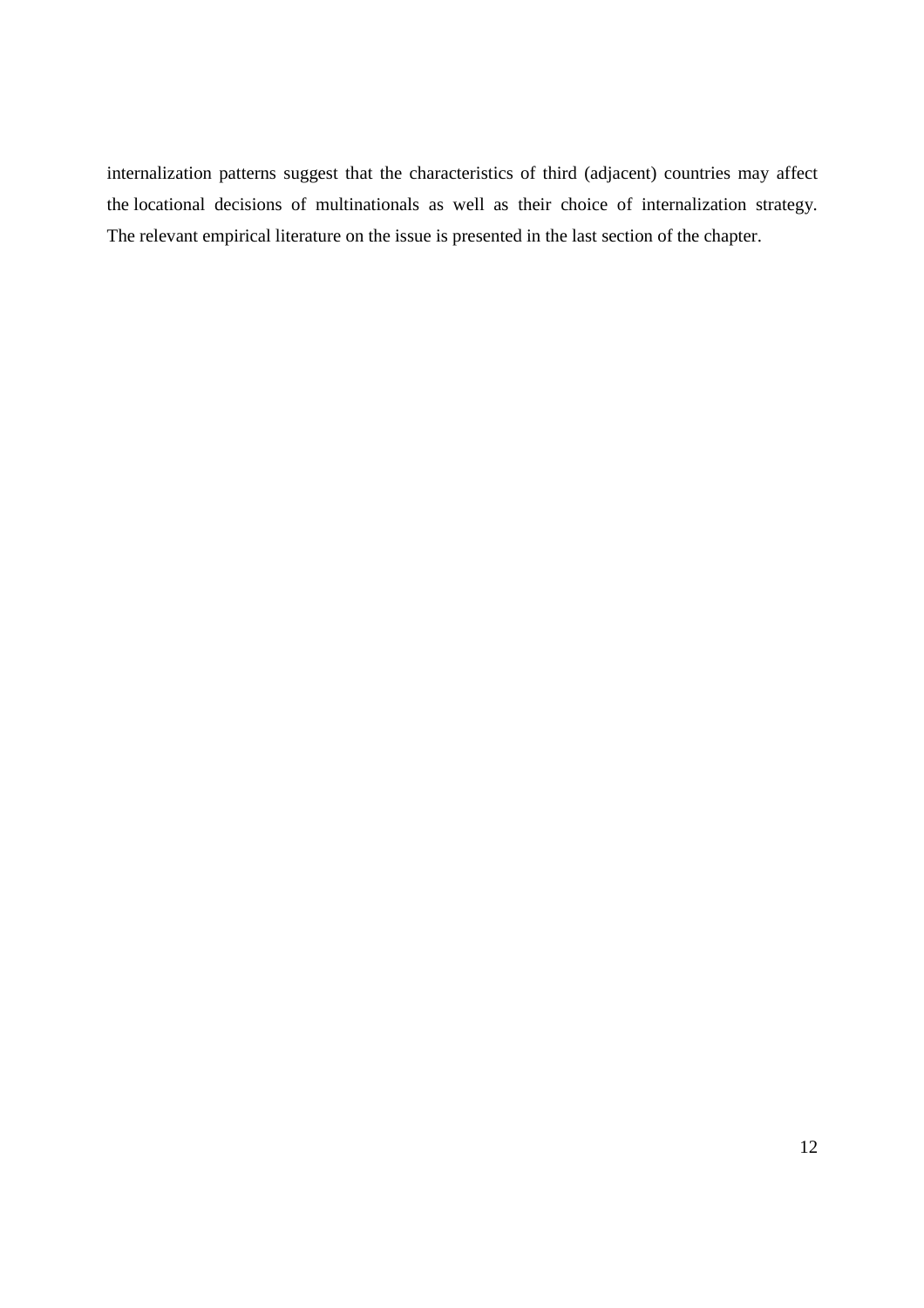internalization patterns suggest that the characteristics of third (adjacent) countries may affect the locational decisions of multinationals as well as their choice of internalization strategy. The relevant empirical literature on the issue is presented in the last section of the chapter.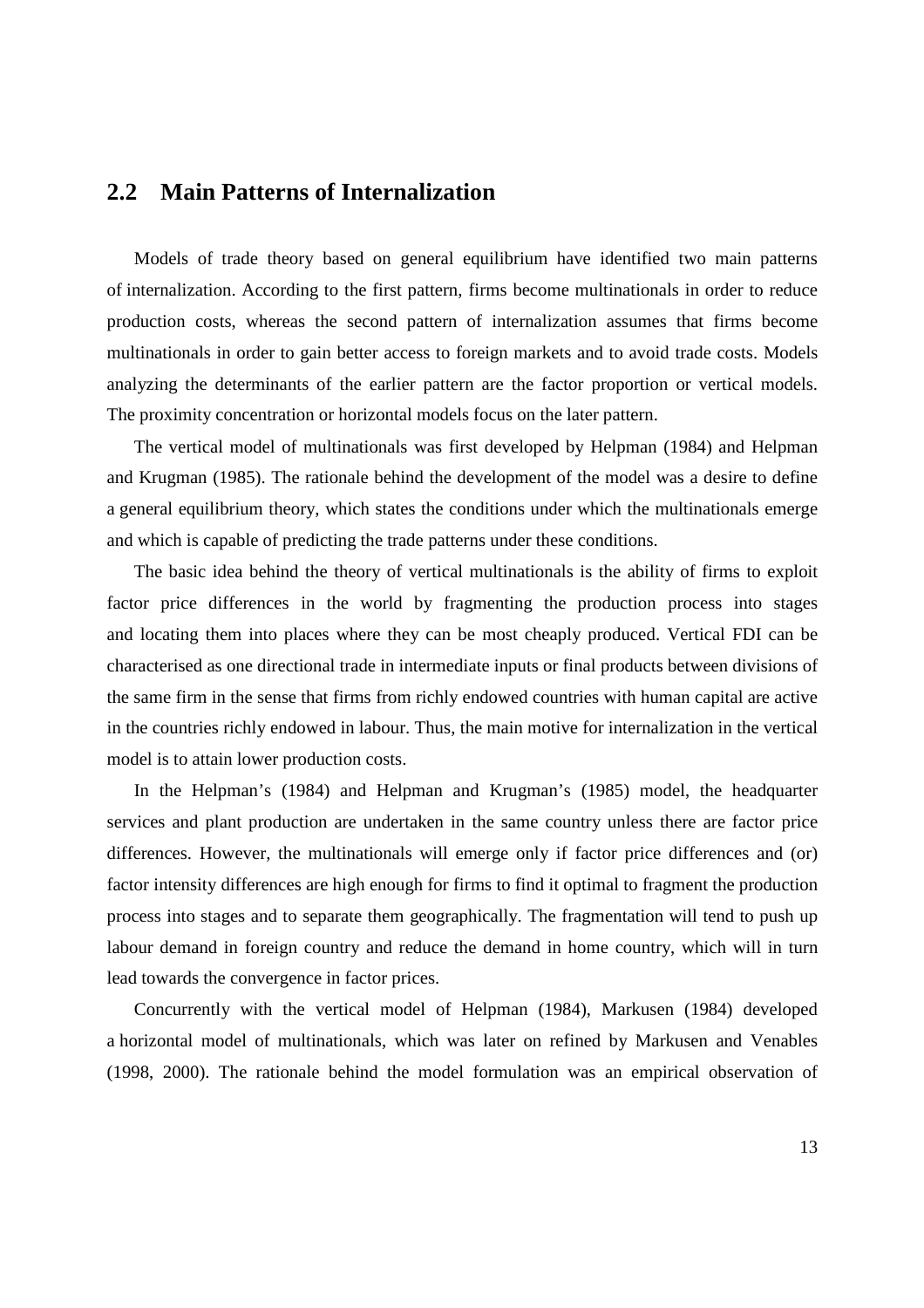## **2.2 Main Patterns of Internalization**

Models of trade theory based on general equilibrium have identified two main patterns of internalization. According to the first pattern, firms become multinationals in order to reduce production costs, whereas the second pattern of internalization assumes that firms become multinationals in order to gain better access to foreign markets and to avoid trade costs. Models analyzing the determinants of the earlier pattern are the factor proportion or vertical models. The proximity concentration or horizontal models focus on the later pattern.

The vertical model of multinationals was first developed by Helpman (1984) and Helpman and Krugman (1985). The rationale behind the development of the model was a desire to define a general equilibrium theory, which states the conditions under which the multinationals emerge and which is capable of predicting the trade patterns under these conditions.

The basic idea behind the theory of vertical multinationals is the ability of firms to exploit factor price differences in the world by fragmenting the production process into stages and locating them into places where they can be most cheaply produced. Vertical FDI can be characterised as one directional trade in intermediate inputs or final products between divisions of the same firm in the sense that firms from richly endowed countries with human capital are active in the countries richly endowed in labour. Thus, the main motive for internalization in the vertical model is to attain lower production costs.

In the Helpman's (1984) and Helpman and Krugman's (1985) model, the headquarter services and plant production are undertaken in the same country unless there are factor price differences. However, the multinationals will emerge only if factor price differences and (or) factor intensity differences are high enough for firms to find it optimal to fragment the production process into stages and to separate them geographically. The fragmentation will tend to push up labour demand in foreign country and reduce the demand in home country, which will in turn lead towards the convergence in factor prices.

Concurrently with the vertical model of Helpman (1984), Markusen (1984) developed a horizontal model of multinationals, which was later on refined by Markusen and Venables (1998, 2000). The rationale behind the model formulation was an empirical observation of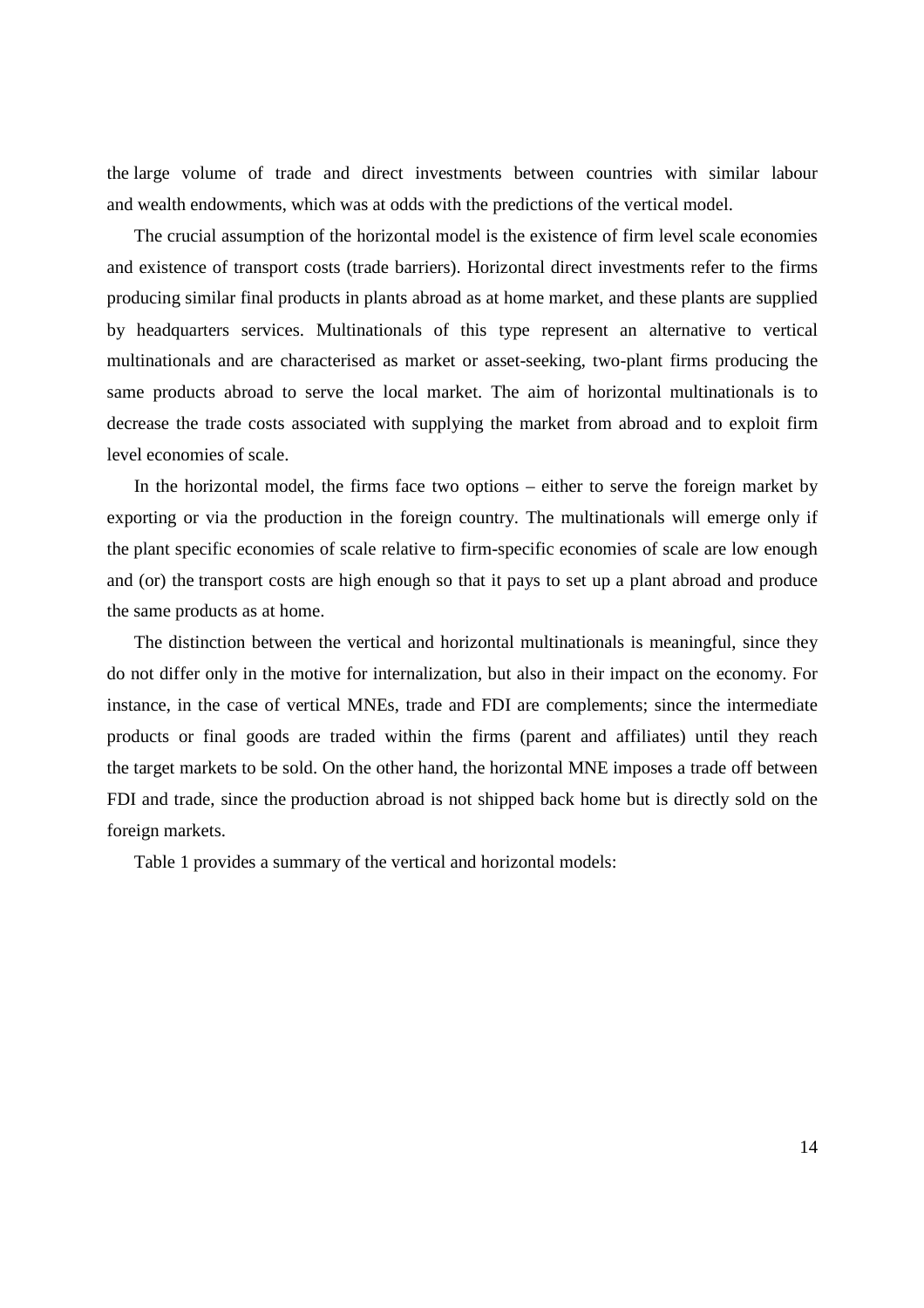the large volume of trade and direct investments between countries with similar labour and wealth endowments, which was at odds with the predictions of the vertical model.

The crucial assumption of the horizontal model is the existence of firm level scale economies and existence of transport costs (trade barriers). Horizontal direct investments refer to the firms producing similar final products in plants abroad as at home market, and these plants are supplied by headquarters services. Multinationals of this type represent an alternative to vertical multinationals and are characterised as market or asset-seeking, two-plant firms producing the same products abroad to serve the local market. The aim of horizontal multinationals is to decrease the trade costs associated with supplying the market from abroad and to exploit firm level economies of scale.

In the horizontal model, the firms face two options – either to serve the foreign market by exporting or via the production in the foreign country. The multinationals will emerge only if the plant specific economies of scale relative to firm-specific economies of scale are low enough and (or) the transport costs are high enough so that it pays to set up a plant abroad and produce the same products as at home.

The distinction between the vertical and horizontal multinationals is meaningful, since they do not differ only in the motive for internalization, but also in their impact on the economy. For instance, in the case of vertical MNEs, trade and FDI are complements; since the intermediate products or final goods are traded within the firms (parent and affiliates) until they reach the target markets to be sold. On the other hand, the horizontal MNE imposes a trade off between FDI and trade, since the production abroad is not shipped back home but is directly sold on the foreign markets.

Table 1 provides a summary of the vertical and horizontal models: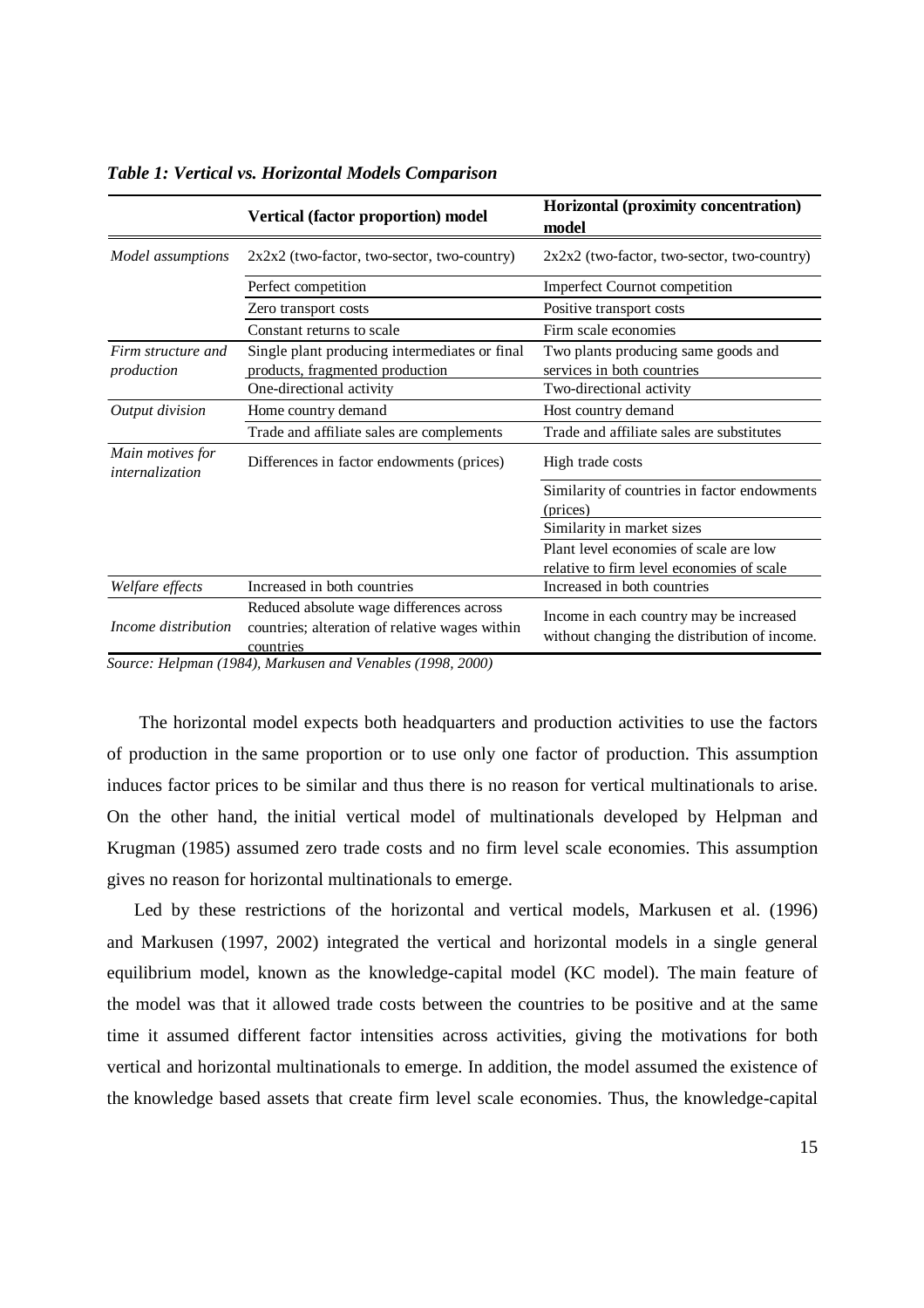|                                     | Vertical (factor proportion) model                                                                      | Horizontal (proximity concentration)<br>model                                           |
|-------------------------------------|---------------------------------------------------------------------------------------------------------|-----------------------------------------------------------------------------------------|
| Model assumptions                   | 2x2x2 (two-factor, two-sector, two-country)                                                             | 2x2x2 (two-factor, two-sector, two-country)                                             |
|                                     | Perfect competition                                                                                     | Imperfect Cournot competition                                                           |
|                                     | Zero transport costs                                                                                    | Positive transport costs                                                                |
|                                     | Constant returns to scale                                                                               | Firm scale economies                                                                    |
| Firm structure and                  | Single plant producing intermediates or final                                                           | Two plants producing same goods and                                                     |
| production                          | products, fragmented production                                                                         | services in both countries                                                              |
|                                     | One-directional activity                                                                                | Two-directional activity                                                                |
| Output division                     | Home country demand                                                                                     | Host country demand                                                                     |
|                                     | Trade and affiliate sales are complements                                                               | Trade and affiliate sales are substitutes                                               |
| Main motives for<br>internalization | Differences in factor endowments (prices)                                                               | High trade costs                                                                        |
|                                     |                                                                                                         | Similarity of countries in factor endowments                                            |
|                                     |                                                                                                         | (prices)                                                                                |
|                                     |                                                                                                         | Similarity in market sizes                                                              |
|                                     |                                                                                                         | Plant level economies of scale are low                                                  |
|                                     |                                                                                                         | relative to firm level economies of scale                                               |
| Welfare effects                     | Increased in both countries                                                                             | Increased in both countries                                                             |
| Income distribution                 | Reduced absolute wage differences across<br>countries; alteration of relative wages within<br>countries | Income in each country may be increased<br>without changing the distribution of income. |

*Table 1: Vertical vs. Horizontal Models Comparison* 

*Source: Helpman (1984), Markusen and Venables (1998, 2000)* 

The horizontal model expects both headquarters and production activities to use the factors of production in the same proportion or to use only one factor of production. This assumption induces factor prices to be similar and thus there is no reason for vertical multinationals to arise. On the other hand, the initial vertical model of multinationals developed by Helpman and Krugman (1985) assumed zero trade costs and no firm level scale economies. This assumption gives no reason for horizontal multinationals to emerge.

Led by these restrictions of the horizontal and vertical models, Markusen et al. (1996) and Markusen (1997, 2002) integrated the vertical and horizontal models in a single general equilibrium model, known as the knowledge-capital model (KC model). The main feature of the model was that it allowed trade costs between the countries to be positive and at the same time it assumed different factor intensities across activities, giving the motivations for both vertical and horizontal multinationals to emerge. In addition, the model assumed the existence of the knowledge based assets that create firm level scale economies. Thus, the knowledge-capital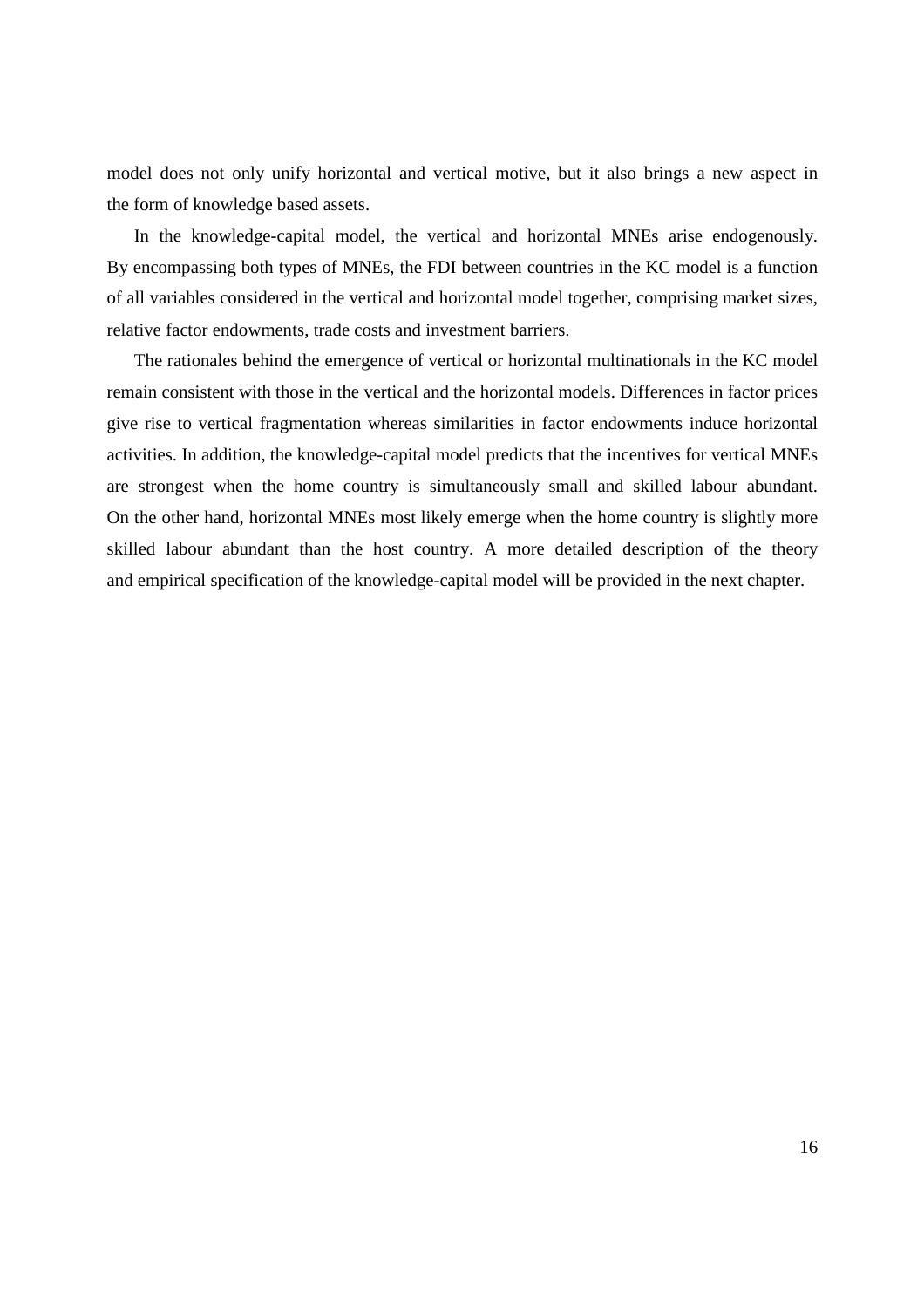model does not only unify horizontal and vertical motive, but it also brings a new aspect in the form of knowledge based assets.

In the knowledge-capital model, the vertical and horizontal MNEs arise endogenously. By encompassing both types of MNEs, the FDI between countries in the KC model is a function of all variables considered in the vertical and horizontal model together, comprising market sizes, relative factor endowments, trade costs and investment barriers.

The rationales behind the emergence of vertical or horizontal multinationals in the KC model remain consistent with those in the vertical and the horizontal models. Differences in factor prices give rise to vertical fragmentation whereas similarities in factor endowments induce horizontal activities. In addition, the knowledge-capital model predicts that the incentives for vertical MNEs are strongest when the home country is simultaneously small and skilled labour abundant. On the other hand, horizontal MNEs most likely emerge when the home country is slightly more skilled labour abundant than the host country. A more detailed description of the theory and empirical specification of the knowledge-capital model will be provided in the next chapter.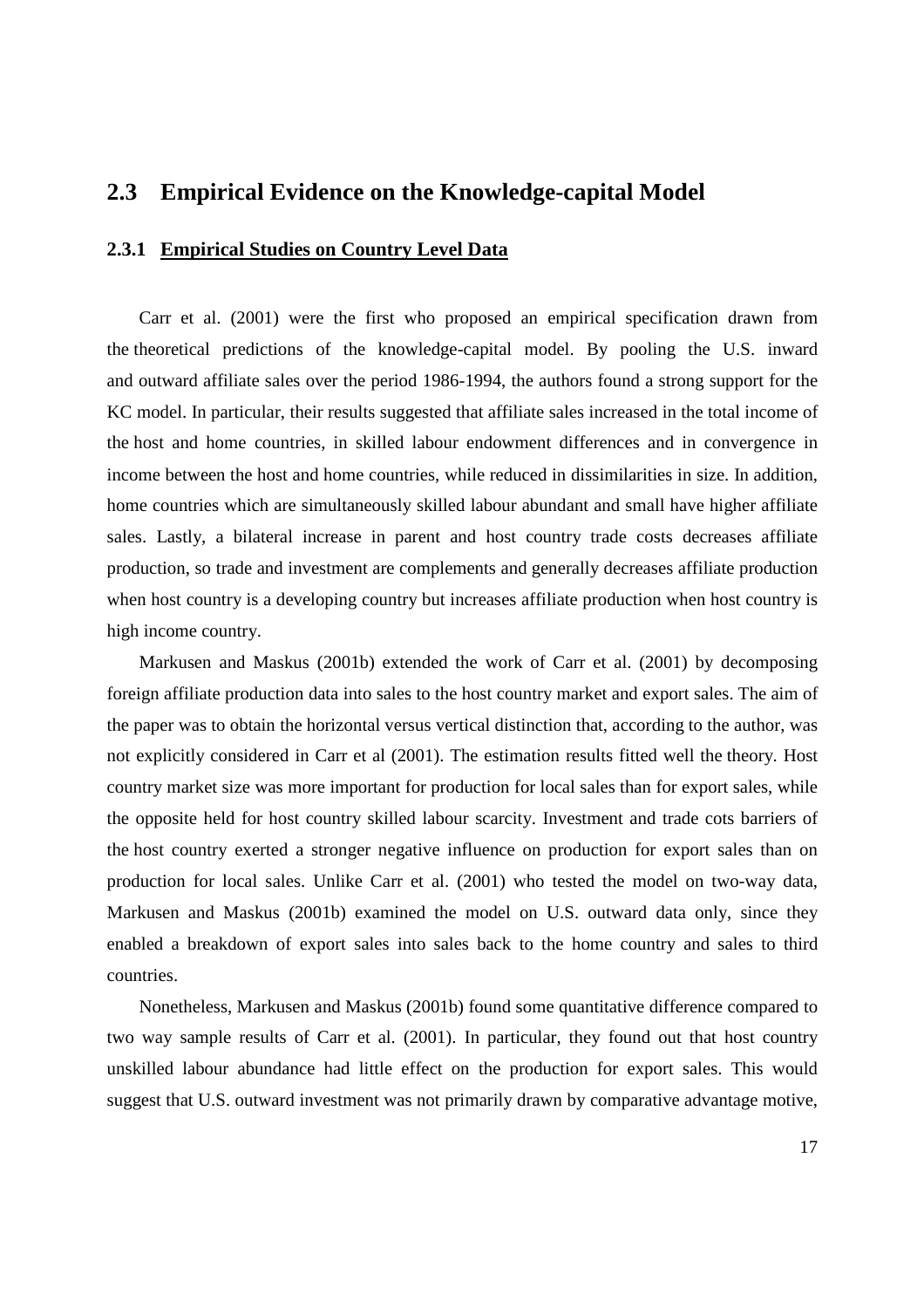### **2.3 Empirical Evidence on the Knowledge-capital Model**

#### **2.3.1 Empirical Studies on Country Level Data**

Carr et al. (2001) were the first who proposed an empirical specification drawn from the theoretical predictions of the knowledge-capital model. By pooling the U.S. inward and outward affiliate sales over the period 1986-1994, the authors found a strong support for the KC model. In particular, their results suggested that affiliate sales increased in the total income of the host and home countries, in skilled labour endowment differences and in convergence in income between the host and home countries, while reduced in dissimilarities in size. In addition, home countries which are simultaneously skilled labour abundant and small have higher affiliate sales. Lastly, a bilateral increase in parent and host country trade costs decreases affiliate production, so trade and investment are complements and generally decreases affiliate production when host country is a developing country but increases affiliate production when host country is high income country.

Markusen and Maskus (2001b) extended the work of Carr et al. (2001) by decomposing foreign affiliate production data into sales to the host country market and export sales. The aim of the paper was to obtain the horizontal versus vertical distinction that, according to the author, was not explicitly considered in Carr et al (2001). The estimation results fitted well the theory. Host country market size was more important for production for local sales than for export sales, while the opposite held for host country skilled labour scarcity. Investment and trade cots barriers of the host country exerted a stronger negative influence on production for export sales than on production for local sales. Unlike Carr et al. (2001) who tested the model on two-way data, Markusen and Maskus (2001b) examined the model on U.S. outward data only, since they enabled a breakdown of export sales into sales back to the home country and sales to third countries.

Nonetheless, Markusen and Maskus (2001b) found some quantitative difference compared to two way sample results of Carr et al. (2001). In particular, they found out that host country unskilled labour abundance had little effect on the production for export sales. This would suggest that U.S. outward investment was not primarily drawn by comparative advantage motive,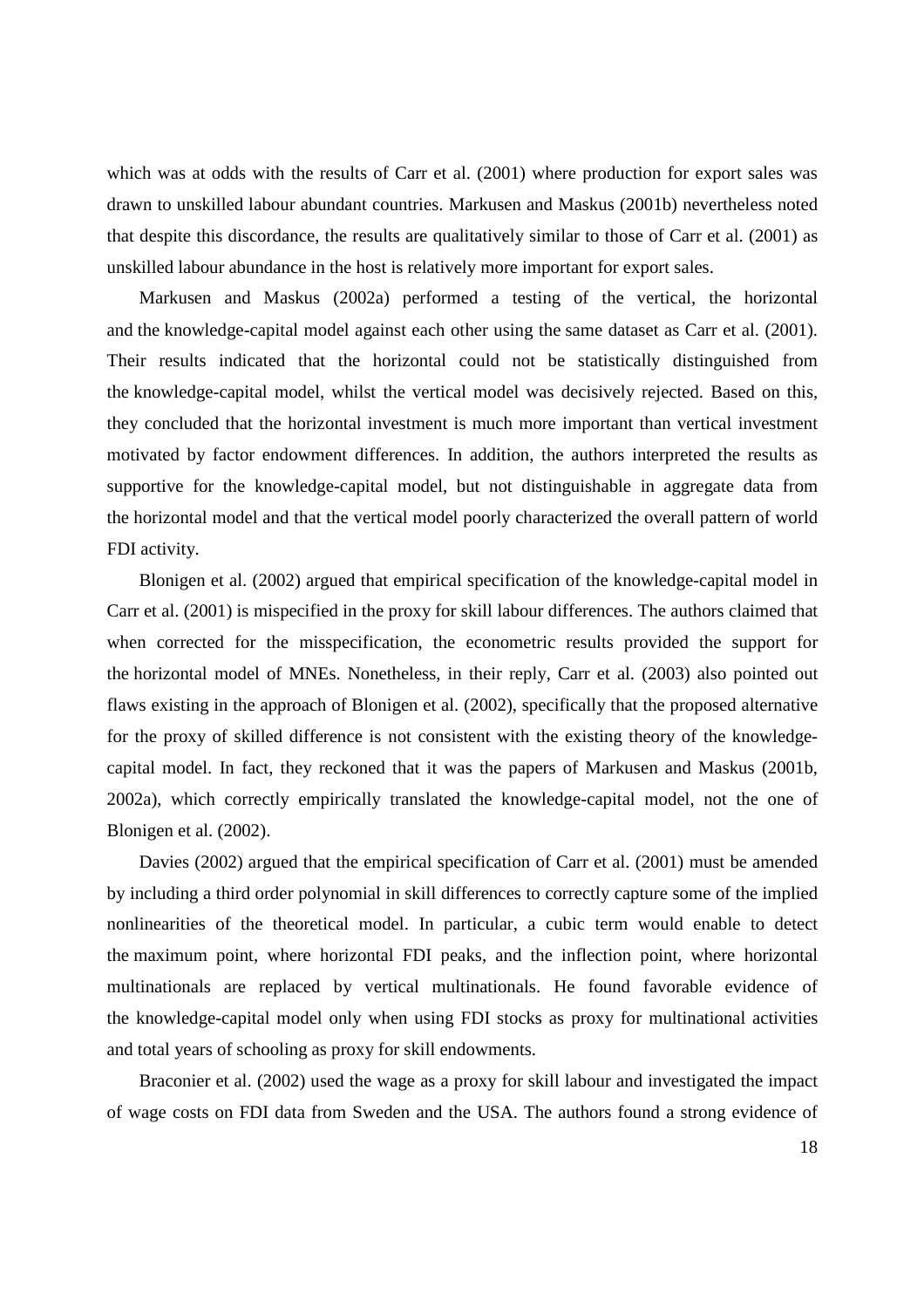which was at odds with the results of Carr et al. (2001) where production for export sales was drawn to unskilled labour abundant countries. Markusen and Maskus (2001b) nevertheless noted that despite this discordance, the results are qualitatively similar to those of Carr et al. (2001) as unskilled labour abundance in the host is relatively more important for export sales.

Markusen and Maskus (2002a) performed a testing of the vertical, the horizontal and the knowledge-capital model against each other using the same dataset as Carr et al. (2001). Their results indicated that the horizontal could not be statistically distinguished from the knowledge-capital model, whilst the vertical model was decisively rejected. Based on this, they concluded that the horizontal investment is much more important than vertical investment motivated by factor endowment differences. In addition, the authors interpreted the results as supportive for the knowledge-capital model, but not distinguishable in aggregate data from the horizontal model and that the vertical model poorly characterized the overall pattern of world FDI activity.

Blonigen et al. (2002) argued that empirical specification of the knowledge-capital model in Carr et al. (2001) is mispecified in the proxy for skill labour differences. The authors claimed that when corrected for the misspecification, the econometric results provided the support for the horizontal model of MNEs. Nonetheless, in their reply, Carr et al. (2003) also pointed out flaws existing in the approach of Blonigen et al. (2002), specifically that the proposed alternative for the proxy of skilled difference is not consistent with the existing theory of the knowledgecapital model. In fact, they reckoned that it was the papers of Markusen and Maskus (2001b, 2002a), which correctly empirically translated the knowledge-capital model, not the one of Blonigen et al. (2002).

Davies (2002) argued that the empirical specification of Carr et al. (2001) must be amended by including a third order polynomial in skill differences to correctly capture some of the implied nonlinearities of the theoretical model. In particular, a cubic term would enable to detect the maximum point, where horizontal FDI peaks, and the inflection point, where horizontal multinationals are replaced by vertical multinationals. He found favorable evidence of the knowledge-capital model only when using FDI stocks as proxy for multinational activities and total years of schooling as proxy for skill endowments.

Braconier et al. (2002) used the wage as a proxy for skill labour and investigated the impact of wage costs on FDI data from Sweden and the USA. The authors found a strong evidence of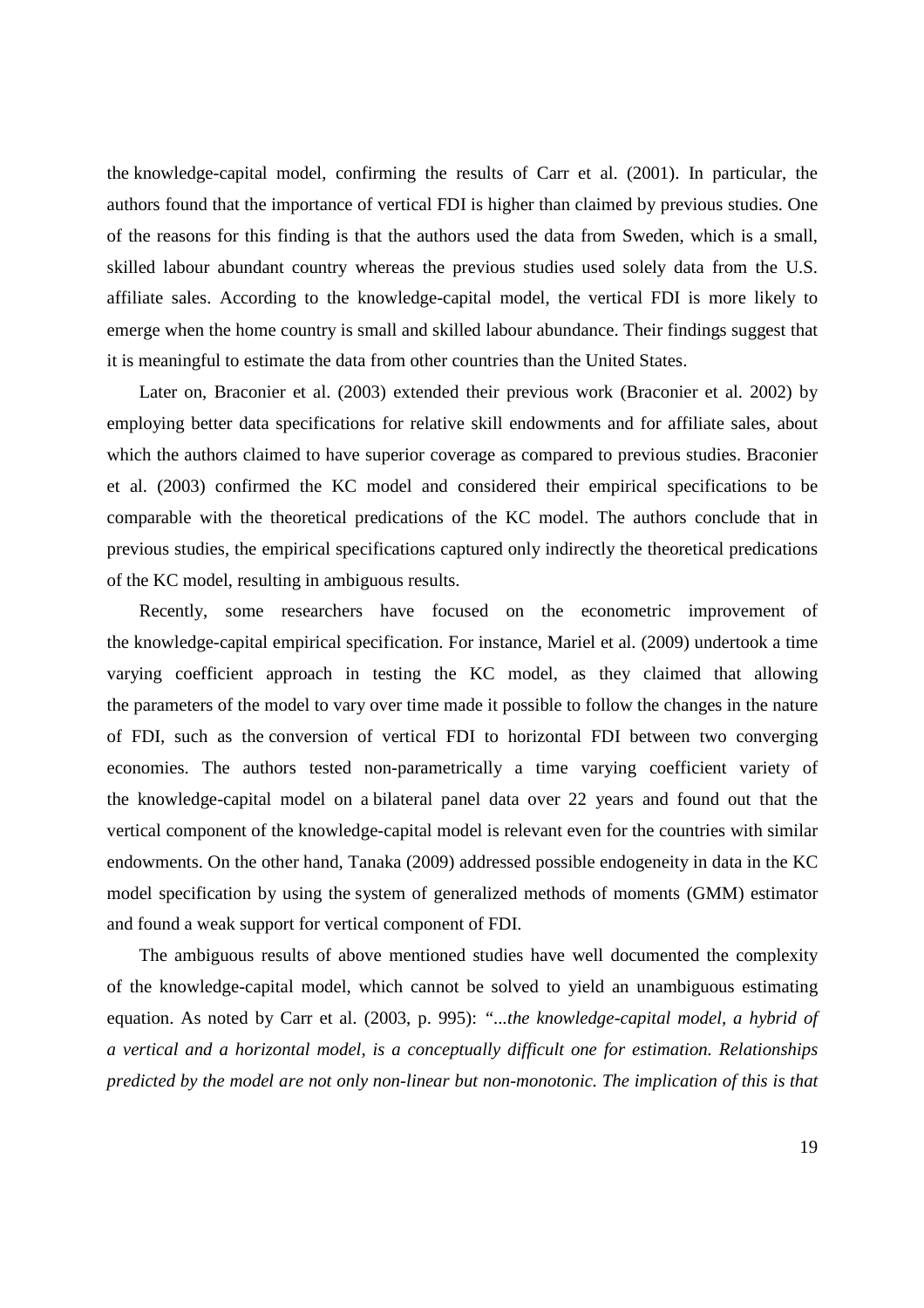the knowledge-capital model, confirming the results of Carr et al. (2001). In particular, the authors found that the importance of vertical FDI is higher than claimed by previous studies. One of the reasons for this finding is that the authors used the data from Sweden, which is a small, skilled labour abundant country whereas the previous studies used solely data from the U.S. affiliate sales. According to the knowledge-capital model, the vertical FDI is more likely to emerge when the home country is small and skilled labour abundance. Their findings suggest that it is meaningful to estimate the data from other countries than the United States.

Later on, Braconier et al. (2003) extended their previous work (Braconier et al. 2002) by employing better data specifications for relative skill endowments and for affiliate sales, about which the authors claimed to have superior coverage as compared to previous studies. Braconier et al. (2003) confirmed the KC model and considered their empirical specifications to be comparable with the theoretical predications of the KC model. The authors conclude that in previous studies, the empirical specifications captured only indirectly the theoretical predications of the KC model, resulting in ambiguous results.

Recently, some researchers have focused on the econometric improvement of the knowledge-capital empirical specification. For instance, Mariel et al. (2009) undertook a time varying coefficient approach in testing the KC model, as they claimed that allowing the parameters of the model to vary over time made it possible to follow the changes in the nature of FDI, such as the conversion of vertical FDI to horizontal FDI between two converging economies. The authors tested non-parametrically a time varying coefficient variety of the knowledge-capital model on a bilateral panel data over 22 years and found out that the vertical component of the knowledge-capital model is relevant even for the countries with similar endowments. On the other hand, Tanaka (2009) addressed possible endogeneity in data in the KC model specification by using the system of generalized methods of moments (GMM) estimator and found a weak support for vertical component of FDI.

The ambiguous results of above mentioned studies have well documented the complexity of the knowledge-capital model, which cannot be solved to yield an unambiguous estimating equation. As noted by Carr et al. (2003, p. 995): *"...the knowledge-capital model, a hybrid of a vertical and a horizontal model, is a conceptually difficult one for estimation. Relationships predicted by the model are not only non-linear but non-monotonic. The implication of this is that*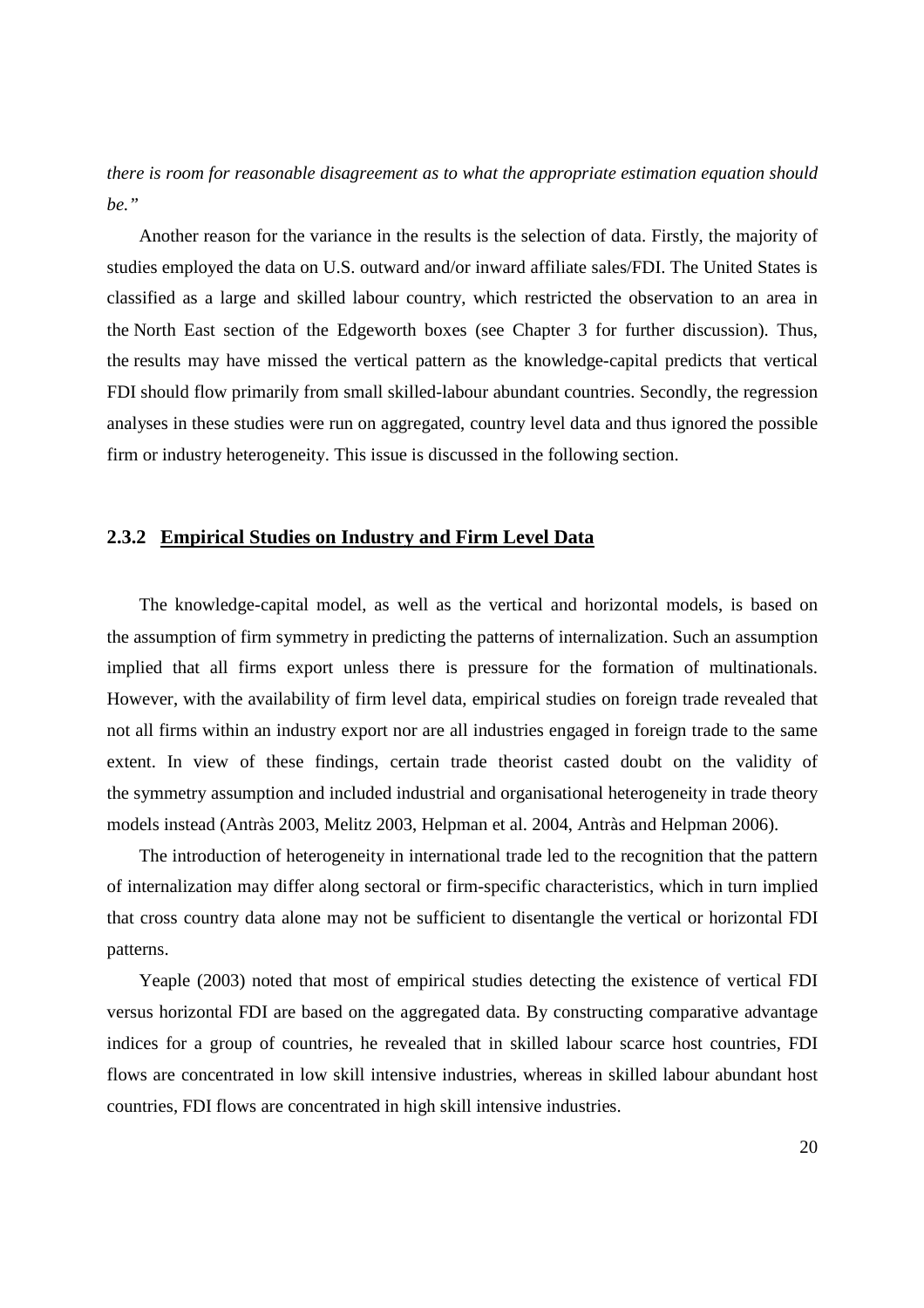*there is room for reasonable disagreement as to what the appropriate estimation equation should be."*

Another reason for the variance in the results is the selection of data. Firstly, the majority of studies employed the data on U.S. outward and/or inward affiliate sales/FDI. The United States is classified as a large and skilled labour country, which restricted the observation to an area in the North East section of the Edgeworth boxes (see Chapter 3 for further discussion). Thus, the results may have missed the vertical pattern as the knowledge-capital predicts that vertical FDI should flow primarily from small skilled-labour abundant countries. Secondly, the regression analyses in these studies were run on aggregated, country level data and thus ignored the possible firm or industry heterogeneity. This issue is discussed in the following section.

#### **2.3.2 Empirical Studies on Industry and Firm Level Data**

The knowledge-capital model, as well as the vertical and horizontal models, is based on the assumption of firm symmetry in predicting the patterns of internalization. Such an assumption implied that all firms export unless there is pressure for the formation of multinationals. However, with the availability of firm level data, empirical studies on foreign trade revealed that not all firms within an industry export nor are all industries engaged in foreign trade to the same extent. In view of these findings, certain trade theorist casted doubt on the validity of the symmetry assumption and included industrial and organisational heterogeneity in trade theory models instead (Antràs 2003, Melitz 2003, Helpman et al. 2004, Antràs and Helpman 2006).

The introduction of heterogeneity in international trade led to the recognition that the pattern of internalization may differ along sectoral or firm-specific characteristics, which in turn implied that cross country data alone may not be sufficient to disentangle the vertical or horizontal FDI patterns.

Yeaple (2003) noted that most of empirical studies detecting the existence of vertical FDI versus horizontal FDI are based on the aggregated data. By constructing comparative advantage indices for a group of countries, he revealed that in skilled labour scarce host countries, FDI flows are concentrated in low skill intensive industries, whereas in skilled labour abundant host countries, FDI flows are concentrated in high skill intensive industries.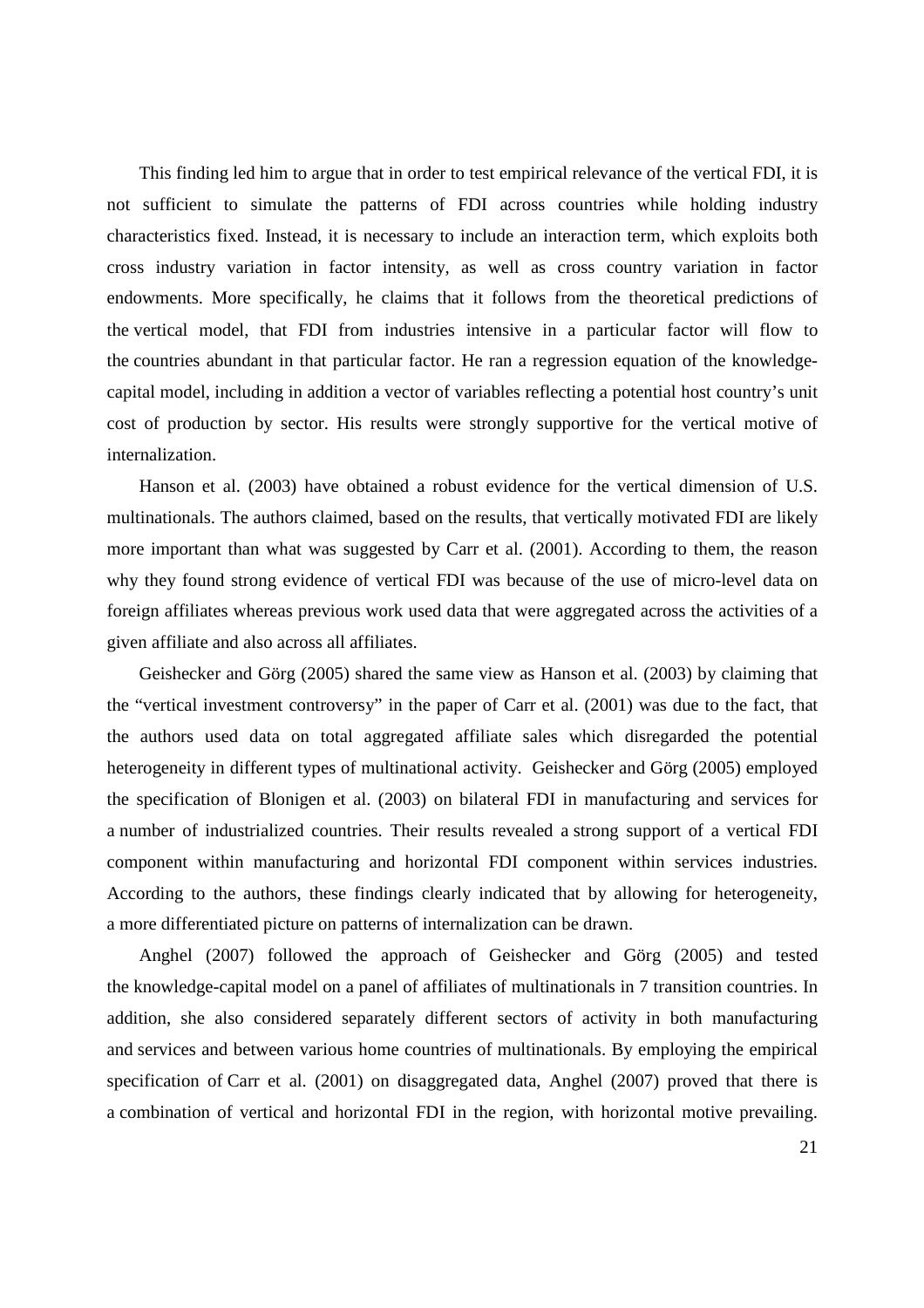This finding led him to argue that in order to test empirical relevance of the vertical FDI, it is not sufficient to simulate the patterns of FDI across countries while holding industry characteristics fixed. Instead, it is necessary to include an interaction term, which exploits both cross industry variation in factor intensity, as well as cross country variation in factor endowments. More specifically, he claims that it follows from the theoretical predictions of the vertical model, that FDI from industries intensive in a particular factor will flow to the countries abundant in that particular factor. He ran a regression equation of the knowledgecapital model, including in addition a vector of variables reflecting a potential host country's unit cost of production by sector. His results were strongly supportive for the vertical motive of internalization.

Hanson et al. (2003) have obtained a robust evidence for the vertical dimension of U.S. multinationals. The authors claimed, based on the results, that vertically motivated FDI are likely more important than what was suggested by Carr et al. (2001). According to them, the reason why they found strong evidence of vertical FDI was because of the use of micro-level data on foreign affiliates whereas previous work used data that were aggregated across the activities of a given affiliate and also across all affiliates.

Geishecker and Görg (2005) shared the same view as Hanson et al. (2003) by claiming that the "vertical investment controversy" in the paper of Carr et al. (2001) was due to the fact, that the authors used data on total aggregated affiliate sales which disregarded the potential heterogeneity in different types of multinational activity. Geishecker and Görg (2005) employed the specification of Blonigen et al. (2003) on bilateral FDI in manufacturing and services for a number of industrialized countries. Their results revealed a strong support of a vertical FDI component within manufacturing and horizontal FDI component within services industries. According to the authors, these findings clearly indicated that by allowing for heterogeneity, a more differentiated picture on patterns of internalization can be drawn.

Anghel (2007) followed the approach of Geishecker and Görg (2005) and tested the knowledge-capital model on a panel of affiliates of multinationals in 7 transition countries. In addition, she also considered separately different sectors of activity in both manufacturing and services and between various home countries of multinationals. By employing the empirical specification of Carr et al. (2001) on disaggregated data, Anghel (2007) proved that there is a combination of vertical and horizontal FDI in the region, with horizontal motive prevailing.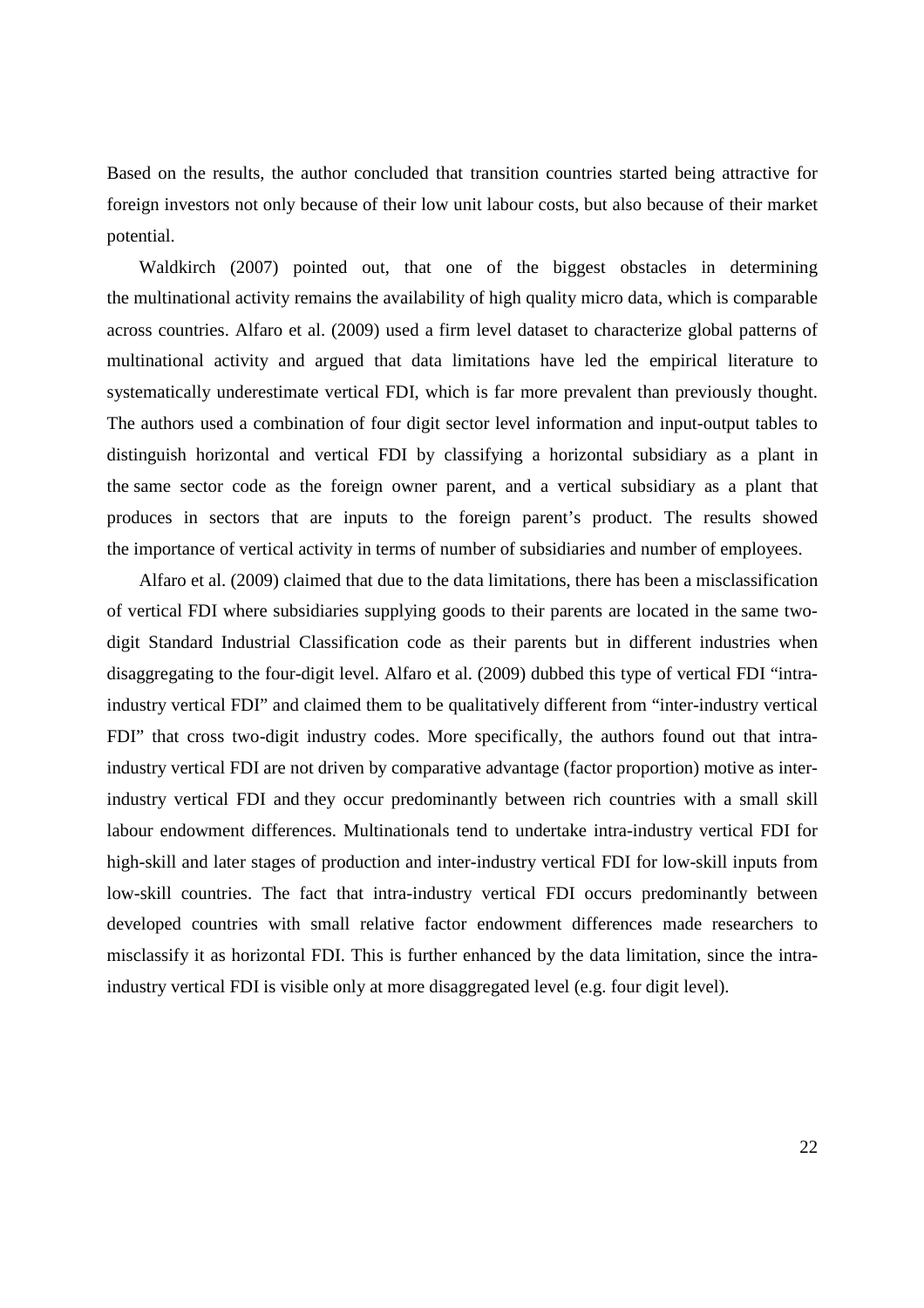Based on the results, the author concluded that transition countries started being attractive for foreign investors not only because of their low unit labour costs, but also because of their market potential.

Waldkirch (2007) pointed out, that one of the biggest obstacles in determining the multinational activity remains the availability of high quality micro data, which is comparable across countries. Alfaro et al. (2009) used a firm level dataset to characterize global patterns of multinational activity and argued that data limitations have led the empirical literature to systematically underestimate vertical FDI, which is far more prevalent than previously thought. The authors used a combination of four digit sector level information and input-output tables to distinguish horizontal and vertical FDI by classifying a horizontal subsidiary as a plant in the same sector code as the foreign owner parent, and a vertical subsidiary as a plant that produces in sectors that are inputs to the foreign parent's product. The results showed the importance of vertical activity in terms of number of subsidiaries and number of employees.

Alfaro et al. (2009) claimed that due to the data limitations, there has been a misclassification of vertical FDI where subsidiaries supplying goods to their parents are located in the same twodigit Standard Industrial Classification code as their parents but in different industries when disaggregating to the four-digit level. Alfaro et al. (2009) dubbed this type of vertical FDI "intraindustry vertical FDI" and claimed them to be qualitatively different from "inter-industry vertical FDI" that cross two-digit industry codes. More specifically, the authors found out that intraindustry vertical FDI are not driven by comparative advantage (factor proportion) motive as interindustry vertical FDI and they occur predominantly between rich countries with a small skill labour endowment differences. Multinationals tend to undertake intra-industry vertical FDI for high-skill and later stages of production and inter-industry vertical FDI for low-skill inputs from low-skill countries. The fact that intra-industry vertical FDI occurs predominantly between developed countries with small relative factor endowment differences made researchers to misclassify it as horizontal FDI. This is further enhanced by the data limitation, since the intraindustry vertical FDI is visible only at more disaggregated level (e.g. four digit level).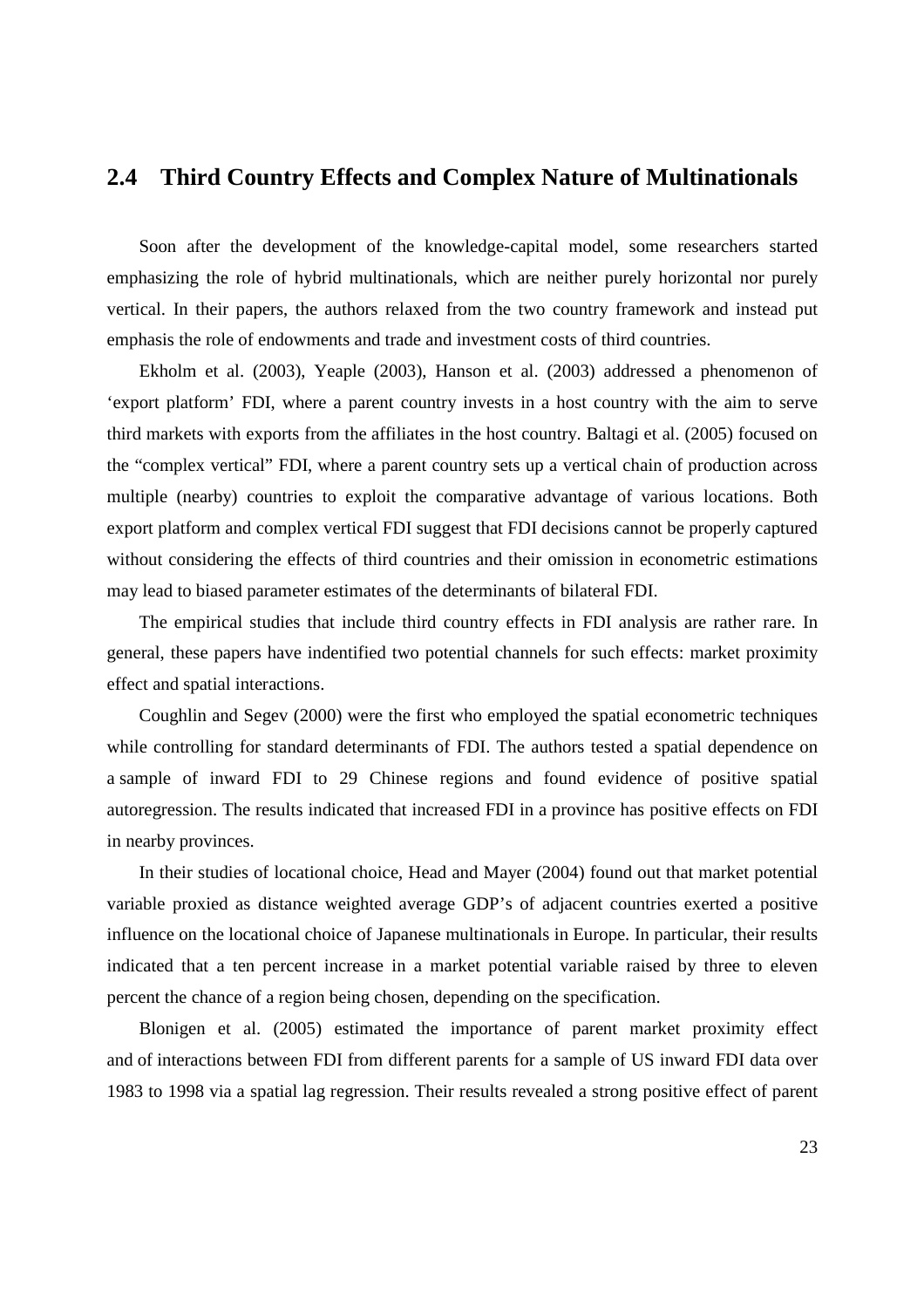### **2.4 Third Country Effects and Complex Nature of Multinationals**

Soon after the development of the knowledge-capital model, some researchers started emphasizing the role of hybrid multinationals, which are neither purely horizontal nor purely vertical. In their papers, the authors relaxed from the two country framework and instead put emphasis the role of endowments and trade and investment costs of third countries.

Ekholm et al. (2003), Yeaple (2003), Hanson et al. (2003) addressed a phenomenon of 'export platform' FDI, where a parent country invests in a host country with the aim to serve third markets with exports from the affiliates in the host country. Baltagi et al. (2005) focused on the "complex vertical" FDI, where a parent country sets up a vertical chain of production across multiple (nearby) countries to exploit the comparative advantage of various locations. Both export platform and complex vertical FDI suggest that FDI decisions cannot be properly captured without considering the effects of third countries and their omission in econometric estimations may lead to biased parameter estimates of the determinants of bilateral FDI.

The empirical studies that include third country effects in FDI analysis are rather rare. In general, these papers have indentified two potential channels for such effects: market proximity effect and spatial interactions.

Coughlin and Segev (2000) were the first who employed the spatial econometric techniques while controlling for standard determinants of FDI. The authors tested a spatial dependence on a sample of inward FDI to 29 Chinese regions and found evidence of positive spatial autoregression. The results indicated that increased FDI in a province has positive effects on FDI in nearby provinces.

In their studies of locational choice, Head and Mayer (2004) found out that market potential variable proxied as distance weighted average GDP's of adjacent countries exerted a positive influence on the locational choice of Japanese multinationals in Europe. In particular, their results indicated that a ten percent increase in a market potential variable raised by three to eleven percent the chance of a region being chosen, depending on the specification.

Blonigen et al. (2005) estimated the importance of parent market proximity effect and of interactions between FDI from different parents for a sample of US inward FDI data over 1983 to 1998 via a spatial lag regression. Their results revealed a strong positive effect of parent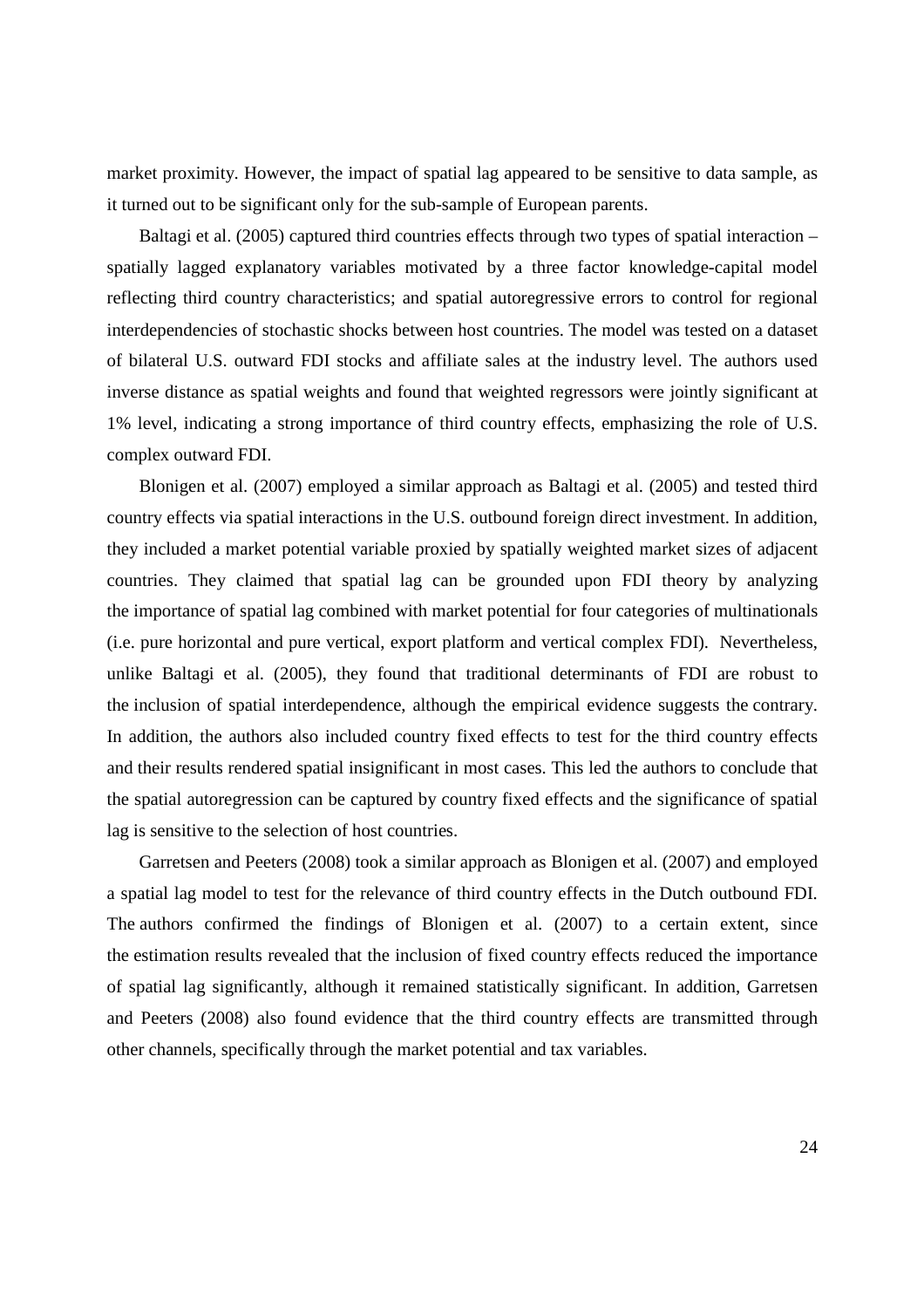market proximity. However, the impact of spatial lag appeared to be sensitive to data sample, as it turned out to be significant only for the sub-sample of European parents.

Baltagi et al. (2005) captured third countries effects through two types of spatial interaction – spatially lagged explanatory variables motivated by a three factor knowledge-capital model reflecting third country characteristics; and spatial autoregressive errors to control for regional interdependencies of stochastic shocks between host countries. The model was tested on a dataset of bilateral U.S. outward FDI stocks and affiliate sales at the industry level. The authors used inverse distance as spatial weights and found that weighted regressors were jointly significant at 1% level, indicating a strong importance of third country effects, emphasizing the role of U.S. complex outward FDI.

Blonigen et al. (2007) employed a similar approach as Baltagi et al. (2005) and tested third country effects via spatial interactions in the U.S. outbound foreign direct investment. In addition, they included a market potential variable proxied by spatially weighted market sizes of adjacent countries. They claimed that spatial lag can be grounded upon FDI theory by analyzing the importance of spatial lag combined with market potential for four categories of multinationals (i.e. pure horizontal and pure vertical, export platform and vertical complex FDI). Nevertheless, unlike Baltagi et al. (2005), they found that traditional determinants of FDI are robust to the inclusion of spatial interdependence, although the empirical evidence suggests the contrary. In addition, the authors also included country fixed effects to test for the third country effects and their results rendered spatial insignificant in most cases. This led the authors to conclude that the spatial autoregression can be captured by country fixed effects and the significance of spatial lag is sensitive to the selection of host countries.

Garretsen and Peeters (2008) took a similar approach as Blonigen et al. (2007) and employed a spatial lag model to test for the relevance of third country effects in the Dutch outbound FDI. The authors confirmed the findings of Blonigen et al. (2007) to a certain extent, since the estimation results revealed that the inclusion of fixed country effects reduced the importance of spatial lag significantly, although it remained statistically significant. In addition, Garretsen and Peeters (2008) also found evidence that the third country effects are transmitted through other channels, specifically through the market potential and tax variables.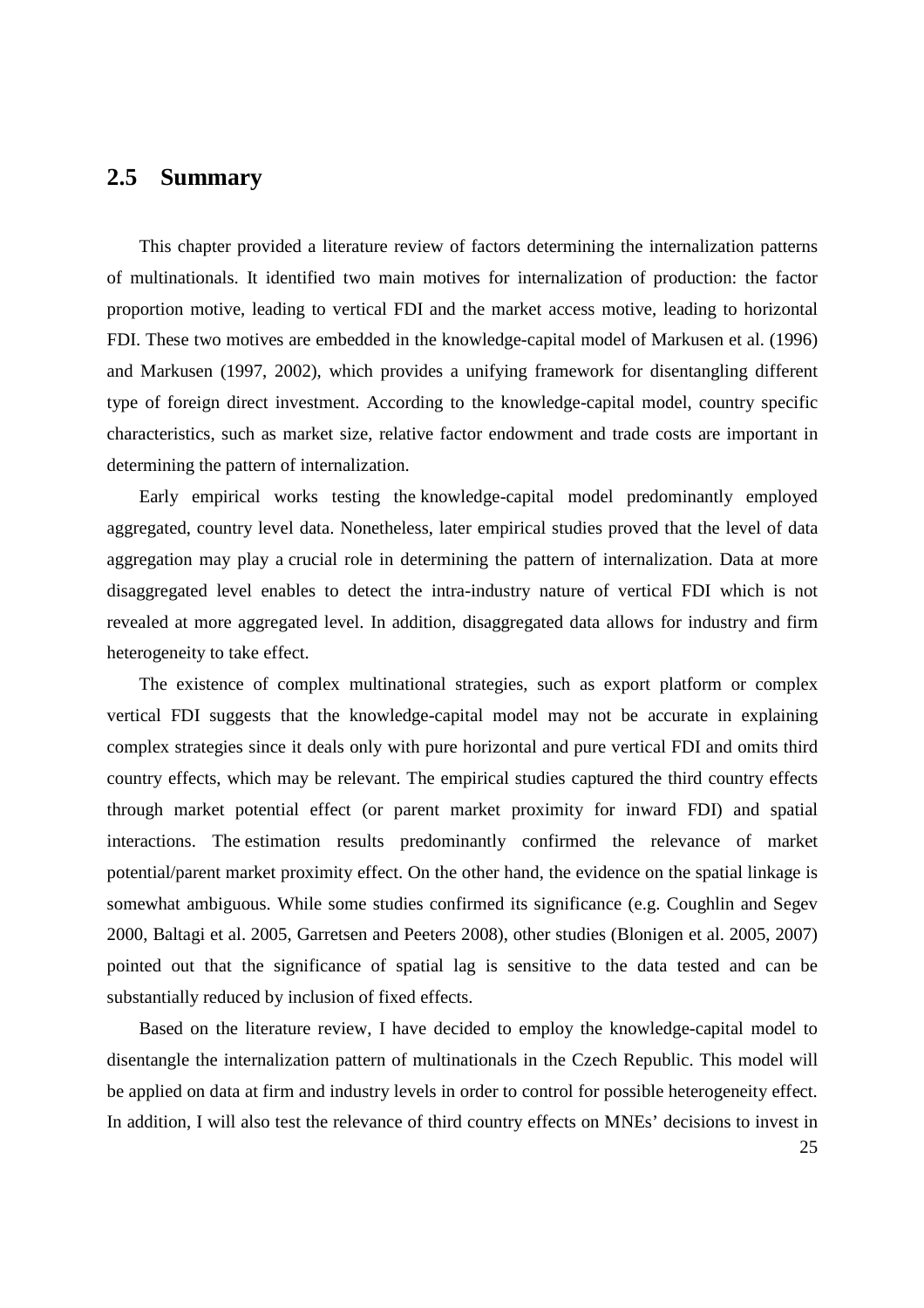### **2.5 Summary**

This chapter provided a literature review of factors determining the internalization patterns of multinationals. It identified two main motives for internalization of production: the factor proportion motive, leading to vertical FDI and the market access motive, leading to horizontal FDI. These two motives are embedded in the knowledge-capital model of Markusen et al. (1996) and Markusen (1997, 2002), which provides a unifying framework for disentangling different type of foreign direct investment. According to the knowledge-capital model, country specific characteristics, such as market size, relative factor endowment and trade costs are important in determining the pattern of internalization.

Early empirical works testing the knowledge-capital model predominantly employed aggregated, country level data. Nonetheless, later empirical studies proved that the level of data aggregation may play a crucial role in determining the pattern of internalization. Data at more disaggregated level enables to detect the intra-industry nature of vertical FDI which is not revealed at more aggregated level. In addition, disaggregated data allows for industry and firm heterogeneity to take effect.

The existence of complex multinational strategies, such as export platform or complex vertical FDI suggests that the knowledge-capital model may not be accurate in explaining complex strategies since it deals only with pure horizontal and pure vertical FDI and omits third country effects, which may be relevant. The empirical studies captured the third country effects through market potential effect (or parent market proximity for inward FDI) and spatial interactions. The estimation results predominantly confirmed the relevance of market potential/parent market proximity effect. On the other hand, the evidence on the spatial linkage is somewhat ambiguous. While some studies confirmed its significance (e.g. Coughlin and Segev 2000, Baltagi et al. 2005, Garretsen and Peeters 2008), other studies (Blonigen et al. 2005, 2007) pointed out that the significance of spatial lag is sensitive to the data tested and can be substantially reduced by inclusion of fixed effects.

Based on the literature review, I have decided to employ the knowledge-capital model to disentangle the internalization pattern of multinationals in the Czech Republic. This model will be applied on data at firm and industry levels in order to control for possible heterogeneity effect. In addition, I will also test the relevance of third country effects on MNEs' decisions to invest in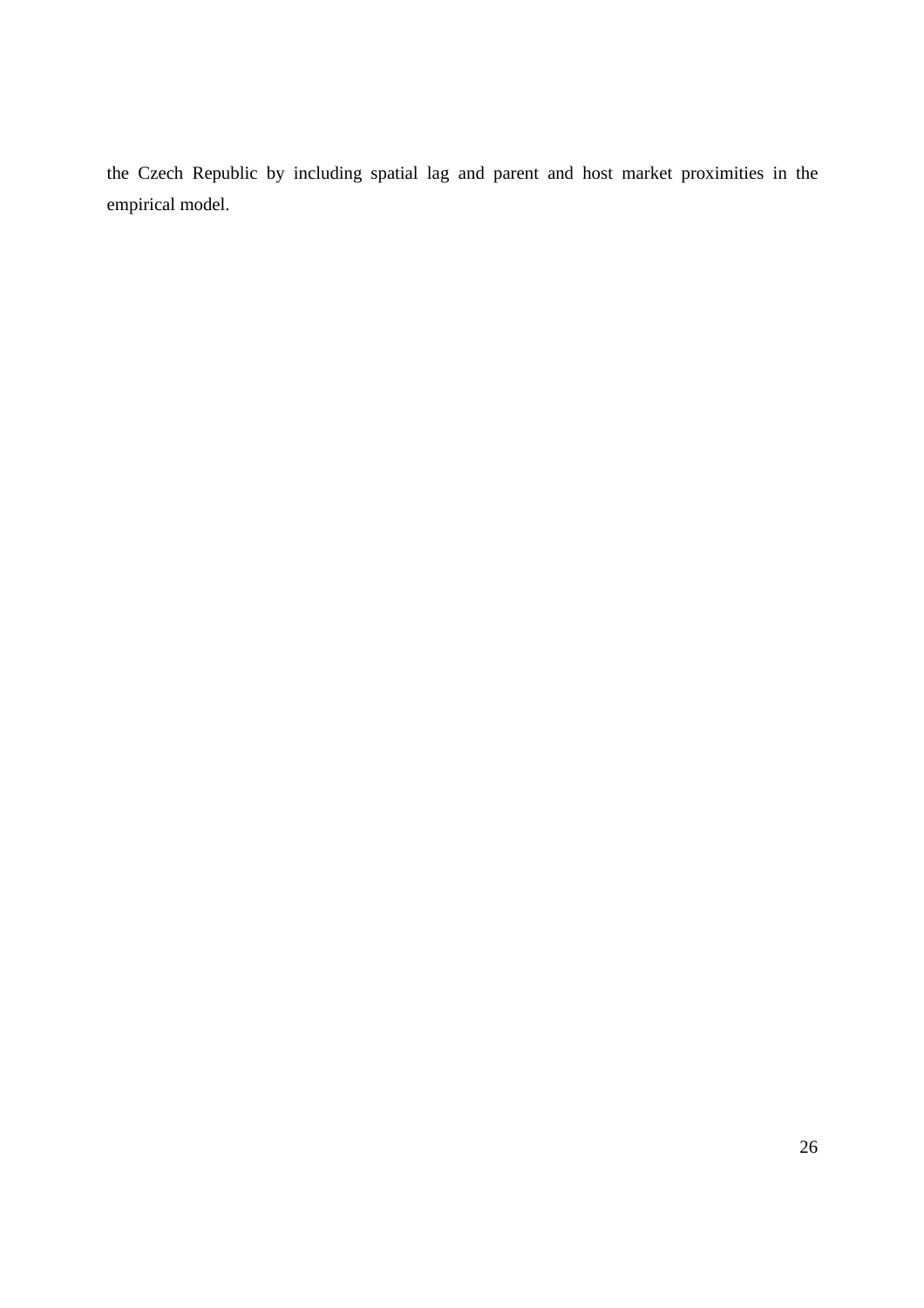the Czech Republic by including spatial lag and parent and host market proximities in the empirical model.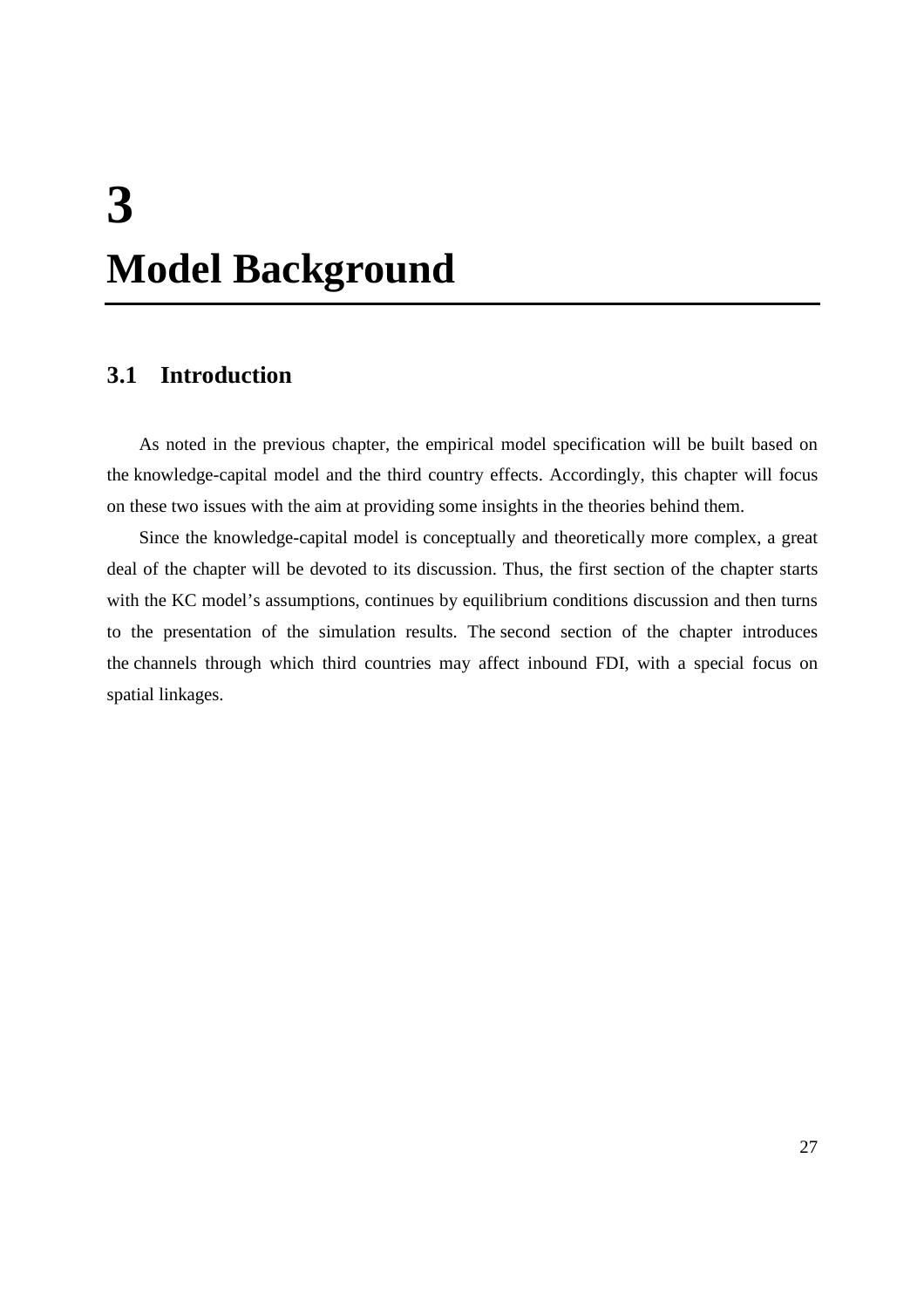# **3 Model Background**

# **3.1 Introduction**

As noted in the previous chapter, the empirical model specification will be built based on the knowledge-capital model and the third country effects. Accordingly, this chapter will focus on these two issues with the aim at providing some insights in the theories behind them.

Since the knowledge-capital model is conceptually and theoretically more complex, a great deal of the chapter will be devoted to its discussion. Thus, the first section of the chapter starts with the KC model's assumptions, continues by equilibrium conditions discussion and then turns to the presentation of the simulation results. The second section of the chapter introduces the channels through which third countries may affect inbound FDI, with a special focus on spatial linkages.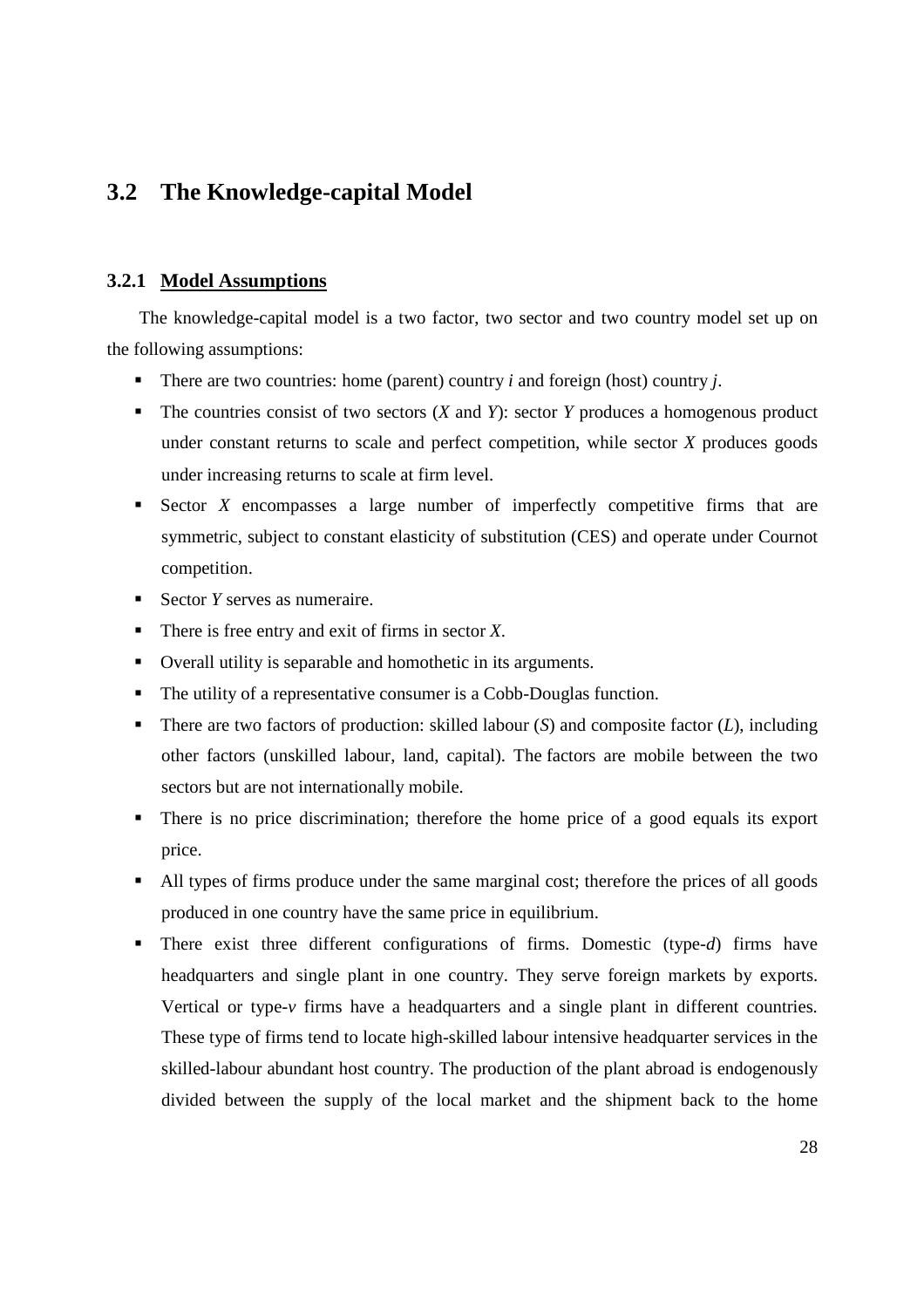# **3.2 The Knowledge-capital Model**

### **3.2.1 Model Assumptions**

The knowledge-capital model is a two factor, two sector and two country model set up on the following assumptions:

- There are two countries: home (parent) country  $i$  and foreign (host) country  $j$ .
- The countries consist of two sectors (*X* and *Y*): sector *Y* produces a homogenous product under constant returns to scale and perfect competition, while sector *X* produces goods under increasing returns to scale at firm level.
- Sector *X* encompasses a large number of imperfectly competitive firms that are symmetric, subject to constant elasticity of substitution (CES) and operate under Cournot competition.
- Sector *Y* serves as numeraire.
- There is free entry and exit of firms in sector *X*.
- Overall utility is separable and homothetic in its arguments.
- The utility of a representative consumer is a Cobb-Douglas function.
- There are two factors of production: skilled labour (*S*) and composite factor (*L*), including other factors (unskilled labour, land, capital). The factors are mobile between the two sectors but are not internationally mobile.
- There is no price discrimination; therefore the home price of a good equals its export price.
- All types of firms produce under the same marginal cost; therefore the prices of all goods produced in one country have the same price in equilibrium.
- There exist three different configurations of firms. Domestic (type-*d*) firms have headquarters and single plant in one country. They serve foreign markets by exports. Vertical or type-*v* firms have a headquarters and a single plant in different countries. These type of firms tend to locate high-skilled labour intensive headquarter services in the skilled-labour abundant host country. The production of the plant abroad is endogenously divided between the supply of the local market and the shipment back to the home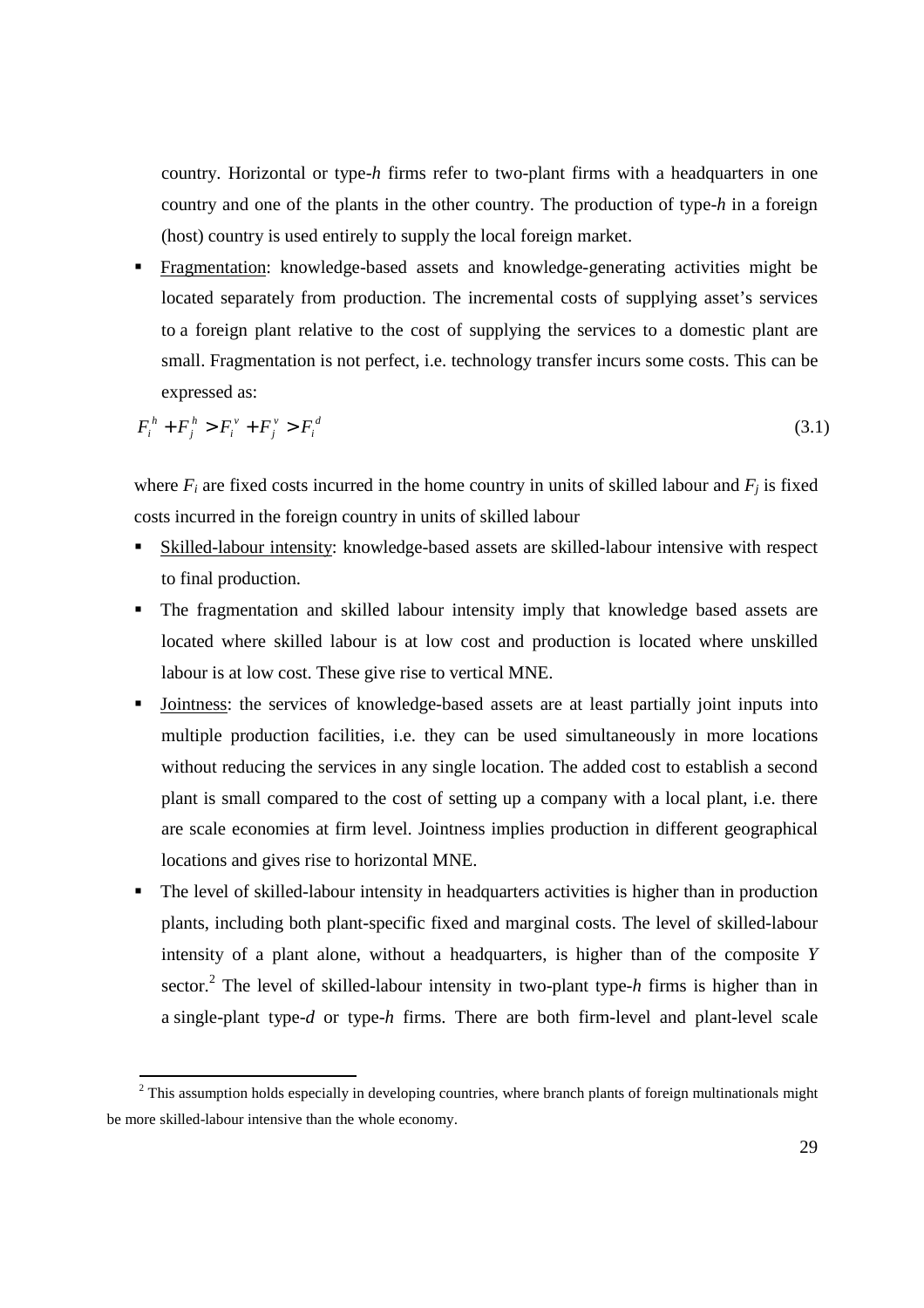country. Horizontal or type-*h* firms refer to two-plant firms with a headquarters in one country and one of the plants in the other country. The production of type-*h* in a foreign (host) country is used entirely to supply the local foreign market.

 Fragmentation: knowledge-based assets and knowledge-generating activities might be located separately from production. The incremental costs of supplying asset's services to a foreign plant relative to the cost of supplying the services to a domestic plant are small. Fragmentation is not perfect, i.e. technology transfer incurs some costs. This can be expressed as:

$$
F_i^h + F_j^h > F_i^v + F_j^v > F_i^d \tag{3.1}
$$

where  $F_i$  are fixed costs incurred in the home country in units of skilled labour and  $F_j$  is fixed costs incurred in the foreign country in units of skilled labour

- Skilled-labour intensity: knowledge-based assets are skilled-labour intensive with respect to final production.
- The fragmentation and skilled labour intensity imply that knowledge based assets are located where skilled labour is at low cost and production is located where unskilled labour is at low cost. These give rise to vertical MNE.
- Jointness: the services of knowledge-based assets are at least partially joint inputs into multiple production facilities, i.e. they can be used simultaneously in more locations without reducing the services in any single location. The added cost to establish a second plant is small compared to the cost of setting up a company with a local plant, i.e. there are scale economies at firm level. Jointness implies production in different geographical locations and gives rise to horizontal MNE.
- The level of skilled-labour intensity in headquarters activities is higher than in production plants, including both plant-specific fixed and marginal costs. The level of skilled-labour intensity of a plant alone, without a headquarters, is higher than of the composite *Y* sector.<sup>2</sup> The level of skilled-labour intensity in two-plant type-*h* firms is higher than in a single-plant type-*d* or type-*h* firms. There are both firm-level and plant-level scale

<sup>&</sup>lt;sup>2</sup> This assumption holds especially in developing countries, where branch plants of foreign multinationals might be more skilled-labour intensive than the whole economy.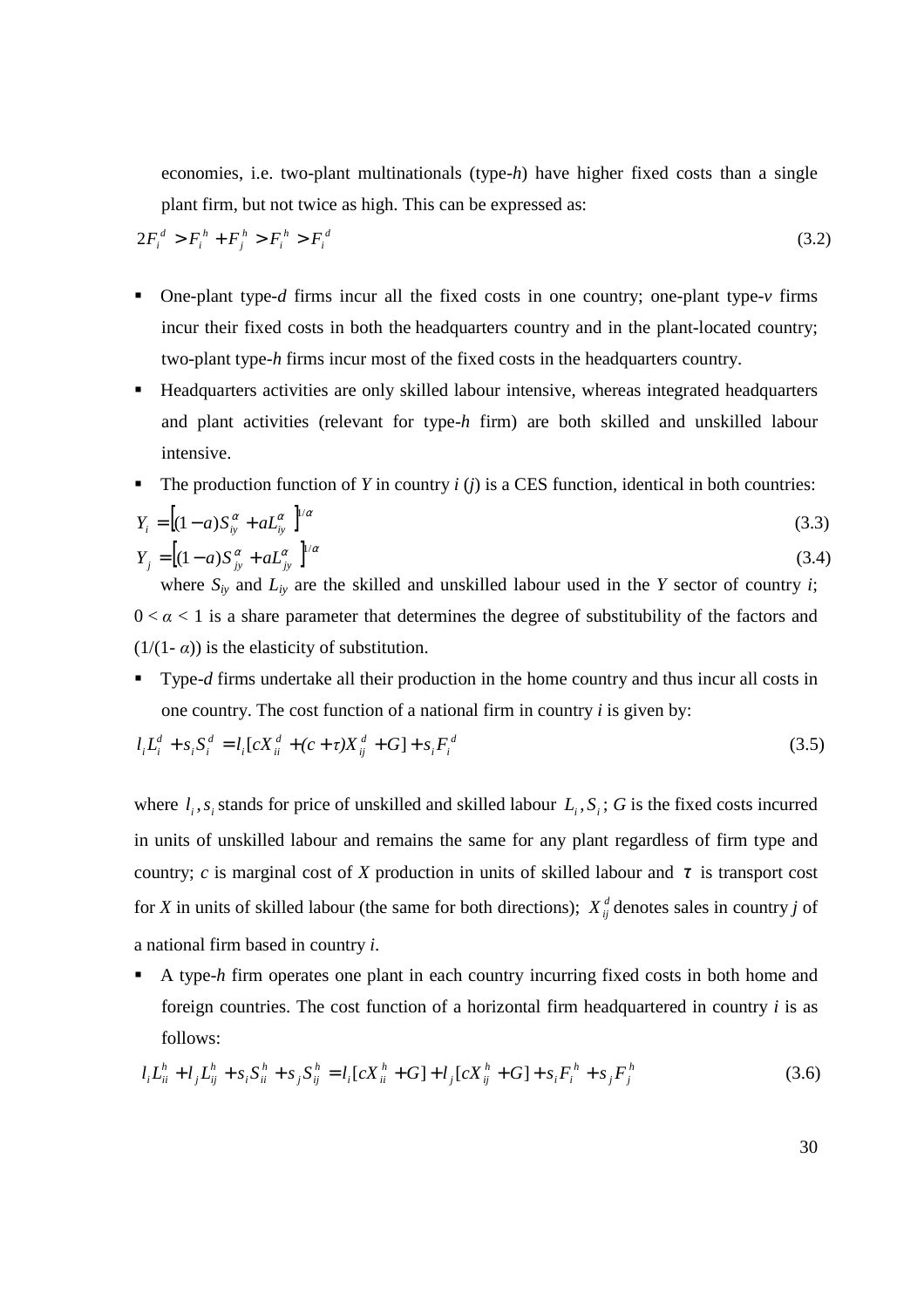economies, i.e. two-plant multinationals (type-*h*) have higher fixed costs than a single plant firm, but not twice as high. This can be expressed as:

$$
2F_i^d > F_i^h + F_j^h > F_i^h > F_i^d
$$
\n(3.2)

- One-plant type-*d* firms incur all the fixed costs in one country; one-plant type-*v* firms incur their fixed costs in both the headquarters country and in the plant-located country; two-plant type-*h* firms incur most of the fixed costs in the headquarters country.
- Headquarters activities are only skilled labour intensive, whereas integrated headquarters and plant activities (relevant for type-*h* firm) are both skilled and unskilled labour intensive.
- The production function of *Y* in country *i* (*j*) is a CES function, identical in both countries:

$$
Y_{i} = [(1-a)S_{iy}^{\alpha} + aL_{iy}^{\alpha}]^{1/\alpha}
$$
  
\n
$$
Y_{j} = [(1-a)S_{jy}^{\alpha} + aL_{iy}^{\alpha}]^{1/\alpha}
$$
\n(3.3)

where  $S_{iy}$  and  $L_{iy}$  are the skilled and unskilled labour used in the *Y* sector of country *i*;  $0 < \alpha < 1$  is a share parameter that determines the degree of substitubility of the factors and  $(1/(1 - \alpha))$  is the elasticity of substitution.

 Type-*d* firms undertake all their production in the home country and thus incur all costs in one country. The cost function of a national firm in country *i* is given by:

$$
l_i L_i^d + s_i S_i^d = l_i [c X_{ii}^d + (c + \tau) X_{ij}^d + G] + s_i F_i^d
$$
\n(3.5)

where  $l_i$ ,  $s_i$  stands for price of unskilled and skilled labour  $L_i$ ,  $S_i$ ; *G* is the fixed costs incurred in units of unskilled labour and remains the same for any plant regardless of firm type and country; *c* is marginal cost of *X* production in units of skilled labour and  $\tau$  is transport cost for *X* in units of skilled labour (the same for both directions);  $X^d_{ii}$  denotes sales in country *j* of a national firm based in country *i*.

 A type-*h* firm operates one plant in each country incurring fixed costs in both home and foreign countries. The cost function of a horizontal firm headquartered in country *i* is as follows:

$$
l_i L_{ii}^h + l_j L_{ij}^h + s_i S_{ii}^h + s_j S_{ij}^h = l_i [cX_{ii}^h + G] + l_j [cX_{ij}^h + G] + s_i F_i^h + s_j F_j^h
$$
\n(3.6)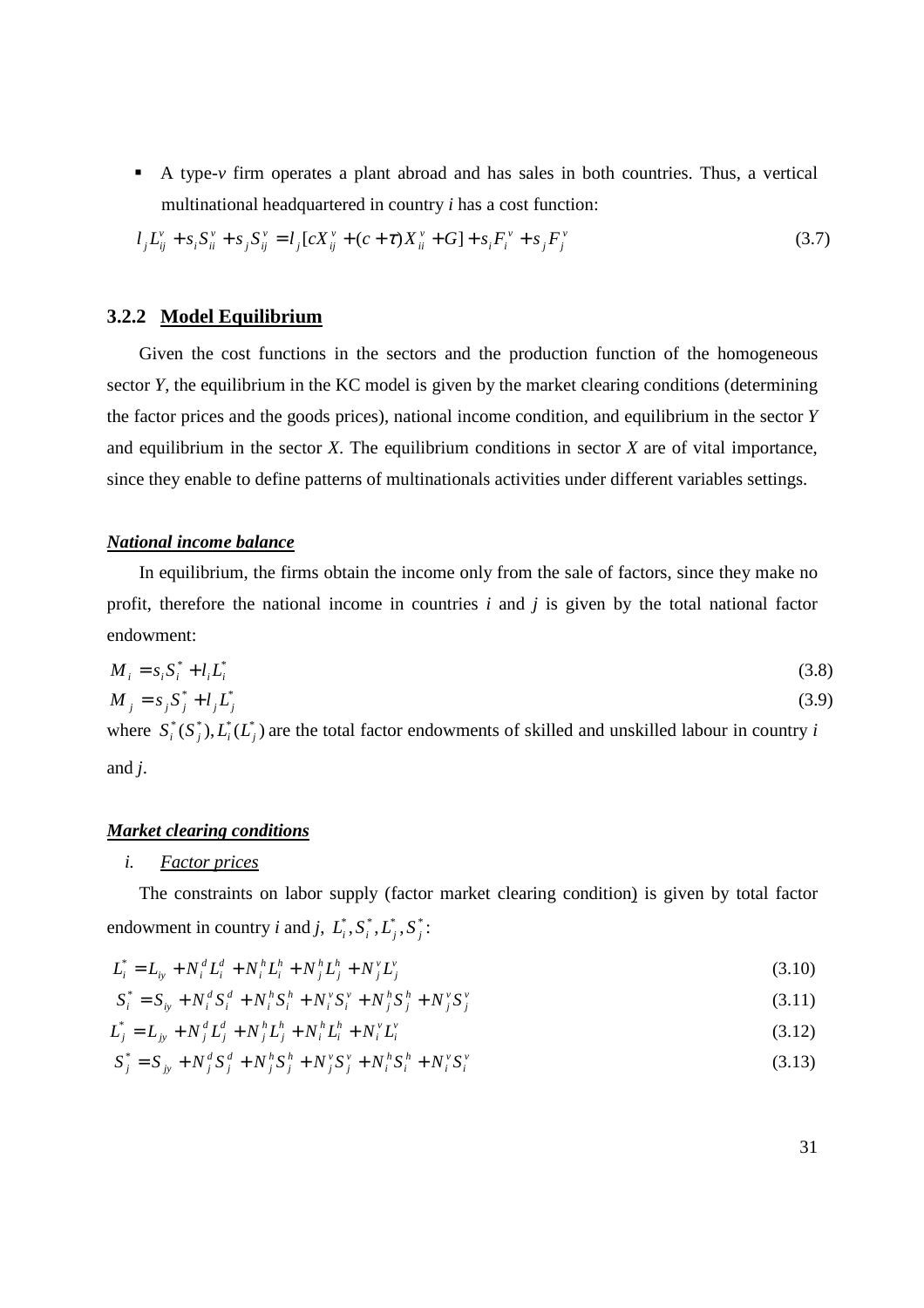A type-*v* firm operates a plant abroad and has sales in both countries. Thus, a vertical multinational headquartered in country *i* has a cost function:

$$
l_j L_{ij}^{\nu} + s_i S_{ii}^{\nu} + s_j S_{ij}^{\nu} = l_j [c X_{ij}^{\nu} + (c + \tau) X_{ii}^{\nu} + G] + s_i F_i^{\nu} + s_j F_j^{\nu}
$$
\n(3.7)

#### **3.2.2 Model Equilibrium**

Given the cost functions in the sectors and the production function of the homogeneous sector *Y*, the equilibrium in the KC model is given by the market clearing conditions (determining the factor prices and the goods prices), national income condition, and equilibrium in the sector *Y*  and equilibrium in the sector *X*. The equilibrium conditions in sector *X* are of vital importance, since they enable to define patterns of multinationals activities under different variables settings.

#### *National income balance*

In equilibrium, the firms obtain the income only from the sale of factors, since they make no profit, therefore the national income in countries *i* and *j* is given by the total national factor endowment:

$$
M_i = s_i S_i^* + l_i L_i^* \tag{3.8}
$$

$$
M_j = s_j S_j^* + l_j L_j^* \tag{3.9}
$$

where  $S_i^*(S_j^*)$ ,  $L_i^*(L_j^*)$  are the total factor endowments of skilled and unskilled labour in country *i* and *j*.

#### *Market clearing conditions*

#### *i. Factor prices*

The constraints on labor supply (factor market clearing condition) is given by total factor endowment in country *i* and *j*,  $L_i^*, S_i^*, L_j^*, S_j^*$ :

$$
L_i^* = L_{iy} + N_i^d L_i^d + N_i^h L_i^h + N_j^h L_j^h + N_j^v L_j^v
$$
\n(3.10)

$$
S_i^* = S_{ij} + N_i^d S_i^d + N_i^h S_i^h + N_i^v S_i^v + N_j^h S_j^h + N_j^v S_j^v
$$
\n(3.11)

$$
L_j^* = L_{jy} + N_j^d L_j^d + N_j^h L_j^h + N_i^h L_i^h + N_i^v L_i^v
$$
\n(3.12)

$$
S_j^* = S_{jy} + N_j^d S_j^d + N_j^h S_j^h + N_j^v S_j^v + N_i^h S_i^h + N_i^v S_i^v
$$
\n(3.13)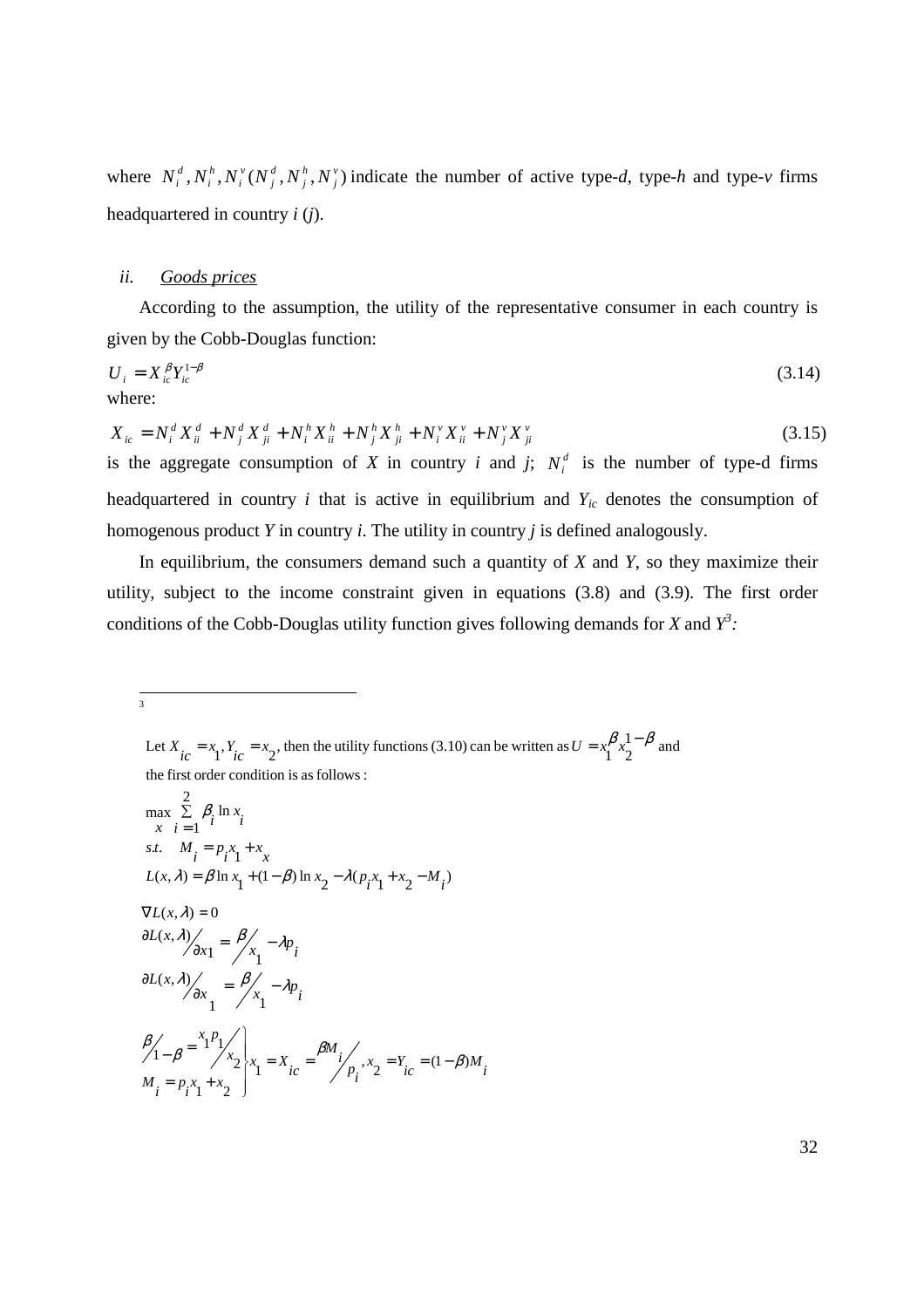where  $N_i^d$ ,  $N_i^h$ ,  $N_i^v$  ( $N_i^d$ ,  $N_i^h$ ,  $N_i^v$ ) *j h j d j v i h*  $N_i^d$ ,  $N_i^h$ ,  $N_i^v$   $(N_j^d$ ,  $N_j^h$ ,  $N_j^v$ ) indicate the number of active type-*d*, type-*h* and type-*v* firms headquartered in country *i* (*j*).

#### *ii. Goods prices*

According to the assumption, the utility of the representative consumer in each country is given by the Cobb-Douglas function:

$$
U_i = X_{ic}^{\beta} Y_{ic}^{1-\beta}
$$
 (3.14)  
where:

$$
X_{ic} = N_i^d X_{ii}^d + N_j^d X_{ji}^d + N_i^h X_{ii}^h + N_j^h X_{ji}^h + N_i^v X_{ii}^v + N_j^v X_{ji}^v
$$
\n(3.15)

is the aggregate consumption of *X* in country *i* and *j*;  $N_i^d$  is the number of type-d firms headquartered in country *i* that is active in equilibrium and *Yic* denotes the consumption of homogenous product *Y* in country *i*. The utility in country *j* is defined analogously.

In equilibrium, the consumers demand such a quantity of *X* and *Y*, so they maximize their utility, subject to the income constraint given in equations (3.8) and (3.9). The first order conditions of the Cobb-Douglas utility function gives following demands for *X* and  $Y^3$ .

<sup>2</sup><br>3

$$
\max_{x} \sum_{i=1}^{2} \beta_i \ln x_i
$$
\ns.t.  $M_i = p_i x_1 + x$   
\n $L(x, \lambda) = \beta \ln x_1 + (1 - \beta) \ln x_2 - \lambda (p_i x_1 + x_2 - M_i)$   
\n $\nabla L(x, \lambda) = 0$   
\n $\frac{\partial L(x, \lambda)}{\partial x_1} = \frac{\beta}{x_1} - \lambda p_i$   
\n $\frac{\partial L(x, \lambda)}{\partial x_1} = \frac{\beta}{x_1} - \lambda p_i$   
\n $\frac{\beta}{1 - \beta} = \frac{x_1 p_1}{x_1} \times \frac{1}{x_2} = \frac{x_1}{x_1} = \frac{\beta M_i}{x_1} \times \frac{x_2}{x_2} = \frac{y_i}{x_2} = (1 - \beta) M_i$   
\n $M_i = p_i x_1 + x_2$ 

the first order condition is as follows : Let  $X_{ic} = x_1, Y_{ic} = x_2$ , then the utility functions (3.10) can be written as  $U = x_1^{\beta} x_2^{1-\beta}$  and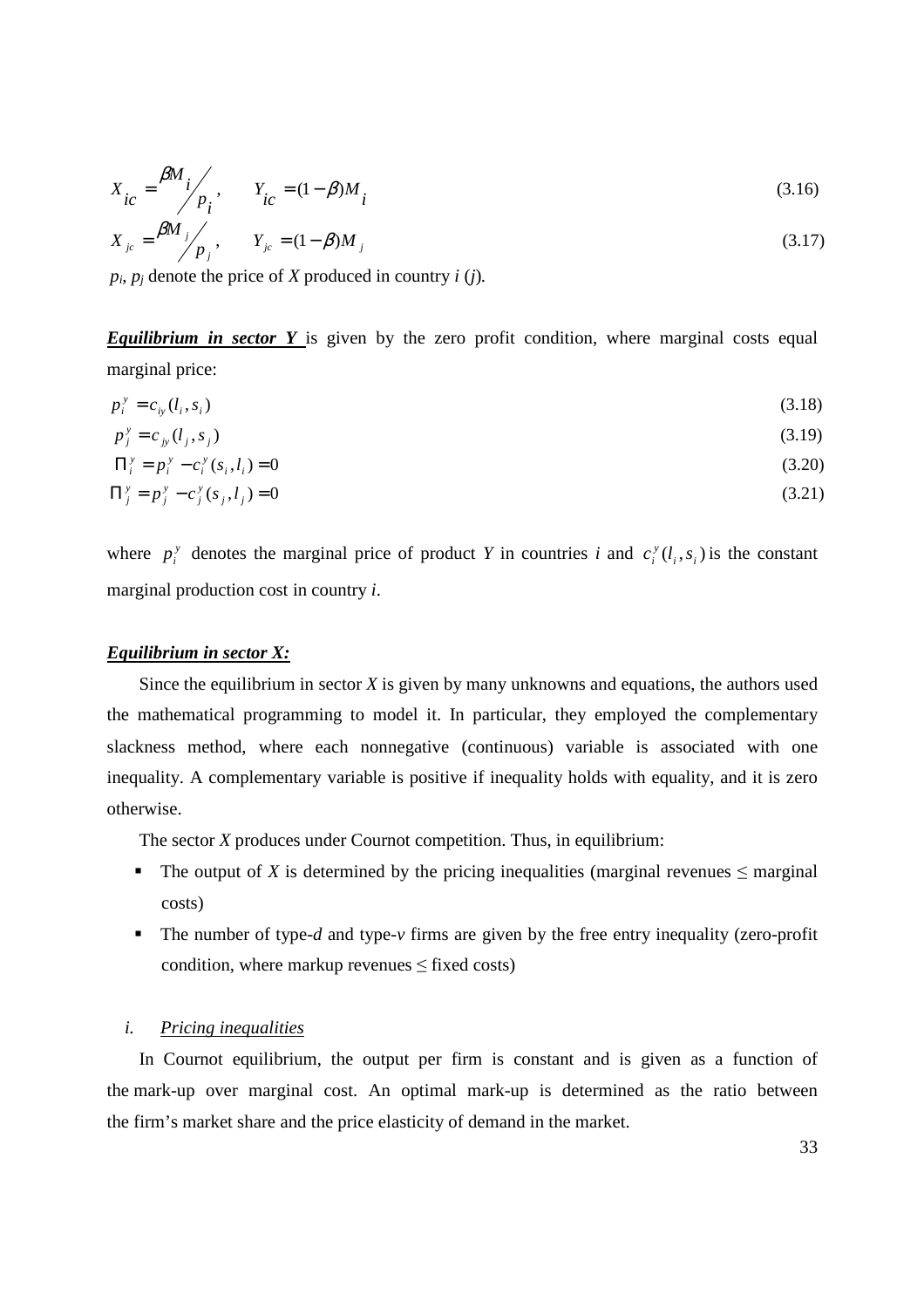$$
X_{ic} = \frac{\beta M_i}{p_i}, \qquad Y_{ic} = (1 - \beta) M_i
$$
\n(3.16)

$$
X_{jc} = \frac{\beta M_j}{p_j}, \qquad Y_{jc} = (1 - \beta) M_j
$$
\n(3.17)

 $p_i$ ,  $p_j$  denote the price of *X* produced in country *i* (*j*).

**Equilibrium in sector Y** is given by the zero profit condition, where marginal costs equal marginal price:

$$
p_i^{\rm y} = c_{i y} (l_i, s_i) \tag{3.18}
$$

$$
p_j^{\nu} = c_{j\nu} (l_j, s_j) \tag{3.19}
$$

$$
\Pi_i^{\,y} = p_i^{\,y} - c_i^{\,y} \left( s_i, l_i \right) = 0 \tag{3.20}
$$

$$
\Pi_j^y = p_j^y - c_j^y(s_j, l_j) = 0 \tag{3.21}
$$

where  $p_i^y$  denotes the marginal price of product *Y* in countries *i* and  $c_i^y(l_i, s_i)$ *y*  $c_i^y(l_i, s_i)$  is the constant marginal production cost in country *i*.

#### *Equilibrium in sector X:*

Since the equilibrium in sector *X* is given by many unknowns and equations, the authors used the mathematical programming to model it. In particular, they employed the complementary slackness method, where each nonnegative (continuous) variable is associated with one inequality. A complementary variable is positive if inequality holds with equality, and it is zero otherwise.

The sector *X* produces under Cournot competition. Thus, in equilibrium:

- The output of *X* is determined by the pricing inequalities (marginal revenues  $\leq$  marginal costs)
- The number of type-*d* and type-*v* firms are given by the free entry inequality (zero-profit condition, where markup revenues  $\leq$  fixed costs)

#### *i. Pricing inequalities*

In Cournot equilibrium, the output per firm is constant and is given as a function of the mark-up over marginal cost. An optimal mark-up is determined as the ratio between the firm's market share and the price elasticity of demand in the market.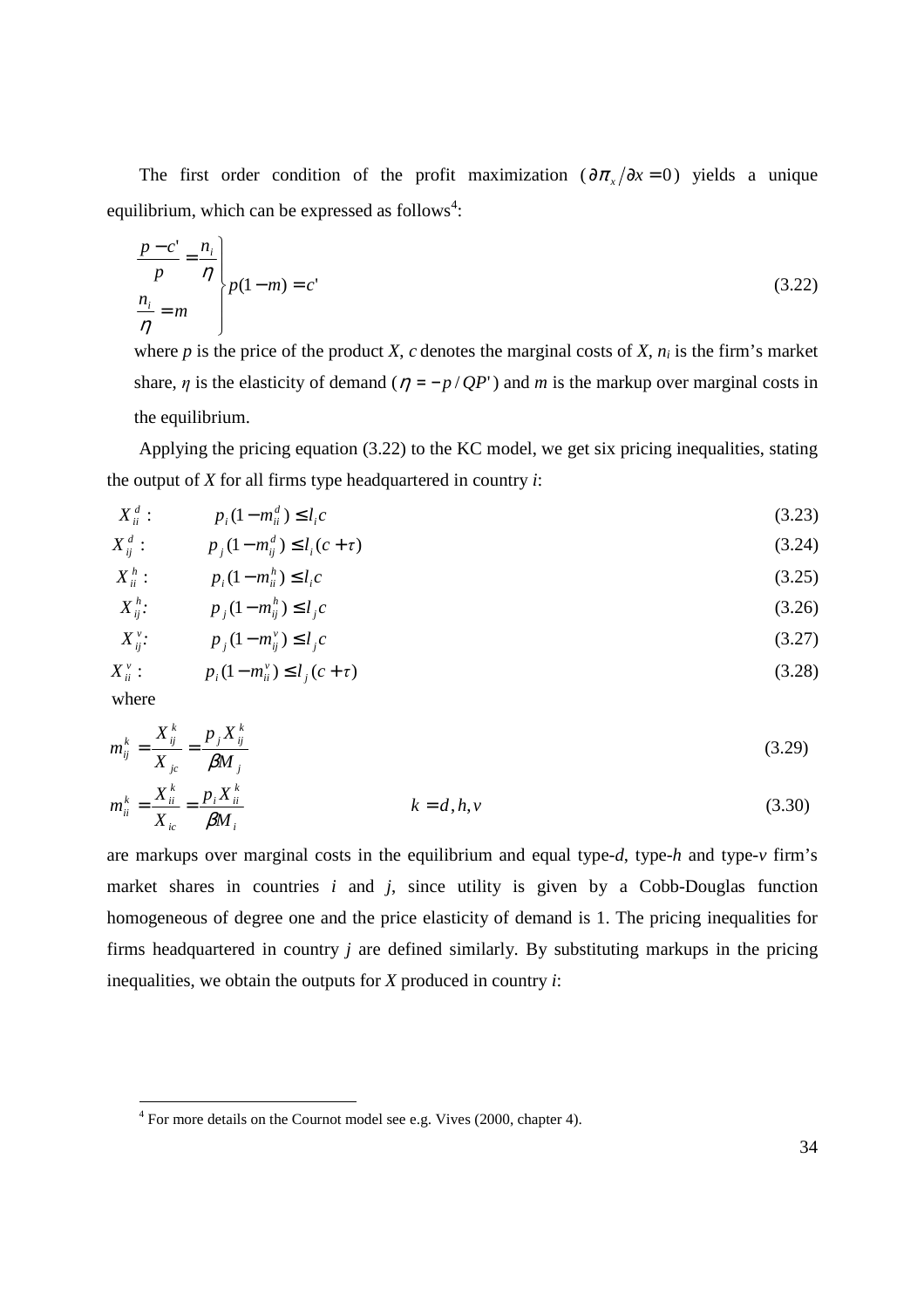The first order condition of the profit maximization  $(\partial \pi_x/\partial x = 0)$  yields a unique equilibrium, which can be expressed as follows<sup>4</sup>:

$$
\frac{p-c'}{p} = \frac{n_i}{\eta}
$$
\n
$$
\left\{\n\begin{aligned}\np(1-m) &= c' \\
\frac{n_i}{\eta} &= m\n\end{aligned}\n\right.
$$
\n(3.22)

where *p* is the price of the product *X*, *c* denotes the marginal costs of *X*,  $n_i$  is the firm's market share,  $\eta$  is the elasticity of demand ( $\eta = -p/QP'$ ) and *m* is the markup over marginal costs in the equilibrium.

Applying the pricing equation (3.22) to the KC model, we get six pricing inequalities, stating the output of *X* for all firms type headquartered in country *i*:

$$
X_{ii}^d: \t p_i(1 - m_{ii}^d) \le l_i c \t (3.23)
$$

$$
X_{ij}^d: \t p_j(1 - m_{ij}^d) \le l_i(c + \tau) \t(3.24)
$$

$$
X_{ii}^h: \t p_i(1 - m_{ii}^h) \le l_i c \t (3.25)
$$

$$
X_{ij}^{h}:\t\t p_j(1-m_{ij}^h) \le l_j c \t\t(3.26)
$$
\n
$$
Y_{ij}^{v} \t\t p_j(1-m_{ij}^h) \le l_j c \t\t(3.27)
$$

$$
X_{ij}^{\nu}: \t p_j(1 - m_{ij}^{\nu}) \le l_j c \t (3.27)
$$
  

$$
X_{ii}^{\nu}: \t p_i(1 - m_{ii}^{\nu}) \le l_j(c + \tau) \t (3.28)
$$

where

$$
m_{ij}^k = \frac{X_{ij}^k}{X_{jc}} = \frac{p_j X_{ij}^k}{\beta M_j}
$$
 (3.29)

$$
m_{ii}^k = \frac{X_{ii}^k}{X_{ic}} = \frac{p_i X_{ii}^k}{\beta M_i}
$$
 (3.30)

are markups over marginal costs in the equilibrium and equal type-*d*, type-*h* and type-*v* firm's market shares in countries  $i$  and  $j$ , since utility is given by a Cobb-Douglas function homogeneous of degree one and the price elasticity of demand is 1. The pricing inequalities for firms headquartered in country *j* are defined similarly. By substituting markups in the pricing inequalities, we obtain the outputs for *X* produced in country *i*:

 4 For more details on the Cournot model see e.g. Vives (2000, chapter 4).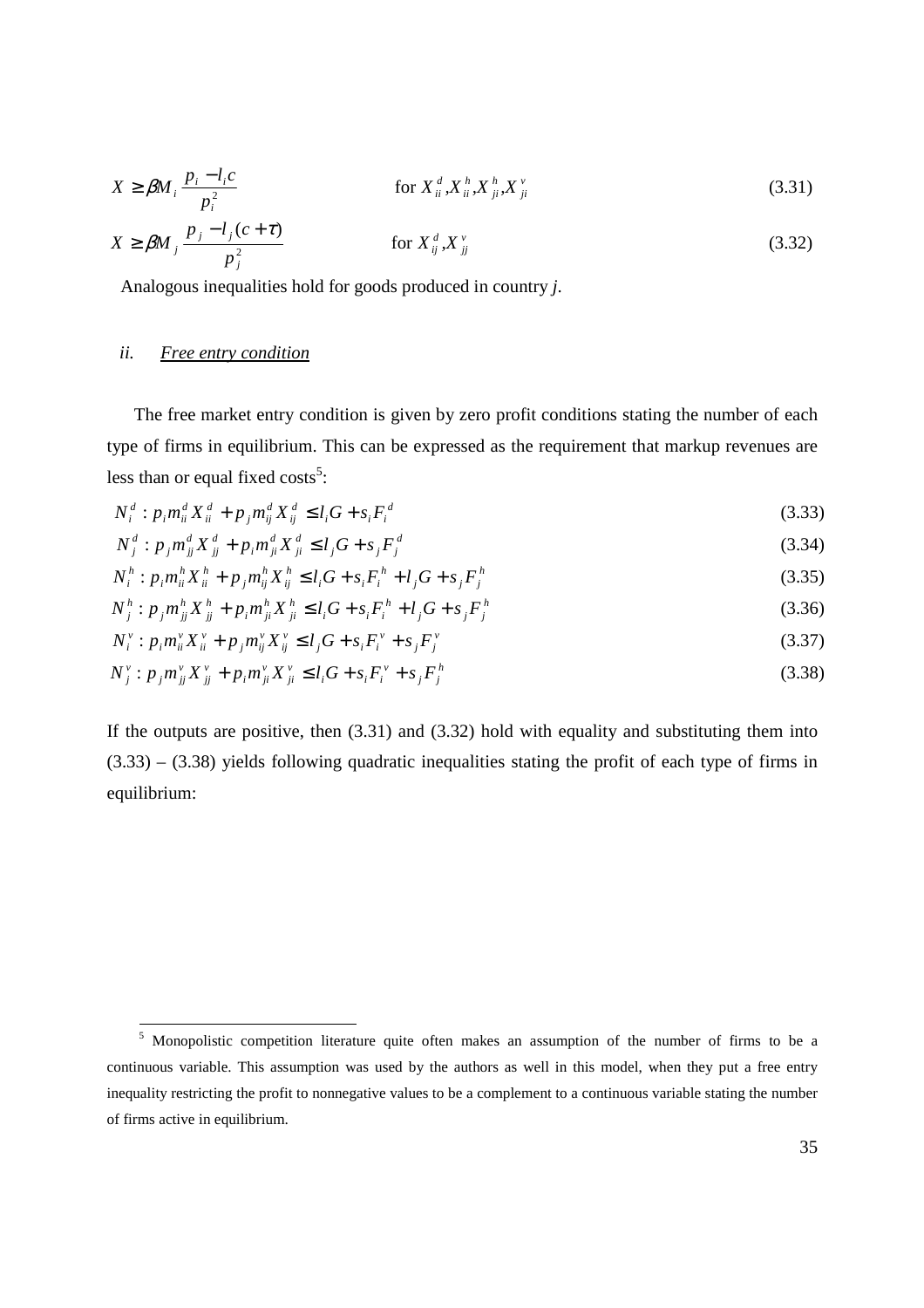$$
X \ge \beta M_i \frac{p_i - l_i c}{p_i^2} \qquad \text{for } X_{ii}^d, X_{ii}^h, X_{ji}^h, X_{ji}^v \tag{3.31}
$$
\n
$$
X \ge \beta M_j \frac{p_j - l_j (c + \tau)}{p_j^2} \qquad \text{for } X_{ij}^d, X_{jj}^v \tag{3.32}
$$

Analogous inequalities hold for goods produced in country *j*.

#### *ii. Free entry condition*

The free market entry condition is given by zero profit conditions stating the number of each type of firms in equilibrium. This can be expressed as the requirement that markup revenues are less than or equal fixed  $costs^5$ :

$$
N_i^d: p_i m_{ii}^d X_{ii}^d + p_j m_{ij}^d X_{ij}^d \le l_i G + s_i F_i^d
$$
\n(3.33)

$$
N_j^d : p_j m_{jj}^d X_{jj}^d + p_i m_{ji}^d X_{ji}^d \le l_j G + s_j F_j^d
$$
\n(3.34)

$$
N_i^h: p_i m_{ii}^h X_{ii}^h + p_j m_{ij}^h X_{ij}^h \le l_i G + s_i F_i^h + l_j G + s_j F_j^h
$$
\n(3.35)

$$
N_j^h: p_j m_{jj}^h X_{jj}^h + p_i m_{ji}^h X_{ji}^h \le l_i G + s_i F_i^h + l_j G + s_j F_j^h
$$
\n(3.36)

$$
N_i^{\nu} : p_i m_{ii}^{\nu} X_{ii}^{\nu} + p_j m_{ij}^{\nu} X_{ij}^{\nu} \le l_j G + s_i F_i^{\nu} + s_j F_j^{\nu}
$$
\n(3.37)

$$
N_j^{\nu} : p_j m_{jj}^{\nu} X_{jj}^{\nu} + p_i m_{ji}^{\nu} X_{ji}^{\nu} \le l_i G + s_i F_i^{\nu} + s_j F_j^h \tag{3.38}
$$

If the outputs are positive, then (3.31) and (3.32) hold with equality and substituting them into  $(3.33) - (3.38)$  yields following quadratic inequalities stating the profit of each type of firms in equilibrium:

 5 Monopolistic competition literature quite often makes an assumption of the number of firms to be a continuous variable. This assumption was used by the authors as well in this model, when they put a free entry inequality restricting the profit to nonnegative values to be a complement to a continuous variable stating the number of firms active in equilibrium.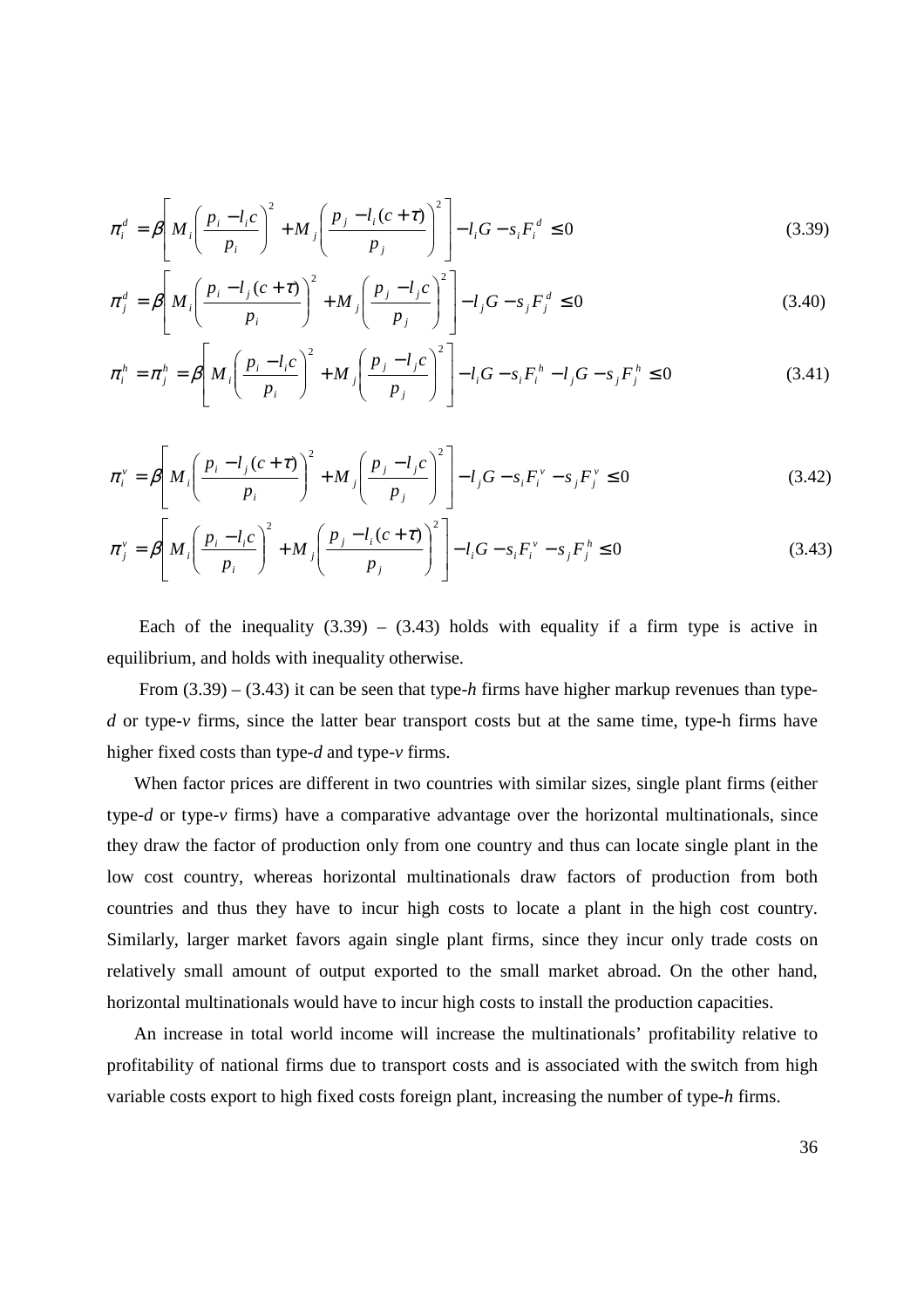$$
\pi_i^d = \beta \left[ M_i \left( \frac{p_i - l_i c}{p_i} \right)^2 + M_j \left( \frac{p_j - l_i (c + \tau)}{p_j} \right)^2 \right] - l_i G - s_i F_i^d \le 0 \tag{3.39}
$$

$$
\pi_j^d = \beta \left[ M_i \left( \frac{p_i - l_j(c + \tau)}{p_i} \right)^2 + M_j \left( \frac{p_j - l_j c}{p_j} \right)^2 \right] - l_j G - s_j F_j^d \le 0 \tag{3.40}
$$

$$
\pi_i^h = \pi_j^h = \beta \left[ M_i \left( \frac{p_i - l_i c}{p_i} \right)^2 + M_j \left( \frac{p_j - l_j c}{p_j} \right)^2 \right] - l_i G - s_i F_i^h - l_j G - s_j F_j^h \le 0 \tag{3.41}
$$

$$
\pi_i^{\nu} = \beta \left[ M_i \left( \frac{p_i - l_j(c + \tau)}{p_i} \right)^2 + M_j \left( \frac{p_j - l_j c}{p_j} \right)^2 \right] - l_j G - s_i F_i^{\nu} - s_j F_j^{\nu} \le 0 \tag{3.42}
$$

$$
\pi_j^{\nu} = \beta \left[ M_i \left( \frac{p_i - l_i c}{p_i} \right)^2 + M_j \left( \frac{p_j - l_i (c + \tau)}{p_j} \right)^2 \right] - l_i G - s_i F_i^{\nu} - s_j F_j^{\mu} \le 0 \tag{3.43}
$$

Each of the inequality  $(3.39) - (3.43)$  holds with equality if a firm type is active in equilibrium, and holds with inequality otherwise.

From (3.39) – (3.43) it can be seen that type-*h* firms have higher markup revenues than type*d* or type-*v* firms, since the latter bear transport costs but at the same time, type-h firms have higher fixed costs than type-*d* and type-*v* firms.

When factor prices are different in two countries with similar sizes, single plant firms (either type-*d* or type-*v* firms) have a comparative advantage over the horizontal multinationals, since they draw the factor of production only from one country and thus can locate single plant in the low cost country, whereas horizontal multinationals draw factors of production from both countries and thus they have to incur high costs to locate a plant in the high cost country. Similarly, larger market favors again single plant firms, since they incur only trade costs on relatively small amount of output exported to the small market abroad. On the other hand, horizontal multinationals would have to incur high costs to install the production capacities.

An increase in total world income will increase the multinationals' profitability relative to profitability of national firms due to transport costs and is associated with the switch from high variable costs export to high fixed costs foreign plant, increasing the number of type-*h* firms.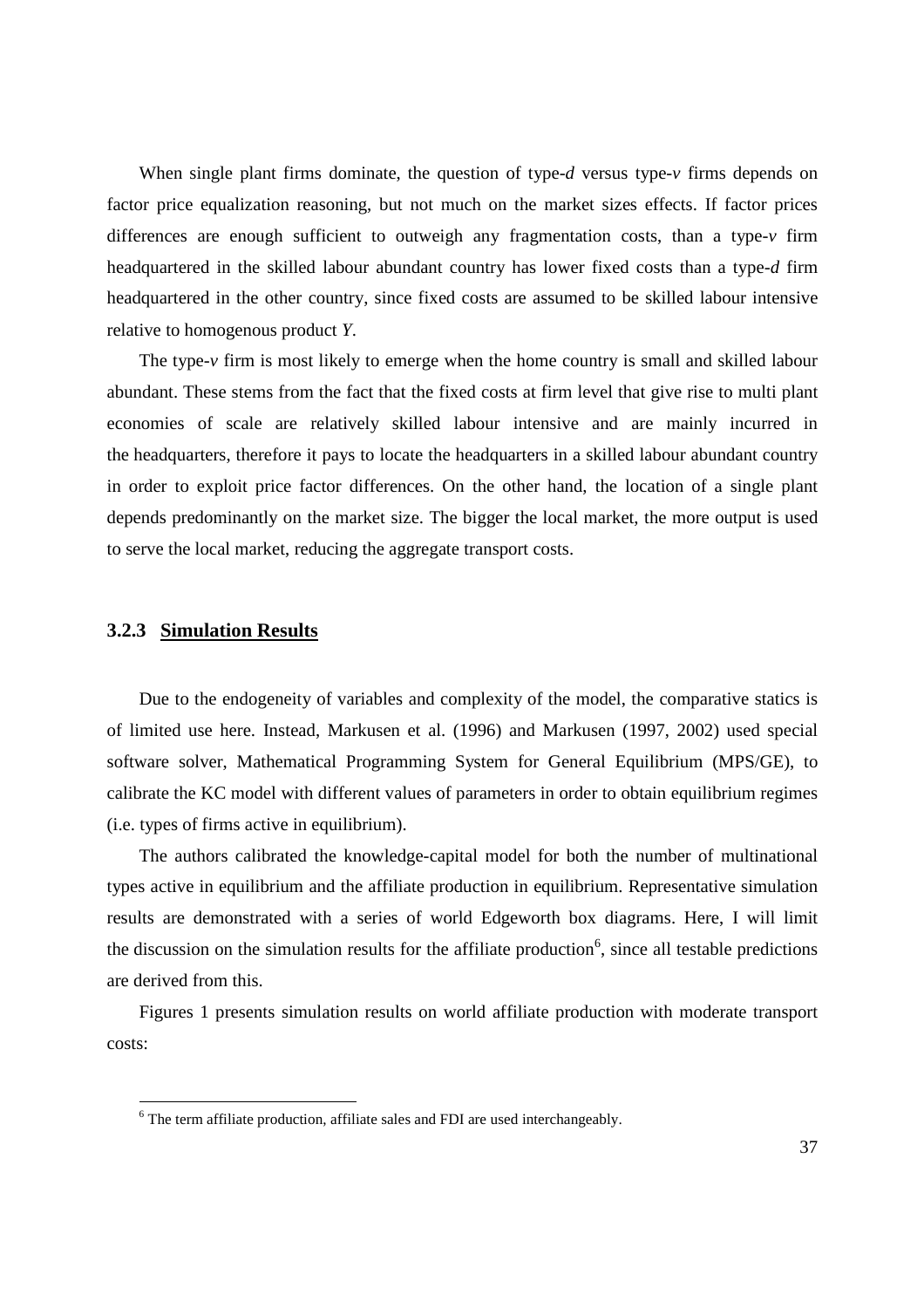When single plant firms dominate, the question of type-*d* versus type- $\nu$  firms depends on factor price equalization reasoning, but not much on the market sizes effects. If factor prices differences are enough sufficient to outweigh any fragmentation costs, than a type-*v* firm headquartered in the skilled labour abundant country has lower fixed costs than a type-*d* firm headquartered in the other country, since fixed costs are assumed to be skilled labour intensive relative to homogenous product *Y*.

The type-*v* firm is most likely to emerge when the home country is small and skilled labour abundant. These stems from the fact that the fixed costs at firm level that give rise to multi plant economies of scale are relatively skilled labour intensive and are mainly incurred in the headquarters, therefore it pays to locate the headquarters in a skilled labour abundant country in order to exploit price factor differences. On the other hand, the location of a single plant depends predominantly on the market size. The bigger the local market, the more output is used to serve the local market, reducing the aggregate transport costs.

#### **3.2.3 Simulation Results**

Due to the endogeneity of variables and complexity of the model, the comparative statics is of limited use here. Instead, Markusen et al. (1996) and Markusen (1997, 2002) used special software solver, Mathematical Programming System for General Equilibrium (MPS/GE), to calibrate the KC model with different values of parameters in order to obtain equilibrium regimes (i.e. types of firms active in equilibrium).

The authors calibrated the knowledge-capital model for both the number of multinational types active in equilibrium and the affiliate production in equilibrium. Representative simulation results are demonstrated with a series of world Edgeworth box diagrams. Here, I will limit the discussion on the simulation results for the affiliate production<sup>6</sup>, since all testable predictions are derived from this.

Figures 1 presents simulation results on world affiliate production with moderate transport costs:

 6 The term affiliate production, affiliate sales and FDI are used interchangeably.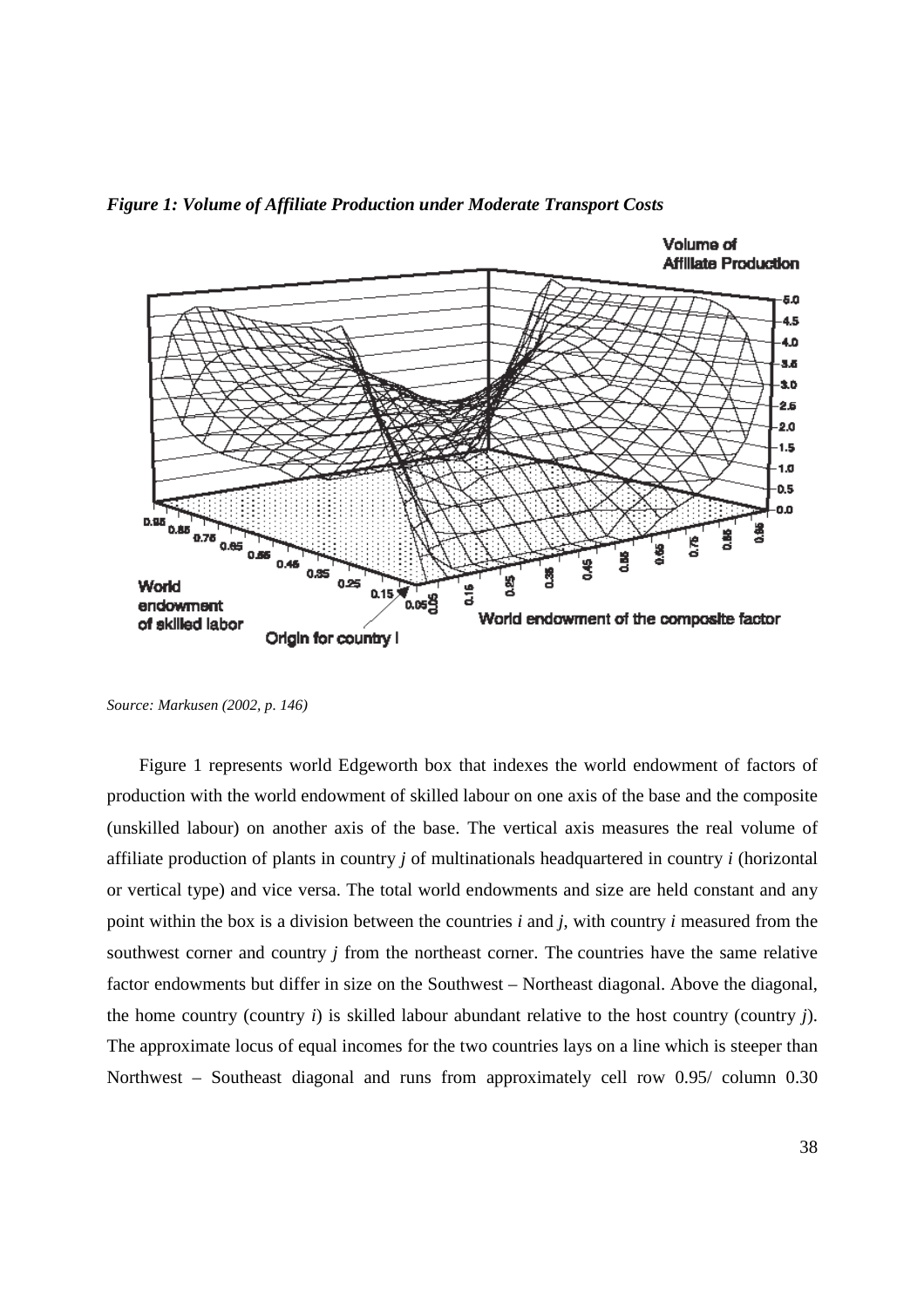

*Figure 1: Volume of Affiliate Production under Moderate Transport Costs* 

*Source: Markusen (2002, p. 146)* 

Figure 1 represents world Edgeworth box that indexes the world endowment of factors of production with the world endowment of skilled labour on one axis of the base and the composite (unskilled labour) on another axis of the base. The vertical axis measures the real volume of affiliate production of plants in country *j* of multinationals headquartered in country *i* (horizontal or vertical type) and vice versa. The total world endowments and size are held constant and any point within the box is a division between the countries *i* and *j*, with country *i* measured from the southwest corner and country *j* from the northeast corner. The countries have the same relative factor endowments but differ in size on the Southwest – Northeast diagonal. Above the diagonal, the home country (country *i*) is skilled labour abundant relative to the host country (country *j*). The approximate locus of equal incomes for the two countries lays on a line which is steeper than Northwest – Southeast diagonal and runs from approximately cell row 0.95/ column 0.30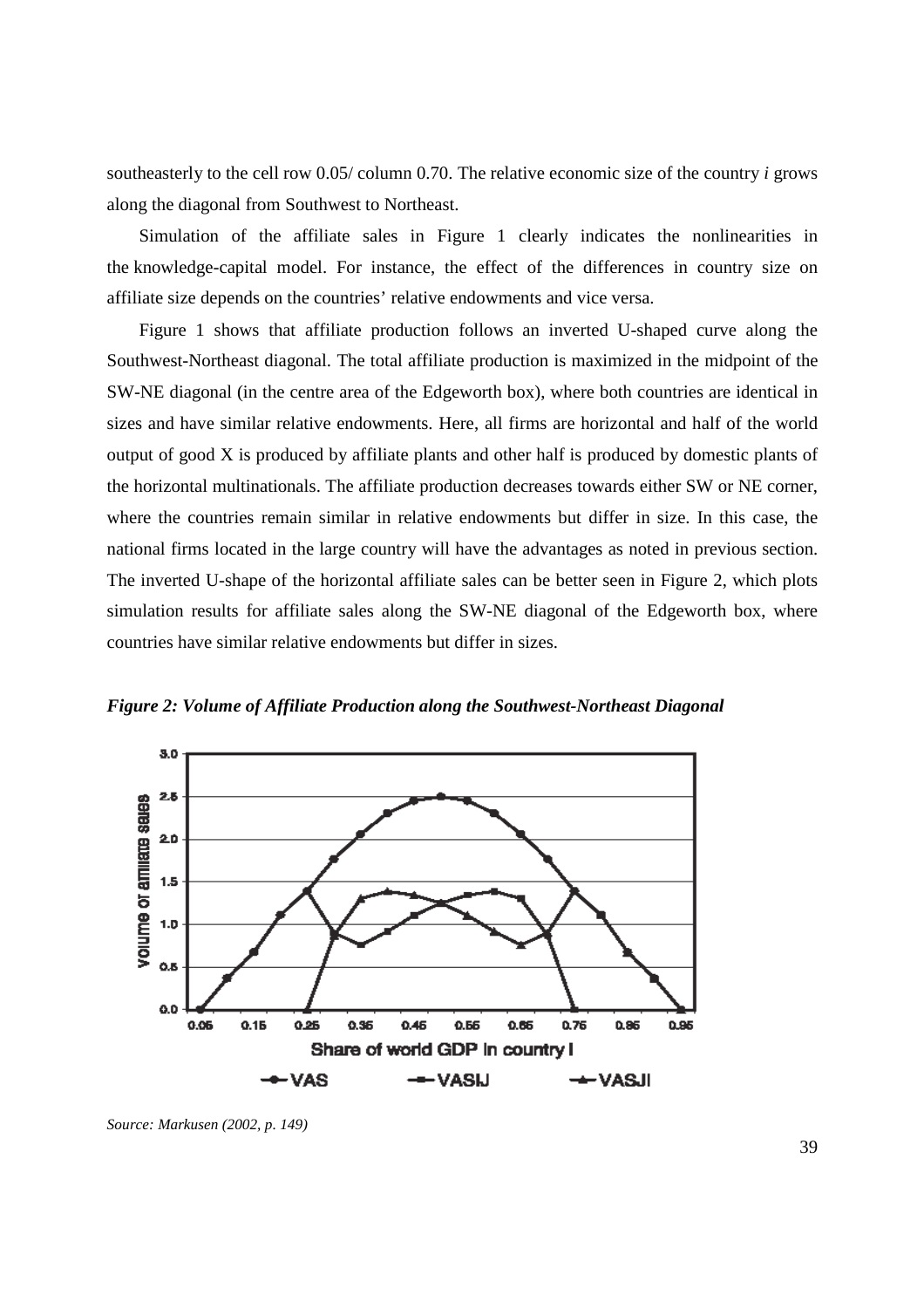southeasterly to the cell row 0.05/ column 0.70. The relative economic size of the country *i* grows along the diagonal from Southwest to Northeast.

Simulation of the affiliate sales in Figure 1 clearly indicates the nonlinearities in the knowledge-capital model. For instance, the effect of the differences in country size on affiliate size depends on the countries' relative endowments and vice versa.

Figure 1 shows that affiliate production follows an inverted U-shaped curve along the Southwest-Northeast diagonal. The total affiliate production is maximized in the midpoint of the SW-NE diagonal (in the centre area of the Edgeworth box), where both countries are identical in sizes and have similar relative endowments. Here, all firms are horizontal and half of the world output of good X is produced by affiliate plants and other half is produced by domestic plants of the horizontal multinationals. The affiliate production decreases towards either SW or NE corner, where the countries remain similar in relative endowments but differ in size. In this case, the national firms located in the large country will have the advantages as noted in previous section. The inverted U-shape of the horizontal affiliate sales can be better seen in Figure 2, which plots simulation results for affiliate sales along the SW-NE diagonal of the Edgeworth box, where countries have similar relative endowments but differ in sizes.

*Figure 2: Volume of Affiliate Production along the Southwest-Northeast Diagonal* 



*Source: Markusen (2002, p. 149)*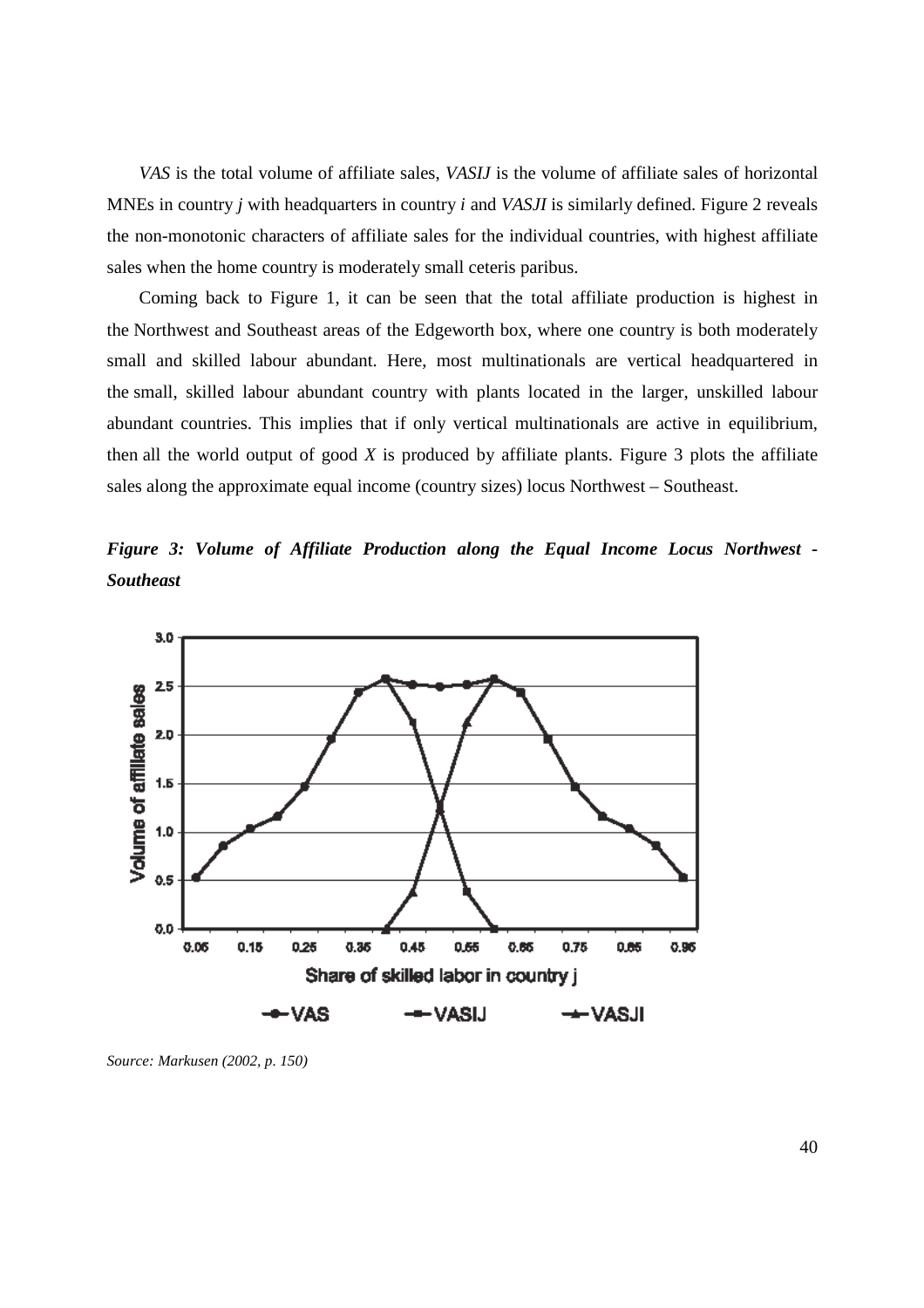*VAS* is the total volume of affiliate sales, *VASIJ* is the volume of affiliate sales of horizontal MNEs in country *j* with headquarters in country *i* and *VASJI* is similarly defined. Figure 2 reveals the non-monotonic characters of affiliate sales for the individual countries, with highest affiliate sales when the home country is moderately small ceteris paribus.

Coming back to Figure 1, it can be seen that the total affiliate production is highest in the Northwest and Southeast areas of the Edgeworth box, where one country is both moderately small and skilled labour abundant. Here, most multinationals are vertical headquartered in the small, skilled labour abundant country with plants located in the larger, unskilled labour abundant countries. This implies that if only vertical multinationals are active in equilibrium, then all the world output of good *X* is produced by affiliate plants. Figure 3 plots the affiliate sales along the approximate equal income (country sizes) locus Northwest – Southeast.

*Figure 3: Volume of Affiliate Production along the Equal Income Locus Northwest - Southeast* 



*Source: Markusen (2002, p. 150)*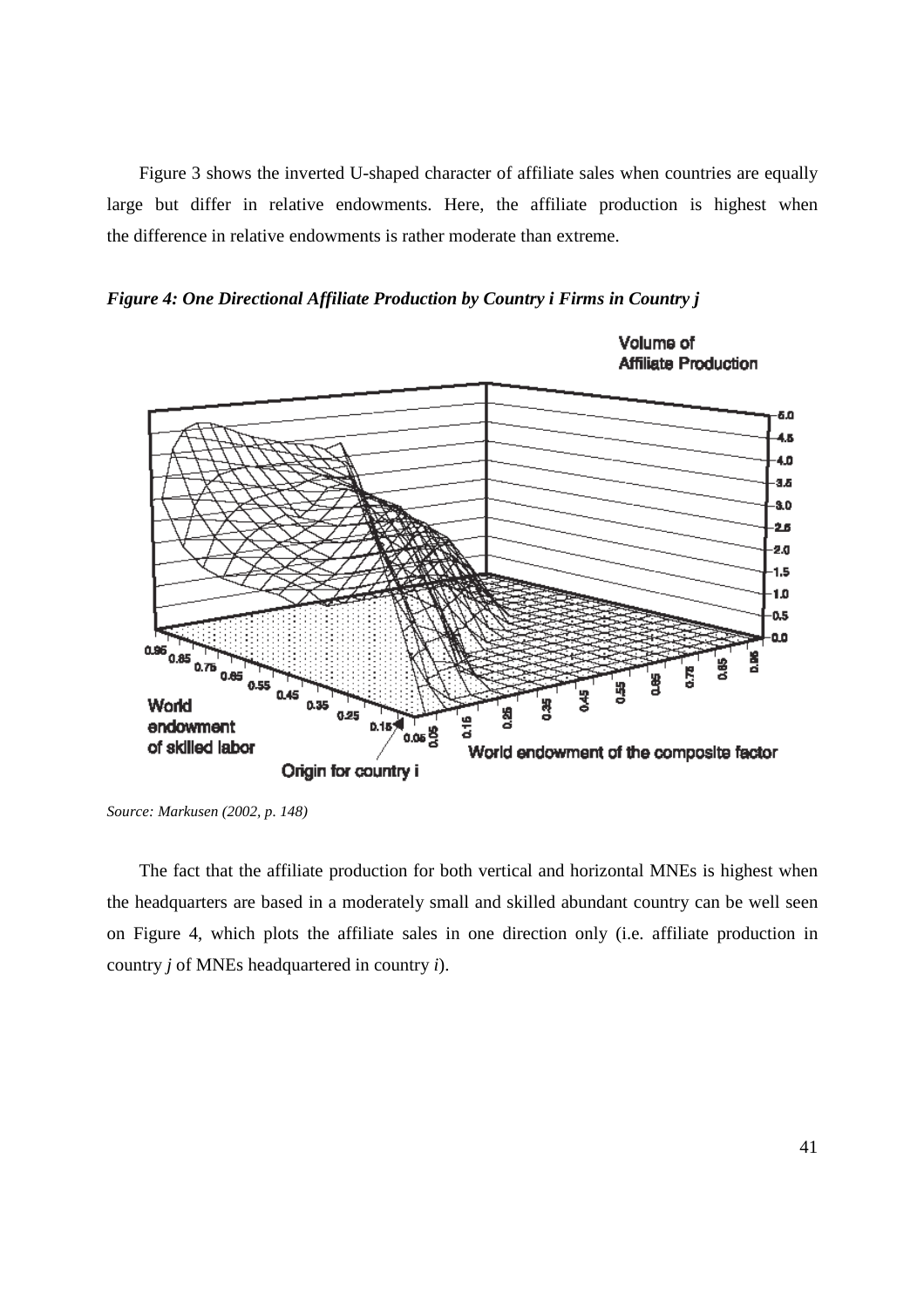Figure 3 shows the inverted U-shaped character of affiliate sales when countries are equally large but differ in relative endowments. Here, the affiliate production is highest when the difference in relative endowments is rather moderate than extreme.





*Source: Markusen (2002, p. 148)* 

The fact that the affiliate production for both vertical and horizontal MNEs is highest when the headquarters are based in a moderately small and skilled abundant country can be well seen on Figure 4, which plots the affiliate sales in one direction only (i.e. affiliate production in country *j* of MNEs headquartered in country *i*).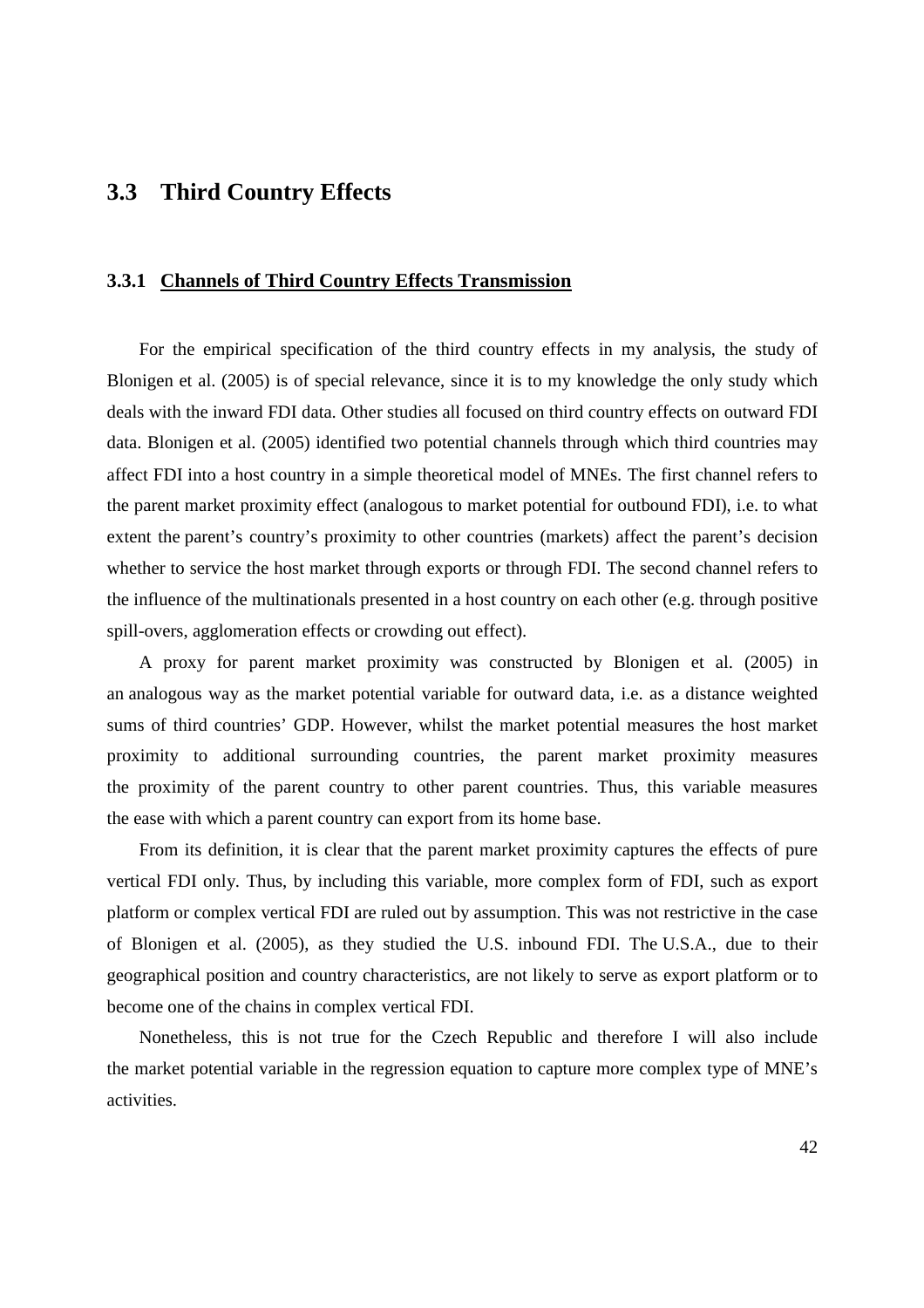### **3.3 Third Country Effects**

#### **3.3.1 Channels of Third Country Effects Transmission**

For the empirical specification of the third country effects in my analysis, the study of Blonigen et al. (2005) is of special relevance, since it is to my knowledge the only study which deals with the inward FDI data. Other studies all focused on third country effects on outward FDI data. Blonigen et al. (2005) identified two potential channels through which third countries may affect FDI into a host country in a simple theoretical model of MNEs. The first channel refers to the parent market proximity effect (analogous to market potential for outbound FDI), i.e. to what extent the parent's country's proximity to other countries (markets) affect the parent's decision whether to service the host market through exports or through FDI. The second channel refers to the influence of the multinationals presented in a host country on each other (e.g. through positive spill-overs, agglomeration effects or crowding out effect).

A proxy for parent market proximity was constructed by Blonigen et al. (2005) in an analogous way as the market potential variable for outward data, i.e. as a distance weighted sums of third countries' GDP. However, whilst the market potential measures the host market proximity to additional surrounding countries, the parent market proximity measures the proximity of the parent country to other parent countries. Thus, this variable measures the ease with which a parent country can export from its home base.

From its definition, it is clear that the parent market proximity captures the effects of pure vertical FDI only. Thus, by including this variable, more complex form of FDI, such as export platform or complex vertical FDI are ruled out by assumption. This was not restrictive in the case of Blonigen et al. (2005), as they studied the U.S. inbound FDI. The U.S.A., due to their geographical position and country characteristics, are not likely to serve as export platform or to become one of the chains in complex vertical FDI.

Nonetheless, this is not true for the Czech Republic and therefore I will also include the market potential variable in the regression equation to capture more complex type of MNE's activities.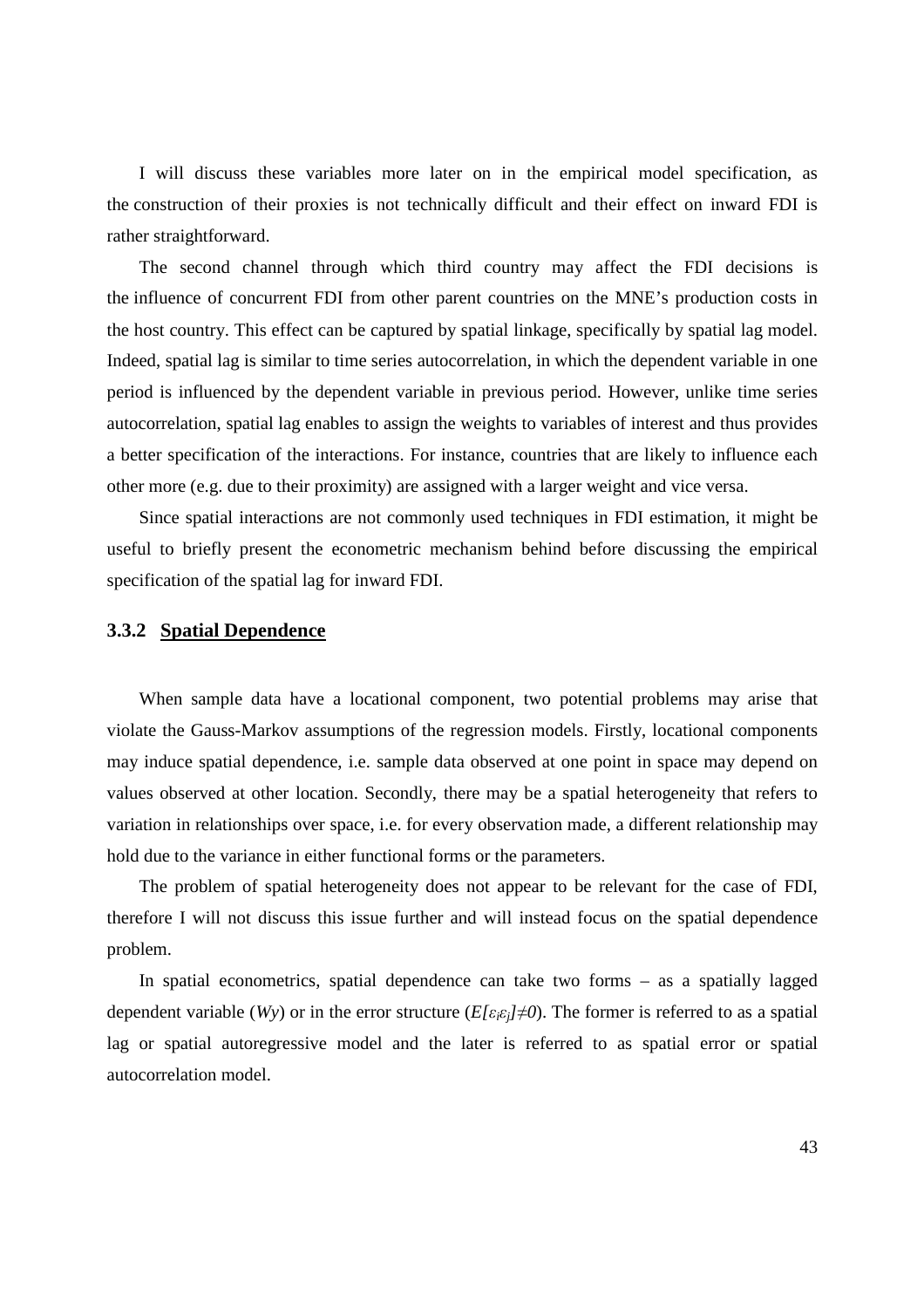I will discuss these variables more later on in the empirical model specification, as the construction of their proxies is not technically difficult and their effect on inward FDI is rather straightforward.

The second channel through which third country may affect the FDI decisions is the influence of concurrent FDI from other parent countries on the MNE's production costs in the host country. This effect can be captured by spatial linkage, specifically by spatial lag model. Indeed, spatial lag is similar to time series autocorrelation, in which the dependent variable in one period is influenced by the dependent variable in previous period. However, unlike time series autocorrelation, spatial lag enables to assign the weights to variables of interest and thus provides a better specification of the interactions. For instance, countries that are likely to influence each other more (e.g. due to their proximity) are assigned with a larger weight and vice versa.

Since spatial interactions are not commonly used techniques in FDI estimation, it might be useful to briefly present the econometric mechanism behind before discussing the empirical specification of the spatial lag for inward FDI.

#### **3.3.2 Spatial Dependence**

When sample data have a locational component, two potential problems may arise that violate the Gauss-Markov assumptions of the regression models. Firstly, locational components may induce spatial dependence, i.e. sample data observed at one point in space may depend on values observed at other location. Secondly, there may be a spatial heterogeneity that refers to variation in relationships over space, i.e. for every observation made, a different relationship may hold due to the variance in either functional forms or the parameters.

The problem of spatial heterogeneity does not appear to be relevant for the case of FDI, therefore I will not discuss this issue further and will instead focus on the spatial dependence problem.

In spatial econometrics, spatial dependence can take two forms – as a spatially lagged dependent variable ( $Wy$ ) or in the error structure ( $E/\varepsilon_i \varepsilon_i \neq 0$ ). The former is referred to as a spatial lag or spatial autoregressive model and the later is referred to as spatial error or spatial autocorrelation model.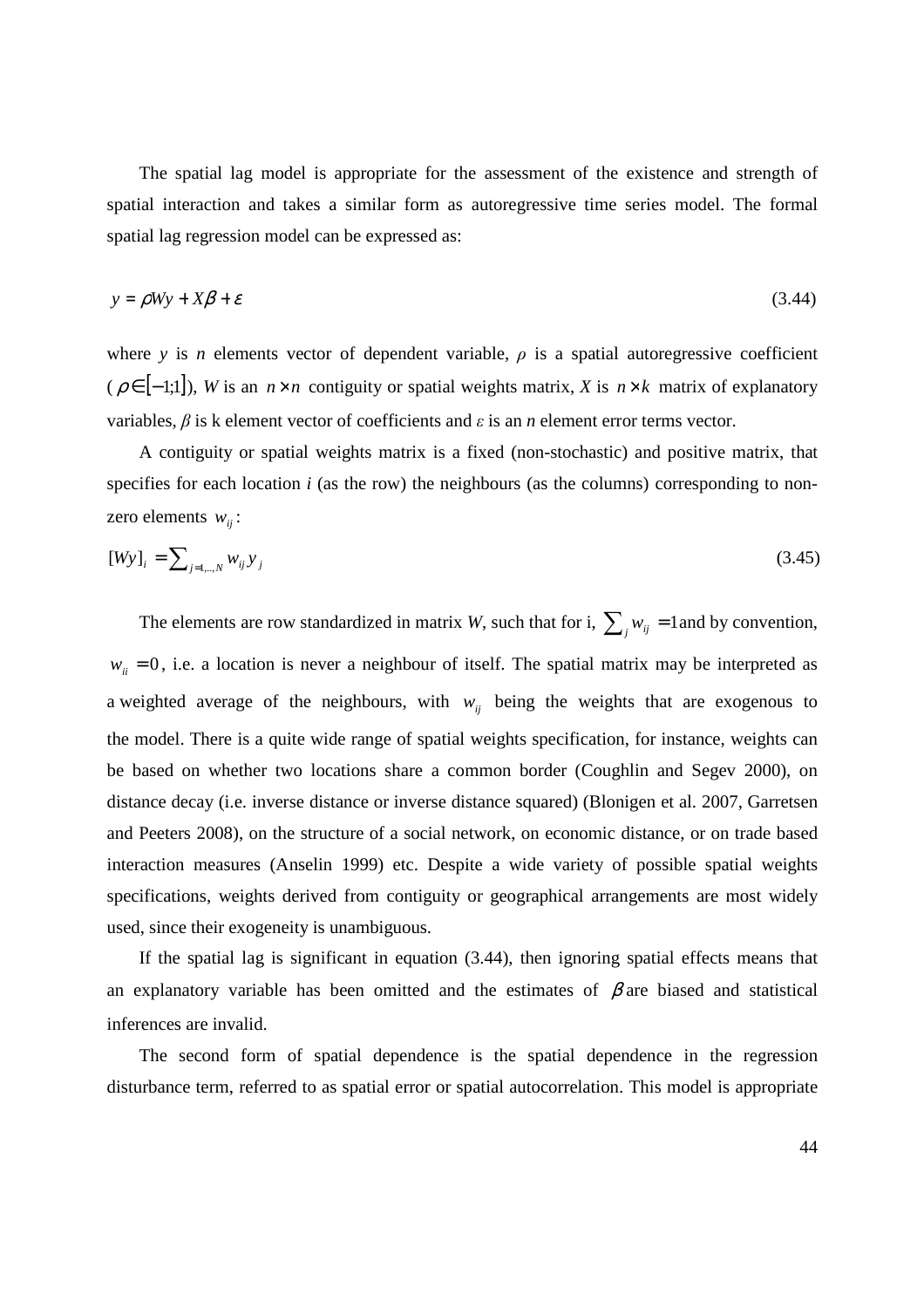The spatial lag model is appropriate for the assessment of the existence and strength of spatial interaction and takes a similar form as autoregressive time series model. The formal spatial lag regression model can be expressed as:

$$
y = \rho Wy + X\beta + \varepsilon \tag{3.44}
$$

where *y* is *n* elements vector of dependent variable,  $\rho$  is a spatial autoregressive coefficient  $(\rho \in [-1,1])$ , *W* is an *n* × *n* contiguity or spatial weights matrix, *X* is *n* × *k* matrix of explanatory variables, *β* is k element vector of coefficients and *ε* is an *n* element error terms vector.

A contiguity or spatial weights matrix is a fixed (non-stochastic) and positive matrix, that specifies for each location *i* (as the row) the neighbours (as the columns) corresponding to nonzero elements  $w_{ii}$ :

$$
[Wy]_i = \sum_{j=1,\dots,N} w_{ij} y_j \tag{3.45}
$$

The elements are row standardized in matrix *W*, such that for i,  $\sum_{j} w_{ij} = 1$  and by convention,  $w_{ii} = 0$ , i.e. a location is never a neighbour of itself. The spatial matrix may be interpreted as a weighted average of the neighbours, with  $w_{ij}$  being the weights that are exogenous to the model. There is a quite wide range of spatial weights specification, for instance, weights can be based on whether two locations share a common border (Coughlin and Segev 2000), on distance decay (i.e. inverse distance or inverse distance squared) (Blonigen et al. 2007, Garretsen and Peeters 2008), on the structure of a social network, on economic distance, or on trade based interaction measures (Anselin 1999) etc. Despite a wide variety of possible spatial weights specifications, weights derived from contiguity or geographical arrangements are most widely used, since their exogeneity is unambiguous.

If the spatial lag is significant in equation (3.44), then ignoring spatial effects means that an explanatory variable has been omitted and the estimates of  $\beta$  are biased and statistical inferences are invalid.

The second form of spatial dependence is the spatial dependence in the regression disturbance term, referred to as spatial error or spatial autocorrelation. This model is appropriate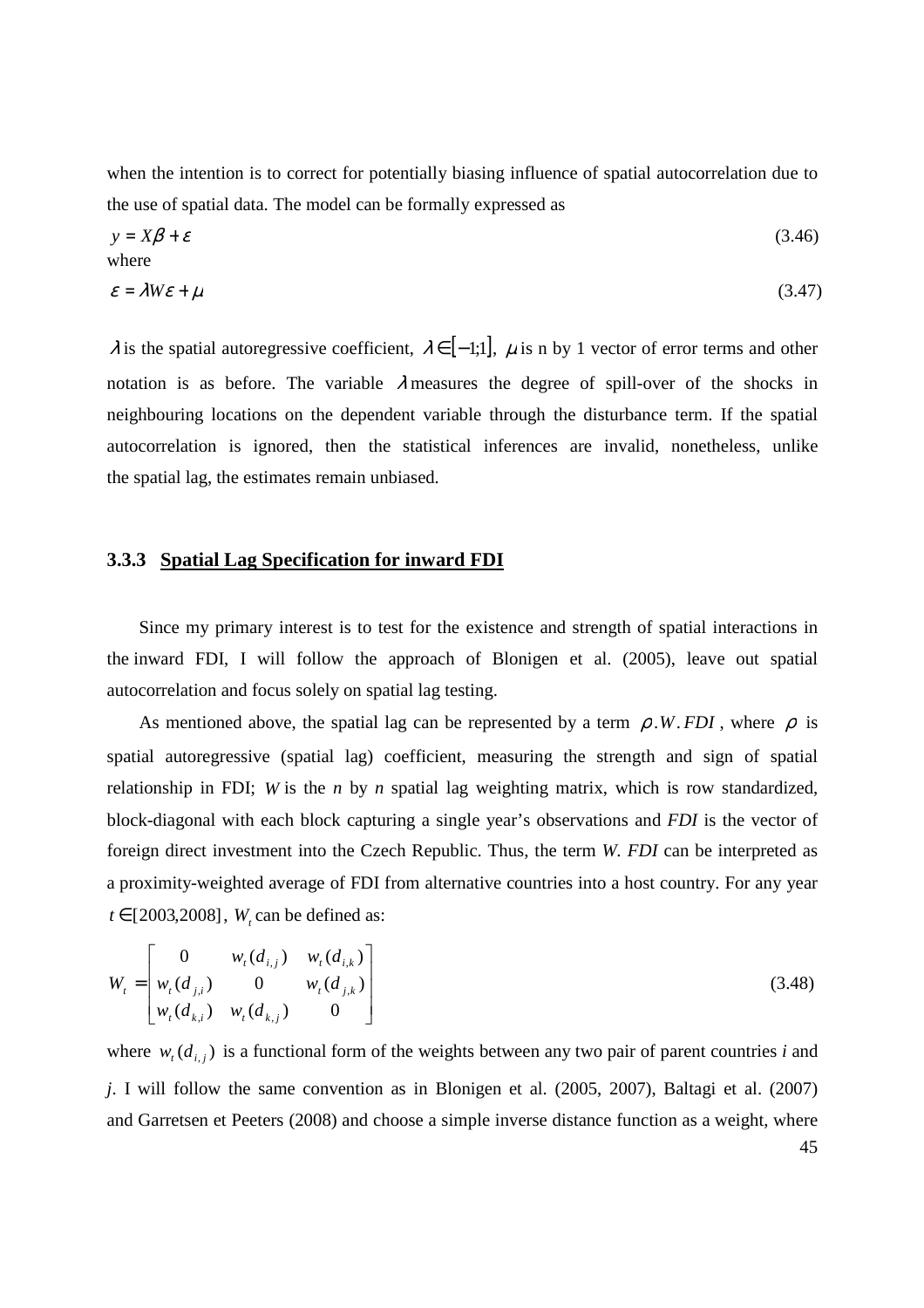when the intention is to correct for potentially biasing influence of spatial autocorrelation due to the use of spatial data. The model can be formally expressed as

$$
y = X\beta + \varepsilon
$$
  
(3.46)  

$$
\varepsilon = \lambda W\varepsilon + \mu
$$
  
(3.47)

 $\lambda$  is the spatial autoregressive coefficient,  $\lambda \in [-1,1]$ ,  $\mu$  is n by 1 vector of error terms and other notation is as before. The variable  $\lambda$  measures the degree of spill-over of the shocks in neighbouring locations on the dependent variable through the disturbance term. If the spatial autocorrelation is ignored, then the statistical inferences are invalid, nonetheless, unlike the spatial lag, the estimates remain unbiased.

#### **3.3.3 Spatial Lag Specification for inward FDI**

Since my primary interest is to test for the existence and strength of spatial interactions in the inward FDI, I will follow the approach of Blonigen et al. (2005), leave out spatial autocorrelation and focus solely on spatial lag testing.

As mentioned above, the spatial lag can be represented by a term  $\rho$ .*W*. *FDI*, where  $\rho$  is spatial autoregressive (spatial lag) coefficient, measuring the strength and sign of spatial relationship in FDI; *W* is the *n* by *n* spatial lag weighting matrix, which is row standardized, block-diagonal with each block capturing a single year's observations and *FDI* is the vector of foreign direct investment into the Czech Republic. Thus, the term *W. FDI* can be interpreted as a proximity-weighted average of FDI from alternative countries into a host country. For any year  $t \in [2003, 2008]$ ,  $W_t$  can be defined as:

$$
W_{t} = \begin{bmatrix} 0 & w_{t}(d_{i,j}) & w_{t}(d_{i,k}) \\ w_{t}(d_{j,i}) & 0 & w_{t}(d_{j,k}) \\ w_{t}(d_{k,i}) & w_{t}(d_{k,j}) & 0 \end{bmatrix}
$$
(3.48)

45 where  $w_i$  ( $d_{i,j}$ ) is a functional form of the weights between any two pair of parent countries *i* and *j*. I will follow the same convention as in Blonigen et al. (2005, 2007), Baltagi et al. (2007) and Garretsen et Peeters (2008) and choose a simple inverse distance function as a weight, where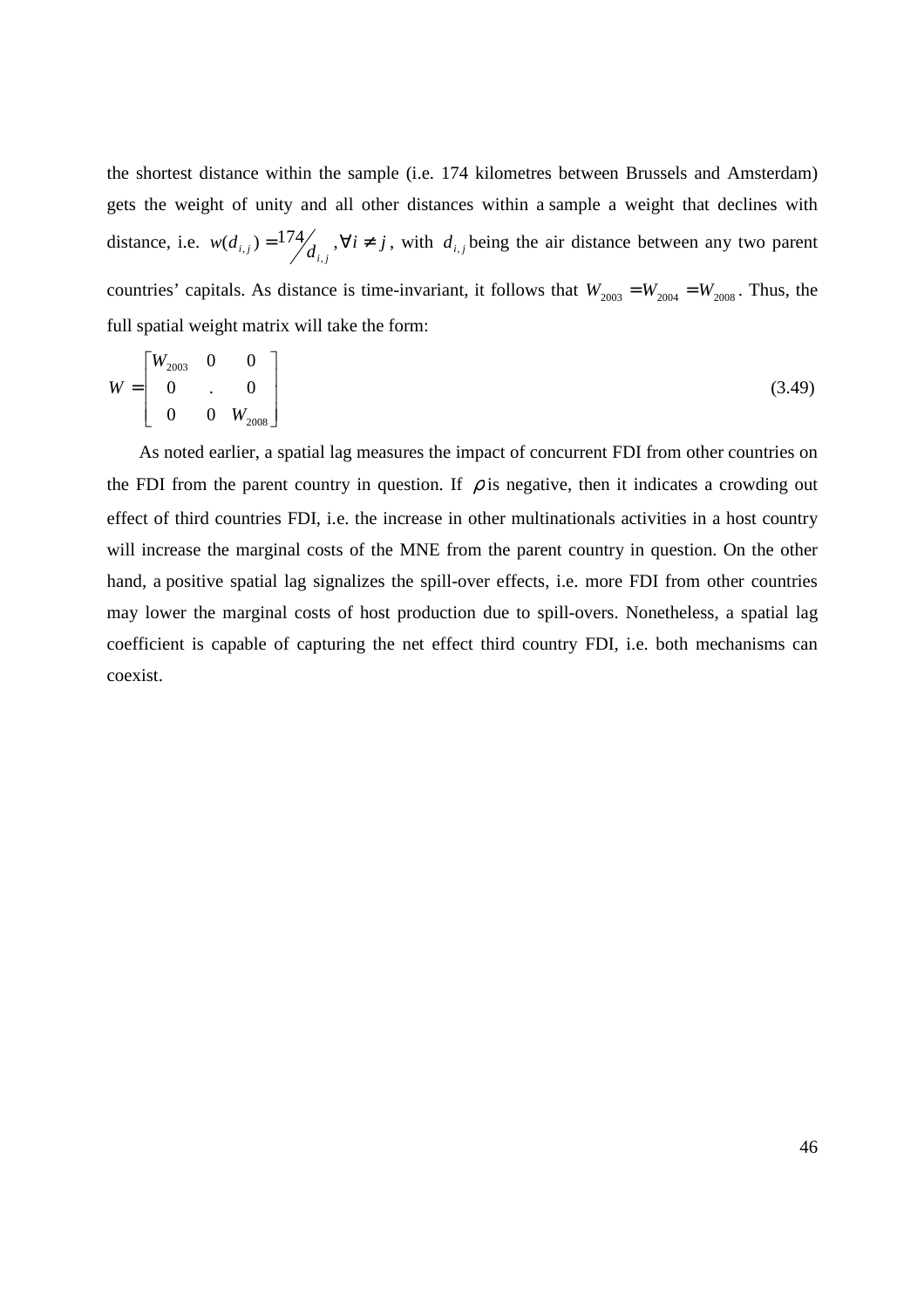the shortest distance within the sample (i.e. 174 kilometres between Brussels and Amsterdam) gets the weight of unity and all other distances within a sample a weight that declines with distance, i.e.  $w(d_{i,j}) = \frac{174}{d_{i,j}}$ ,  $\forall i \neq j$ , with  $d_{i,j}$  being the air distance between any two parent countries' capitals. As distance is time-invariant, it follows that  $W_{2003} = W_{2004} = W_{2008}$ . Thus, the full spatial weight matrix will take the form:

$$
W = \begin{bmatrix} W_{2003} & 0 & 0 \\ 0 & . & 0 \\ 0 & 0 & W_{2008} \end{bmatrix}
$$
 (3.49)

As noted earlier, a spatial lag measures the impact of concurrent FDI from other countries on the FDI from the parent country in question. If  $\rho$  is negative, then it indicates a crowding out effect of third countries FDI, i.e. the increase in other multinationals activities in a host country will increase the marginal costs of the MNE from the parent country in question. On the other hand, a positive spatial lag signalizes the spill-over effects, i.e. more FDI from other countries may lower the marginal costs of host production due to spill-overs. Nonetheless, a spatial lag coefficient is capable of capturing the net effect third country FDI, i.e. both mechanisms can coexist.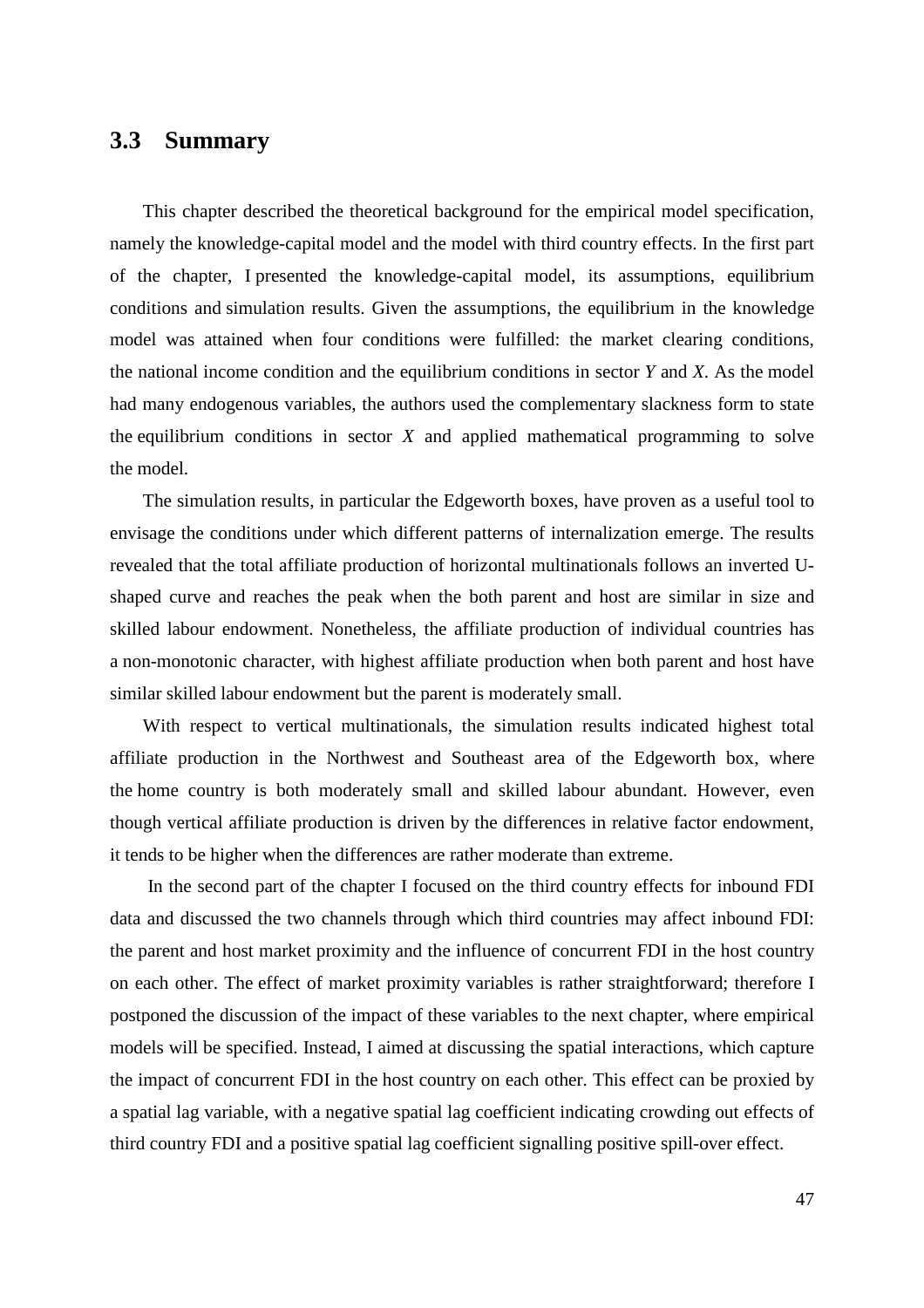## **3.3 Summary**

This chapter described the theoretical background for the empirical model specification, namely the knowledge-capital model and the model with third country effects. In the first part of the chapter, I presented the knowledge-capital model, its assumptions, equilibrium conditions and simulation results. Given the assumptions, the equilibrium in the knowledge model was attained when four conditions were fulfilled: the market clearing conditions, the national income condition and the equilibrium conditions in sector *Y* and *X*. As the model had many endogenous variables, the authors used the complementary slackness form to state the equilibrium conditions in sector *X* and applied mathematical programming to solve the model.

The simulation results, in particular the Edgeworth boxes, have proven as a useful tool to envisage the conditions under which different patterns of internalization emerge. The results revealed that the total affiliate production of horizontal multinationals follows an inverted Ushaped curve and reaches the peak when the both parent and host are similar in size and skilled labour endowment. Nonetheless, the affiliate production of individual countries has a non-monotonic character, with highest affiliate production when both parent and host have similar skilled labour endowment but the parent is moderately small.

With respect to vertical multinationals, the simulation results indicated highest total affiliate production in the Northwest and Southeast area of the Edgeworth box, where the home country is both moderately small and skilled labour abundant. However, even though vertical affiliate production is driven by the differences in relative factor endowment, it tends to be higher when the differences are rather moderate than extreme.

 In the second part of the chapter I focused on the third country effects for inbound FDI data and discussed the two channels through which third countries may affect inbound FDI: the parent and host market proximity and the influence of concurrent FDI in the host country on each other. The effect of market proximity variables is rather straightforward; therefore I postponed the discussion of the impact of these variables to the next chapter, where empirical models will be specified. Instead, I aimed at discussing the spatial interactions, which capture the impact of concurrent FDI in the host country on each other. This effect can be proxied by a spatial lag variable, with a negative spatial lag coefficient indicating crowding out effects of third country FDI and a positive spatial lag coefficient signalling positive spill-over effect.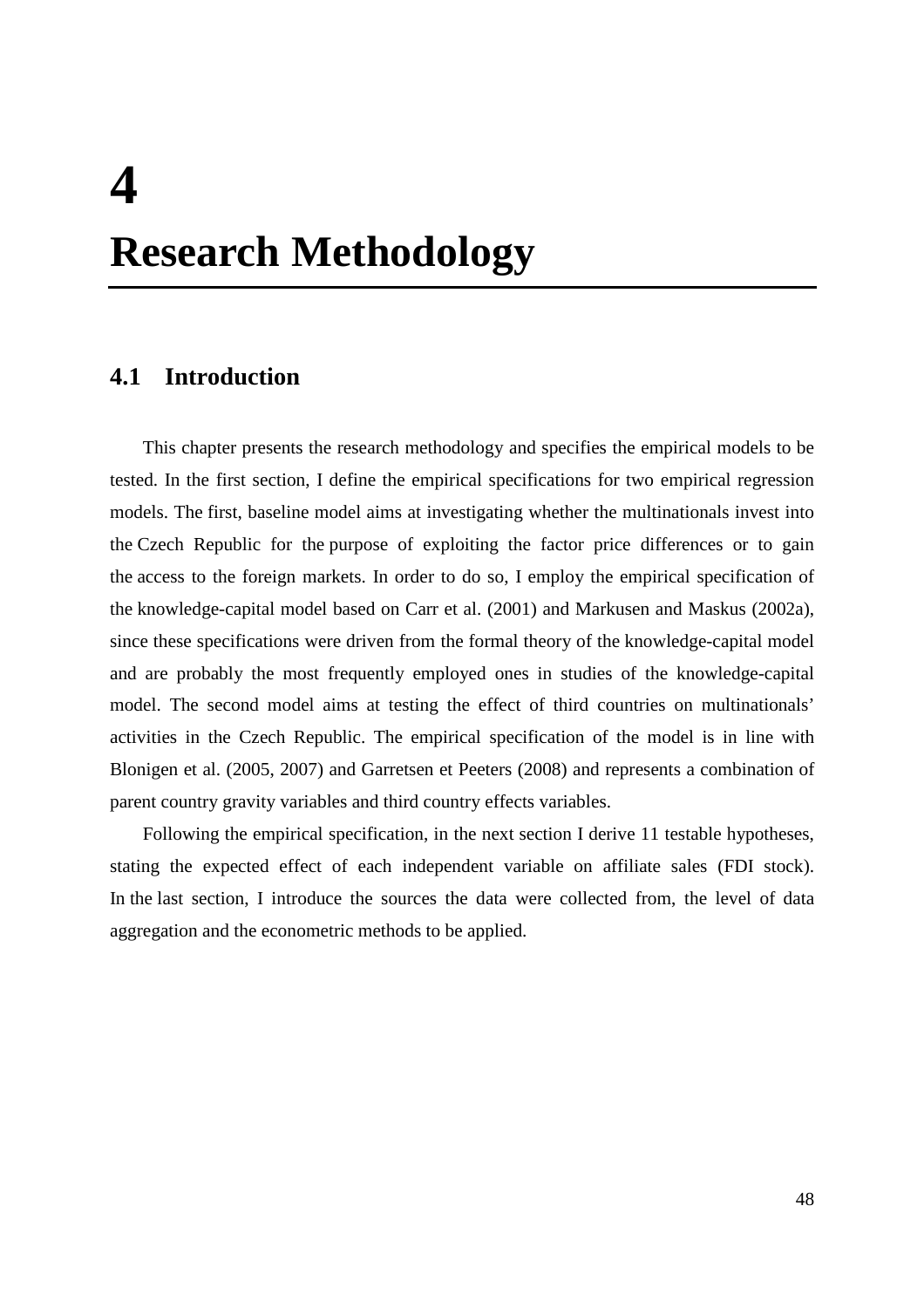## **4 Research Methodology**

## **4.1 Introduction**

This chapter presents the research methodology and specifies the empirical models to be tested. In the first section, I define the empirical specifications for two empirical regression models. The first, baseline model aims at investigating whether the multinationals invest into the Czech Republic for the purpose of exploiting the factor price differences or to gain the access to the foreign markets. In order to do so, I employ the empirical specification of the knowledge-capital model based on Carr et al. (2001) and Markusen and Maskus (2002a), since these specifications were driven from the formal theory of the knowledge-capital model and are probably the most frequently employed ones in studies of the knowledge-capital model. The second model aims at testing the effect of third countries on multinationals' activities in the Czech Republic. The empirical specification of the model is in line with Blonigen et al. (2005, 2007) and Garretsen et Peeters (2008) and represents a combination of parent country gravity variables and third country effects variables.

Following the empirical specification, in the next section I derive 11 testable hypotheses, stating the expected effect of each independent variable on affiliate sales (FDI stock). In the last section, I introduce the sources the data were collected from, the level of data aggregation and the econometric methods to be applied.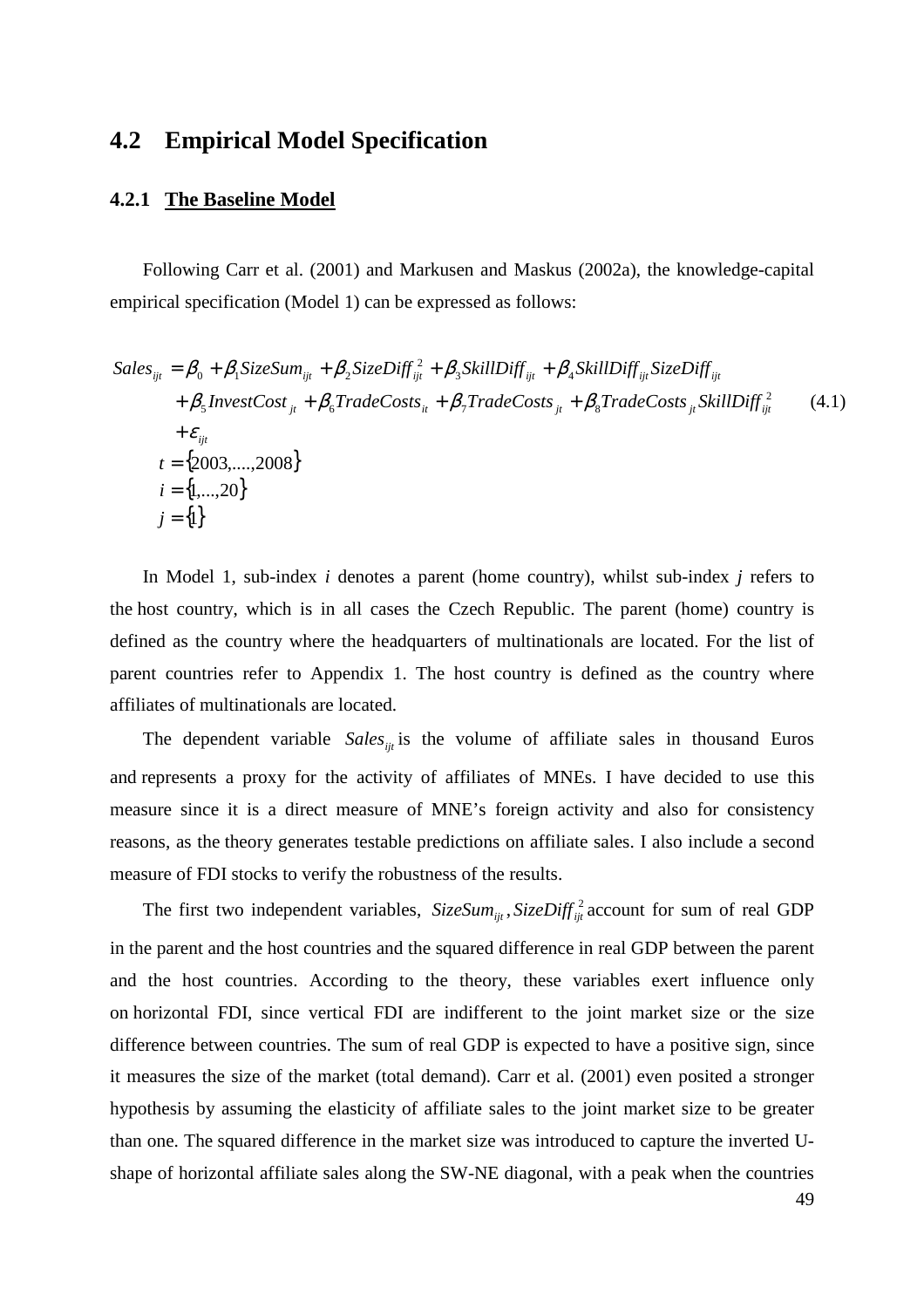## **4.2 Empirical Model Specification**

#### **4.2.1 The Baseline Model**

Following Carr et al. (2001) and Markusen and Maskus (2002a), the knowledge-capital empirical specification (Model 1) can be expressed as follows:

$$
Sales_{ijt} = \beta_0 + \beta_1 SizeSum_{ijt} + \beta_2 SizeDiff_{ijt}^2 + \beta_3 SkillDiff_{ijt} + \beta_4 SkillDiff_{ijt}SizeDiff_{ijt}
$$
  
+  $\beta_5 InvestmentCost_{jt} + \beta_6 TradeCosts_{it} + \beta_7 TradeCosts_{jt} + \beta_8 TradeCosts_{jt} SkillDiff_{ijt}^2$  (4.1)  
+  $\varepsilon_{ijt}$   
 $t = \{2003, ..., 2008\}$   
 $i = \{1, ..., 20\}$   
 $j = \{1\}$ 

In Model 1, sub-index *i* denotes a parent (home country), whilst sub-index *j* refers to the host country, which is in all cases the Czech Republic. The parent (home) country is defined as the country where the headquarters of multinationals are located. For the list of parent countries refer to Appendix 1. The host country is defined as the country where affiliates of multinationals are located.

The dependent variable *Sales* is the volume of affiliate sales in thousand Euros and represents a proxy for the activity of affiliates of MNEs. I have decided to use this measure since it is a direct measure of MNE's foreign activity and also for consistency reasons, as the theory generates testable predictions on affiliate sales. I also include a second measure of FDI stocks to verify the robustness of the results.

The first two independent variables,  $SizeSum_{ijt}$ ,  $SizeDiff_{ijt}^2$  account for sum of real GDP in the parent and the host countries and the squared difference in real GDP between the parent and the host countries. According to the theory, these variables exert influence only on horizontal FDI, since vertical FDI are indifferent to the joint market size or the size difference between countries. The sum of real GDP is expected to have a positive sign, since it measures the size of the market (total demand). Carr et al. (2001) even posited a stronger hypothesis by assuming the elasticity of affiliate sales to the joint market size to be greater than one. The squared difference in the market size was introduced to capture the inverted Ushape of horizontal affiliate sales along the SW-NE diagonal, with a peak when the countries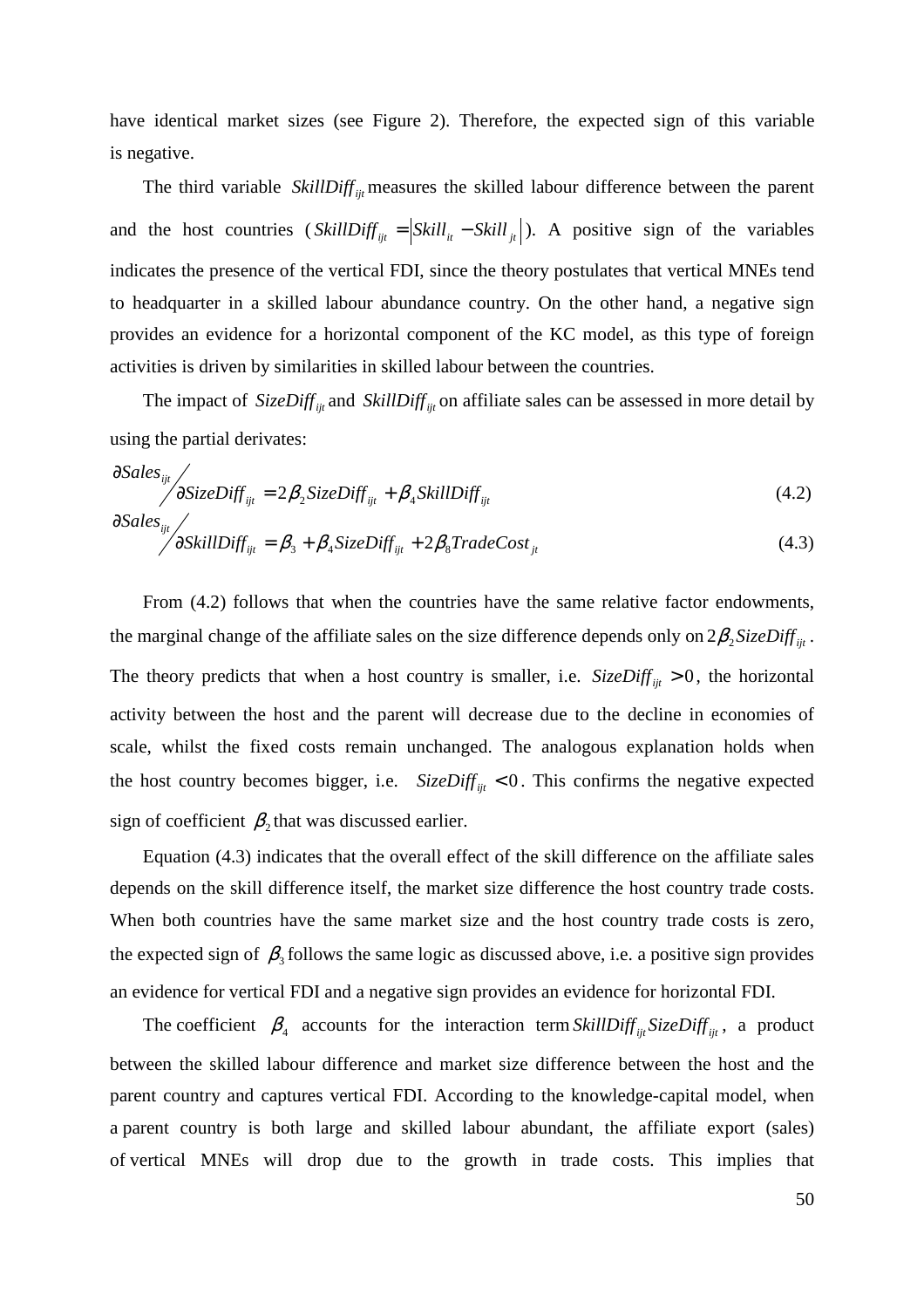have identical market sizes (see Figure 2). Therefore, the expected sign of this variable is negative.

The third variable *SkillDiff*  $_{\text{int}}$  measures the skilled labour difference between the parent and the host countries (  $SkillDiff_{ijt} = |Skill_{it} - Skill_{jt}|$ ). A positive sign of the variables indicates the presence of the vertical FDI, since the theory postulates that vertical MNEs tend to headquarter in a skilled labour abundance country. On the other hand, a negative sign provides an evidence for a horizontal component of the KC model, as this type of foreign activities is driven by similarities in skilled labour between the countries.

The impact of *SizeDiff*  $_{ii}$  and *SkillDiff*  $_{ii}$  on affiliate sales can be assessed in more detail by using the partial derivates:

$$
\begin{aligned}\n\frac{\partial Sales_{ijt}}{\partial SizeDiff_{ijt}} &= 2\beta_2SizeDiff_{ijt} + \beta_4 SkillDiff_{ijt} \\
\frac{\partial Sales_{ijt}}{\partial Sales_{ijt}}\n\end{aligned}
$$
\n(4.2)

 $\overline{ }$ 

$$
\sqrt{\frac{\partial \text{SkillDiff}_{ijt}}{\partial \text{SkillDiff}_{ijt}}} = \beta_3 + \beta_4 \text{SizeDiff}_{ijt} + 2\beta_8 \text{TraceCost}_{jt}
$$
\n(4.3)

From (4.2) follows that when the countries have the same relative factor endowments, the marginal change of the affiliate sales on the size difference depends only on  $2\beta_2$ SizeDiff<sub>ijt</sub>. The theory predicts that when a host country is smaller, i.e.  $SizeDiff_{ijt} > 0$ , the horizontal activity between the host and the parent will decrease due to the decline in economies of scale, whilst the fixed costs remain unchanged. The analogous explanation holds when the host country becomes bigger, i.e.  $SizeDiff_{ijt}$  < 0. This confirms the negative expected sign of coefficient  $\beta_2$  that was discussed earlier.

Equation (4.3) indicates that the overall effect of the skill difference on the affiliate sales depends on the skill difference itself, the market size difference the host country trade costs. When both countries have the same market size and the host country trade costs is zero, the expected sign of  $\beta_3$  follows the same logic as discussed above, i.e. a positive sign provides an evidence for vertical FDI and a negative sign provides an evidence for horizontal FDI.

The coefficient  $\beta_4$  accounts for the interaction term *SkillDiff*  $_{ijt}$  *SizeDiff*  $_{ijt}$ , a product between the skilled labour difference and market size difference between the host and the parent country and captures vertical FDI. According to the knowledge-capital model, when a parent country is both large and skilled labour abundant, the affiliate export (sales) of vertical MNEs will drop due to the growth in trade costs. This implies that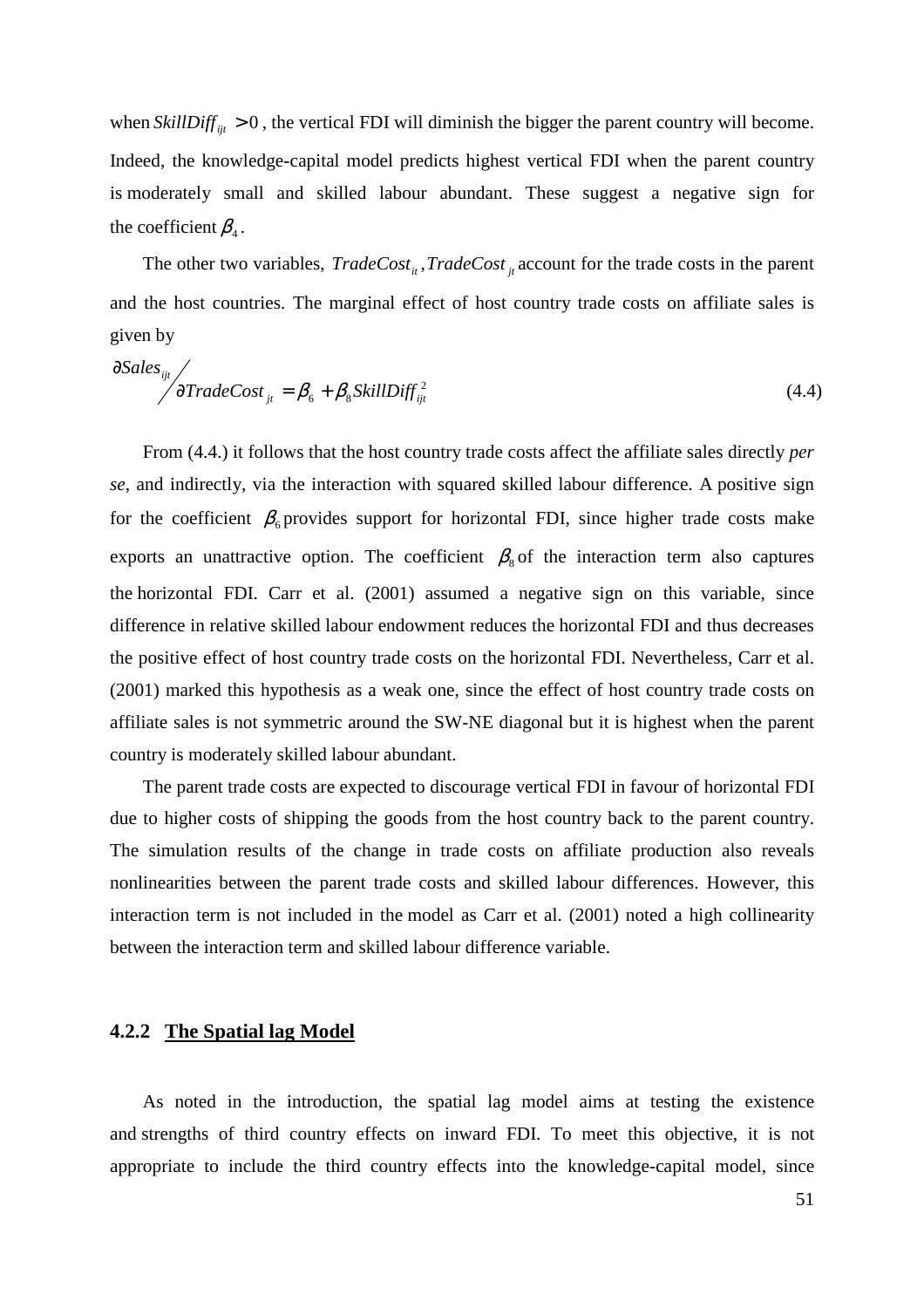when  $\textit{StillDiff}_{ijt} > 0$ , the vertical FDI will diminish the bigger the parent country will become. Indeed, the knowledge-capital model predicts highest vertical FDI when the parent country is moderately small and skilled labour abundant. These suggest a negative sign for the coefficient  $\beta_4$ .

The other two variables,  $TradeCost_{it}$ ,  $TradeCost_{it}$  account for the trade costs in the parent and the host countries. The marginal effect of host country trade costs on affiliate sales is given by

$$
\partial Sales_{ijt} / \partial TradeCost_{jt} = \beta_6 + \beta_8 SkillDiff_{ijt}^2
$$
\n(4.4)

From (4.4.) it follows that the host country trade costs affect the affiliate sales directly *per se*, and indirectly, via the interaction with squared skilled labour difference. A positive sign for the coefficient  $\beta_6$  provides support for horizontal FDI, since higher trade costs make exports an unattractive option. The coefficient  $\beta_{\rm s}$  of the interaction term also captures the horizontal FDI. Carr et al. (2001) assumed a negative sign on this variable, since difference in relative skilled labour endowment reduces the horizontal FDI and thus decreases the positive effect of host country trade costs on the horizontal FDI. Nevertheless, Carr et al. (2001) marked this hypothesis as a weak one, since the effect of host country trade costs on affiliate sales is not symmetric around the SW-NE diagonal but it is highest when the parent country is moderately skilled labour abundant.

The parent trade costs are expected to discourage vertical FDI in favour of horizontal FDI due to higher costs of shipping the goods from the host country back to the parent country. The simulation results of the change in trade costs on affiliate production also reveals nonlinearities between the parent trade costs and skilled labour differences. However, this interaction term is not included in the model as Carr et al. (2001) noted a high collinearity between the interaction term and skilled labour difference variable.

#### **4.2.2 The Spatial lag Model**

As noted in the introduction, the spatial lag model aims at testing the existence and strengths of third country effects on inward FDI. To meet this objective, it is not appropriate to include the third country effects into the knowledge-capital model, since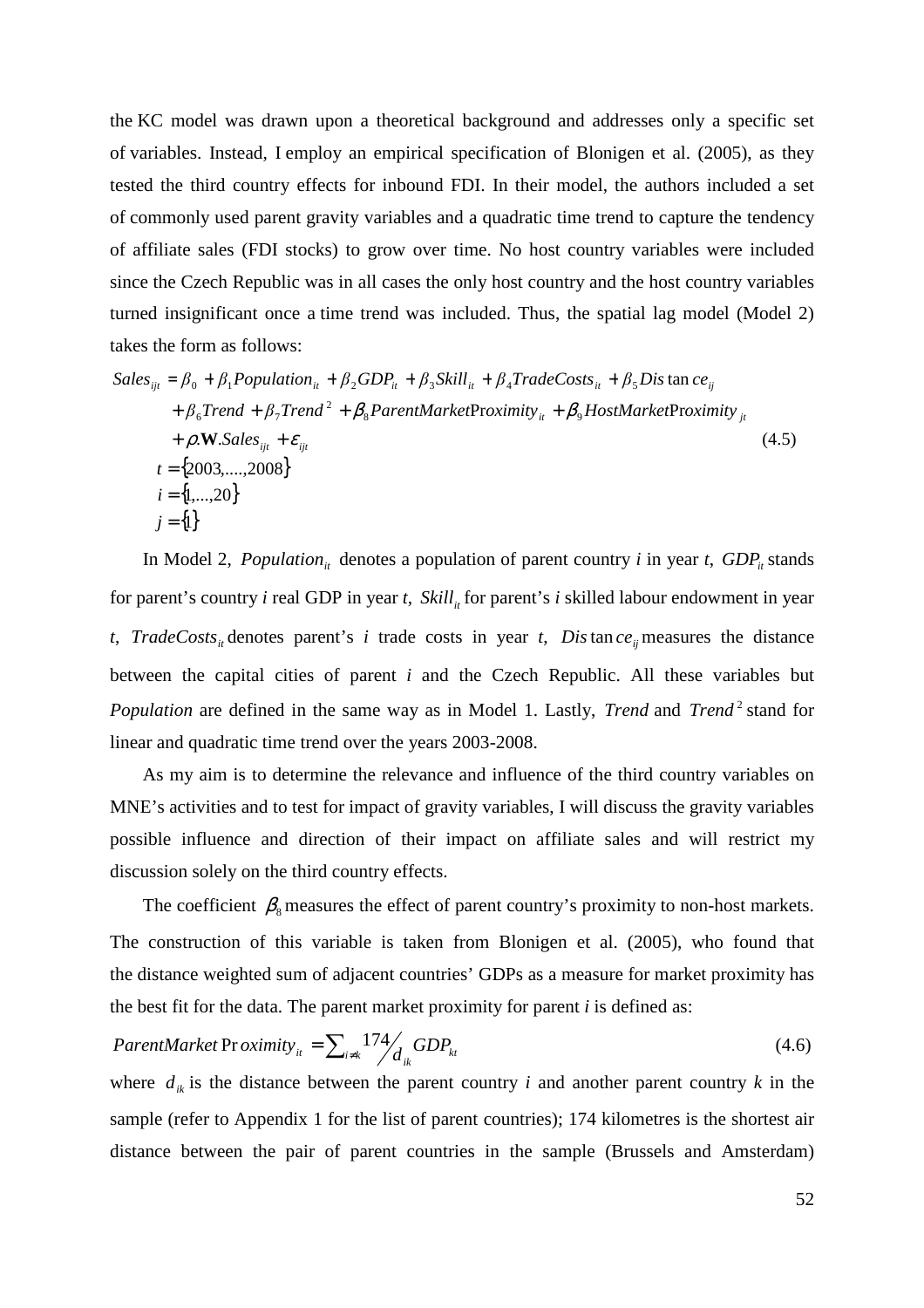the KC model was drawn upon a theoretical background and addresses only a specific set of variables. Instead, I employ an empirical specification of Blonigen et al. (2005), as they tested the third country effects for inbound FDI. In their model, the authors included a set of commonly used parent gravity variables and a quadratic time trend to capture the tendency of affiliate sales (FDI stocks) to grow over time. No host country variables were included since the Czech Republic was in all cases the only host country and the host country variables turned insignificant once a time trend was included. Thus, the spatial lag model (Model 2) takes the form as follows:

$$
Sales_{ijt} = \beta_0 + \beta_1 Population_{it} + \beta_2 GDP_{it} + \beta_3 Skill_{it} + \beta_4 TradeCosts_{it} + \beta_5 Dis \tan ce_{ij}
$$
  
+  $\beta_6 Trend + \beta_7 Trend^2 + \beta_8 ParentMarketProximity_{it} + \beta_9 HostMarketProximity_{jt} + \rho.W.Sales_{ijt} + \varepsilon_{ijt}$   
+  $\rho.W.Sales_{ijt} + \varepsilon_{ijt}$   
 $t = \{2003, ..., 2008\}$   
 $i = \{1, ..., 20\}$  (4.5)  
 $j = \{1\}$ 

In Model 2, *Population<sub>it</sub>* denotes a population of parent country *i* in year *t*, *GDP<sub>it</sub>* stands for parent's country *i* real GDP in year *t*, *Skill*<sub>*it*</sub> for parent's *i* skilled labour endowment in year *t*, *TradeCosts<sub>it</sub>* denotes parent's *i* trade costs in year *t*, *Dis*tance<sub>*ij*</sub> measures the distance between the capital cities of parent *i* and the Czech Republic. All these variables but *Population* are defined in the same way as in Model 1. Lastly, *Trend* and *Trend*<sup>2</sup> stand for linear and quadratic time trend over the years 2003-2008.

As my aim is to determine the relevance and influence of the third country variables on MNE's activities and to test for impact of gravity variables, I will discuss the gravity variables possible influence and direction of their impact on affiliate sales and will restrict my discussion solely on the third country effects.

The coefficient  $\beta_{\rm s}$  measures the effect of parent country's proximity to non-host markets. The construction of this variable is taken from Blonigen et al. (2005), who found that the distance weighted sum of adjacent countries' GDPs as a measure for market proximity has the best fit for the data. The parent market proximity for parent *i* is defined as:

$$
ParentMarket Proximity_{it} = \sum_{i \neq k} 174 / \frac{GDP_{kt}}{d_{ik}} GDP_{kt}
$$
\n(4.6)

where  $d_{ik}$  is the distance between the parent country *i* and another parent country *k* in the sample (refer to Appendix 1 for the list of parent countries); 174 kilometres is the shortest air distance between the pair of parent countries in the sample (Brussels and Amsterdam)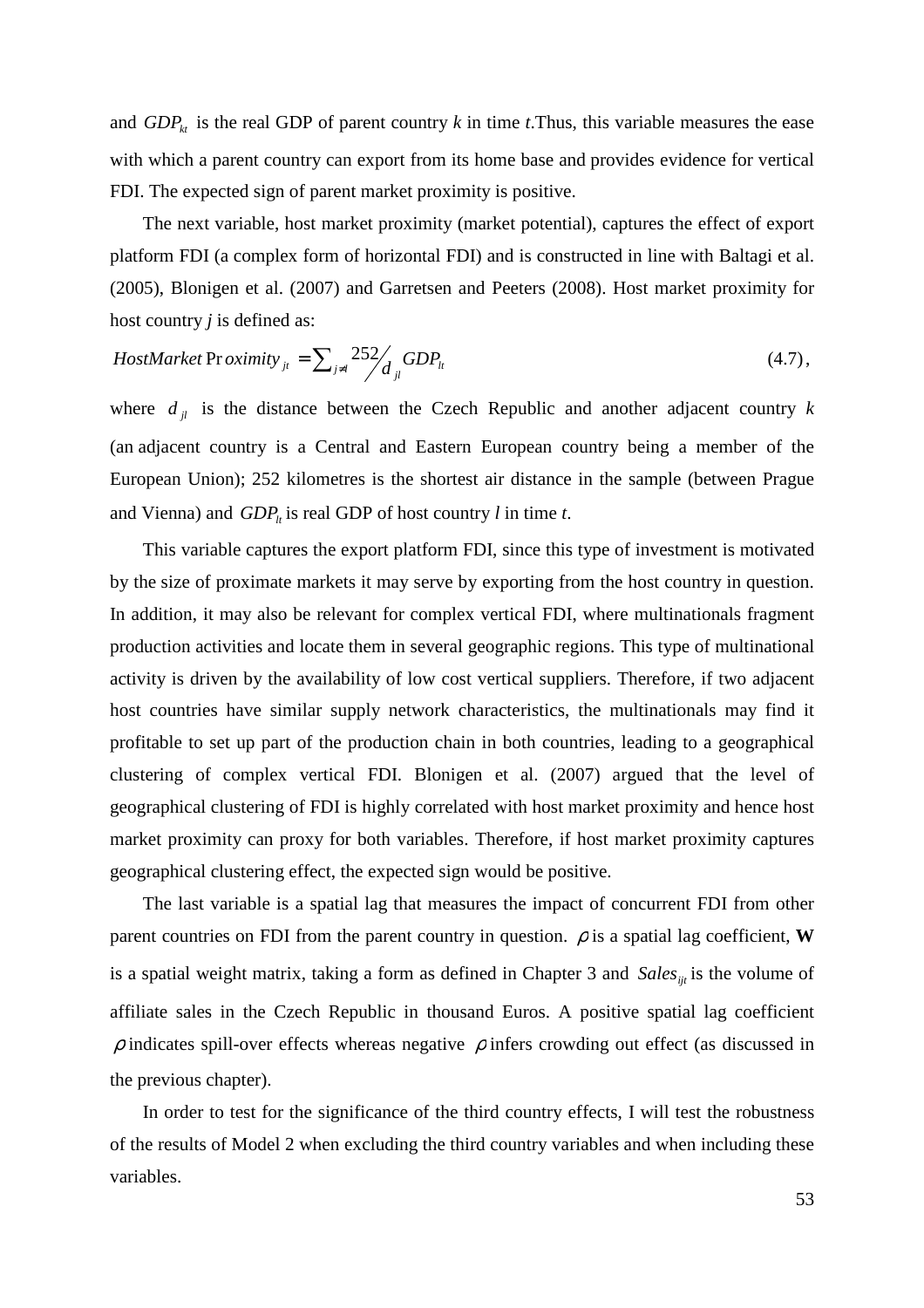and  $GDP_k$  is the real GDP of parent country k in time t. Thus, this variable measures the ease with which a parent country can export from its home base and provides evidence for vertical FDI. The expected sign of parent market proximity is positive.

The next variable, host market proximity (market potential), captures the effect of export platform FDI (a complex form of horizontal FDI) and is constructed in line with Baltagi et al. (2005), Blonigen et al. (2007) and Garretsen and Peeters (2008). Host market proximity for host country *j* is defined as:

$$
HostMarket Proximity_{jt} = \sum_{j \neq l} \frac{252}{d_{jl}} GDP_{lt}
$$
\n(4.7),

where  $d_{jl}$  is the distance between the Czech Republic and another adjacent country  $k$ (an adjacent country is a Central and Eastern European country being a member of the European Union); 252 kilometres is the shortest air distance in the sample (between Prague and Vienna) and  $GDP<sub>t</sub>$  is real GDP of host country *l* in time *t*.

This variable captures the export platform FDI, since this type of investment is motivated by the size of proximate markets it may serve by exporting from the host country in question. In addition, it may also be relevant for complex vertical FDI, where multinationals fragment production activities and locate them in several geographic regions. This type of multinational activity is driven by the availability of low cost vertical suppliers. Therefore, if two adjacent host countries have similar supply network characteristics, the multinationals may find it profitable to set up part of the production chain in both countries, leading to a geographical clustering of complex vertical FDI. Blonigen et al. (2007) argued that the level of geographical clustering of FDI is highly correlated with host market proximity and hence host market proximity can proxy for both variables. Therefore, if host market proximity captures geographical clustering effect, the expected sign would be positive.

The last variable is a spatial lag that measures the impact of concurrent FDI from other parent countries on FDI from the parent country in question.  $\rho$  is a spatial lag coefficient, **W** is a spatial weight matrix, taking a form as defined in Chapter 3 and *Sales*<sub>iit</sub> is the volume of affiliate sales in the Czech Republic in thousand Euros. A positive spatial lag coefficient  $\rho$  indicates spill-over effects whereas negative  $\rho$  infers crowding out effect (as discussed in the previous chapter).

In order to test for the significance of the third country effects, I will test the robustness of the results of Model 2 when excluding the third country variables and when including these variables.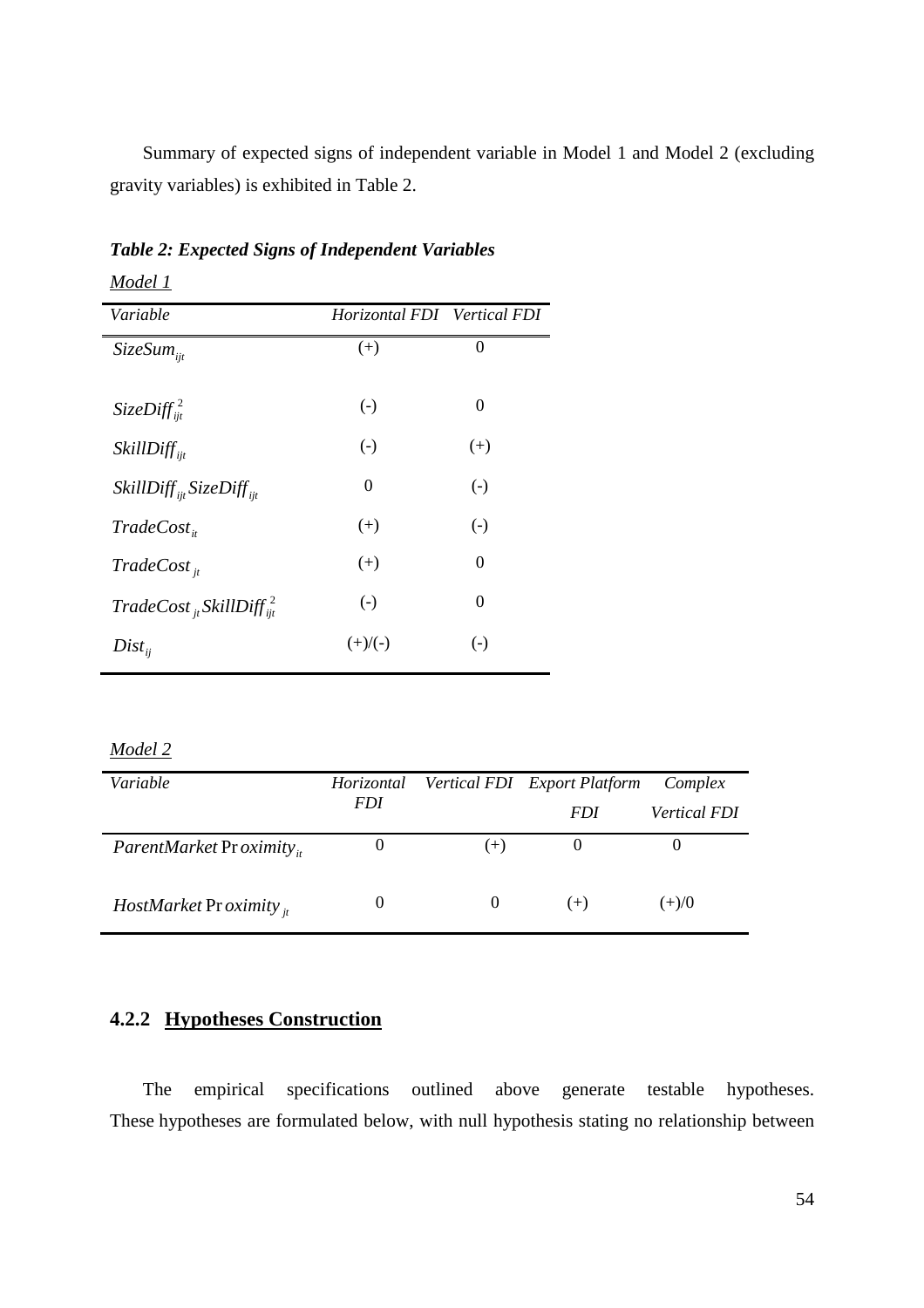Summary of expected signs of independent variable in Model 1 and Model 2 (excluding gravity variables) is exhibited in Table 2.

| Variable                                  | Horizontal FDI Vertical FDI |          |
|-------------------------------------------|-----------------------------|----------|
| $SizeSum_{ii}$                            | $(+)$                       | $\theta$ |
| SizeDiff $\int_{ii}^2$                    | $(-)$                       | $\theta$ |
| $SkillDiff_{ii}$                          | $\left( -\right)$           | $(+)$    |
| $SkillDiff_{ii}SizeDiff_{ii}$             | $\theta$                    | $(-)$    |
| $TradeCost_{it}$                          | $(+)$                       | $(-)$    |
| $TradeCost_{it}$                          | $(+)$                       | $\theta$ |
| $TradeCost_{it}$ SkillDiff $\frac{2}{it}$ | $(-)$                       | $\theta$ |
| $Dist_{ii}$                               | $(+)/(-)$                   | $(-)$    |

*Table 2: Expected Signs of Independent Variables* 

#### *Model 2*

*Model 1*

| Variable                            | Horizontal |       | Vertical FDI Export Platform | Complex             |  |  |
|-------------------------------------|------------|-------|------------------------------|---------------------|--|--|
|                                     | <i>FDI</i> |       | <i>FDI</i>                   | <i>Vertical FDI</i> |  |  |
| ParentMarket Pr oximity.            | O          | $(+)$ |                              |                     |  |  |
| <i>HostMarket Proximity</i> $_{it}$ | $\theta$   |       | $(+)$                        | $(+)/0$             |  |  |

## **4.2.2 Hypotheses Construction**

The empirical specifications outlined above generate testable hypotheses. These hypotheses are formulated below, with null hypothesis stating no relationship between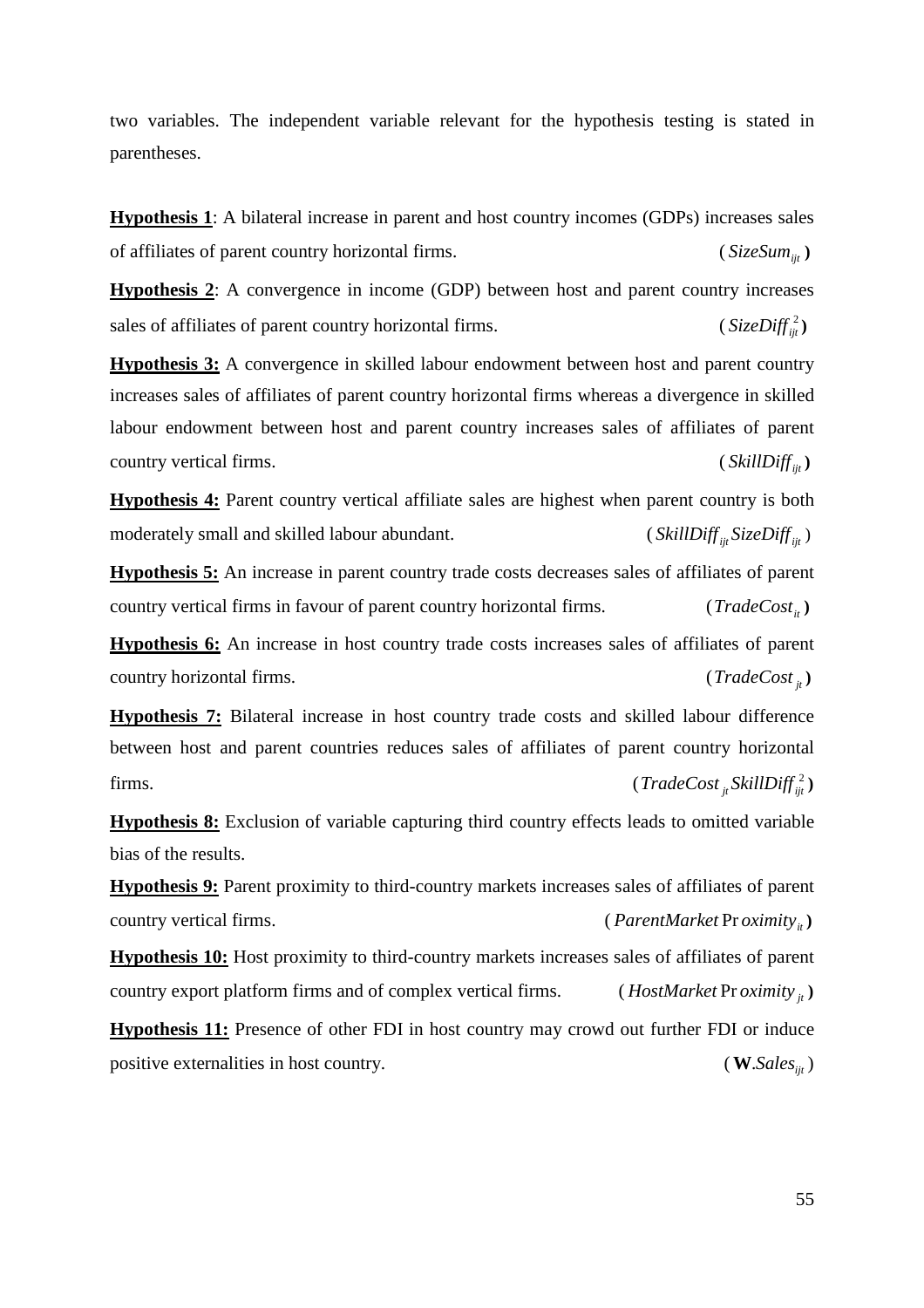two variables. The independent variable relevant for the hypothesis testing is stated in parentheses.

**Hypothesis 1**: A bilateral increase in parent and host country incomes (GDPs) increases sales of affiliates of parent country horizontal firms. (*SizeSum*<sub>iit</sub>)

**Hypothesis 2**: A convergence in income (GDP) between host and parent country increases sales of affiliates of parent country horizontal firms.  $(SizeDiff<sup>2</sup><sub>it</sub>)$ 

**Hypothesis 3:** A convergence in skilled labour endowment between host and parent country increases sales of affiliates of parent country horizontal firms whereas a divergence in skilled labour endowment between host and parent country increases sales of affiliates of parent country vertical firms. (*SkillDiff*<sub>iit</sub>)

**Hypothesis 4:** Parent country vertical affiliate sales are highest when parent country is both moderately small and skilled labour abundant. (*SkillDiff* <sub>*iit</sub></sub> SizeDiff*  $\frac{1}{2}$  *if*  $\frac{1}{2}$ </sub>

**Hypothesis 5:** An increase in parent country trade costs decreases sales of affiliates of parent country vertical firms in favour of parent country horizontal firms.  $(TradeCost_{it})$ 

**Hypothesis 6:** An increase in host country trade costs increases sales of affiliates of parent country horizontal firms. (*TradeCost jt*)

**Hypothesis 7:** Bilateral increase in host country trade costs and skilled labour difference between host and parent countries reduces sales of affiliates of parent country horizontal firms. (*TradeCost*<sub>*jt</sub></sub> <i>SkillDiff*<sup> $2$ </sup><sub>*it*</sub></sub>)</sub>

**Hypothesis 8:** Exclusion of variable capturing third country effects leads to omitted variable bias of the results.

**Hypothesis 9:** Parent proximity to third-country markets increases sales of affiliates of parent country vertical firms. (*ParentMarket Proximity*<sub>*it*</sub>)

**Hypothesis 10:** Host proximity to third-country markets increases sales of affiliates of parent country export platform firms and of complex vertical firms. (*HostMarket* Pr *oximity*  $\mu$ )

**Hypothesis 11:** Presence of other FDI in host country may crowd out further FDI or induce positive externalities in host country.  $(W.Sales_{ii})$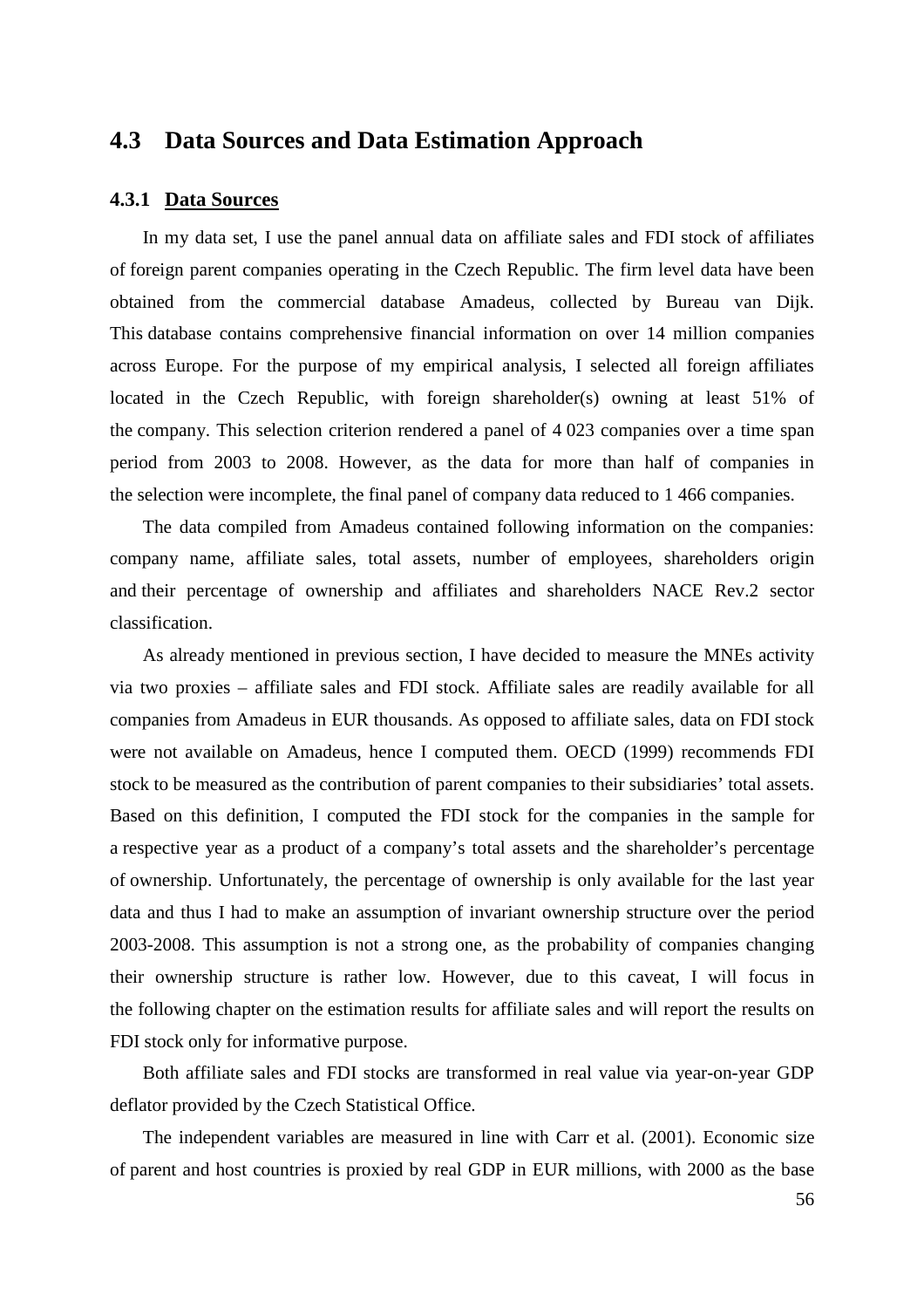## **4.3 Data Sources and Data Estimation Approach**

#### **4.3.1 Data Sources**

In my data set, I use the panel annual data on affiliate sales and FDI stock of affiliates of foreign parent companies operating in the Czech Republic. The firm level data have been obtained from the commercial database Amadeus, collected by Bureau van Dijk. This database contains comprehensive financial information on over 14 million companies across Europe. For the purpose of my empirical analysis, I selected all foreign affiliates located in the Czech Republic, with foreign shareholder(s) owning at least 51% of the company. This selection criterion rendered a panel of 4 023 companies over a time span period from 2003 to 2008. However, as the data for more than half of companies in the selection were incomplete, the final panel of company data reduced to 1 466 companies.

The data compiled from Amadeus contained following information on the companies: company name, affiliate sales, total assets, number of employees, shareholders origin and their percentage of ownership and affiliates and shareholders NACE Rev.2 sector classification.

As already mentioned in previous section, I have decided to measure the MNEs activity via two proxies – affiliate sales and FDI stock. Affiliate sales are readily available for all companies from Amadeus in EUR thousands. As opposed to affiliate sales, data on FDI stock were not available on Amadeus, hence I computed them. OECD (1999) recommends FDI stock to be measured as the contribution of parent companies to their subsidiaries' total assets. Based on this definition, I computed the FDI stock for the companies in the sample for a respective year as a product of a company's total assets and the shareholder's percentage of ownership. Unfortunately, the percentage of ownership is only available for the last year data and thus I had to make an assumption of invariant ownership structure over the period 2003-2008. This assumption is not a strong one, as the probability of companies changing their ownership structure is rather low. However, due to this caveat, I will focus in the following chapter on the estimation results for affiliate sales and will report the results on FDI stock only for informative purpose.

Both affiliate sales and FDI stocks are transformed in real value via year-on-year GDP deflator provided by the Czech Statistical Office.

The independent variables are measured in line with Carr et al. (2001). Economic size of parent and host countries is proxied by real GDP in EUR millions, with 2000 as the base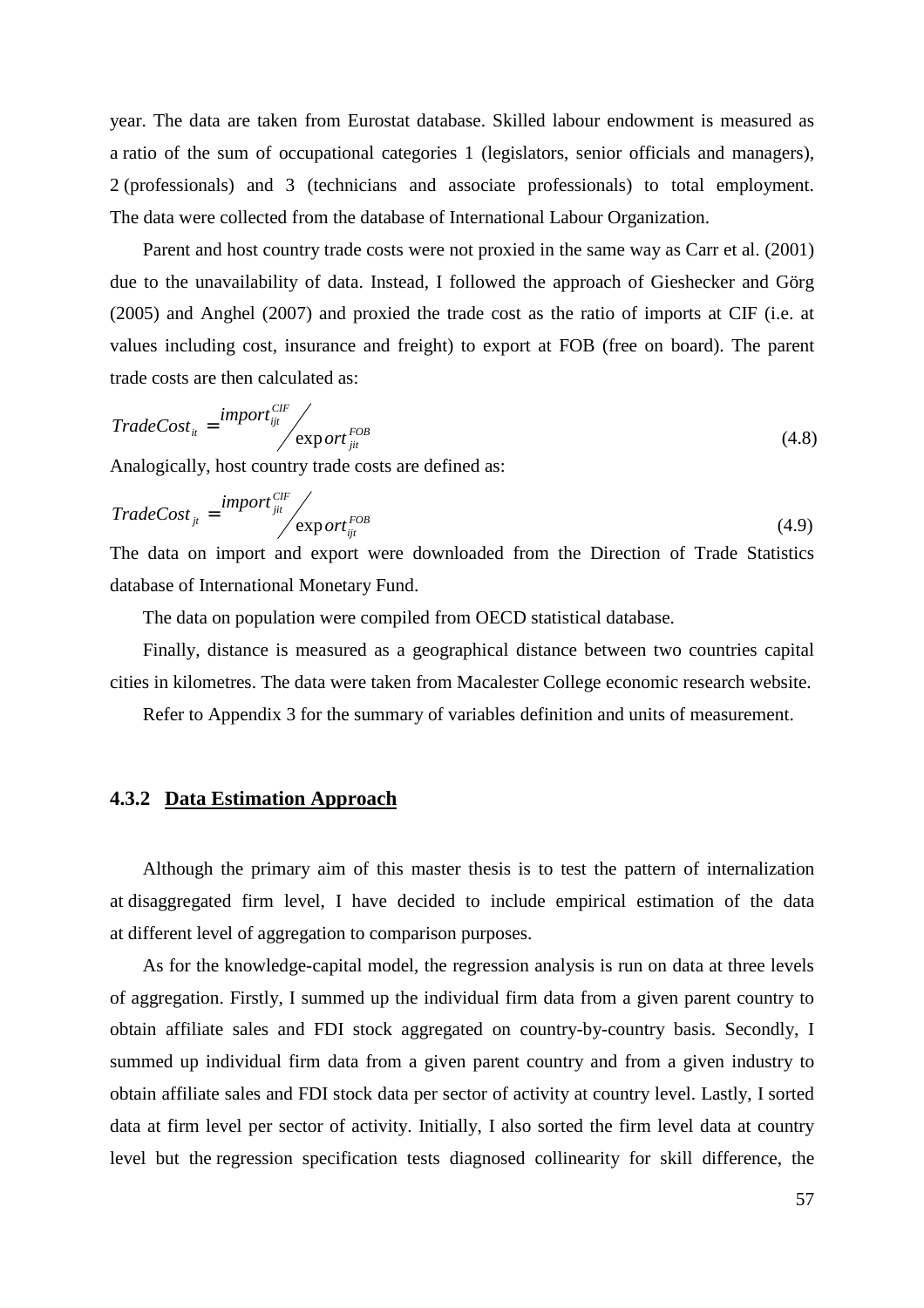year. The data are taken from Eurostat database. Skilled labour endowment is measured as a ratio of the sum of occupational categories 1 (legislators, senior officials and managers), 2 (professionals) and 3 (technicians and associate professionals) to total employment. The data were collected from the database of International Labour Organization.

Parent and host country trade costs were not proxied in the same way as Carr et al. (2001) due to the unavailability of data. Instead, I followed the approach of Gieshecker and Görg (2005) and Anghel (2007) and proxied the trade cost as the ratio of imports at CIF (i.e. at values including cost, insurance and freight) to export at FOB (free on board). The parent trade costs are then calculated as:

$$
TradeCost_{it} = \frac{import_{ijt}^{CIF}}{export_{jit}^{FOB}}
$$
\n(4.8)

Analogically, host country trade costs are defined as:

$$
TradeCost_{ji} = \frac{import_{ji}^{CIF}}{export_{ijt}^{FOB}}
$$
\n(4.9)

The data on import and export were downloaded from the Direction of Trade Statistics database of International Monetary Fund.

The data on population were compiled from OECD statistical database.

Finally, distance is measured as a geographical distance between two countries capital cities in kilometres. The data were taken from Macalester College economic research website.

Refer to Appendix 3 for the summary of variables definition and units of measurement.

#### **4.3.2 Data Estimation Approach**

Although the primary aim of this master thesis is to test the pattern of internalization at disaggregated firm level, I have decided to include empirical estimation of the data at different level of aggregation to comparison purposes.

As for the knowledge-capital model, the regression analysis is run on data at three levels of aggregation. Firstly, I summed up the individual firm data from a given parent country to obtain affiliate sales and FDI stock aggregated on country-by-country basis. Secondly, I summed up individual firm data from a given parent country and from a given industry to obtain affiliate sales and FDI stock data per sector of activity at country level. Lastly, I sorted data at firm level per sector of activity. Initially, I also sorted the firm level data at country level but the regression specification tests diagnosed collinearity for skill difference, the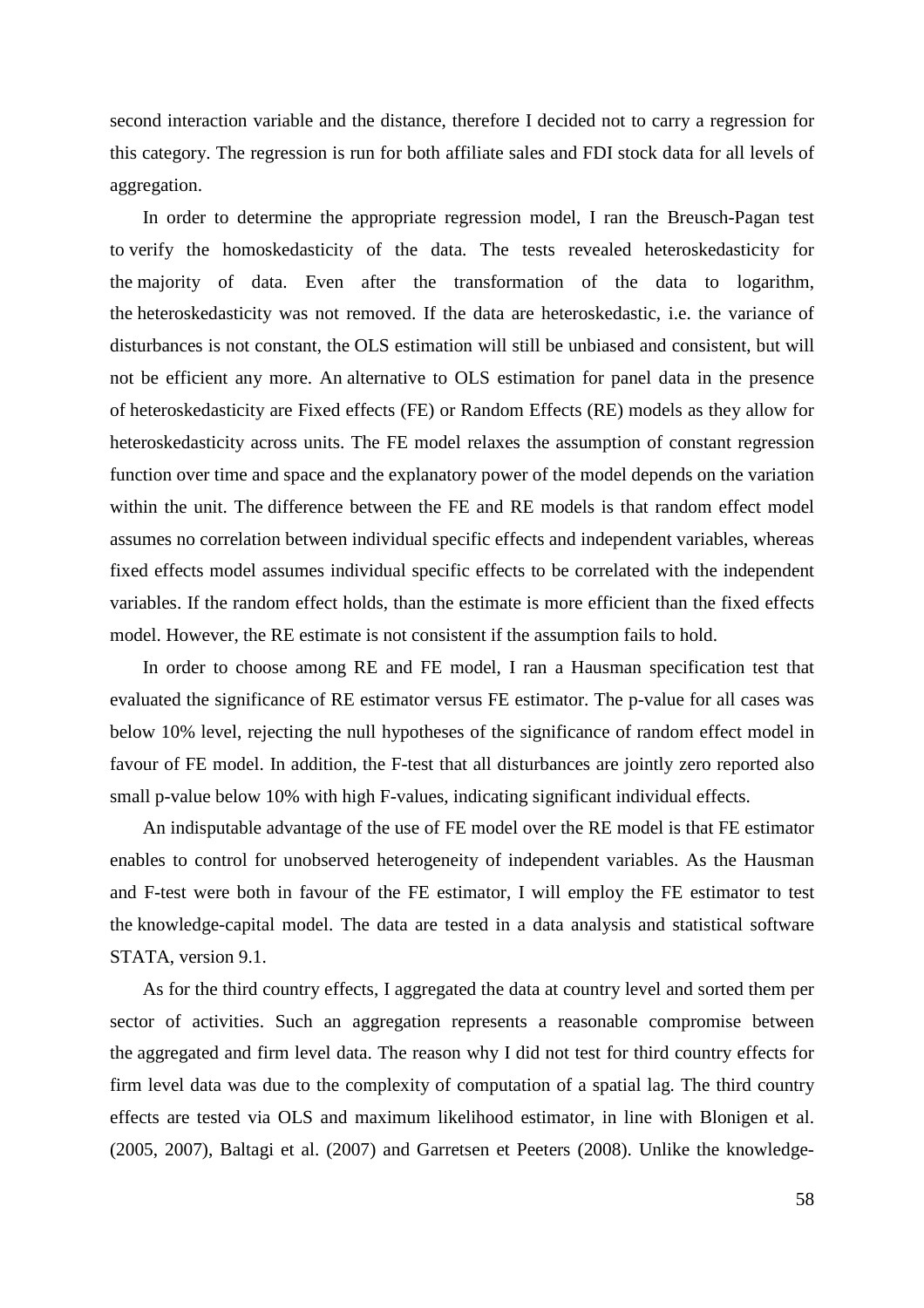second interaction variable and the distance, therefore I decided not to carry a regression for this category. The regression is run for both affiliate sales and FDI stock data for all levels of aggregation.

In order to determine the appropriate regression model, I ran the Breusch-Pagan test to verify the homoskedasticity of the data. The tests revealed heteroskedasticity for the majority of data. Even after the transformation of the data to logarithm, the heteroskedasticity was not removed. If the data are heteroskedastic, i.e. the variance of disturbances is not constant, the OLS estimation will still be unbiased and consistent, but will not be efficient any more. An alternative to OLS estimation for panel data in the presence of heteroskedasticity are Fixed effects (FE) or Random Effects (RE) models as they allow for heteroskedasticity across units. The FE model relaxes the assumption of constant regression function over time and space and the explanatory power of the model depends on the variation within the unit. The difference between the FE and RE models is that random effect model assumes no correlation between individual specific effects and independent variables, whereas fixed effects model assumes individual specific effects to be correlated with the independent variables. If the random effect holds, than the estimate is more efficient than the fixed effects model. However, the RE estimate is not consistent if the assumption fails to hold.

In order to choose among RE and FE model, I ran a Hausman specification test that evaluated the significance of RE estimator versus FE estimator. The p-value for all cases was below 10% level, rejecting the null hypotheses of the significance of random effect model in favour of FE model. In addition, the F-test that all disturbances are jointly zero reported also small p-value below 10% with high F-values, indicating significant individual effects.

An indisputable advantage of the use of FE model over the RE model is that FE estimator enables to control for unobserved heterogeneity of independent variables. As the Hausman and F-test were both in favour of the FE estimator, I will employ the FE estimator to test the knowledge-capital model. The data are tested in a data analysis and statistical software STATA, version 9.1.

As for the third country effects, I aggregated the data at country level and sorted them per sector of activities. Such an aggregation represents a reasonable compromise between the aggregated and firm level data. The reason why I did not test for third country effects for firm level data was due to the complexity of computation of a spatial lag. The third country effects are tested via OLS and maximum likelihood estimator, in line with Blonigen et al. (2005, 2007), Baltagi et al. (2007) and Garretsen et Peeters (2008). Unlike the knowledge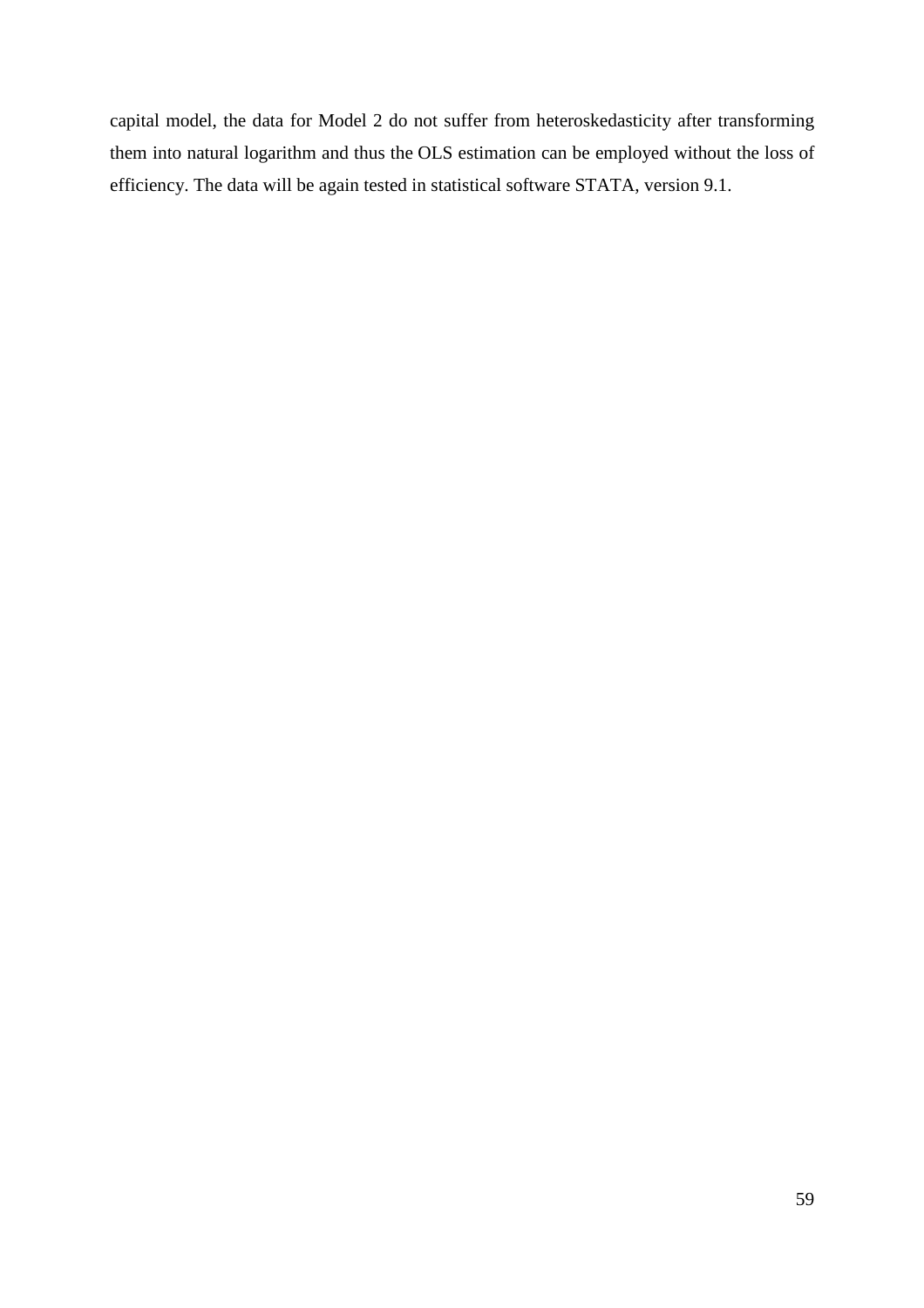capital model, the data for Model 2 do not suffer from heteroskedasticity after transforming them into natural logarithm and thus the OLS estimation can be employed without the loss of efficiency. The data will be again tested in statistical software STATA, version 9.1.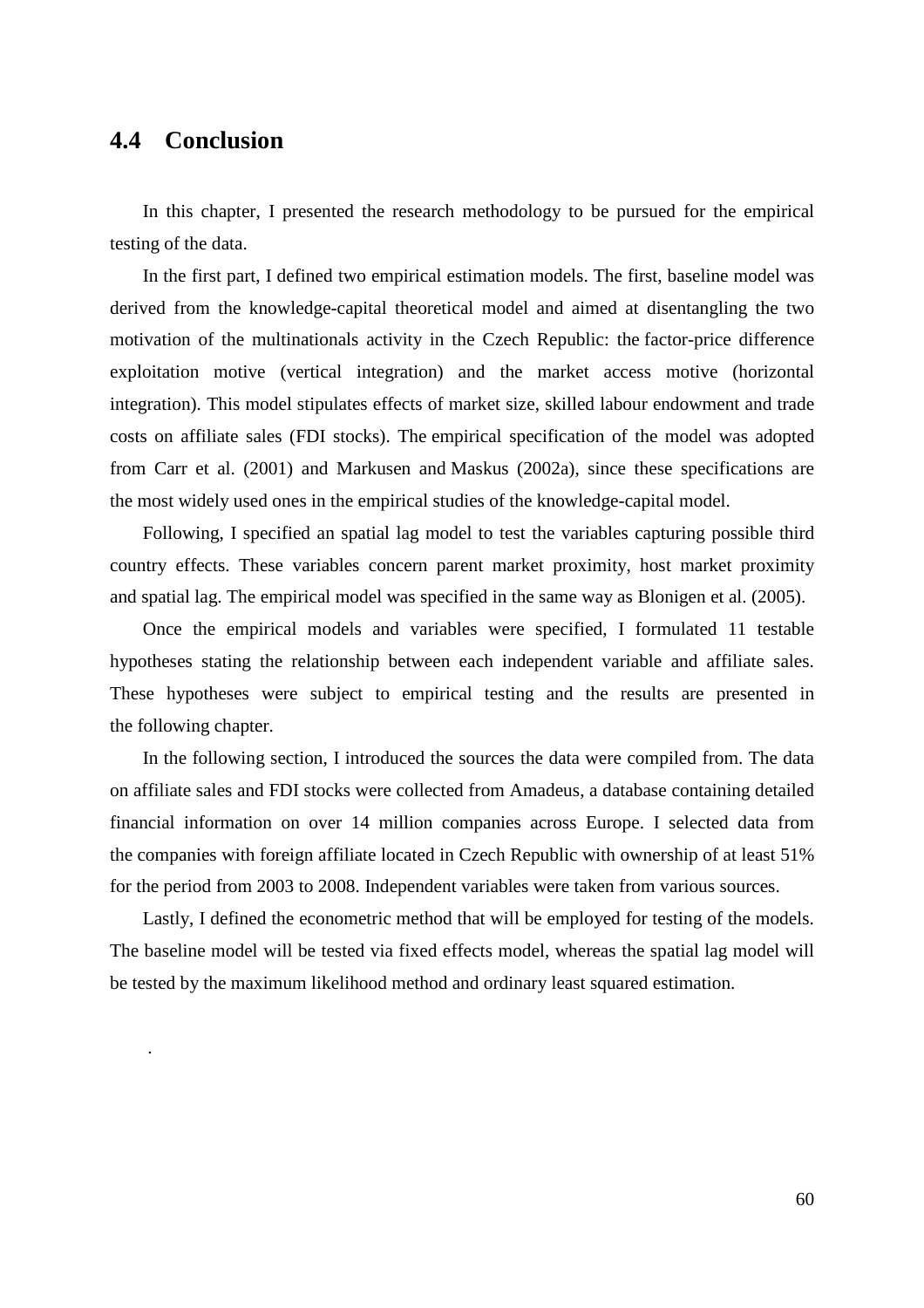## **4.4 Conclusion**

.

In this chapter, I presented the research methodology to be pursued for the empirical testing of the data.

In the first part, I defined two empirical estimation models. The first, baseline model was derived from the knowledge-capital theoretical model and aimed at disentangling the two motivation of the multinationals activity in the Czech Republic: the factor-price difference exploitation motive (vertical integration) and the market access motive (horizontal integration). This model stipulates effects of market size, skilled labour endowment and trade costs on affiliate sales (FDI stocks). The empirical specification of the model was adopted from Carr et al. (2001) and Markusen and Maskus (2002a), since these specifications are the most widely used ones in the empirical studies of the knowledge-capital model.

Following, I specified an spatial lag model to test the variables capturing possible third country effects. These variables concern parent market proximity, host market proximity and spatial lag. The empirical model was specified in the same way as Blonigen et al. (2005).

Once the empirical models and variables were specified, I formulated 11 testable hypotheses stating the relationship between each independent variable and affiliate sales. These hypotheses were subject to empirical testing and the results are presented in the following chapter.

In the following section, I introduced the sources the data were compiled from. The data on affiliate sales and FDI stocks were collected from Amadeus, a database containing detailed financial information on over 14 million companies across Europe. I selected data from the companies with foreign affiliate located in Czech Republic with ownership of at least 51% for the period from 2003 to 2008. Independent variables were taken from various sources.

Lastly, I defined the econometric method that will be employed for testing of the models. The baseline model will be tested via fixed effects model, whereas the spatial lag model will be tested by the maximum likelihood method and ordinary least squared estimation.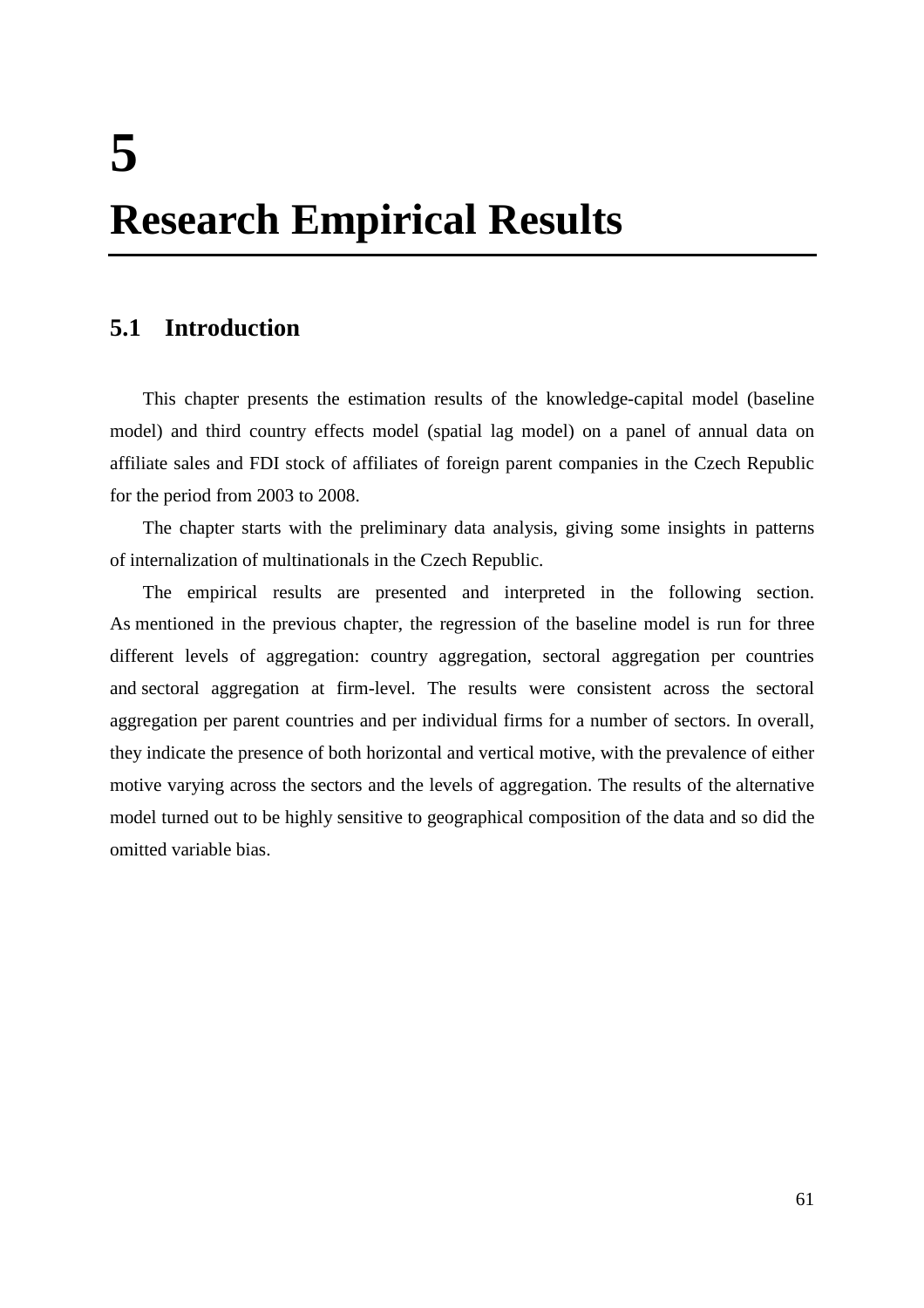# **5 Research Empirical Results**

## **5.1 Introduction**

This chapter presents the estimation results of the knowledge-capital model (baseline model) and third country effects model (spatial lag model) on a panel of annual data on affiliate sales and FDI stock of affiliates of foreign parent companies in the Czech Republic for the period from 2003 to 2008.

The chapter starts with the preliminary data analysis, giving some insights in patterns of internalization of multinationals in the Czech Republic.

The empirical results are presented and interpreted in the following section. As mentioned in the previous chapter, the regression of the baseline model is run for three different levels of aggregation: country aggregation, sectoral aggregation per countries and sectoral aggregation at firm-level. The results were consistent across the sectoral aggregation per parent countries and per individual firms for a number of sectors. In overall, they indicate the presence of both horizontal and vertical motive, with the prevalence of either motive varying across the sectors and the levels of aggregation. The results of the alternative model turned out to be highly sensitive to geographical composition of the data and so did the omitted variable bias.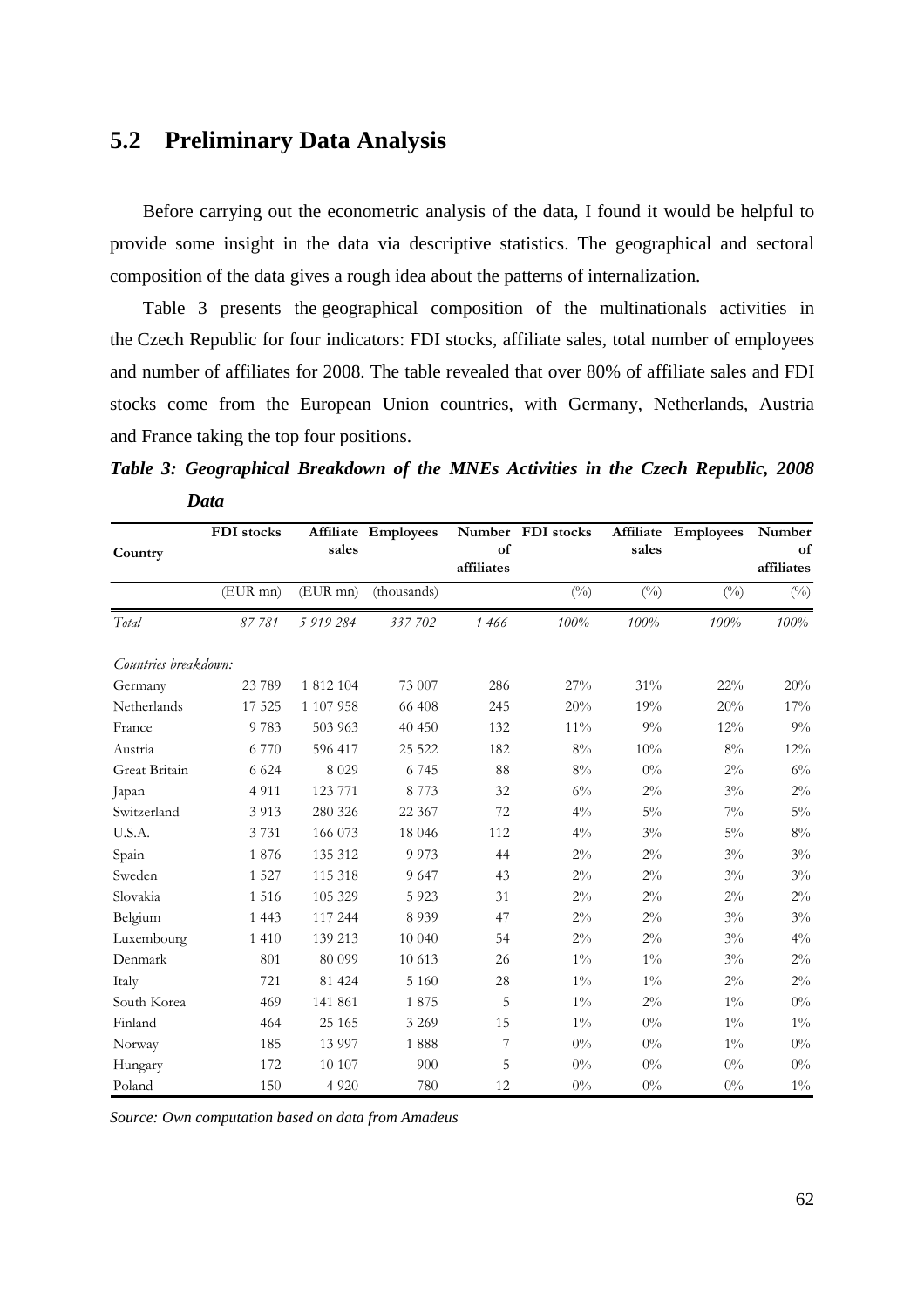## **5.2 Preliminary Data Analysis**

Before carrying out the econometric analysis of the data, I found it would be helpful to provide some insight in the data via descriptive statistics. The geographical and sectoral composition of the data gives a rough idea about the patterns of internalization.

Table 3 presents the geographical composition of the multinationals activities in the Czech Republic for four indicators: FDI stocks, affiliate sales, total number of employees and number of affiliates for 2008. The table revealed that over 80% of affiliate sales and FDI stocks come from the European Union countries, with Germany, Netherlands, Austria and France taking the top four positions.

*Table 3: Geographical Breakdown of the MNEs Activities in the Czech Republic, 2008 Data* 

|                      | FDI stocks    |           | Affiliate Employees |                  | Number FDI stocks |              | Affiliate Employees | Number           |
|----------------------|---------------|-----------|---------------------|------------------|-------------------|--------------|---------------------|------------------|
| Country              |               | sales     |                     | of<br>affiliates |                   | sales        |                     | of<br>affiliates |
|                      | $(EUR$ mn $)$ | (EUR mn)  | (thousands)         |                  | $(^{0}_{0})$      | $(^{0}_{0})$ | $(^{0}_{0})$        | $(^{0}_{0})$     |
| Total                | 87781         | 5 919 284 | 337 702             | 1466             | 100%              | 100%         | 100%                | 100%             |
| Countries breakdown: |               |           |                     |                  |                   |              |                     |                  |
| Germany              | 23 789        | 1 812 104 | 73 007              | 286              | 27%               | 31%          | 22%                 | 20%              |
| Netherlands          | 17 5 25       | 1 107 958 | 66 408              | 245              | 20%               | 19%          | 20%                 | 17%              |
| France               | 9783          | 503 963   | 40 450              | 132              | $11\%$            | 9%           | 12%                 | 9%               |
| Austria              | 6.770         | 596 417   | 25 5 22             | 182              | 8%                | 10%          | $8\%$               | 12%              |
| Great Britain        | 6 6 2 4       | 8 0 2 9   | 6745                | 88               | $8\%$             | $0\%$        | $2\%$               | $6\%$            |
| Japan                | 4 9 1 1       | 123 771   | 8 7 7 3             | 32               | $6\%$             | $2\%$        | $3\%$               | $2\%$            |
| Switzerland          | 3913          | 280 326   | 22 3 6 7            | 72               | $4\%$             | $5\%$        | $7\%$               | $5\%$            |
| U.S.A.               | 3 7 3 1       | 166 073   | 18 046              | 112              | $4\%$             | $3\%$        | $5\%$               | $8\%$            |
| Spain                | 1876          | 135 312   | 9973                | 44               | $2\%$             | $2\%$        | $3\%$               | $3\%$            |
| Sweden               | 1 5 2 7       | 115 318   | 9 6 4 7             | 43               | $2\%$             | $2\%$        | $3\%$               | $3\%$            |
| Slovakia             | 1 5 1 6       | 105 329   | 5923                | 31               | $2\%$             | $2\%$        | $2\%$               | $2\%$            |
| Belgium              | 1 4 4 3       | 117 244   | 8 9 3 9             | 47               | $2\%$             | $2\%$        | $3\%$               | $3\%$            |
| Luxembourg           | 1 4 1 0       | 139 213   | 10 040              | 54               | $2\%$             | $2\%$        | $3\%$               | $4\%$            |
| Denmark              | 801           | 80 099    | 10 613              | 26               | $1\%$             | $1\%$        | $3\%$               | $2\%$            |
| Italy                | 721           | 81 424    | 5 1 6 0             | 28               | $1\%$             | $1\%$        | $2\%$               | $2\%$            |
| South Korea          | 469           | 141 861   | 1875                | 5                | $1\%$             | $2\%$        | $1\%$               | $0\%$            |
| Finland              | 464           | 25 165    | 3 2 6 9             | 15               | $1\%$             | $0\%$        | $1\%$               | $1\%$            |
| Norway               | 185           | 13 9 9 7  | 1888                | 7                | $0\%$             | $0\%$        | $1\%$               | $0\%$            |
| Hungary              | 172           | 10 107    | 900                 | 5                | $0\%$             | $0\%$        | $0\%$               | $0\%$            |
| Poland               | 150           | 4 9 20    | 780                 | 12               | $0\%$             | $0\%$        | $0\%$               | $1\%$            |

*Source: Own computation based on data from Amadeus*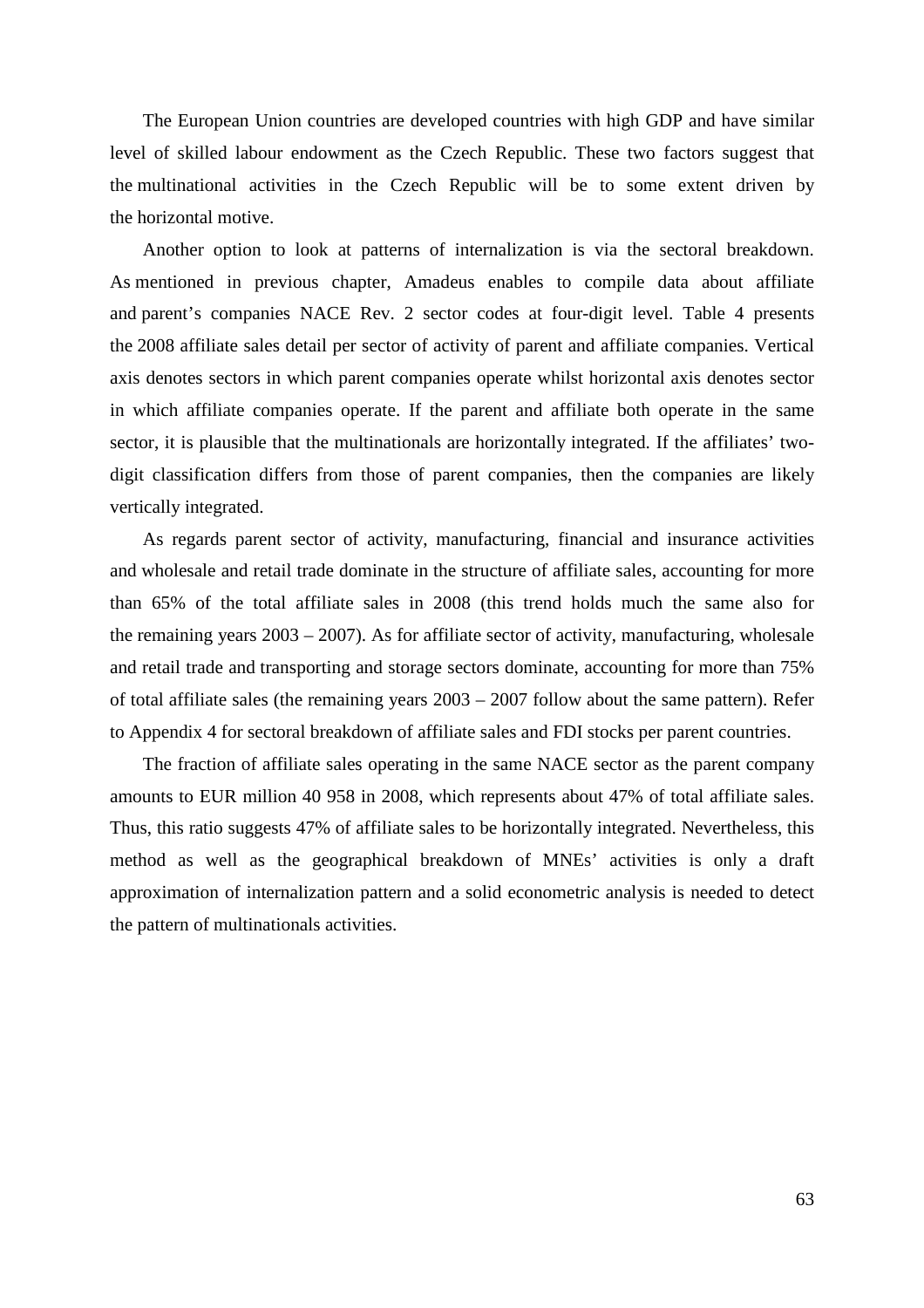The European Union countries are developed countries with high GDP and have similar level of skilled labour endowment as the Czech Republic. These two factors suggest that the multinational activities in the Czech Republic will be to some extent driven by the horizontal motive.

Another option to look at patterns of internalization is via the sectoral breakdown. As mentioned in previous chapter, Amadeus enables to compile data about affiliate and parent's companies NACE Rev. 2 sector codes at four-digit level. Table 4 presents the 2008 affiliate sales detail per sector of activity of parent and affiliate companies. Vertical axis denotes sectors in which parent companies operate whilst horizontal axis denotes sector in which affiliate companies operate. If the parent and affiliate both operate in the same sector, it is plausible that the multinationals are horizontally integrated. If the affiliates' twodigit classification differs from those of parent companies, then the companies are likely vertically integrated.

As regards parent sector of activity, manufacturing, financial and insurance activities and wholesale and retail trade dominate in the structure of affiliate sales, accounting for more than 65% of the total affiliate sales in 2008 (this trend holds much the same also for the remaining years 2003 – 2007). As for affiliate sector of activity, manufacturing, wholesale and retail trade and transporting and storage sectors dominate, accounting for more than 75% of total affiliate sales (the remaining years 2003 – 2007 follow about the same pattern). Refer to Appendix 4 for sectoral breakdown of affiliate sales and FDI stocks per parent countries.

The fraction of affiliate sales operating in the same NACE sector as the parent company amounts to EUR million 40 958 in 2008, which represents about 47% of total affiliate sales. Thus, this ratio suggests 47% of affiliate sales to be horizontally integrated. Nevertheless, this method as well as the geographical breakdown of MNEs' activities is only a draft approximation of internalization pattern and a solid econometric analysis is needed to detect the pattern of multinationals activities.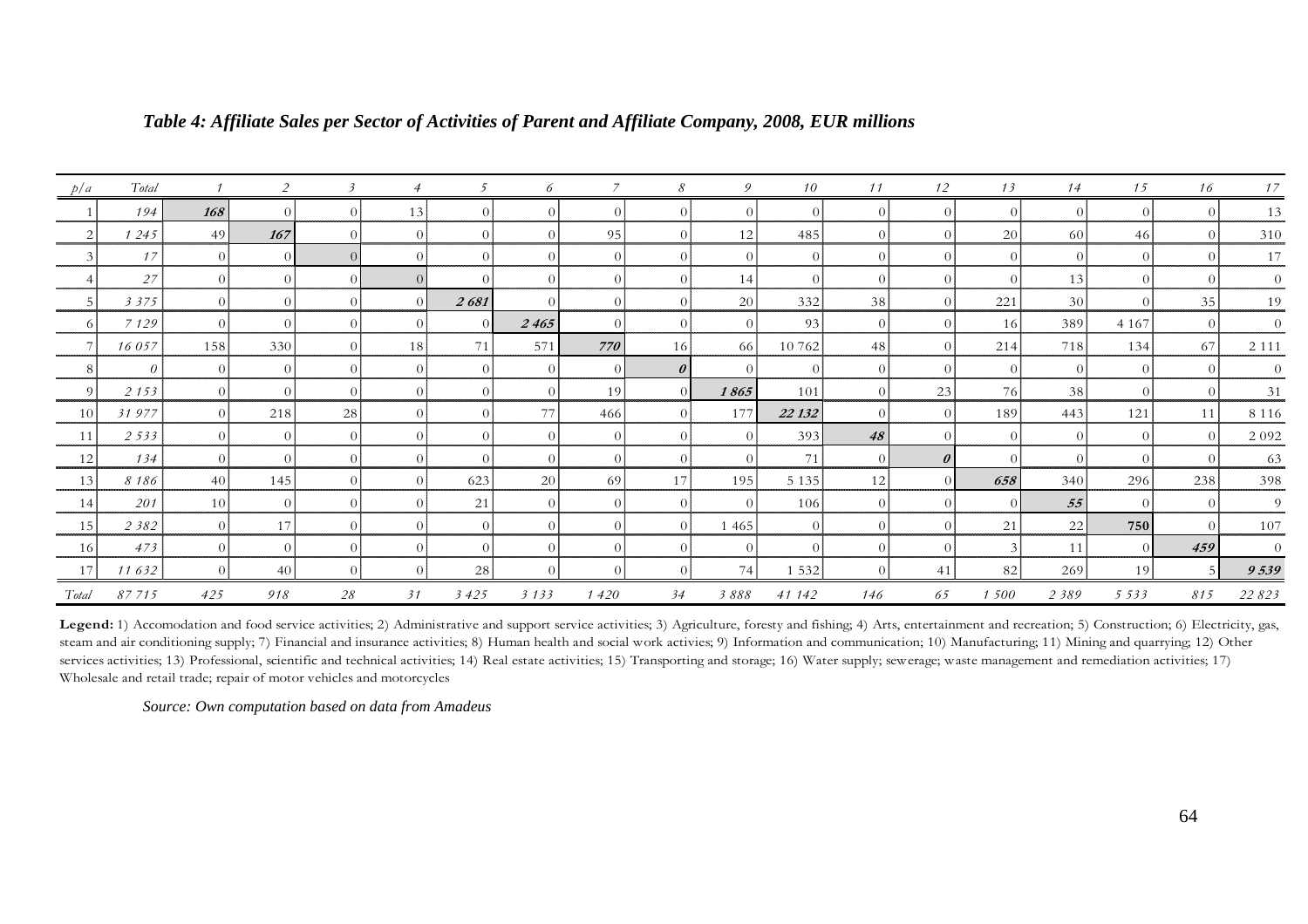| p/a            | Total    |                 | 2        |          |          |          | 6        |          | 8                | 9                | 10             | 11             | 12                    | 13             | 14              | 15             | 16             | 17       |
|----------------|----------|-----------------|----------|----------|----------|----------|----------|----------|------------------|------------------|----------------|----------------|-----------------------|----------------|-----------------|----------------|----------------|----------|
|                | 194      | 168             | $\Omega$ |          | 13       |          |          |          | $\Omega$         | $\Omega$         | $\Omega$       | $\Omega$       | $\Omega$              | $\Omega$       | $\Omega$        | $\Omega$       | $\Omega$       | 13       |
| $\overline{2}$ | 1245     | 49              | 167      | $\Omega$ | $\Omega$ | $\Omega$ | $\Omega$ | 95       | $\theta$         | 12               | 485            | $\overline{0}$ | $\overline{0}$        | <b>20</b>      | 60              | 46             | $\overline{0}$ | 310      |
| 3              | 17       | $\Omega$        | $\Omega$ | $\Omega$ |          | $\Omega$ |          | $\Omega$ | $\vert 0 \vert$  | $\theta$         | $\Omega$       | $\theta$       | $\theta$              | $\overline{0}$ | $\theta$        | $\theta$       | $\Omega$       | 17       |
|                | 27       | $\Omega$        | $\Omega$ | $\Omega$ | $\Omega$ |          |          |          | $\Omega$         | 14               | $\Omega$       | $\theta$       | $\overline{0}$        | $\Omega$       | 13              | $\Omega$       | $\Omega$       |          |
|                | 3 3 7 5  | $\Omega$        | $\Omega$ |          | $\Omega$ | 2681     | $\Omega$ | $\Omega$ | $\Omega$         | 20               | 332            | 38             | $\Omega$              | 221            | 30 <sup>1</sup> | $\Omega$       | 35             | 19       |
| 6              | 7 1 2 9  | $\Omega$        | $\Omega$ | $\Omega$ |          | $\Omega$ | 2465     | $\Omega$ | $\Omega$         | $\left 0\right $ | 93             | $\overline{0}$ | $\Omega$              | <sup>16</sup>  | 389             | 4 1 6 7        | $\Omega$       |          |
|                | 16057    | 158             | 330      | $\Omega$ | 18       | 71       | 571      | 770      | 16               | -66              | 10 762         | 48             | $\Omega$              | 214            | 718             | 134            | 67             | 2 1 1 1  |
|                | $\theta$ | $\Omega$        | $\Omega$ | $\Omega$ | $\Omega$ | $\Omega$ | $\Omega$ | $\theta$ | $\theta$         | $\Omega$         | $\Omega$       | $\overline{0}$ | $\Omega$              | $\overline{0}$ | $\overline{0}$  | $\Omega$       | $\Omega$       | $\theta$ |
| 9              | 2 1 5 3  | $\Omega$        | $\Omega$ | $\theta$ | $\theta$ | $\theta$ | $\theta$ | 19       | $\Omega$         | 1865             | 101            | $\overline{0}$ | 23                    | 76             | 38              | $\overline{0}$ | $\Omega$       | 31       |
| <sup>10</sup>  | 31977    | $\Omega$        | 218      | 28       |          |          | 77       | 466      | $\Omega$         | 177              | 22 132         | $\overline{0}$ | $\overline{0}$        | 189            | 443             | 121            | 11             | 8 1 1 6  |
| 11             | 2533     | ∩               | $\Omega$ | $\Omega$ |          | $\Omega$ |          | $\Omega$ | $\Omega$         | $\Omega$         | 393            | 48             | $\Omega$              | $\Omega$       | $\Omega$        | $\Omega$       | $\Omega$       | 2 0 9 2  |
| 12             | 134      | $\Omega$        | $\Omega$ | $\Omega$ |          | $\Omega$ | $\Omega$ | $\Omega$ | $\overline{0}$   | $\Omega$         | 71             | $\Omega$       | $\boldsymbol{\theta}$ | $\overline{0}$ | $\overline{0}$  | $\Omega$       | $\Omega$       | 63       |
| 13             | 8186     | 40              | 145      | $\Omega$ | $\Omega$ | 623      | 20       | 69       | 17               | 195              | 5 1 3 5        | 12             | $\Omega$              | 658            | 340             | 296            | 238            | 398      |
| 14             | 201      | 10 <sup>1</sup> | $\theta$ | $\Omega$ | $\Omega$ | 21       | $\Omega$ | $\Omega$ | $\left 0\right $ | $\vert$ 0        | 106            | $\overline{0}$ | $\overline{0}$        | $\overline{0}$ | 55              | $\Omega$       | $\Omega$       | -9       |
| 15             | 2 3 8 2  | $\Omega$        | 17       | $\Omega$ | $\Omega$ | $\Omega$ | $\Omega$ | $\Omega$ | $\overline{0}$   | 1 4 6 5          | $\overline{0}$ | $\overline{0}$ | $\overline{0}$        | 21             | 22              | 750            | $\Omega$       | 107      |
| 16             | 473      | $\Omega$        | $\Omega$ |          |          |          |          |          | $\vert$ 0        | $\Omega$         | $\Omega$       | $\Omega$       | $\Omega$              | $\mathcal{Z}$  | 11              | $\Omega$       | 459            |          |
| 17             | 11632    | $\Omega$        | 40       | $\Omega$ | $\Omega$ | 28       | $\Omega$ | $\Omega$ | $\Omega$         | 74               | 1 5 3 2        | $\Omega$       | 41                    | <sup>82</sup>  | 269             | 19             | $\sqrt{5}$     | 9539     |
| Total          | 87715    | 425             | 918      | 28       | 31       | 3425     | 3133     | 1420     | 34               | 3888             | 41 142         | 146            | 65                    | 1 500          | 2389            | 5 5 3 3        | 815            | 22 823   |

#### *Table 4: Affiliate Sales per Sector of Activities of Parent and Affiliate Company, 2008, EUR millions*

Legend: 1) Accomodation and food service activities; 2) Administrative and support service activities; 3) Agriculture, foresty and fishing; 4) Arts, entertainment and recreation; 5) Construction; 6) Electricity, gas, steam and air conditioning supply; 7) Financial and insurance activities; 8) Human health and social work activies; 9) Information and communication; 10) Manufacturing; 11) Mining and quarrying; 12) Otherservices activities; 13) Professional, scientific and technical activities; 14) Real estate activities; 15) Transporting and storage; 16) Water supply; sewerage; waste management and remediation activities; 17) Wholesale and retail trade; repair of motor vehicles and motorcycles

*Source: Own computation based on data from Amadeus*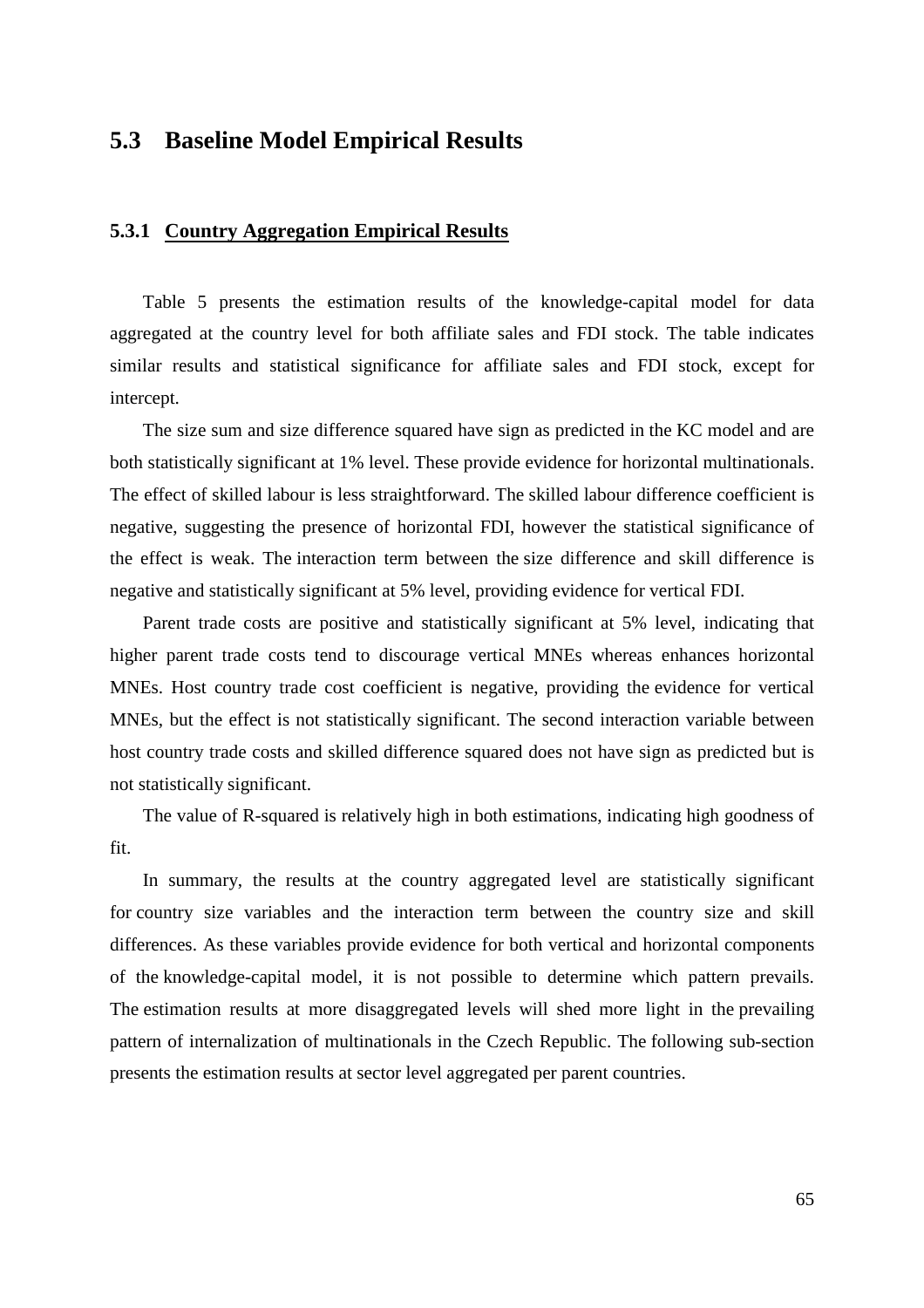## **5.3 Baseline Model Empirical Results**

#### **5.3.1 Country Aggregation Empirical Results**

Table 5 presents the estimation results of the knowledge-capital model for data aggregated at the country level for both affiliate sales and FDI stock. The table indicates similar results and statistical significance for affiliate sales and FDI stock, except for intercept.

The size sum and size difference squared have sign as predicted in the KC model and are both statistically significant at 1% level. These provide evidence for horizontal multinationals. The effect of skilled labour is less straightforward. The skilled labour difference coefficient is negative, suggesting the presence of horizontal FDI, however the statistical significance of the effect is weak. The interaction term between the size difference and skill difference is negative and statistically significant at 5% level, providing evidence for vertical FDI.

Parent trade costs are positive and statistically significant at 5% level, indicating that higher parent trade costs tend to discourage vertical MNEs whereas enhances horizontal MNEs. Host country trade cost coefficient is negative, providing the evidence for vertical MNEs, but the effect is not statistically significant. The second interaction variable between host country trade costs and skilled difference squared does not have sign as predicted but is not statistically significant.

The value of R-squared is relatively high in both estimations, indicating high goodness of fit.

In summary, the results at the country aggregated level are statistically significant for country size variables and the interaction term between the country size and skill differences. As these variables provide evidence for both vertical and horizontal components of the knowledge-capital model, it is not possible to determine which pattern prevails. The estimation results at more disaggregated levels will shed more light in the prevailing pattern of internalization of multinationals in the Czech Republic. The following sub-section presents the estimation results at sector level aggregated per parent countries.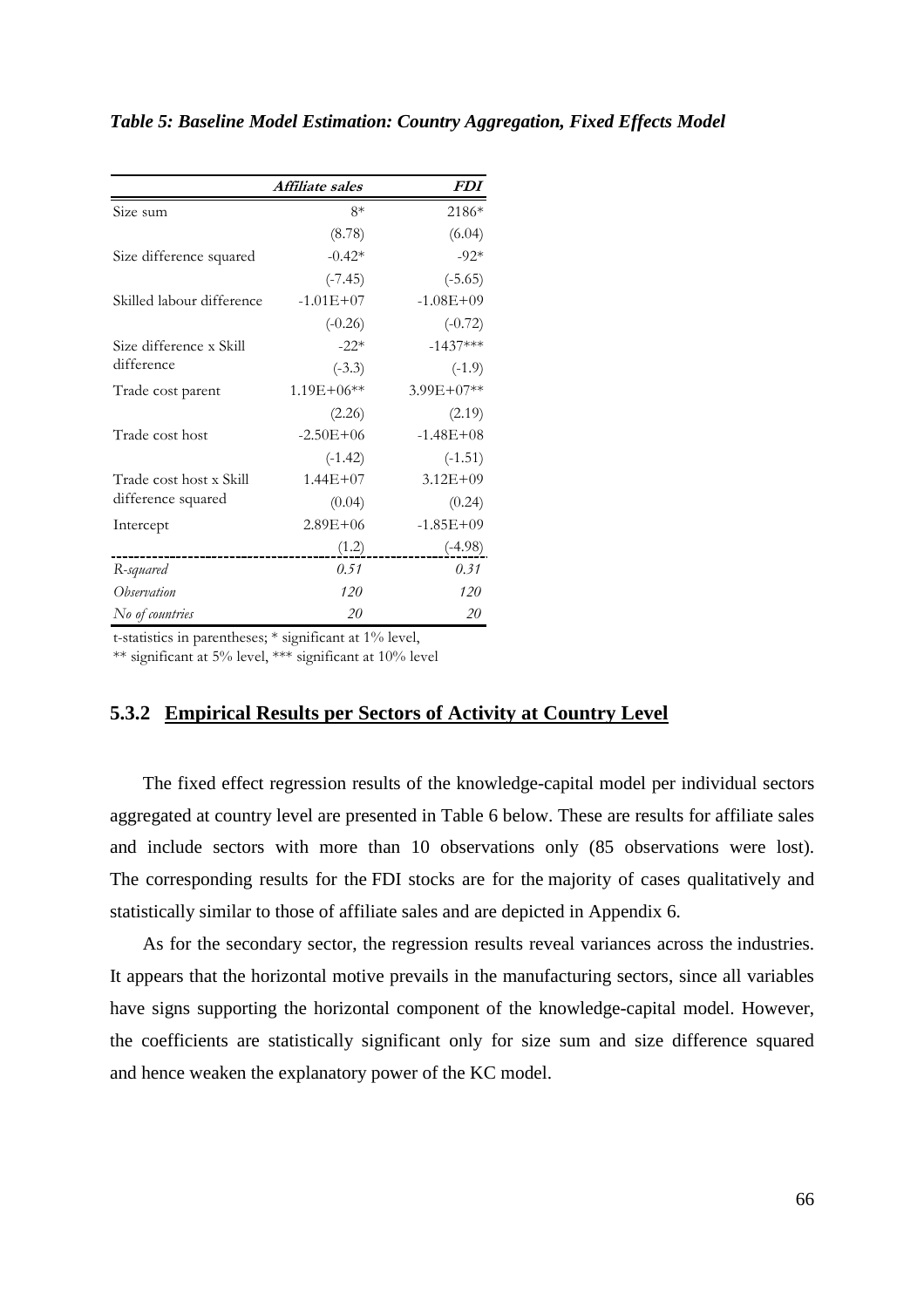|                           | Affiliate sales | <i>FDI</i>     |
|---------------------------|-----------------|----------------|
| Size sum                  | $8*$            | 2186*          |
|                           | (8.78)          | (6.04)         |
| Size difference squared   | $-0.42*$        | $-92*$         |
|                           | $(-7.45)$       | $(-5.65)$      |
| Skilled labour difference | $-1.01E + 07$   | $-1.08E + 09$  |
|                           | $(-0.26)$       | $(-0.72)$      |
| Size difference x Skill   | $-22*$          | $-1437***$     |
| difference                | $(-3.3)$        | $(-1.9)$       |
| Trade cost parent         | $1.19E + 06**$  | $3.99E + 07**$ |
|                           | (2.26)          | (2.19)         |
| Trade cost host           | $-2.50E + 06$   | $-1.48E + 08$  |
|                           | $(-1.42)$       | $(-1.51)$      |
| Trade cost host x Skill   | $1.44E + 07$    | $3.12E + 09$   |
| difference squared        | (0.04)          | (0.24)         |
| Intercept                 | $2.89E + 06$    | $-1.85E + 09$  |
|                           | (1.2)           | $(-4.98)$      |
| R-squared                 | 0.51            | 0.31           |
| Observation               | 120             | 120            |
| No of countries           | 20              | 20             |

#### *Table 5: Baseline Model Estimation: Country Aggregation, Fixed Effects Model*

t-statistics in parentheses; \* significant at 1% level,

\*\* significant at 5% level, \*\*\* significant at 10% level

#### **5.3.2 Empirical Results per Sectors of Activity at Country Level**

The fixed effect regression results of the knowledge-capital model per individual sectors aggregated at country level are presented in Table 6 below. These are results for affiliate sales and include sectors with more than 10 observations only (85 observations were lost). The corresponding results for the FDI stocks are for the majority of cases qualitatively and statistically similar to those of affiliate sales and are depicted in Appendix 6.

As for the secondary sector, the regression results reveal variances across the industries. It appears that the horizontal motive prevails in the manufacturing sectors, since all variables have signs supporting the horizontal component of the knowledge-capital model. However, the coefficients are statistically significant only for size sum and size difference squared and hence weaken the explanatory power of the KC model.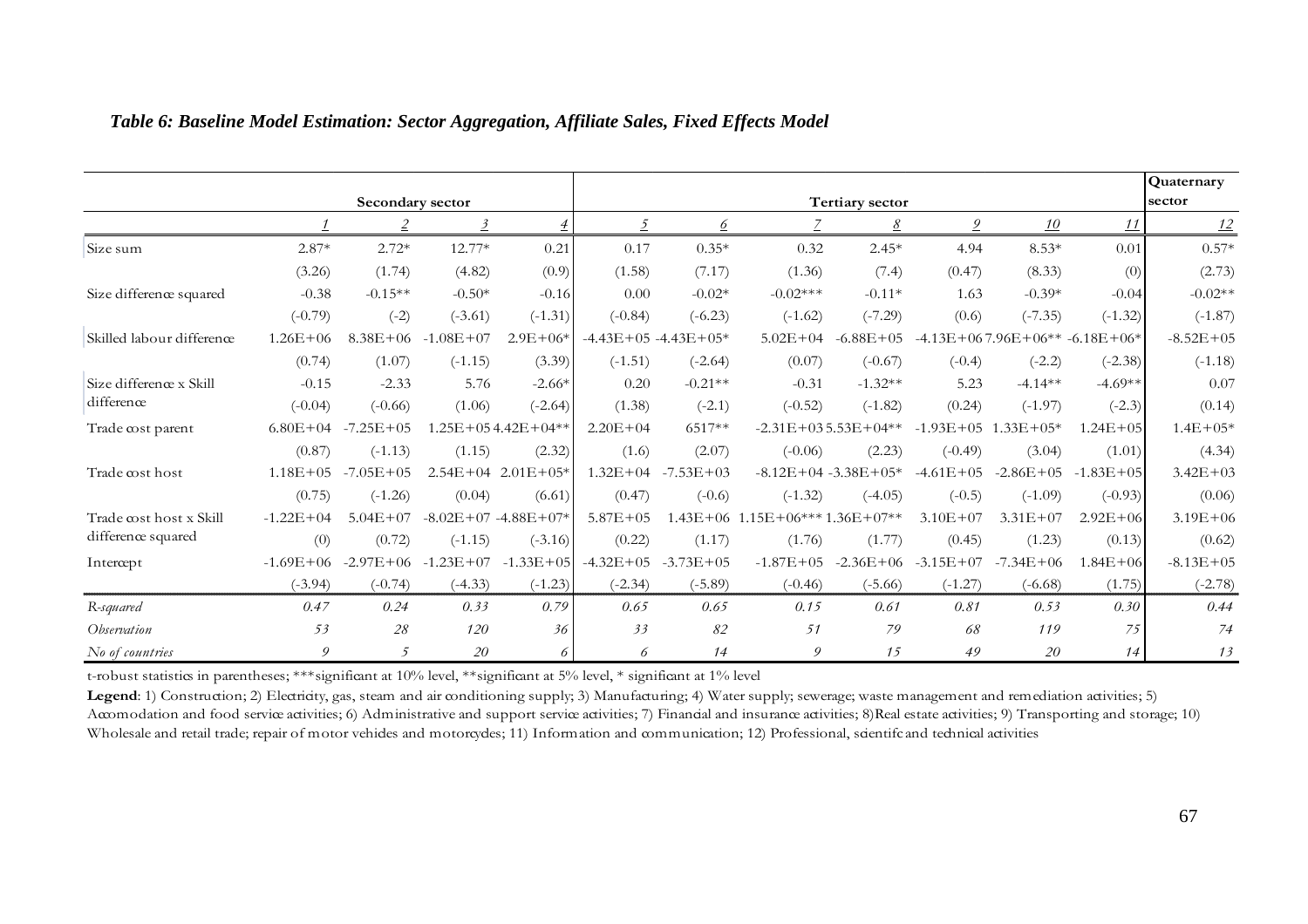|                           |               |                  |               |                             |              |                             |                                    |                             |                             |                                        |               | Quaternary<br>sector |  |  |
|---------------------------|---------------|------------------|---------------|-----------------------------|--------------|-----------------------------|------------------------------------|-----------------------------|-----------------------------|----------------------------------------|---------------|----------------------|--|--|
|                           |               | Secondary sector |               |                             |              | Tertiary sector             |                                    |                             |                             |                                        |               |                      |  |  |
|                           |               |                  |               |                             |              |                             |                                    |                             |                             | <u>10</u>                              | 11            | 12                   |  |  |
| Size sum                  | $2.87*$       | $2.72*$          | 12.77*        | 0.21                        | 0.17         | $0.35*$                     | 0.32                               | $2.45*$                     | 4.94                        | $8.53*$                                | 0.01          | $0.57*$              |  |  |
|                           | (3.26)        | (1.74)           | (4.82)        | (0.9)                       | (1.58)       | (7.17)                      | (1.36)                             | (7.4)                       | (0.47)                      | (8.33)                                 | (0)           | (2.73)               |  |  |
| Size difference squared   | $-0.38$       | $-0.15**$        | $-0.50*$      | $-0.16$                     | 0.00         | $-0.02*$                    | $-0.02***$                         | $-0.11*$                    | 1.63                        | $-0.39*$                               | $-0.04$       | $-0.02**$            |  |  |
|                           | $(-0.79)$     | $(-2)$           | $(-3.61)$     | $(-1.31)$                   | $(-0.84)$    | $(-6.23)$                   | $(-1.62)$                          | $(-7.29)$                   | (0.6)                       | $(-7.35)$                              | $(-1.32)$     | $(-1.87)$            |  |  |
| Skilled labour difference | $1.26E + 06$  | $8.38E + 06$     | $-1.08E + 07$ | $2.9E + 06*$                |              | $-4.43E + 05 - 4.43E + 05*$ | $5.02E + 04$                       | $-6.88E + 05$               |                             | $-4.13E + 067.96E + 06** -6.18E + 06*$ |               | $-8.52E + 05$        |  |  |
|                           | (0.74)        | (1.07)           | $(-1.15)$     | (3.39)                      | $(-1.51)$    | $(-2.64)$                   | (0.07)                             | $(-0.67)$                   | $(-0.4)$                    | $(-2.2)$                               | $(-2.38)$     | $(-1.18)$            |  |  |
| Size difference x Skill   | $-0.15$       | $-2.33$          | 5.76          | $-2.66*$                    | 0.20         | $-0.21**$                   | $-0.31$                            | $-1.32**$                   | 5.23                        | $-4.14**$                              | $-4.69**$     | 0.07                 |  |  |
| difference                | $(-0.04)$     | $(-0.66)$        | (1.06)        | $(-2.64)$                   | (1.38)       | $(-2.1)$                    | $(-0.52)$                          | $(-1.82)$                   | (0.24)                      | $(-1.97)$                              | $(-2.3)$      | (0.14)               |  |  |
| Trade cost parent         | $6.80E + 04$  | $-7.25E + 05$    |               | $1.25E + 054.42E + 04**$    | $2.20E + 04$ | 6517**                      |                                    | $-2.31E + 035.53E + 04**$   | $-1.93E + 05$ $1.33E + 05*$ |                                        | $1.24E + 05$  | $1.4E + 05*$         |  |  |
|                           | (0.87)        | $(-1.13)$        | (1.15)        | (2.32)                      | (1.6)        | (2.07)                      | $(-0.06)$                          | (2.23)                      | $(-0.49)$                   | (3.04)                                 | (1.01)        | (4.34)               |  |  |
| Trade cost host           | $1.18E + 05$  | $-7.05E + 05$    |               | $2.54E+04$ $2.01E+05*$      | $1.32E + 04$ | $-7.53E + 03$               |                                    | $-8.12E + 04 - 3.38E + 05*$ | $-4.61E+05$                 | $-2.86E+05$                            | $-1.83E + 05$ | $3.42E + 03$         |  |  |
|                           | (0.75)        | $(-1.26)$        | (0.04)        | (6.61)                      | (0.47)       | $(-0.6)$                    | $(-1.32)$                          | $(-4.05)$                   | $(-0.5)$                    | $(-1.09)$                              | $(-0.93)$     | (0.06)               |  |  |
| Trade cost host x Skill   | $-1.22E + 04$ | $5.04E + 07$     |               | $-8.02E + 07 - 4.88E + 07*$ | $5.87E + 05$ |                             | $1.43E+06$ $1.15E+06***1.36E+07**$ |                             | $3.10E + 07$                | $3.31E + 07$                           | $2.92E + 06$  | $3.19E + 06$         |  |  |
| difference squared        | (0)           | (0.72)           | $(-1.15)$     | $(-3.16)$                   | (0.22)       | (1.17)                      | (1.76)                             | (1.77)                      | (0.45)                      | (1.23)                                 | (0.13)        | (0.62)               |  |  |
| Intercept                 | $-1.69E + 06$ | $-2.97E + 06$    |               | $-1.23E+07$ $-1.33E+05$     |              | $-4.32E+05$ $-3.73E+05$     | $-1.87E + 05$                      | $-2.36E + 06$               | $-3.15E+07$ $-7.34E+06$     |                                        | $1.84E + 06$  | $-8.13E + 05$        |  |  |
|                           | $(-3.94)$     | $(-0.74)$        | $(-4.33)$     | $(-1.23)$                   | $(-2.34)$    | $(-5.89)$                   | $(-0.46)$                          | $(-5.66)$                   | $(-1.27)$                   | $(-6.68)$                              | (1.75)        | $(-2.78)$            |  |  |
| R-squared                 | 0.47          | 0.24             | 0.33          | 0.79                        | 0.65         | 0.65                        | 0.15                               | 0.61                        | 0.81                        | 0.53                                   | 0.30          | 0.44                 |  |  |
| <i>Observation</i>        | 53            | 28               | 120           | 36                          | 33           | 82                          | 51                                 | 79                          | 68                          | 119                                    | 75            | 74                   |  |  |
| No of countries           | 9             | 5                | 20            | 6                           | 6            | 14                          | 9                                  | 15                          | 49                          | 20                                     | 14            | 13                   |  |  |

#### *Table 6: Baseline Model Estimation: Sector Aggregation, Affiliate Sales, Fixed Effects Model*

t-robust statistics in parentheses; \*\*\*significant at 10% level, \*\*significant at 5% level, \* significant at 1% level

Legend: 1) Construction; 2) Electricity, gas, steam and air conditioning supply; 3) Manufacturing; 4) Water supply; sewerage; waste management and remediation activities; 5) Accomodation and food service activities; 6) Administrative and support service activities; 7) Financial and insurance activities; 8)Real estate activities; 9) Transporting and storage; 10) Wholesale and retail trade; repair of motor vehides and motorcydes; 11) Information and communication; 12) Professional, scientifc and technical activities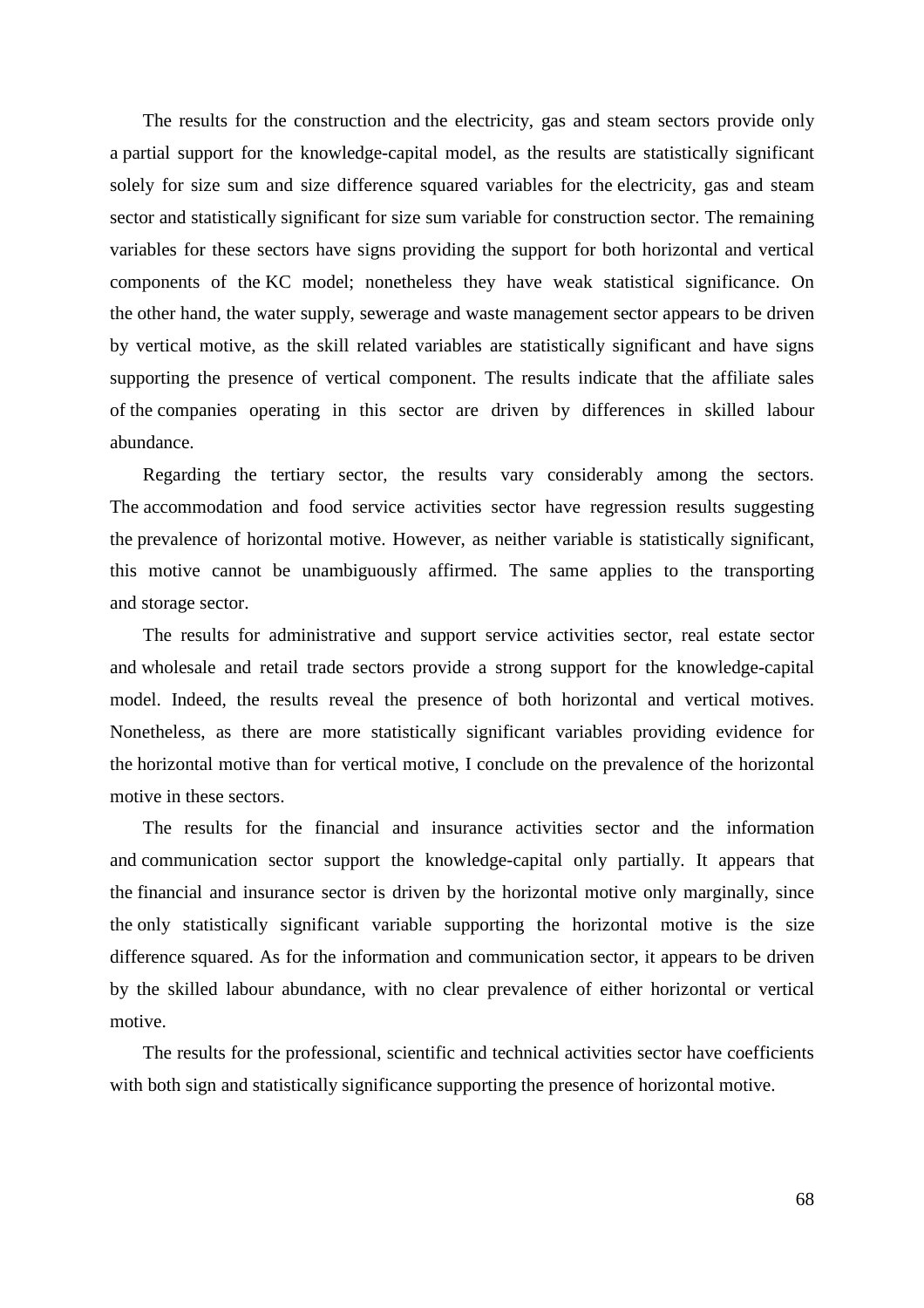The results for the construction and the electricity, gas and steam sectors provide only a partial support for the knowledge-capital model, as the results are statistically significant solely for size sum and size difference squared variables for the electricity, gas and steam sector and statistically significant for size sum variable for construction sector. The remaining variables for these sectors have signs providing the support for both horizontal and vertical components of the KC model; nonetheless they have weak statistical significance. On the other hand, the water supply, sewerage and waste management sector appears to be driven by vertical motive, as the skill related variables are statistically significant and have signs supporting the presence of vertical component. The results indicate that the affiliate sales of the companies operating in this sector are driven by differences in skilled labour abundance.

Regarding the tertiary sector, the results vary considerably among the sectors. The accommodation and food service activities sector have regression results suggesting the prevalence of horizontal motive. However, as neither variable is statistically significant, this motive cannot be unambiguously affirmed. The same applies to the transporting and storage sector.

The results for administrative and support service activities sector, real estate sector and wholesale and retail trade sectors provide a strong support for the knowledge-capital model. Indeed, the results reveal the presence of both horizontal and vertical motives. Nonetheless, as there are more statistically significant variables providing evidence for the horizontal motive than for vertical motive, I conclude on the prevalence of the horizontal motive in these sectors.

The results for the financial and insurance activities sector and the information and communication sector support the knowledge-capital only partially. It appears that the financial and insurance sector is driven by the horizontal motive only marginally, since the only statistically significant variable supporting the horizontal motive is the size difference squared. As for the information and communication sector, it appears to be driven by the skilled labour abundance, with no clear prevalence of either horizontal or vertical motive.

The results for the professional, scientific and technical activities sector have coefficients with both sign and statistically significance supporting the presence of horizontal motive.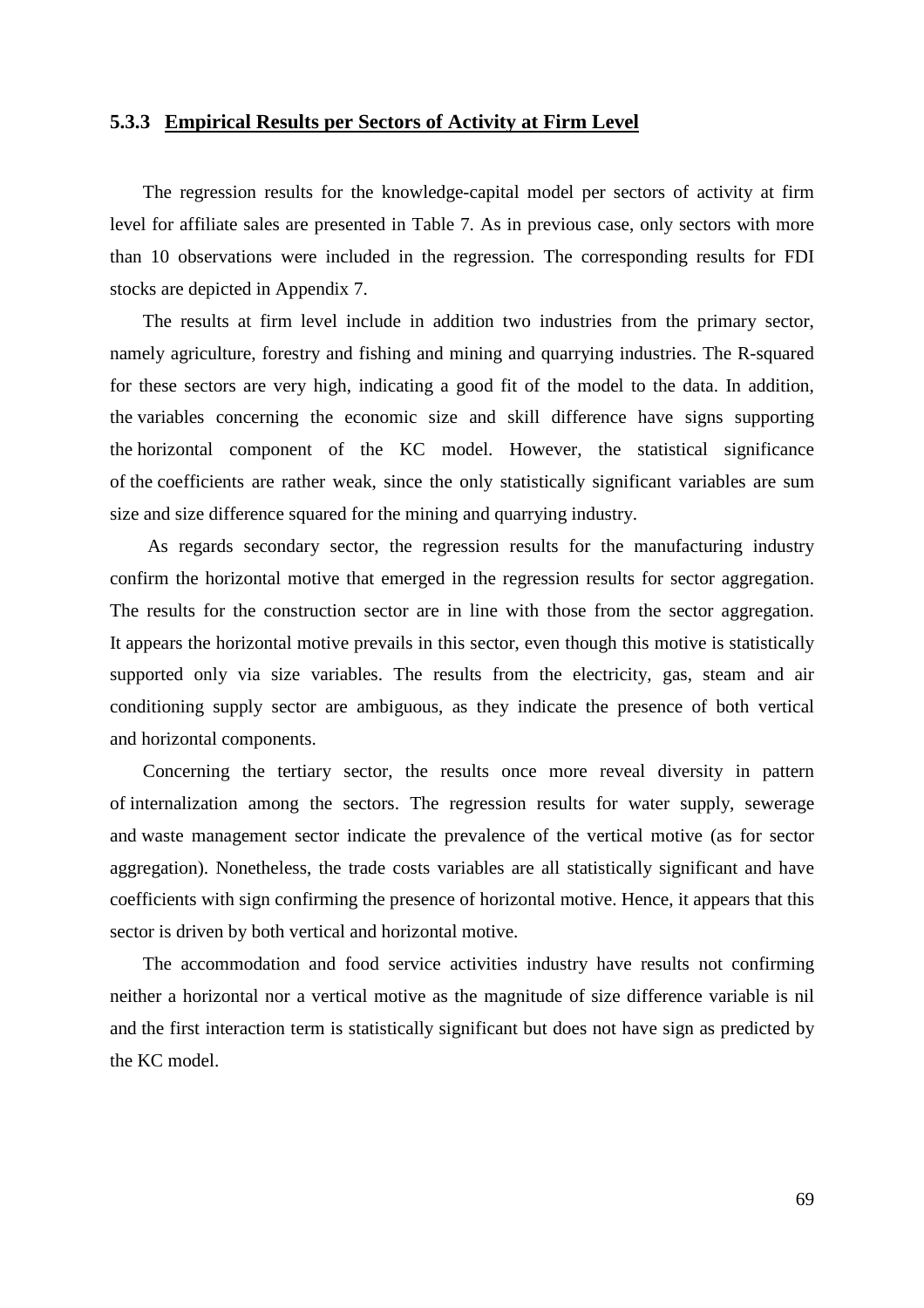#### **5.3.3 Empirical Results per Sectors of Activity at Firm Level**

The regression results for the knowledge-capital model per sectors of activity at firm level for affiliate sales are presented in Table 7. As in previous case, only sectors with more than 10 observations were included in the regression. The corresponding results for FDI stocks are depicted in Appendix 7.

The results at firm level include in addition two industries from the primary sector, namely agriculture, forestry and fishing and mining and quarrying industries. The R-squared for these sectors are very high, indicating a good fit of the model to the data. In addition, the variables concerning the economic size and skill difference have signs supporting the horizontal component of the KC model. However, the statistical significance of the coefficients are rather weak, since the only statistically significant variables are sum size and size difference squared for the mining and quarrying industry.

 As regards secondary sector, the regression results for the manufacturing industry confirm the horizontal motive that emerged in the regression results for sector aggregation. The results for the construction sector are in line with those from the sector aggregation. It appears the horizontal motive prevails in this sector, even though this motive is statistically supported only via size variables. The results from the electricity, gas, steam and air conditioning supply sector are ambiguous, as they indicate the presence of both vertical and horizontal components.

Concerning the tertiary sector, the results once more reveal diversity in pattern of internalization among the sectors. The regression results for water supply, sewerage and waste management sector indicate the prevalence of the vertical motive (as for sector aggregation). Nonetheless, the trade costs variables are all statistically significant and have coefficients with sign confirming the presence of horizontal motive. Hence, it appears that this sector is driven by both vertical and horizontal motive.

The accommodation and food service activities industry have results not confirming neither a horizontal nor a vertical motive as the magnitude of size difference variable is nil and the first interaction term is statistically significant but does not have sign as predicted by the KC model.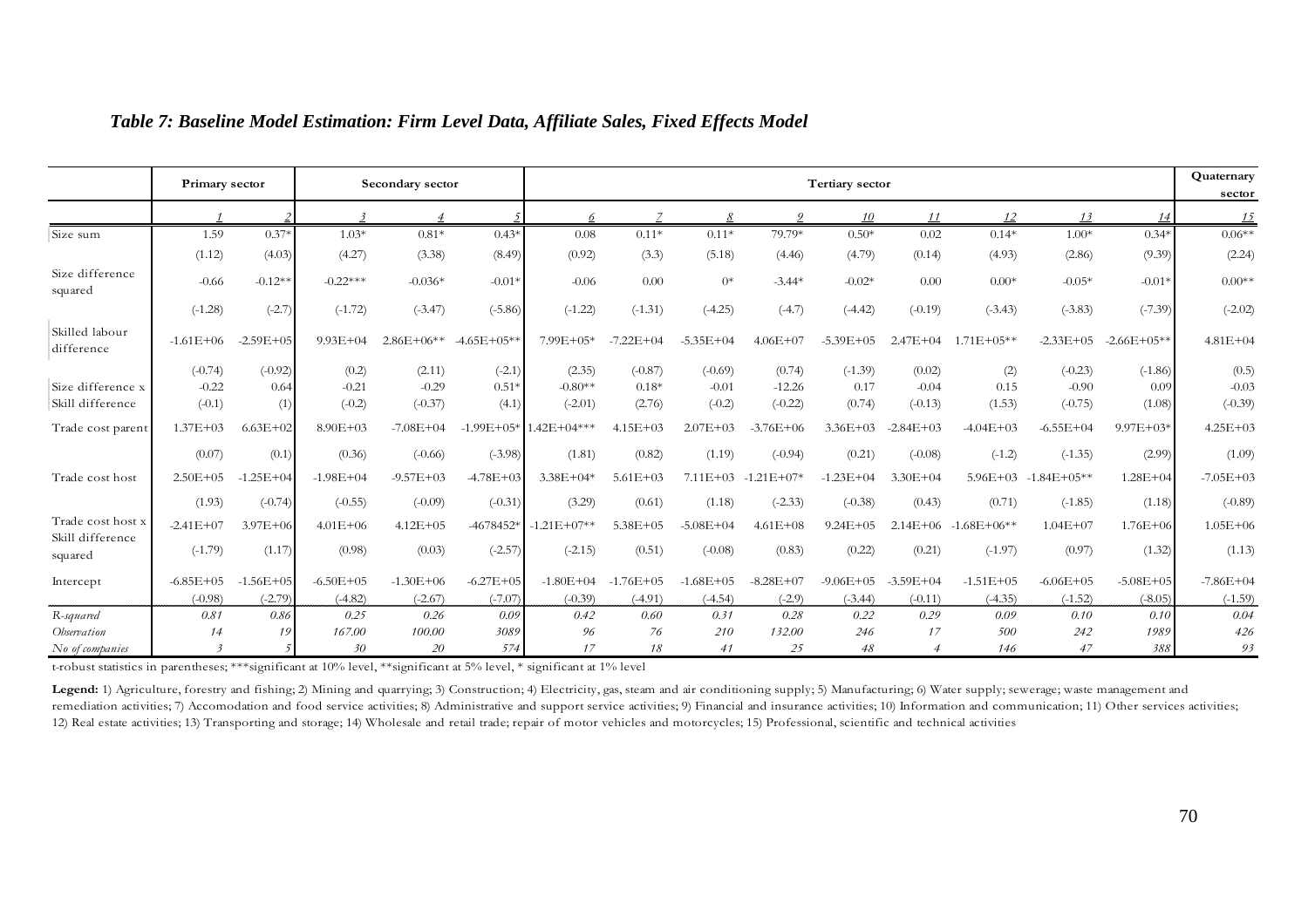|                              | Primary sector |                |               | Secondary sector |               | Tertiary sector          |               |               |               |               |                |                         | Quaternary    |               |               |  |
|------------------------------|----------------|----------------|---------------|------------------|---------------|--------------------------|---------------|---------------|---------------|---------------|----------------|-------------------------|---------------|---------------|---------------|--|
|                              |                |                |               |                  |               |                          |               |               |               | 10            | 11             | 12                      | 13            | 14            | <u> 15</u>    |  |
| Size sum                     | 1.59           | $0.37*$        | $1.03*$       | $0.81*$          | $0.43*$       | 0.08                     | $0.11*$       | $0.11*$       | 79.79*        | $0.50*$       | 0.02           | $0.14*$                 | $1.00*$       | $0.34*$       | $0.06**$      |  |
|                              | (1.12)         | (4.03)         | (4.27)        | (3.38)           | (8.49)        | (0.92)                   | (3.3)         | (5.18)        | (4.46)        | (4.79)        | (0.14)         | (4.93)                  | (2.86)        | (9.39)        | (2.24)        |  |
| Size difference<br>squared   | $-0.66$        | $-0.12**$      | $-0.22***$    | $-0.036*$        | $-0.01*$      | $-0.06$                  | 0.00          | $0^*$         | $-3.44*$      | $-0.02*$      | 0.00           | $0.00*$                 | $-0.05*$      | $-0.01*$      | $0.00**$      |  |
|                              | $(-1.28)$      | $(-2.7)$       | $(-1.72)$     | $(-3.47)$        | $(-5.86)$     | $(-1.22)$                | $(-1.31)$     | $(-4.25)$     | $(-4.7)$      | $(-4.42)$     | $(-0.19)$      | $(-3.43)$               | $(-3.83)$     | $(-7.39)$     | $(-2.02)$     |  |
| Skilled labour<br>difference | $-1.61E + 06$  | $-2.59E + 0.5$ | $9.93E + 04$  | $2.86E+06**$     | $-4.65E+05**$ | 7.99E+05*                | $-7.22E + 04$ | $-5.35E + 04$ | $4.06E + 07$  | $-5.39E + 05$ |                | $2.47E+04$ $1.71E+05**$ | $-2.33E+0.5$  | $-2.66E+05**$ | $4.81E + 04$  |  |
|                              | $(-0.74)$      | $(-0.92)$      | (0.2)         | (2.11)           | $(-2.1)$      | (2.35)                   | $(-0.87)$     | $(-0.69)$     | (0.74)        | $(-1.39)$     | (0.02)         | (2)                     | $(-0.23)$     | $(-1.86)$     | (0.5)         |  |
| Size difference x            | $-0.22$        | 0.64           | $-0.21$       | $-0.29$          | $0.51*$       | $-0.80**$                | $0.18*$       | $-0.01$       | $-12.26$      | 0.17          | $-0.04$        | 0.15                    | $-0.90$       | 0.09          | $-0.03$       |  |
| Skill difference             | $(-0.1)$       | (1)            | $(-0.2)$      | $(-0.37)$        | (4.1)         | $(-2.01)$                | (2.76)        | $(-0.2)$      | $(-0.22)$     | (0.74)        | $(-0.13)$      | (1.53)                  | $(-0.75)$     | (1.08)        | $(-0.39)$     |  |
| Trade cost parent            | $1.37E + 03$   | $6.63E + 02$   | $8.90E + 03$  | $-7.08E + 04$    |               | $-1.99E+05*$ 1.42E+04*** | $4.15E + 03$  | $2.07E + 03$  | $-3.76E + 06$ | $3.36E + 03$  | $-2.84E+03$    | $-4.04E + 03$           | $-6.55E + 04$ | $9.97E + 03*$ | $4.25E + 03$  |  |
|                              | (0.07)         | (0.1)          | (0.36)        | $(-0.66)$        | $(-3.98)$     | (1.81)                   | (0.82)        | (1.19)        | $(-0.94)$     | (0.21)        | $(-0.08)$      | $(-1.2)$                | $(-1.35)$     | (2.99)        | (1.09)        |  |
| Trade cost host              | $2.50E + 05$   | $-1.25E + 0$   | $-1.98E + 04$ | $-9.57E + 03$    | $-4.78E + 03$ | $3.38E + 04*$            | $5.61E + 03$  | $7.11E + 03$  | $-1.21E+07*$  | $-1.23E + 04$ | $3.30E + 04$   | $5.96E + 03$            | $-1.84E+05**$ | $1.28E + 04$  | $-7.05E + 03$ |  |
|                              | (1.93)         | $(-0.74)$      | $(-0.55)$     | $(-0.09)$        | $(-0.31)$     | (3.29)                   | (0.61)        | (1.18)        | $(-2.33)$     | $(-0.38)$     | (0.43)         | (0.71)                  | $(-1.85)$     | (1.18)        | $(-0.89)$     |  |
| Trade cost host x            | $-2.41E+07$    | $3.97E + 06$   | $4.01E + 06$  | $4.12E + 05$     | -4678452*     | $-1.21E+07**$            | $5.38E + 0.5$ | $-5.08E + 04$ | $4.61E + 08$  | $9.24E + 05$  |                | $2.14E+06 -1.68E+06**$  | $1.04E + 07$  | $1.76E + 06$  | $1.05E + 06$  |  |
| Skill difference<br>squared  | $(-1.79)$      | (1.17)         | (0.98)        | (0.03)           | $(-2.57)$     | $(-2.15)$                | (0.51)        | $(-0.08)$     | (0.83)        | (0.22)        | (0.21)         | $(-1.97)$               | (0.97)        | (1.32)        | (1.13)        |  |
| Intercept                    | $-6.85E + 05$  | $-1.56E+0.5$   | $-6.50E + 05$ | $-1.30E + 06$    | $-6.27E + 05$ | $-1.80E + 04$            | $-1.76E + 05$ | $-1.68E + 05$ | $-8.28E + 07$ | $-9.06E + 05$ | $-3.59E + 04$  | $-1.51E+05$             | $-6.06E + 05$ | $-5.08E + 05$ | $-7.86E + 04$ |  |
|                              | $(-0.98)$      | $(-2.79)$      | $(-4.82)$     | $(-2.67)$        | $(-7.07)$     | $(-0.39)$                | $(-4.91)$     | $(-4.54)$     | $(-2.9)$      | $(-3.44)$     | $(-0.11)$      | $(-4.35)$               | $(-1.52)$     | $(-8.05)$     | $(-1.59)$     |  |
| R-squared                    | 0.81           | 0.86           | 0.25          | 0.26             | 0.09          | 0.42                     | 0.60          | 0.31          | 0.28          | 0.22          | 0.29           | 0.09                    | 0.10          | 0.10          | 0.04          |  |
| Observation                  | 14             | 19             | 167.00        | 100.00           | 3089          | 96                       | 76            | 210           | 132.00        | 246           | 17             | 500                     | 242           | 1989          | 426           |  |
| No of companies              |                |                | 30            | 20               | 574           | 17                       | 18            | 41            | 25            | 48            | $\overline{4}$ | 146                     | 47            | 388           | 93            |  |

#### *Table 7: Baseline Model Estimation: Firm Level Data, Affiliate Sales, Fixed Effects Model*

Legend: 1) Agriculture, forestry and fishing; 2) Mining and quarrying; 3) Construction; 4) Electricity, gas, steam and air conditioning supply; 5) Manufacturing; 6) Water supply; sewerage; waste management and remediation activities; 7) Accomodation and food service activities; 8) Administrative and support service activities; 9) Financial and insurance activities; 10) Information and communication; 11) Other services activities 12) Real estate activities; 13) Transporting and storage; 14) Wholesale and retail trade; repair of motor vehicles and motorcycles; 15) Professional, scientific and technical activities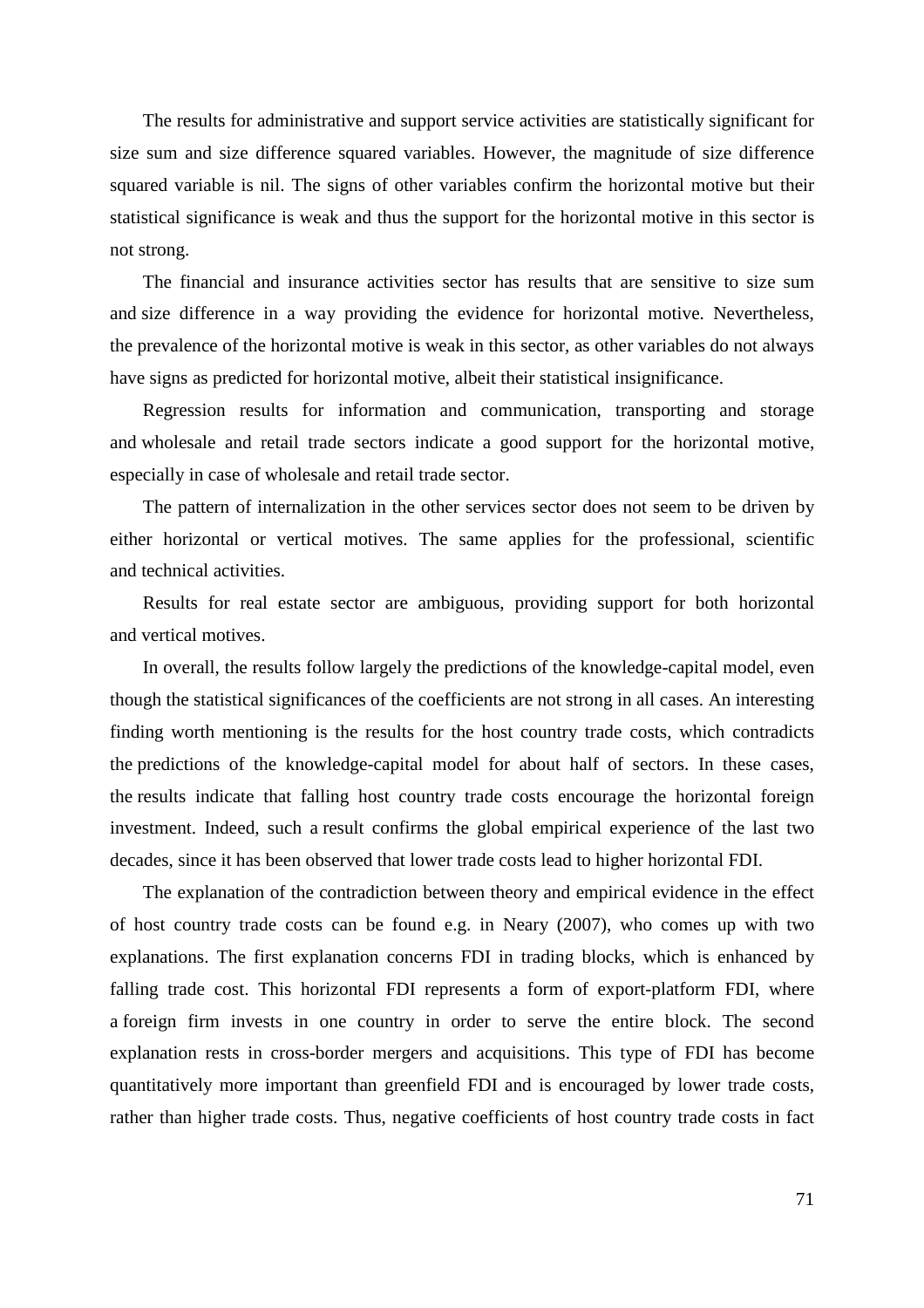The results for administrative and support service activities are statistically significant for size sum and size difference squared variables. However, the magnitude of size difference squared variable is nil. The signs of other variables confirm the horizontal motive but their statistical significance is weak and thus the support for the horizontal motive in this sector is not strong.

The financial and insurance activities sector has results that are sensitive to size sum and size difference in a way providing the evidence for horizontal motive. Nevertheless, the prevalence of the horizontal motive is weak in this sector, as other variables do not always have signs as predicted for horizontal motive, albeit their statistical insignificance.

Regression results for information and communication, transporting and storage and wholesale and retail trade sectors indicate a good support for the horizontal motive, especially in case of wholesale and retail trade sector.

The pattern of internalization in the other services sector does not seem to be driven by either horizontal or vertical motives. The same applies for the professional, scientific and technical activities.

Results for real estate sector are ambiguous, providing support for both horizontal and vertical motives.

In overall, the results follow largely the predictions of the knowledge-capital model, even though the statistical significances of the coefficients are not strong in all cases. An interesting finding worth mentioning is the results for the host country trade costs, which contradicts the predictions of the knowledge-capital model for about half of sectors. In these cases, the results indicate that falling host country trade costs encourage the horizontal foreign investment. Indeed, such a result confirms the global empirical experience of the last two decades, since it has been observed that lower trade costs lead to higher horizontal FDI.

The explanation of the contradiction between theory and empirical evidence in the effect of host country trade costs can be found e.g. in Neary (2007), who comes up with two explanations. The first explanation concerns FDI in trading blocks, which is enhanced by falling trade cost. This horizontal FDI represents a form of export-platform FDI, where a foreign firm invests in one country in order to serve the entire block. The second explanation rests in cross-border mergers and acquisitions. This type of FDI has become quantitatively more important than greenfield FDI and is encouraged by lower trade costs, rather than higher trade costs. Thus, negative coefficients of host country trade costs in fact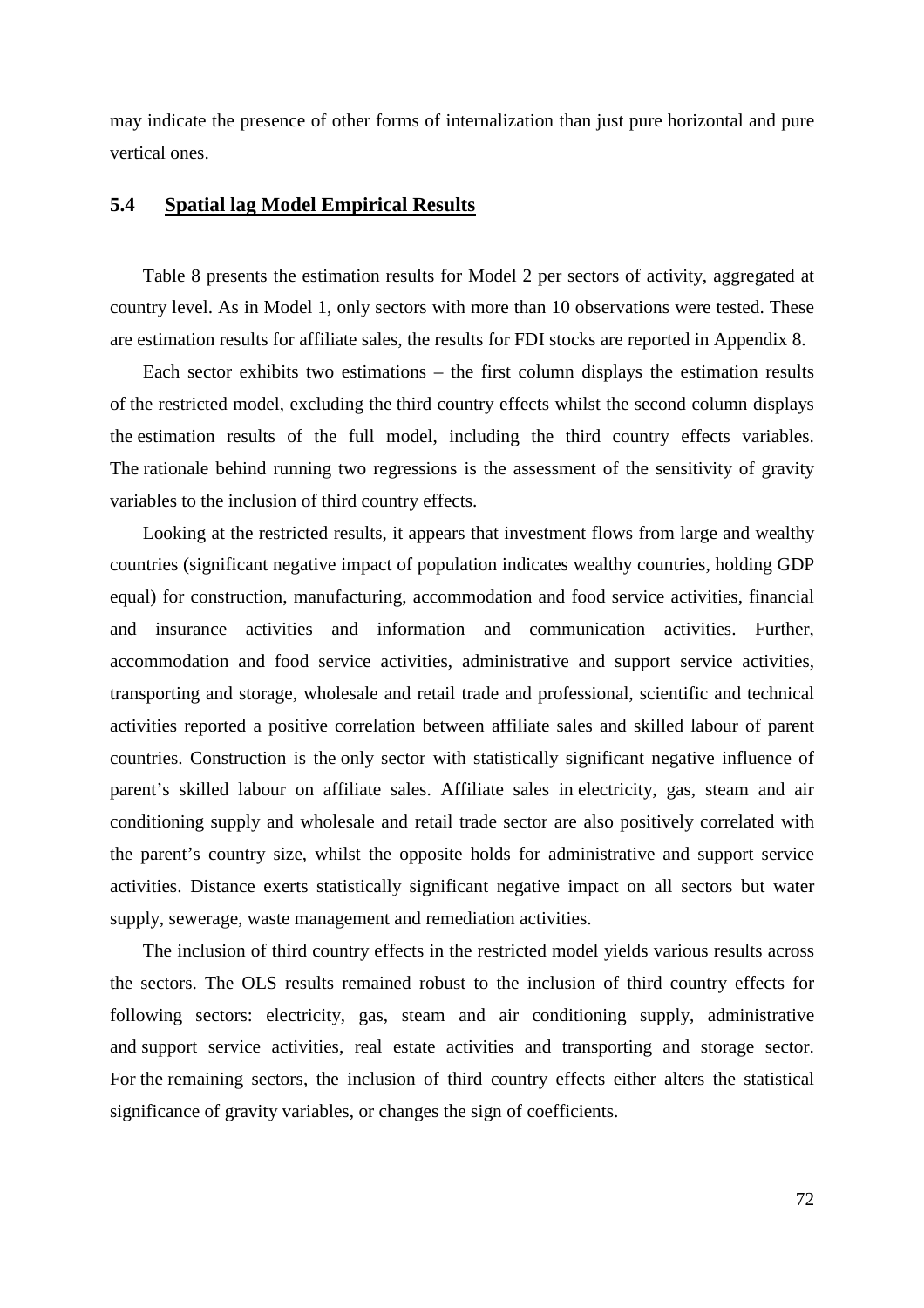may indicate the presence of other forms of internalization than just pure horizontal and pure vertical ones.

#### **5.4 Spatial lag Model Empirical Results**

Table 8 presents the estimation results for Model 2 per sectors of activity, aggregated at country level. As in Model 1, only sectors with more than 10 observations were tested. These are estimation results for affiliate sales, the results for FDI stocks are reported in Appendix 8.

Each sector exhibits two estimations – the first column displays the estimation results of the restricted model, excluding the third country effects whilst the second column displays the estimation results of the full model, including the third country effects variables. The rationale behind running two regressions is the assessment of the sensitivity of gravity variables to the inclusion of third country effects.

Looking at the restricted results, it appears that investment flows from large and wealthy countries (significant negative impact of population indicates wealthy countries, holding GDP equal) for construction, manufacturing, accommodation and food service activities, financial and insurance activities and information and communication activities. Further, accommodation and food service activities, administrative and support service activities, transporting and storage, wholesale and retail trade and professional, scientific and technical activities reported a positive correlation between affiliate sales and skilled labour of parent countries. Construction is the only sector with statistically significant negative influence of parent's skilled labour on affiliate sales. Affiliate sales in electricity, gas, steam and air conditioning supply and wholesale and retail trade sector are also positively correlated with the parent's country size, whilst the opposite holds for administrative and support service activities. Distance exerts statistically significant negative impact on all sectors but water supply, sewerage, waste management and remediation activities.

The inclusion of third country effects in the restricted model yields various results across the sectors. The OLS results remained robust to the inclusion of third country effects for following sectors: electricity, gas, steam and air conditioning supply, administrative and support service activities, real estate activities and transporting and storage sector. For the remaining sectors, the inclusion of third country effects either alters the statistical significance of gravity variables, or changes the sign of coefficients.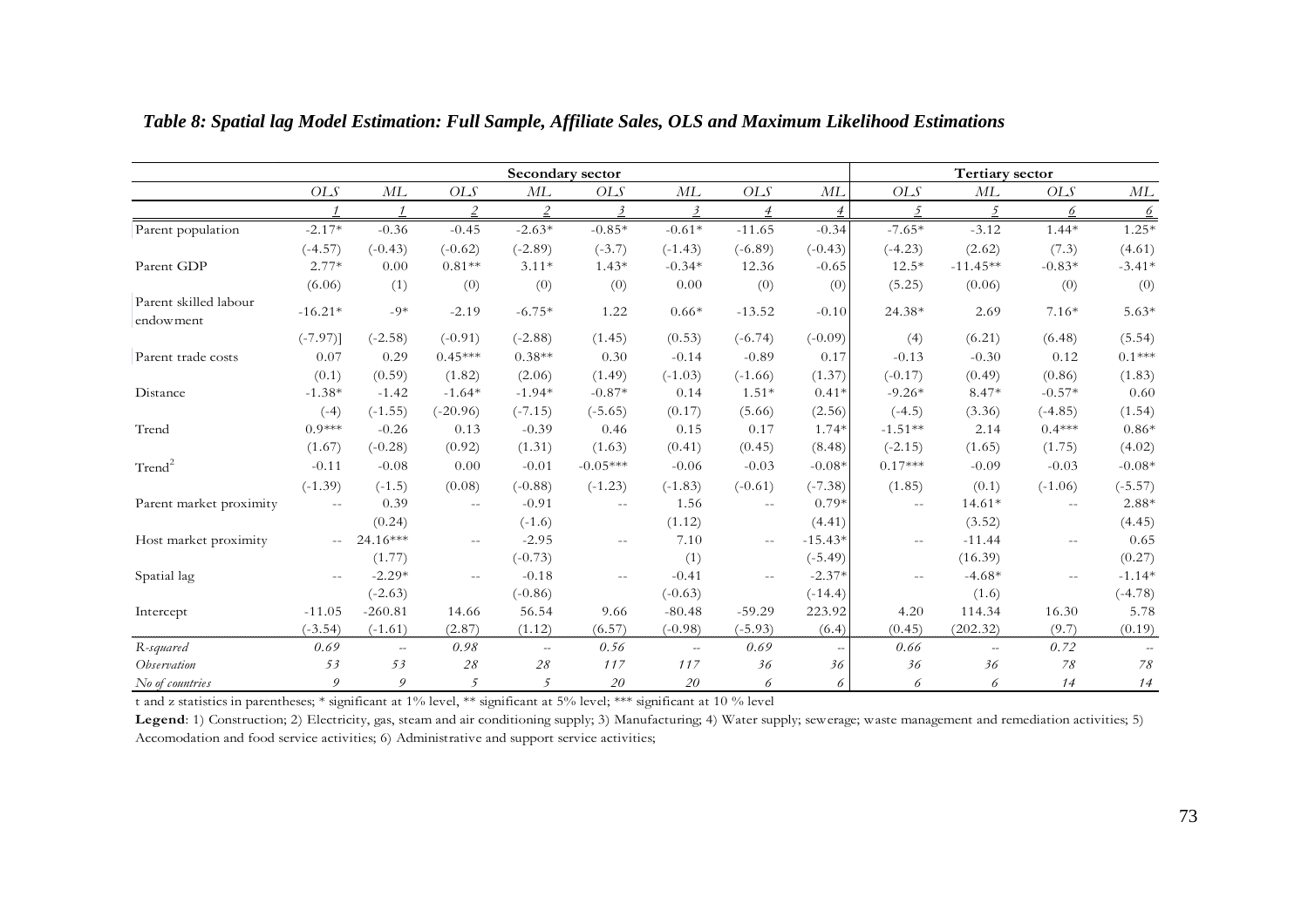|                                    |                |           |                          | Secondary sector |                         |                |                |                |               | <b>Tertiary sector</b> |            |                 |
|------------------------------------|----------------|-----------|--------------------------|------------------|-------------------------|----------------|----------------|----------------|---------------|------------------------|------------|-----------------|
|                                    | OLS            | ML        | OLS                      | $M\!L$           | $OLS$                   | ML             | <b>OLS</b>     | ML             | <b>OLS</b>    | ML                     | OLS        | $\mathit{ML}$   |
|                                    | $\overline{1}$ |           | $\overline{2}$           | $\overline{2}$   | $\overline{\mathbf{3}}$ | $\mathfrak{Z}$ | $\overline{4}$ | $\overline{4}$ | $\mathcal{F}$ | 5                      | 6          | $6\overline{6}$ |
| Parent population                  | $-2.17*$       | $-0.36$   | $-0.45$                  | $-2.63*$         | $-0.85*$                | $-0.61*$       | $-11.65$       | $-0.34$        | $-7.65*$      | $-3.12$                | $1.44*$    | $1.25*$         |
|                                    | $(-4.57)$      | $(-0.43)$ | $(-0.62)$                | $(-2.89)$        | $(-3.7)$                | $(-1.43)$      | $(-6.89)$      | $(-0.43)$      | $(-4.23)$     | (2.62)                 | (7.3)      | (4.61)          |
| Parent GDP                         | $2.77*$        | 0.00      | $0.81**$                 | $3.11*$          | $1.43*$                 | $-0.34*$       | 12.36          | $-0.65$        | $12.5*$       | $-11.45**$             | $-0.83*$   | $-3.41*$        |
|                                    | (6.06)         | (1)       | (0)                      | (0)              | (0)                     | 0.00           | (0)            | (0)            | (5.25)        | (0.06)                 | (0)        | (0)             |
| Parent skilled labour<br>endowment | $-16.21*$      | $-9*$     | $-2.19$                  | $-6.75*$         | 1.22                    | $0.66*$        | $-13.52$       | $-0.10$        | 24.38*        | 2.69                   | $7.16*$    | $5.63*$         |
|                                    | $(-7.97)$      | $(-2.58)$ | $(-0.91)$                | $(-2.88)$        | (1.45)                  | (0.53)         | $(-6.74)$      | $(-0.09)$      | (4)           | (6.21)                 | (6.48)     | (5.54)          |
| Parent trade costs                 | 0.07           | 0.29      | $0.45***$                | $0.38**$         | 0.30                    | $-0.14$        | $-0.89$        | 0.17           | $-0.13$       | $-0.30$                | 0.12       | $0.1***$        |
|                                    | (0.1)          | (0.59)    | (1.82)                   | (2.06)           | (1.49)                  | $(-1.03)$      | $(-1.66)$      | (1.37)         | $(-0.17)$     | (0.49)                 | (0.86)     | (1.83)          |
| Distance                           | $-1.38*$       | $-1.42$   | $-1.64*$                 | $-1.94*$         | $-0.87*$                | 0.14           | $1.51*$        | $0.41*$        | $-9.26*$      | $8.47*$                | $-0.57*$   | 0.60            |
|                                    | $(-4)$         | $(-1.55)$ | $(-20.96)$               | $(-7.15)$        | $(-5.65)$               | (0.17)         | (5.66)         | (2.56)         | $(-4.5)$      | (3.36)                 | $(-4.85)$  | (1.54)          |
| Trend                              | $0.9***$       | $-0.26$   | 0.13                     | $-0.39$          | 0.46                    | 0.15           | 0.17           | $1.74*$        | $-1.51**$     | 2.14                   | $0.4***$   | $0.86*$         |
|                                    | (1.67)         | $(-0.28)$ | (0.92)                   | (1.31)           | (1.63)                  | (0.41)         | (0.45)         | (8.48)         | $(-2.15)$     | (1.65)                 | (1.75)     | (4.02)          |
| Trend <sup>2</sup>                 | $-0.11$        | $-0.08$   | 0.00                     | $-0.01$          | $-0.05***$              | $-0.06$        | $-0.03$        | $-0.08*$       | $0.17***$     | $-0.09$                | $-0.03$    | $-0.08*$        |
|                                    | $(-1.39)$      | $(-1.5)$  | (0.08)                   | $(-0.88)$        | $(-1.23)$               | $(-1.83)$      | $(-0.61)$      | $(-7.38)$      | (1.85)        | (0.1)                  | $(-1.06)$  | $(-5.57)$       |
| Parent market proximity            | $-$            | 0.39      | $\overline{\phantom{m}}$ | $-0.91$          | $\sim$ $\sim$           | 1.56           | $\sim$ $\sim$  | $0.79*$        | $\sim$ $-$    | 14.61*                 | $\sim$ $-$ | 2.88*           |
|                                    |                | (0.24)    |                          | $(-1.6)$         |                         | (1.12)         |                | (4.41)         |               | (3.52)                 |            | (4.45)          |
| Host market proximity              |                | 24.16***  |                          | $-2.95$          | $\sim$ $\sim$           | 7.10           | $\sim$ $\sim$  | $-15.43*$      |               | $-11.44$               |            | 0.65            |
|                                    |                | (1.77)    |                          | $(-0.73)$        |                         | (1)            |                | $(-5.49)$      |               | (16.39)                |            | (0.27)          |
| Spatial lag                        |                | $-2.29*$  | $\sim$ $\sim$            | $-0.18$          | $\sim$ $\sim$           | $-0.41$        |                | $-2.37*$       |               | $-4.68*$               |            | $-1.14*$        |
|                                    |                | $(-2.63)$ |                          | $(-0.86)$        |                         | $(-0.63)$      |                | $(-14.4)$      |               | (1.6)                  |            | $(-4.78)$       |
| Intercept                          | $-11.05$       | $-260.81$ | 14.66                    | 56.54            | 9.66                    | $-80.48$       | $-59.29$       | 223.92         | 4.20          | 114.34                 | 16.30      | 5.78            |
|                                    | $(-3.54)$      | $(-1.61)$ | (2.87)                   | (1.12)           | (6.57)                  | $(-0.98)$      | $(-5.93)$      | (6.4)          | (0.45)        | (202.32)               | (9.7)      | (0.19)          |
| R-squared                          | 0.69           | $\sim$    | 0.98                     | $\sim$           | 0.56                    | $\overline{a}$ | 0.69           | $\sim$         | 0.66          | $\sim$                 | 0.72       |                 |
| Observation                        | 53             | 53        | $2\sqrt{8}$              | ${\it 28}$       | 117                     | 117            | 36             | 36             | 36            | 36                     | 78         | 78              |
| No of countries                    | 9              | 9         | 5                        | $\overline{5}$   | 20                      | 20             | 6              | 6              | 6             | 6                      | 14         | 14              |

*Table 8: Spatial lag Model Estimation: Full Sample, Affiliate Sales, OLS and Maximum Likelihood Estimations* 

Legend: 1) Construction; 2) Electricity, gas, steam and air conditioning supply; 3) Manufacturing; 4) Water supply; sewerage; waste management and remediation activities; 5) Accomodation and food service activities; 6) Administrative and support service activities;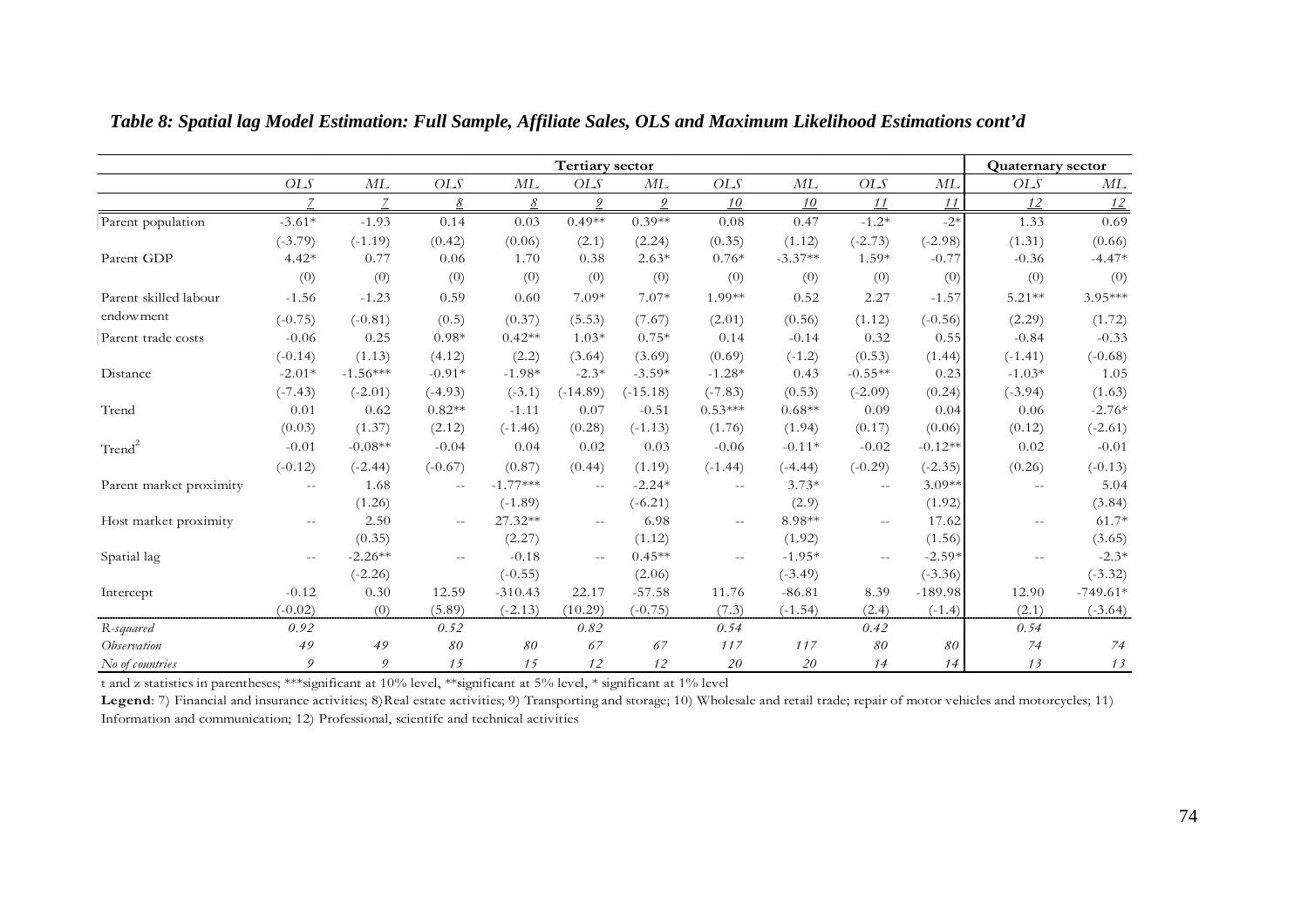|                         |               |            |               |            | <b>Tertiary sector</b>    |            |            |           |               |           | <b>Quaternary sector</b> |            |
|-------------------------|---------------|------------|---------------|------------|---------------------------|------------|------------|-----------|---------------|-----------|--------------------------|------------|
|                         | OLS           | ML         | OLS           | ML         | <b>OLS</b>                | ML         | <b>OLS</b> | ML        | <b>OLS</b>    | ML        | OLS                      | МL         |
|                         |               |            | 8             | $\delta$   | $\mathfrak{D}$            | 9          | 10         | 10        | 11            | 11        | 12                       | 12         |
| Parent population       | $-3.61*$      | $-1.93$    | 0.14          | 0.03       | $0.49**$                  | $0.39**$   | 0.08       | 0.47      | $-1.2*$       | $-2*$     | 1.33                     | 0.69       |
|                         | $(-3.79)$     | $(-1.19)$  | (0.42)        | (0.06)     | (2.1)                     | (2.24)     | (0.35)     | (1.12)    | $(-2.73)$     | $(-2.98)$ | (1.31)                   | (0.66)     |
| Parent GDP              | $4.42*$       | 0.77       | 0.06          | 1.70       | 0.38                      | $2.63*$    | $0.76*$    | $-3.37**$ | $1.59*$       | $-0.77$   | $-0.36$                  | $-4.47*$   |
|                         | (0)           | (0)        | (0)           | (0)        | (0)                       | (0)        | (0)        | (0)       | (0)           | (0)       | (0)                      | (0)        |
| Parent skilled labour   | $-1.56$       | $-1.23$    | 0.59          | 0.60       | 7.09*                     | $7.07*$    | 1.99**     | 0.52      | 2.27          | $-1.57$   | $5.21**$                 | 3.95***    |
| endowment               | $(-0.75)$     | $(-0.81)$  | (0.5)         | (0.37)     | (5.53)                    | (7.67)     | (2.01)     | (0.56)    | (1.12)        | $(-0.56)$ | (2.29)                   | (1.72)     |
| Parent trade costs      | $-0.06$       | 0.25       | $0.98*$       | $0.42**$   | $1.03*$                   | $0.75*$    | 0.14       | $-0.14$   | 0.32          | 0.55      | $-0.84$                  | $-0.33$    |
|                         | $(-0.14)$     | (1.13)     | (4.12)        | (2.2)      | (3.64)                    | (3.69)     | (0.69)     | $(-1.2)$  | (0.53)        | (1.44)    | $(-1.41)$                | $(-0.68)$  |
| Distance                | $-2.01*$      | $-1.56***$ | $-0.91*$      | $-1.98*$   | $-2.3*$                   | $-3.59*$   | $-1.28*$   | 0.43      | $-0.55**$     | 0.23      | $-1.03*$                 | 1.05       |
|                         | $(-7.43)$     | $(-2.01)$  | $(-4.93)$     | $(-3.1)$   | $(-14.89)$                | $(-15.18)$ | $(-7.83)$  | (0.53)    | $(-2.09)$     | (0.24)    | $(-3.94)$                | (1.63)     |
| Trend                   | 0.01          | 0.62       | $0.82**$      | $-1.11$    | 0.07                      | $-0.51$    | $0.53***$  | $0.68**$  | 0.09          | 0.04      | 0.06                     | $-2.76*$   |
|                         | (0.03)        | (1.37)     | (2.12)        | $(-1.46)$  | (0.28)                    | $(-1.13)$  | (1.76)     | (1.94)    | (0.17)        | (0.06)    | (0.12)                   | $(-2.61)$  |
| Trend <sup>2</sup>      | $-0.01$       | $-0.08**$  | $-0.04$       | 0.04       | 0.02                      | 0.03       | $-0.06$    | $-0.11*$  | $-0.02$       | $-0.12**$ | 0.02                     | $-0.01$    |
|                         | $(-0.12)$     | $(-2.44)$  | $(-0.67)$     | (0.87)     | (0.44)                    | (1.19)     | $(-1.44)$  | $(-4.44)$ | $(-0.29)$     | $(-2.35)$ | (0.26)                   | $(-0.13)$  |
| Parent market proximity | $\sim$ $\sim$ | 1.68       | $\sim$ $-$    | $-1.77***$ | $\sim$ $\sim$             | $-2.24*$   | $ -$       | $3.73*$   | $\sim$ $\sim$ | $3.09**$  | $\sim$ $\sim$            | 5.04       |
|                         |               | (1.26)     |               | $(-1.89)$  |                           | $(-6.21)$  |            | (2.9)     |               | (1.92)    |                          | (3.84)     |
| Host market proximity   | $-$           | 2.50       | $\sim$ $\sim$ | 27.32**    | $\mathbb{L}^{\mathbb{L}}$ | 6.98       | $ -$       | 8.98**    | $\sim$ $\sim$ | 17.62     |                          | $61.7*$    |
|                         |               | (0.35)     |               | (2.27)     |                           | (1.12)     |            | (1.92)    |               | (1.56)    |                          | (3.65)     |
| Spatial lag             | $\sim$ $-$    | $-2.26**$  | $\sim$ $\sim$ | $-0.18$    | $\sim$ $\sim$             | $0.45**$   | $-$        | $-1.95*$  | $\sim$ $\sim$ | $-2.59*$  |                          | $-2.3*$    |
|                         |               | $(-2.26)$  |               | $(-0.55)$  |                           | (2.06)     |            | $(-3.49)$ |               | $(-3.36)$ |                          | $(-3.32)$  |
| Intercept               | $-0.12$       | 0.30       | 12.59         | $-310.43$  | 22.17                     | $-57.58$   | 11.76      | $-86.81$  | 8.39          | $-189.98$ | 12.90                    | $-749.61*$ |
|                         | $(-0.02)$     | (0)        | (5.89)        | $(-2.13)$  | (10.29)                   | $(-0.75)$  | (7.3)      | $(-1.54)$ | (2.4)         | $(-1.4)$  | (2.1)                    | $(-3.64)$  |
| R-squared               | 0.92          |            | 0.52          |            | 0.82                      |            | 0.54       |           | 0.42          |           | 0.54                     |            |
| Observation             | 49            | 49         | 80            | 80         | 67                        | 67         | 117        | 117       | 80            | 80        | 74                       | 74         |
| No of countries         | 9             | 9          | 15            | 15         | 12                        | 12         | 20         | 20        | 14            | 14        | 13                       | 13         |

*Table 8: Spatial lag Model Estimation: Full Sample, Affiliate Sales, OLS and Maximum Likelihood Estimations cont'd* 

Legend: 7) Financial and insurance activities; 8)Real estate activities; 9) Transporting and storage; 10) Wholesale and retail trade; repair of motor vehicles and motorcycles; 11) Information and communication; 12) Professional, scientifc and technical activities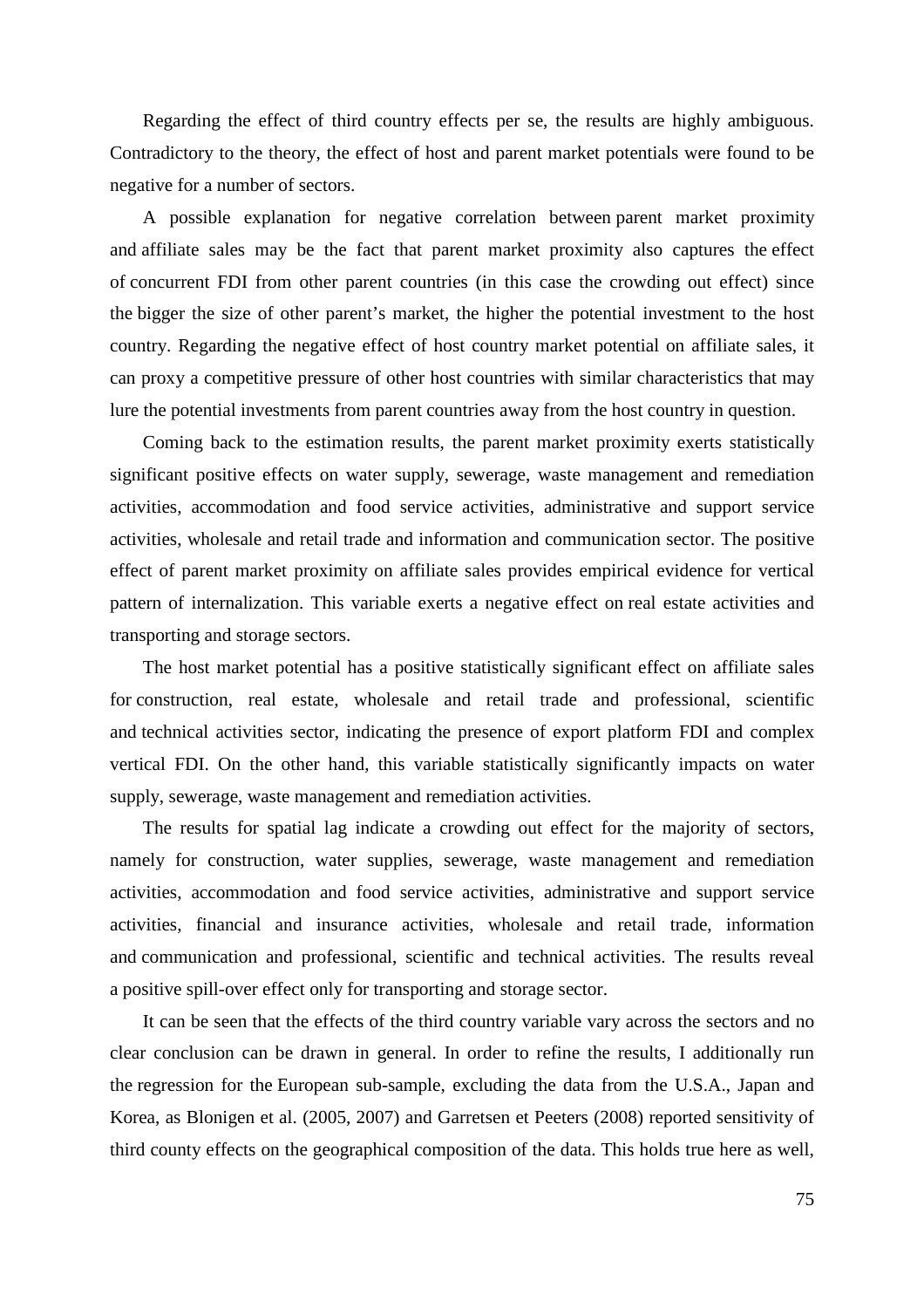Regarding the effect of third country effects per se, the results are highly ambiguous. Contradictory to the theory, the effect of host and parent market potentials were found to be negative for a number of sectors.

A possible explanation for negative correlation between parent market proximity and affiliate sales may be the fact that parent market proximity also captures the effect of concurrent FDI from other parent countries (in this case the crowding out effect) since the bigger the size of other parent's market, the higher the potential investment to the host country. Regarding the negative effect of host country market potential on affiliate sales, it can proxy a competitive pressure of other host countries with similar characteristics that may lure the potential investments from parent countries away from the host country in question.

Coming back to the estimation results, the parent market proximity exerts statistically significant positive effects on water supply, sewerage, waste management and remediation activities, accommodation and food service activities, administrative and support service activities, wholesale and retail trade and information and communication sector. The positive effect of parent market proximity on affiliate sales provides empirical evidence for vertical pattern of internalization. This variable exerts a negative effect on real estate activities and transporting and storage sectors.

The host market potential has a positive statistically significant effect on affiliate sales for construction, real estate, wholesale and retail trade and professional, scientific and technical activities sector, indicating the presence of export platform FDI and complex vertical FDI. On the other hand, this variable statistically significantly impacts on water supply, sewerage, waste management and remediation activities.

The results for spatial lag indicate a crowding out effect for the majority of sectors, namely for construction, water supplies, sewerage, waste management and remediation activities, accommodation and food service activities, administrative and support service activities, financial and insurance activities, wholesale and retail trade, information and communication and professional, scientific and technical activities. The results reveal a positive spill-over effect only for transporting and storage sector.

It can be seen that the effects of the third country variable vary across the sectors and no clear conclusion can be drawn in general. In order to refine the results, I additionally run the regression for the European sub-sample, excluding the data from the U.S.A., Japan and Korea, as Blonigen et al. (2005, 2007) and Garretsen et Peeters (2008) reported sensitivity of third county effects on the geographical composition of the data. This holds true here as well,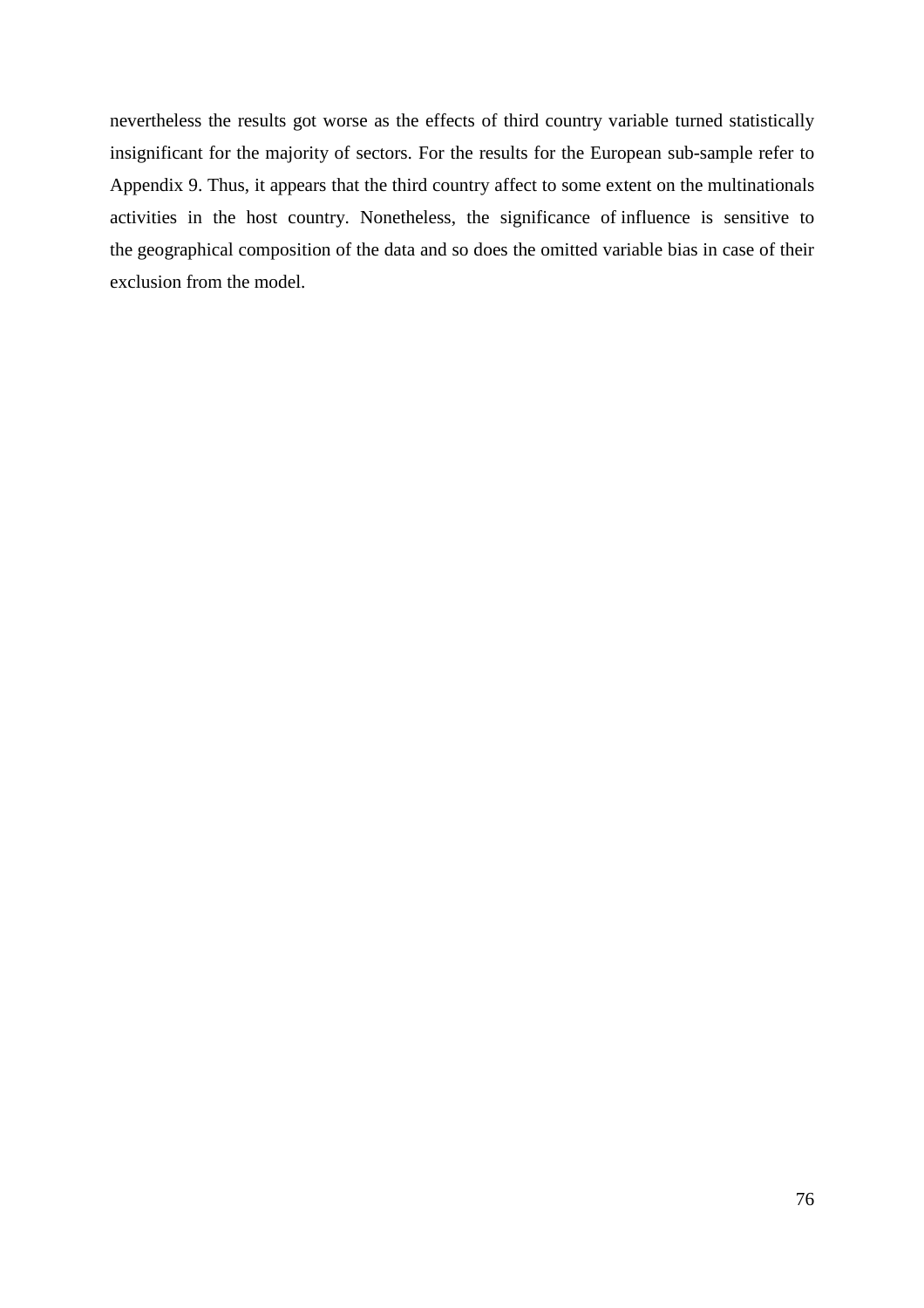nevertheless the results got worse as the effects of third country variable turned statistically insignificant for the majority of sectors. For the results for the European sub-sample refer to Appendix 9. Thus, it appears that the third country affect to some extent on the multinationals activities in the host country. Nonetheless, the significance of influence is sensitive to the geographical composition of the data and so does the omitted variable bias in case of their exclusion from the model.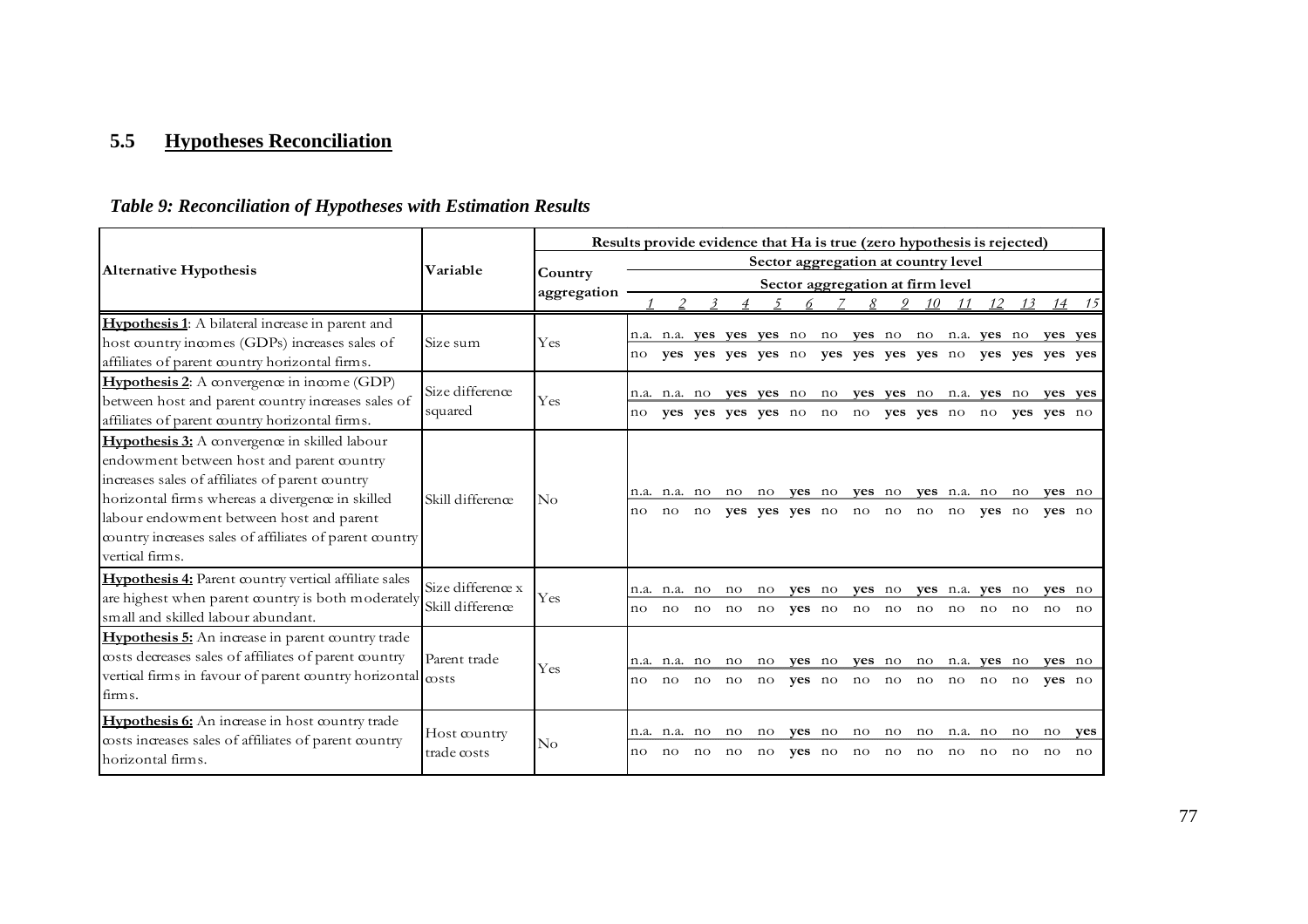### **5.5 Hypotheses Reconciliation**

### *Table 9: Reconciliation of Hypotheses with Estimation Results*

|                                                                                                                                                                                                                                                                                                                                    |                             | Results provide evidence that Ha is true (zero hypothesis is rejected) |    |                       |                |                                                |                                  |                  |                                   |                       |                                                                                |               |                          |          |                       |           |
|------------------------------------------------------------------------------------------------------------------------------------------------------------------------------------------------------------------------------------------------------------------------------------------------------------------------------------|-----------------------------|------------------------------------------------------------------------|----|-----------------------|----------------|------------------------------------------------|----------------------------------|------------------|-----------------------------------|-----------------------|--------------------------------------------------------------------------------|---------------|--------------------------|----------|-----------------------|-----------|
| <b>Alternative Hypothesis</b>                                                                                                                                                                                                                                                                                                      | Variable                    |                                                                        |    |                       |                |                                                |                                  |                  |                                   |                       | Sector aggregation at country level                                            |               |                          |          |                       |           |
|                                                                                                                                                                                                                                                                                                                                    |                             | Country<br>aggregation                                                 |    |                       |                |                                                |                                  |                  |                                   |                       | Sector aggregation at firm level                                               |               |                          |          |                       |           |
|                                                                                                                                                                                                                                                                                                                                    |                             |                                                                        |    |                       |                | $\overline{4}$                                 |                                  | 6                | 8                                 | 9                     | 10                                                                             | 11            | 12                       | 13       | 14                    | 15        |
| <b>Hypothesis 1:</b> A bilateral increase in parent and                                                                                                                                                                                                                                                                            |                             |                                                                        |    |                       |                |                                                |                                  |                  |                                   |                       | no yes no no n.a. yes no yes yes                                               |               |                          |          |                       |           |
| host country incomes (GDPs) increases sales of                                                                                                                                                                                                                                                                                     | Size sum                    | Yes                                                                    | no |                       |                | n.a. n.a. yes yes yes no<br>yes yes yes yes no |                                  |                  |                                   |                       | yes yes yes yes no yes yes yes yes                                             |               |                          |          |                       |           |
| affiliates of parent country horizontal firms.                                                                                                                                                                                                                                                                                     |                             |                                                                        |    |                       |                |                                                |                                  |                  |                                   |                       |                                                                                |               |                          |          |                       |           |
| <b>Hypothesis 2:</b> A convergence in income (GDP)                                                                                                                                                                                                                                                                                 | Size difference             |                                                                        |    |                       |                |                                                |                                  |                  |                                   |                       |                                                                                |               |                          |          |                       |           |
| between host and parent country increases sales of                                                                                                                                                                                                                                                                                 | squared                     | Yes                                                                    | no | n.a. n.a. no          |                | yes yes yes yes no                             |                                  |                  |                                   |                       | yes yes no no yes yes no n.a. yes no yes yes<br>no no yes yes no no yes yes no |               |                          |          |                       |           |
| affiliates of parent country horizontal firms.                                                                                                                                                                                                                                                                                     |                             |                                                                        |    |                       |                |                                                |                                  |                  |                                   |                       |                                                                                |               |                          |          |                       |           |
| <b>Hypothesis 3:</b> A convergence in skilled labour<br>endowment between host and parent country<br>increases sales of affiliates of parent country<br>horizontal firms whereas a divergence in skilled<br>labour endowment between host and parent<br>country increases sales of affiliates of parent country<br>vertical firms. | Skill difference            | $\rm No$                                                               | no | n.a. n.a. no<br>no no |                |                                                |                                  |                  | no no <b>yes</b> no <b>yes</b> no |                       | yes yes yes no no no no no                                                     |               | yes n.a. no no<br>ves no |          | yes no<br>ves no      |           |
| Hypothesis 4: Parent country vertical affiliate sales                                                                                                                                                                                                                                                                              | Size difference x           |                                                                        |    | n.a. n.a. no          |                | no                                             | no                               | ves no           | yes no                            |                       |                                                                                |               | yes n.a. yes no          |          | ves no                |           |
| are highest when parent country is both moderately<br>small and skilled labour abundant.                                                                                                                                                                                                                                           | Skill difference            | Yes                                                                    | no | no                    | $\overline{p}$ | no                                             | $\overline{no}$                  | yes no           |                                   |                       | no no no no no                                                                 |               |                          | no       | no                    | no        |
| Hypothesis 5: An increase in parent country trade<br>costs decreases sales of affiliates of parent country<br>vertical firms in favour of parent country horizontal $\cos$<br>firms.                                                                                                                                               | Parent trade                | Yes                                                                    | no | n.a. n.a. no<br>no    | no             | no<br>$\overline{no}$                          | no <b>yes</b> no<br>$10^{\circ}$ |                  | yes no                            |                       | yes no no no no no no no                                                       |               | no n.a. yes no           |          | ves no<br>yes no      |           |
| Hypothesis 6: An increase in host country trade<br>costs increases sales of affiliates of parent country<br>horizontal firms.                                                                                                                                                                                                      | Host country<br>trade costs | $\rm No$                                                               | no | n.a. n.a. no<br>no    | no             | no<br>no                                       | no<br>no                         | ves no<br>yes no | no<br>no                          | $\overline{10}$<br>no | $\overline{no}$<br>no                                                          | n.a. no<br>no | no                       | no<br>no | $\overline{10}$<br>no | yes<br>no |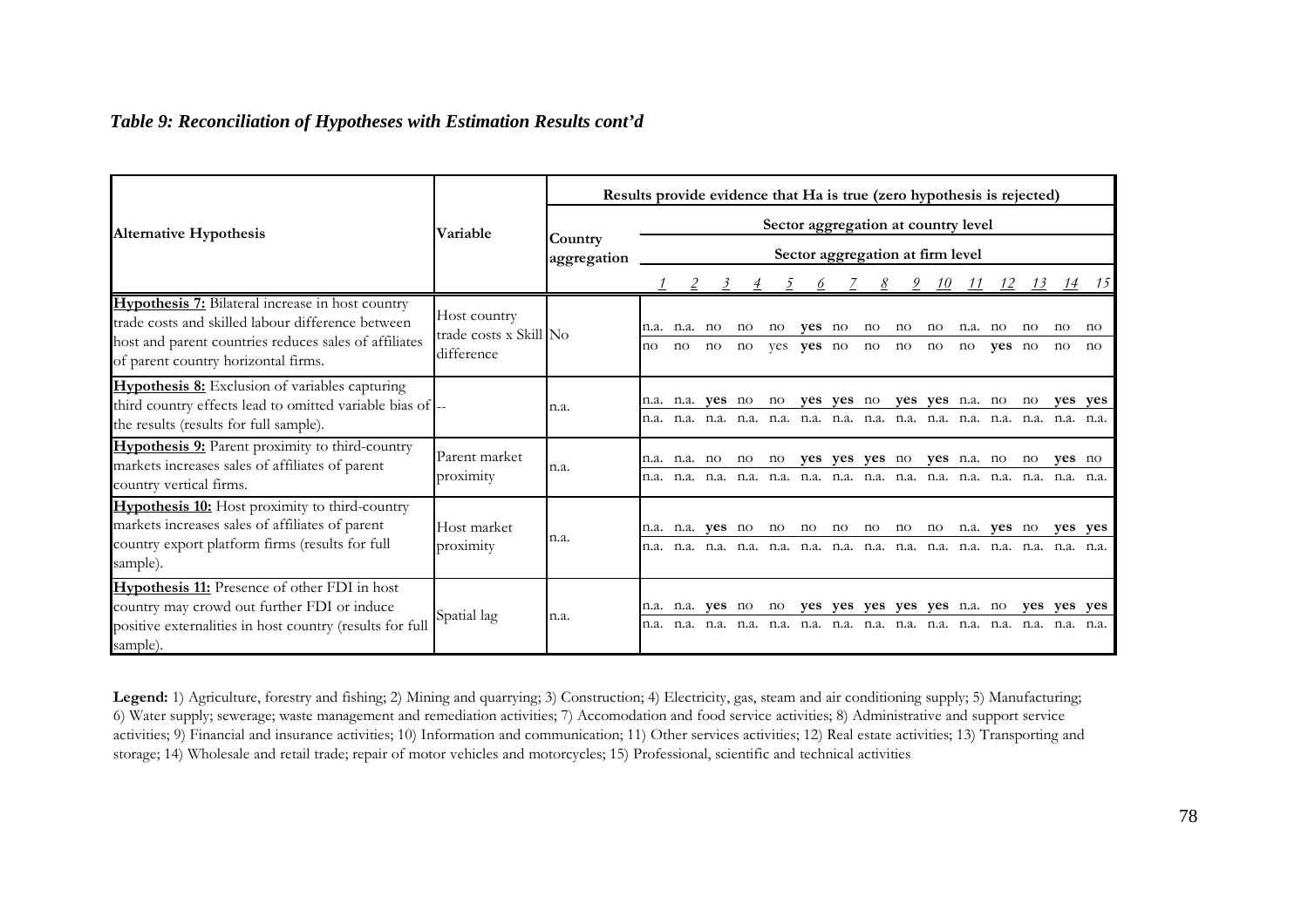### *Table 9: Reconciliation of Hypotheses with Estimation Results cont'd*

|                                                                                                                                                                       |                                        | Results provide evidence that Ha is true (zero hypothesis is rejected) |              |                     |                         |                     |     |                |             |          |                                     |                     |      |        |     |                     |         |
|-----------------------------------------------------------------------------------------------------------------------------------------------------------------------|----------------------------------------|------------------------------------------------------------------------|--------------|---------------------|-------------------------|---------------------|-----|----------------|-------------|----------|-------------------------------------|---------------------|------|--------|-----|---------------------|---------|
| <b>Alternative Hypothesis</b>                                                                                                                                         | <b>Variable</b>                        |                                                                        |              |                     |                         |                     |     |                |             |          | Sector aggregation at country level |                     |      |        |     |                     |         |
|                                                                                                                                                                       |                                        | Country<br>aggregation                                                 |              |                     |                         |                     |     |                |             |          | Sector aggregation at firm level    |                     |      |        |     |                     |         |
|                                                                                                                                                                       |                                        |                                                                        |              |                     |                         | $\overline{4}$      |     | $\mathfrak{o}$ |             | <u>8</u> | $\overline{2}$                      | -10                 |      |        |     | 14                  |         |
| <b>Hypothesis 7:</b> Bilateral increase in host country<br>trade costs and skilled labour difference between<br>host and parent countries reduces sales of affiliates | Host country<br>trade costs x Skill No |                                                                        | n.a.         | n.a.                | no                      | no                  | no  | ves no         |             | no       | no                                  | no                  | n.a. | no     | no  | no                  | no      |
| of parent country horizontal firms.                                                                                                                                   | difference                             |                                                                        | no           | $\operatorname{no}$ | $\operatorname{no}$     | $\operatorname{no}$ | yes | yes no         |             | no       | no                                  | $\operatorname{no}$ | no   | ves no |     | $\operatorname{no}$ | no      |
| <b>Hypothesis 8:</b> Exclusion of variables capturing<br>third country effects lead to omitted variable bias of --<br>the results (results for full sample).          |                                        | n.a.                                                                   |              |                     | n.a. n.a. <b>yes</b> no |                     | no  | ves            | yes no      |          | ves                                 | <b>yes</b> n.a. no  |      |        | no  |                     | ves yes |
| <b>Hypothesis 9:</b> Parent proximity to third-country<br>markets increases sales of affiliates of parent<br>country vertical firms.                                  | Parent market<br>proximity             | n.a.                                                                   |              | n.a. n.a.           | no                      | no                  | no  | ves            |             | yes yes  | no                                  | ves n.a. no         |      |        | no  | yes no              |         |
| Hypothesis 10: Host proximity to third-country<br>markets increases sales of affiliates of parent<br>country export platform firms (results for full<br>sample).      | Host market<br>proximity               | n.a.                                                                   | n.a.<br>n.a. |                     | n.a. <b>ves</b> no      |                     | no  | no             | no          | no       | no                                  | no                  | n.a. | yes no |     | yes yes             | n.a.    |
| Hypothesis 11: Presence of other FDI in host<br>country may crowd out further FDI or induce<br>positive externalities in host country (results for full<br>sample).   | Spatial lag                            | n.a.                                                                   | n.a.         | n.a. n.a.           | yes no                  |                     | no  |                | yes yes yes |          | yes                                 | yes n.a. no         |      |        | yes | yes yes             | n.a.    |

**Legend:** 1) Agriculture, forestry and fishing; 2) Mining and quarrying; 3) Construction; 4) Electricity, gas, steam and air conditioning supply; 5) Manufacturing; 6) Water supply; sewerage; waste management and remediation activities; 7) Accomodation and food service activities; 8) Administrative and support service activities; 9) Financial and insurance activities; 10) Information and communication; 11) Other services activities; 12) Real estate activities; 13) Transporting and storage; 14) Wholesale and retail trade; repair of motor vehicles and motorcycles; 15) Professional, scientific and technical activities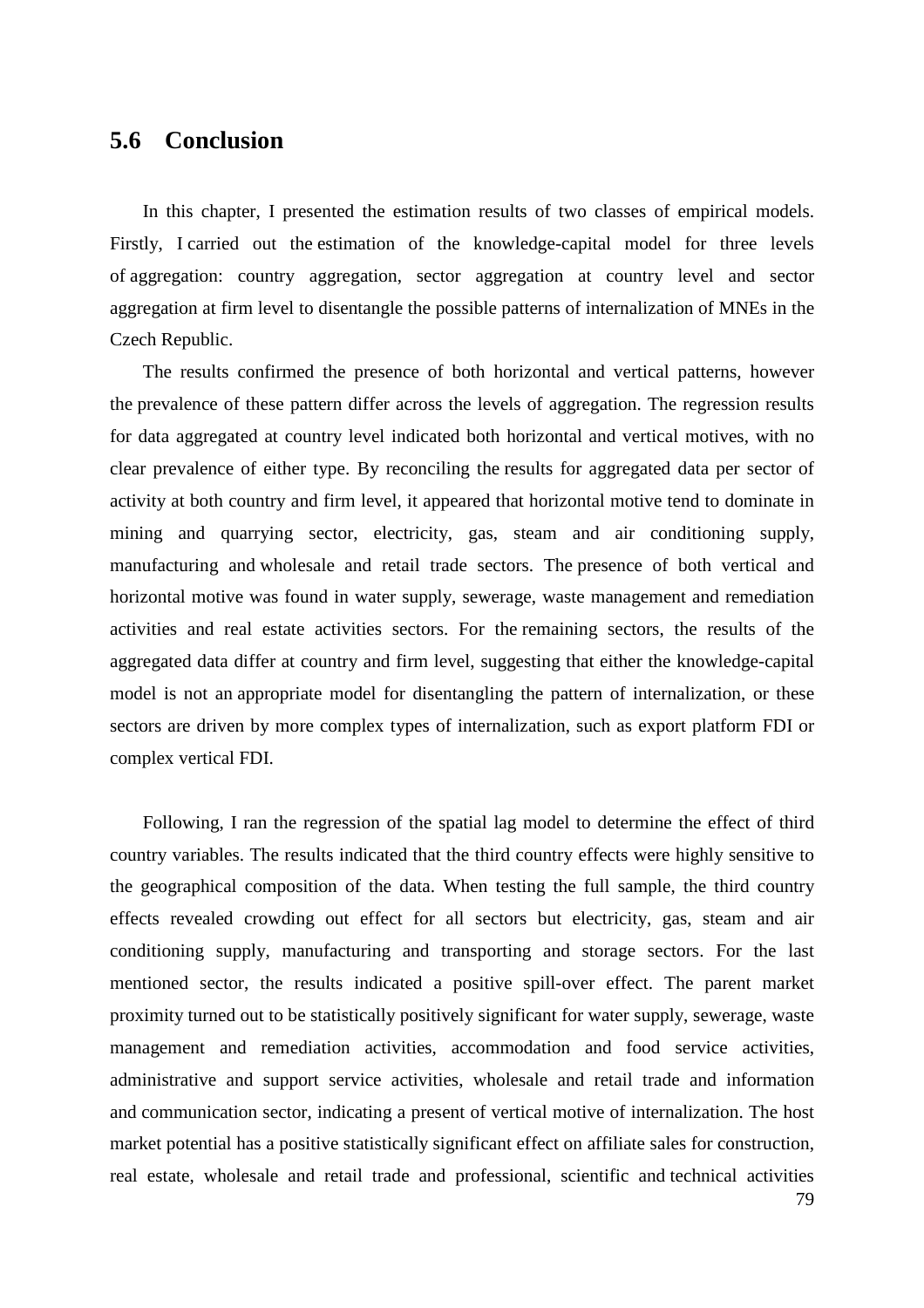### **5.6 Conclusion**

In this chapter, I presented the estimation results of two classes of empirical models. Firstly, I carried out the estimation of the knowledge-capital model for three levels of aggregation: country aggregation, sector aggregation at country level and sector aggregation at firm level to disentangle the possible patterns of internalization of MNEs in the Czech Republic.

The results confirmed the presence of both horizontal and vertical patterns, however the prevalence of these pattern differ across the levels of aggregation. The regression results for data aggregated at country level indicated both horizontal and vertical motives, with no clear prevalence of either type. By reconciling the results for aggregated data per sector of activity at both country and firm level, it appeared that horizontal motive tend to dominate in mining and quarrying sector, electricity, gas, steam and air conditioning supply, manufacturing and wholesale and retail trade sectors. The presence of both vertical and horizontal motive was found in water supply, sewerage, waste management and remediation activities and real estate activities sectors. For the remaining sectors, the results of the aggregated data differ at country and firm level, suggesting that either the knowledge-capital model is not an appropriate model for disentangling the pattern of internalization, or these sectors are driven by more complex types of internalization, such as export platform FDI or complex vertical FDI.

Following, I ran the regression of the spatial lag model to determine the effect of third country variables. The results indicated that the third country effects were highly sensitive to the geographical composition of the data. When testing the full sample, the third country effects revealed crowding out effect for all sectors but electricity, gas, steam and air conditioning supply, manufacturing and transporting and storage sectors. For the last mentioned sector, the results indicated a positive spill-over effect. The parent market proximity turned out to be statistically positively significant for water supply, sewerage, waste management and remediation activities, accommodation and food service activities, administrative and support service activities, wholesale and retail trade and information and communication sector, indicating a present of vertical motive of internalization. The host market potential has a positive statistically significant effect on affiliate sales for construction, real estate, wholesale and retail trade and professional, scientific and technical activities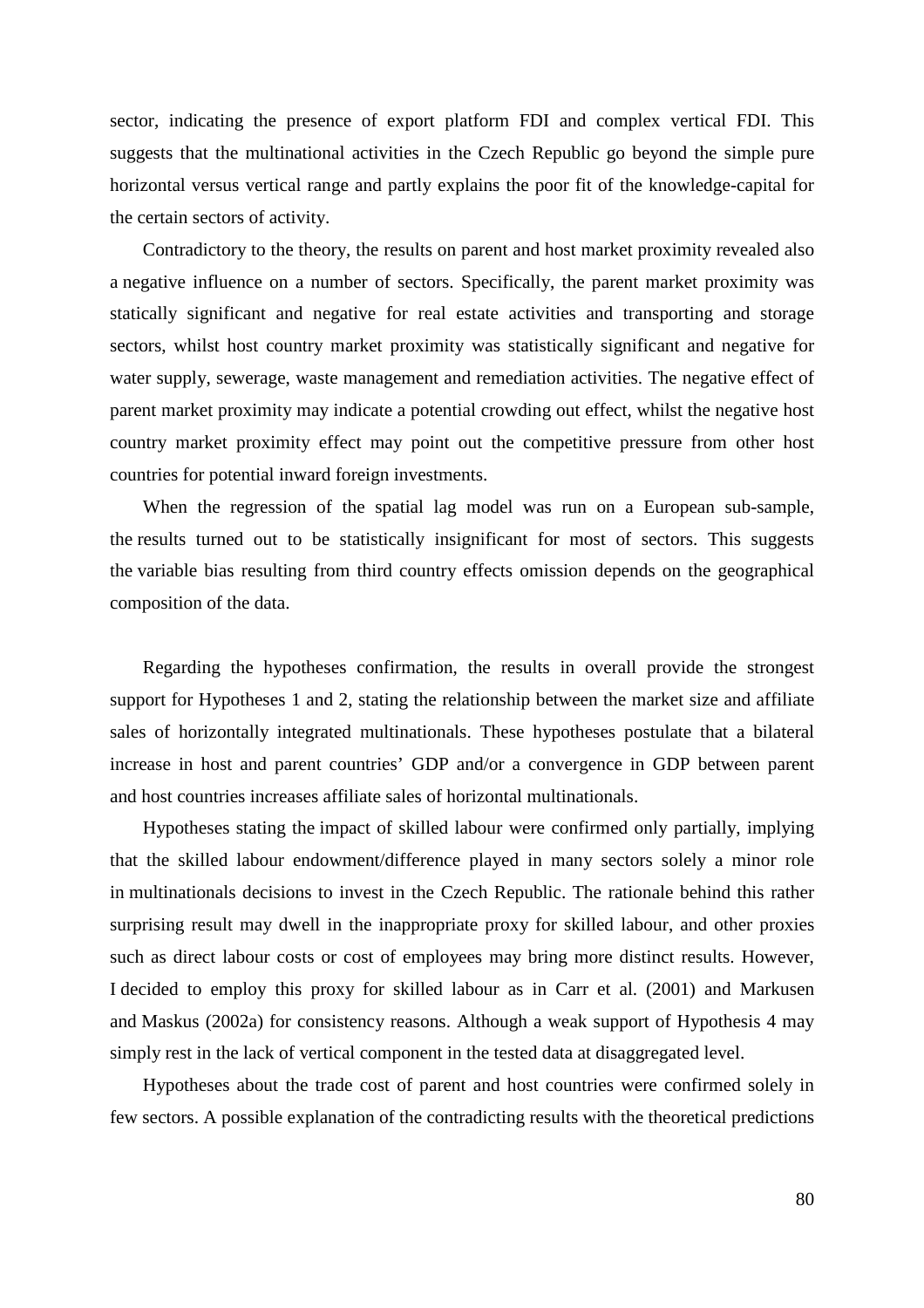sector, indicating the presence of export platform FDI and complex vertical FDI. This suggests that the multinational activities in the Czech Republic go beyond the simple pure horizontal versus vertical range and partly explains the poor fit of the knowledge-capital for the certain sectors of activity.

Contradictory to the theory, the results on parent and host market proximity revealed also a negative influence on a number of sectors. Specifically, the parent market proximity was statically significant and negative for real estate activities and transporting and storage sectors, whilst host country market proximity was statistically significant and negative for water supply, sewerage, waste management and remediation activities. The negative effect of parent market proximity may indicate a potential crowding out effect, whilst the negative host country market proximity effect may point out the competitive pressure from other host countries for potential inward foreign investments.

When the regression of the spatial lag model was run on a European sub-sample, the results turned out to be statistically insignificant for most of sectors. This suggests the variable bias resulting from third country effects omission depends on the geographical composition of the data.

Regarding the hypotheses confirmation, the results in overall provide the strongest support for Hypotheses 1 and 2, stating the relationship between the market size and affiliate sales of horizontally integrated multinationals. These hypotheses postulate that a bilateral increase in host and parent countries' GDP and/or a convergence in GDP between parent and host countries increases affiliate sales of horizontal multinationals.

Hypotheses stating the impact of skilled labour were confirmed only partially, implying that the skilled labour endowment/difference played in many sectors solely a minor role in multinationals decisions to invest in the Czech Republic. The rationale behind this rather surprising result may dwell in the inappropriate proxy for skilled labour, and other proxies such as direct labour costs or cost of employees may bring more distinct results. However, I decided to employ this proxy for skilled labour as in Carr et al. (2001) and Markusen and Maskus (2002a) for consistency reasons. Although a weak support of Hypothesis 4 may simply rest in the lack of vertical component in the tested data at disaggregated level.

Hypotheses about the trade cost of parent and host countries were confirmed solely in few sectors. A possible explanation of the contradicting results with the theoretical predictions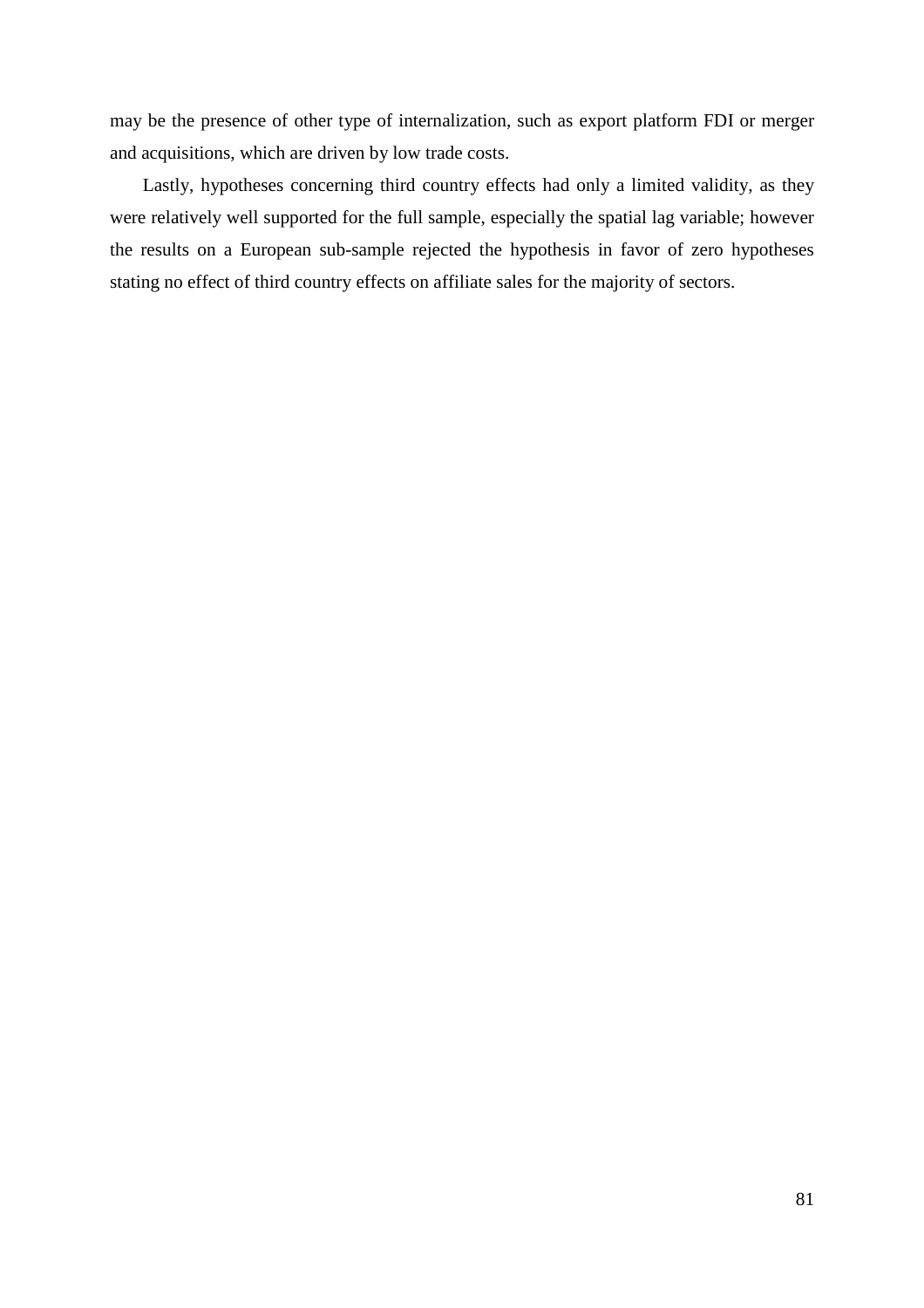may be the presence of other type of internalization, such as export platform FDI or merger and acquisitions, which are driven by low trade costs.

Lastly, hypotheses concerning third country effects had only a limited validity, as they were relatively well supported for the full sample, especially the spatial lag variable; however the results on a European sub-sample rejected the hypothesis in favor of zero hypotheses stating no effect of third country effects on affiliate sales for the majority of sectors.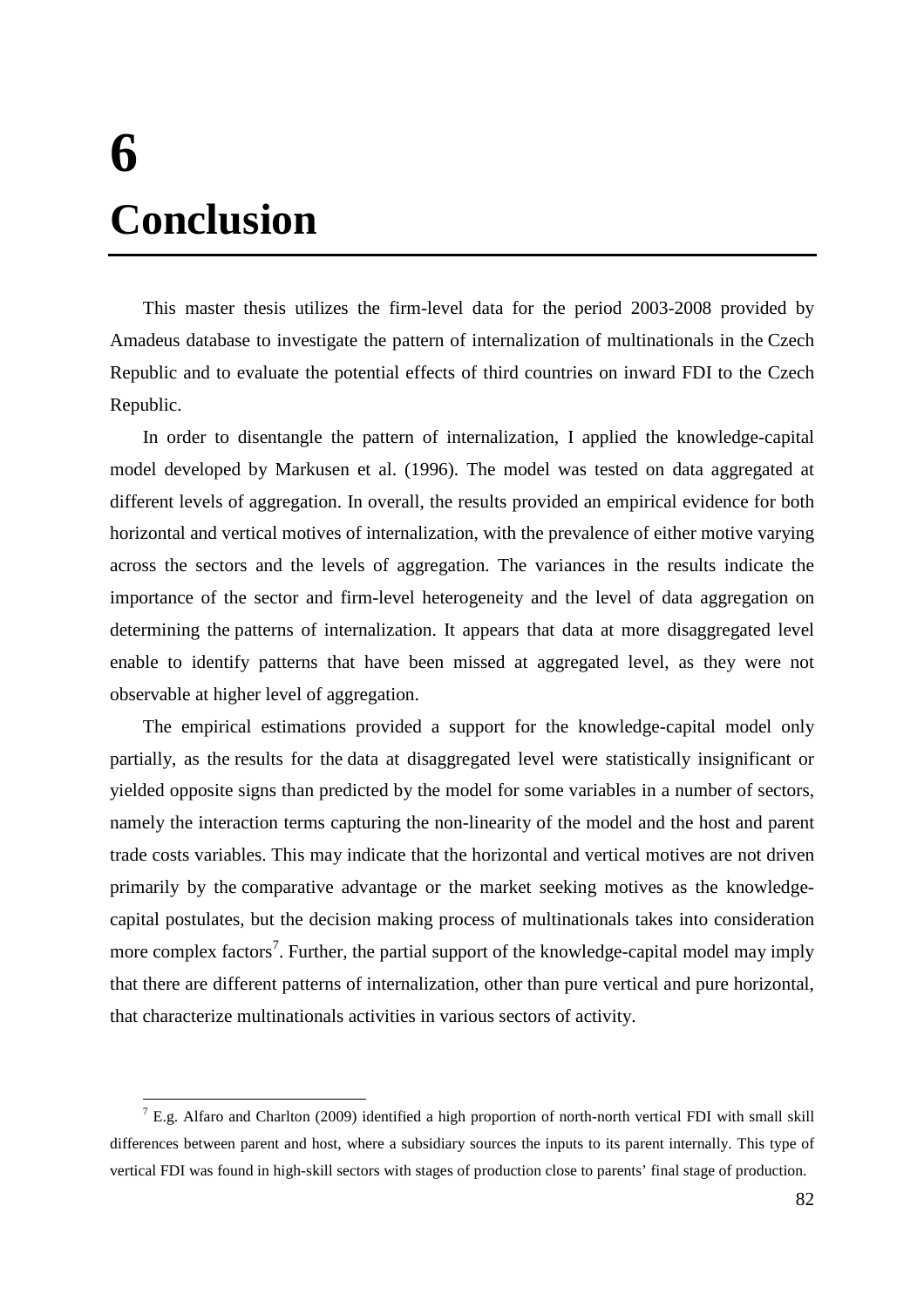# **6 Conclusion**

This master thesis utilizes the firm-level data for the period 2003-2008 provided by Amadeus database to investigate the pattern of internalization of multinationals in the Czech Republic and to evaluate the potential effects of third countries on inward FDI to the Czech Republic.

In order to disentangle the pattern of internalization, I applied the knowledge-capital model developed by Markusen et al. (1996). The model was tested on data aggregated at different levels of aggregation. In overall, the results provided an empirical evidence for both horizontal and vertical motives of internalization, with the prevalence of either motive varying across the sectors and the levels of aggregation. The variances in the results indicate the importance of the sector and firm-level heterogeneity and the level of data aggregation on determining the patterns of internalization. It appears that data at more disaggregated level enable to identify patterns that have been missed at aggregated level, as they were not observable at higher level of aggregation.

The empirical estimations provided a support for the knowledge-capital model only partially, as the results for the data at disaggregated level were statistically insignificant or yielded opposite signs than predicted by the model for some variables in a number of sectors, namely the interaction terms capturing the non-linearity of the model and the host and parent trade costs variables. This may indicate that the horizontal and vertical motives are not driven primarily by the comparative advantage or the market seeking motives as the knowledgecapital postulates, but the decision making process of multinationals takes into consideration more complex factors<sup>7</sup>. Further, the partial support of the knowledge-capital model may imply that there are different patterns of internalization, other than pure vertical and pure horizontal, that characterize multinationals activities in various sectors of activity.

<sup>&</sup>lt;sup>7</sup> E.g. Alfaro and Charlton (2009) identified a high proportion of north-north vertical FDI with small skill differences between parent and host, where a subsidiary sources the inputs to its parent internally. This type of vertical FDI was found in high-skill sectors with stages of production close to parents' final stage of production.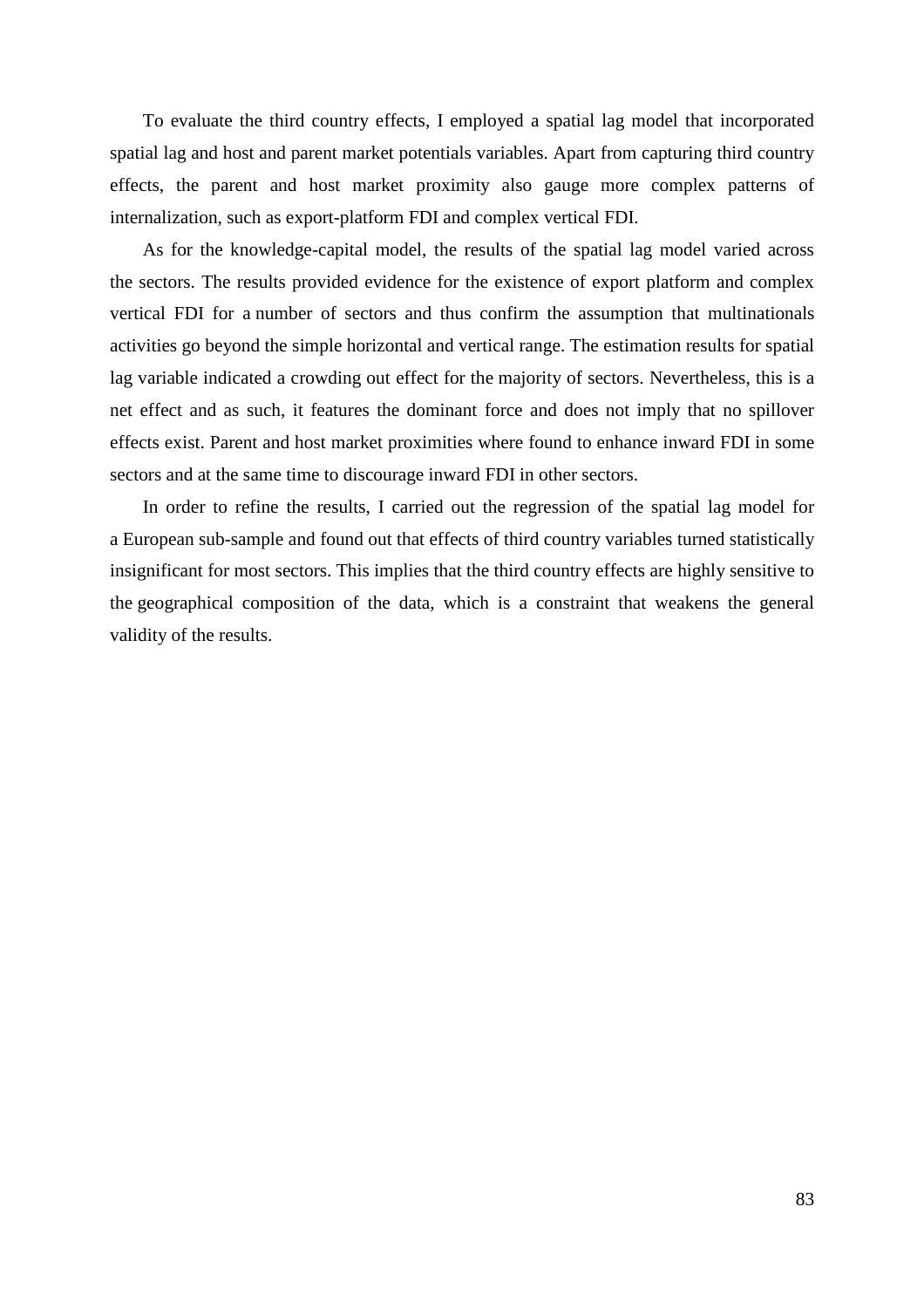To evaluate the third country effects, I employed a spatial lag model that incorporated spatial lag and host and parent market potentials variables. Apart from capturing third country effects, the parent and host market proximity also gauge more complex patterns of internalization, such as export-platform FDI and complex vertical FDI.

As for the knowledge-capital model, the results of the spatial lag model varied across the sectors. The results provided evidence for the existence of export platform and complex vertical FDI for a number of sectors and thus confirm the assumption that multinationals activities go beyond the simple horizontal and vertical range. The estimation results for spatial lag variable indicated a crowding out effect for the majority of sectors. Nevertheless, this is a net effect and as such, it features the dominant force and does not imply that no spillover effects exist. Parent and host market proximities where found to enhance inward FDI in some sectors and at the same time to discourage inward FDI in other sectors.

In order to refine the results, I carried out the regression of the spatial lag model for a European sub-sample and found out that effects of third country variables turned statistically insignificant for most sectors. This implies that the third country effects are highly sensitive to the geographical composition of the data, which is a constraint that weakens the general validity of the results.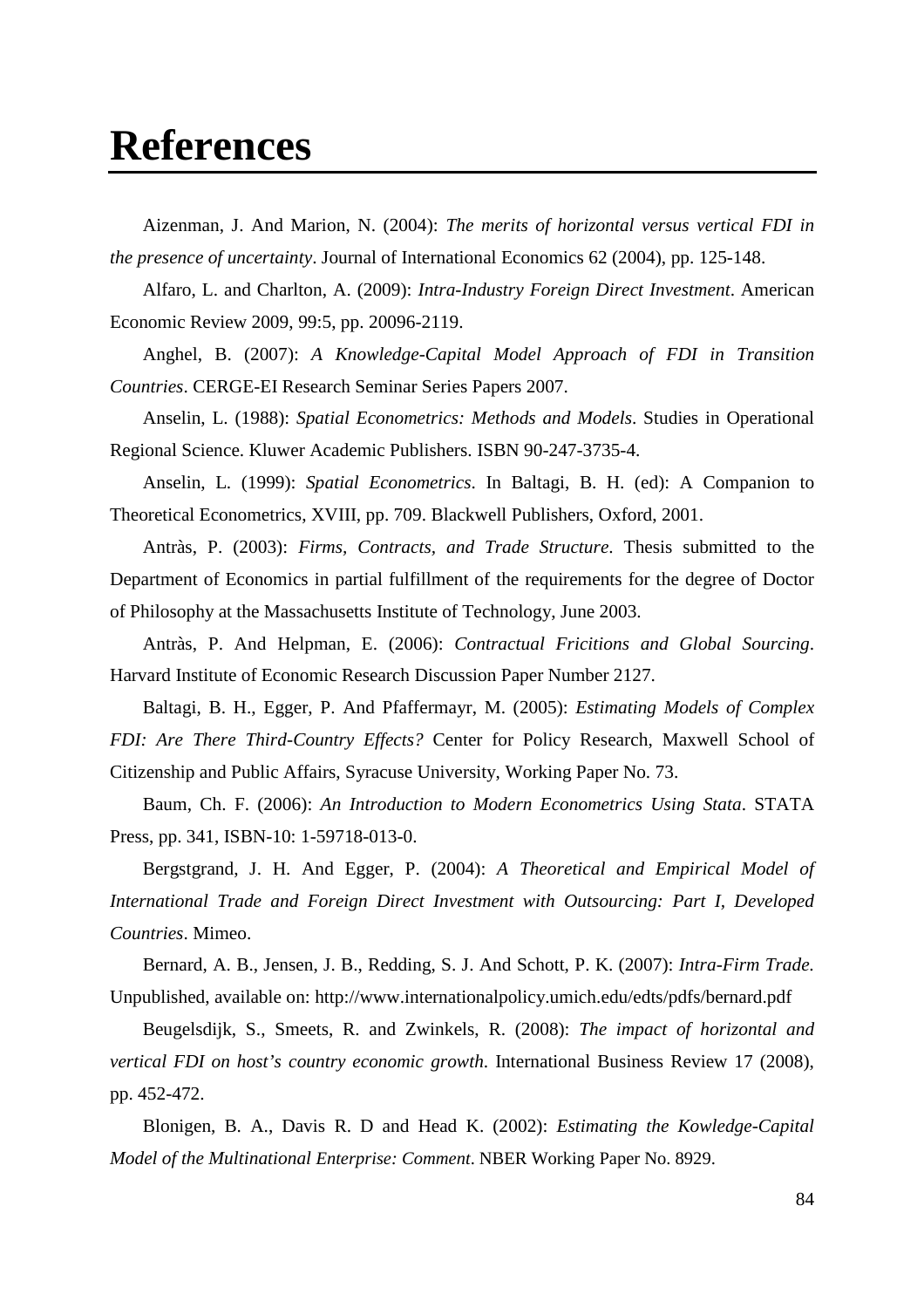### **References**

Aizenman, J. And Marion, N. (2004): *The merits of horizontal versus vertical FDI in the presence of uncertainty*. Journal of International Economics 62 (2004), pp. 125-148.

Alfaro, L. and Charlton, A. (2009): *Intra-Industry Foreign Direct Investment*. American Economic Review 2009, 99:5, pp. 20096-2119.

Anghel, B. (2007): *A Knowledge-Capital Model Approach of FDI in Transition Countries*. CERGE-EI Research Seminar Series Papers 2007.

Anselin, L. (1988): *Spatial Econometrics: Methods and Models*. Studies in Operational Regional Science. Kluwer Academic Publishers. ISBN 90-247-3735-4.

Anselin, L. (1999): *Spatial Econometrics*. In Baltagi, B. H. (ed): A Companion to Theoretical Econometrics, XVIII, pp. 709. Blackwell Publishers, Oxford, 2001.

Antràs, P. (2003): *Firms, Contracts, and Trade Structure*. Thesis submitted to the Department of Economics in partial fulfillment of the requirements for the degree of Doctor of Philosophy at the Massachusetts Institute of Technology, June 2003.

Antràs, P. And Helpman, E. (2006): *Contractual Fricitions and Global Sourcing*. Harvard Institute of Economic Research Discussion Paper Number 2127.

Baltagi, B. H., Egger, P. And Pfaffermayr, M. (2005): *Estimating Models of Complex FDI: Are There Third-Country Effects?* Center for Policy Research, Maxwell School of Citizenship and Public Affairs, Syracuse University, Working Paper No. 73.

Baum, Ch. F. (2006): *An Introduction to Modern Econometrics Using Stata*. STATA Press, pp. 341, ISBN-10: 1-59718-013-0.

Bergstgrand, J. H. And Egger, P. (2004): *A Theoretical and Empirical Model of International Trade and Foreign Direct Investment with Outsourcing: Part I, Developed Countries*. Mimeo.

Bernard, A. B., Jensen, J. B., Redding, S. J. And Schott, P. K. (2007): *Intra-Firm Trade.*  Unpublished, available on: http://www.internationalpolicy.umich.edu/edts/pdfs/bernard.pdf

Beugelsdijk, S., Smeets, R. and Zwinkels, R. (2008): *The impact of horizontal and vertical FDI on host's country economic growth*. International Business Review 17 (2008), pp. 452-472.

Blonigen, B. A., Davis R. D and Head K. (2002): *Estimating the Kowledge-Capital Model of the Multinational Enterprise: Comment*. NBER Working Paper No. 8929.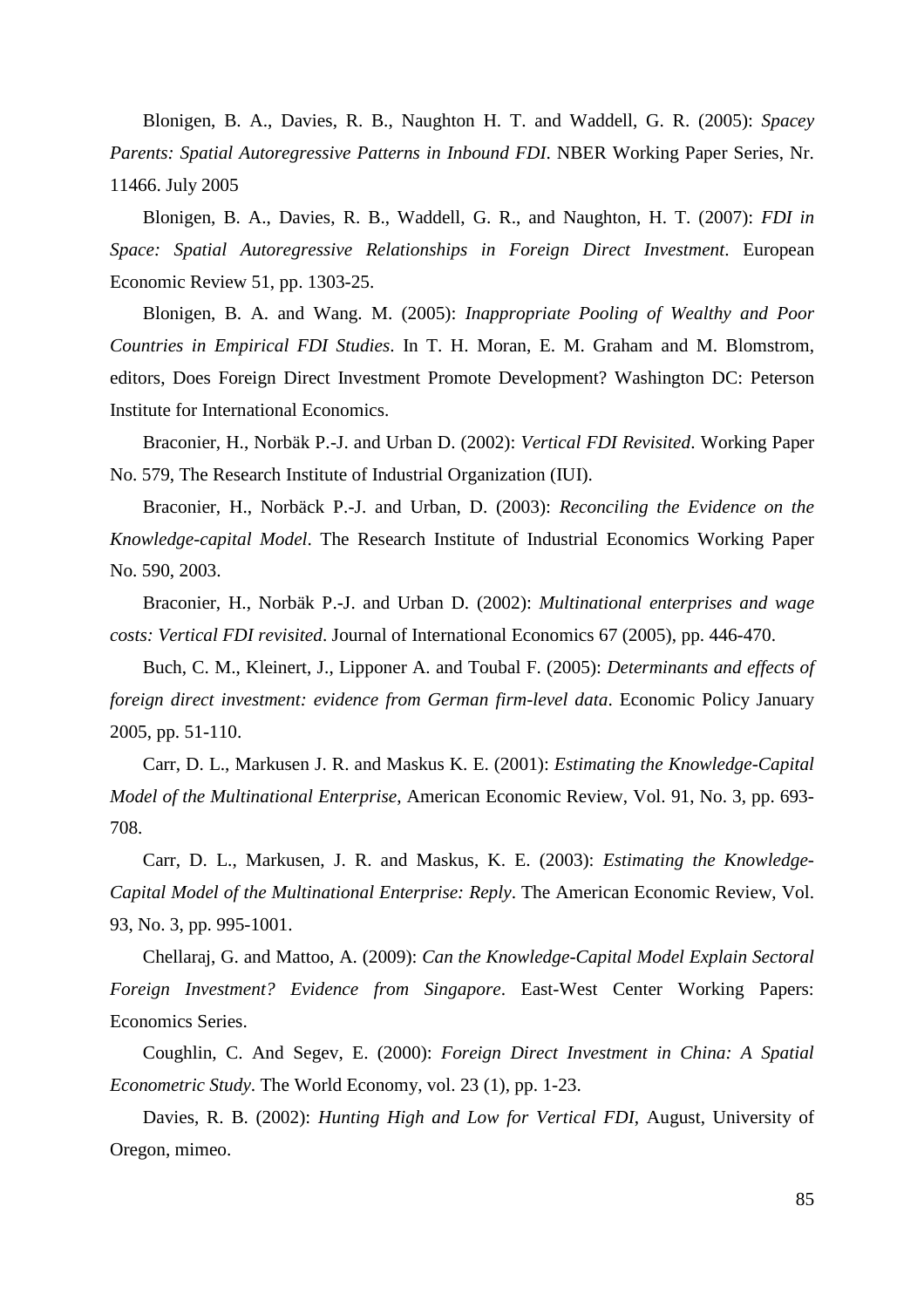Blonigen, B. A., Davies, R. B., Naughton H. T. and Waddell, G. R. (2005): *Spacey Parents: Spatial Autoregressive Patterns in Inbound FDI*. NBER Working Paper Series, Nr. 11466. July 2005

Blonigen, B. A., Davies, R. B., Waddell, G. R., and Naughton, H. T. (2007): *FDI in Space: Spatial Autoregressive Relationships in Foreign Direct Investment*. European Economic Review 51, pp. 1303-25.

Blonigen, B. A. and Wang. M. (2005): *Inappropriate Pooling of Wealthy and Poor Countries in Empirical FDI Studies*. In T. H. Moran, E. M. Graham and M. Blomstrom, editors, Does Foreign Direct Investment Promote Development? Washington DC: Peterson Institute for International Economics.

Braconier, H., Norbäk P.-J. and Urban D. (2002): *Vertical FDI Revisited*. Working Paper No. 579, The Research Institute of Industrial Organization (IUI).

Braconier, H., Norbäck P.-J. and Urban, D. (2003): *Reconciling the Evidence on the Knowledge-capital Model*. The Research Institute of Industrial Economics Working Paper No. 590, 2003.

Braconier, H., Norbäk P.-J. and Urban D. (2002): *Multinational enterprises and wage costs: Vertical FDI revisited*. Journal of International Economics 67 (2005), pp. 446-470.

Buch, C. M., Kleinert, J., Lipponer A. and Toubal F. (2005): *Determinants and effects of foreign direct investment: evidence from German firm-level data*. Economic Policy January 2005, pp. 51-110.

Carr, D. L., Markusen J. R. and Maskus K. E. (2001): *Estimating the Knowledge-Capital Model of the Multinational Enterprise*, American Economic Review, Vol. 91, No. 3, pp. 693- 708.

Carr, D. L., Markusen, J. R. and Maskus, K. E. (2003): *Estimating the Knowledge-Capital Model of the Multinational Enterprise: Reply*. The American Economic Review, Vol. 93, No. 3, pp. 995-1001.

Chellaraj, G. and Mattoo, A. (2009): *Can the Knowledge-Capital Model Explain Sectoral Foreign Investment? Evidence from Singapore*. East-West Center Working Papers: Economics Series.

Coughlin, C. And Segev, E. (2000): *Foreign Direct Investment in China: A Spatial Econometric Study*. The World Economy, vol. 23 (1), pp. 1-23.

Davies, R. B. (2002): *Hunting High and Low for Vertical FDI*, August, University of Oregon, mimeo.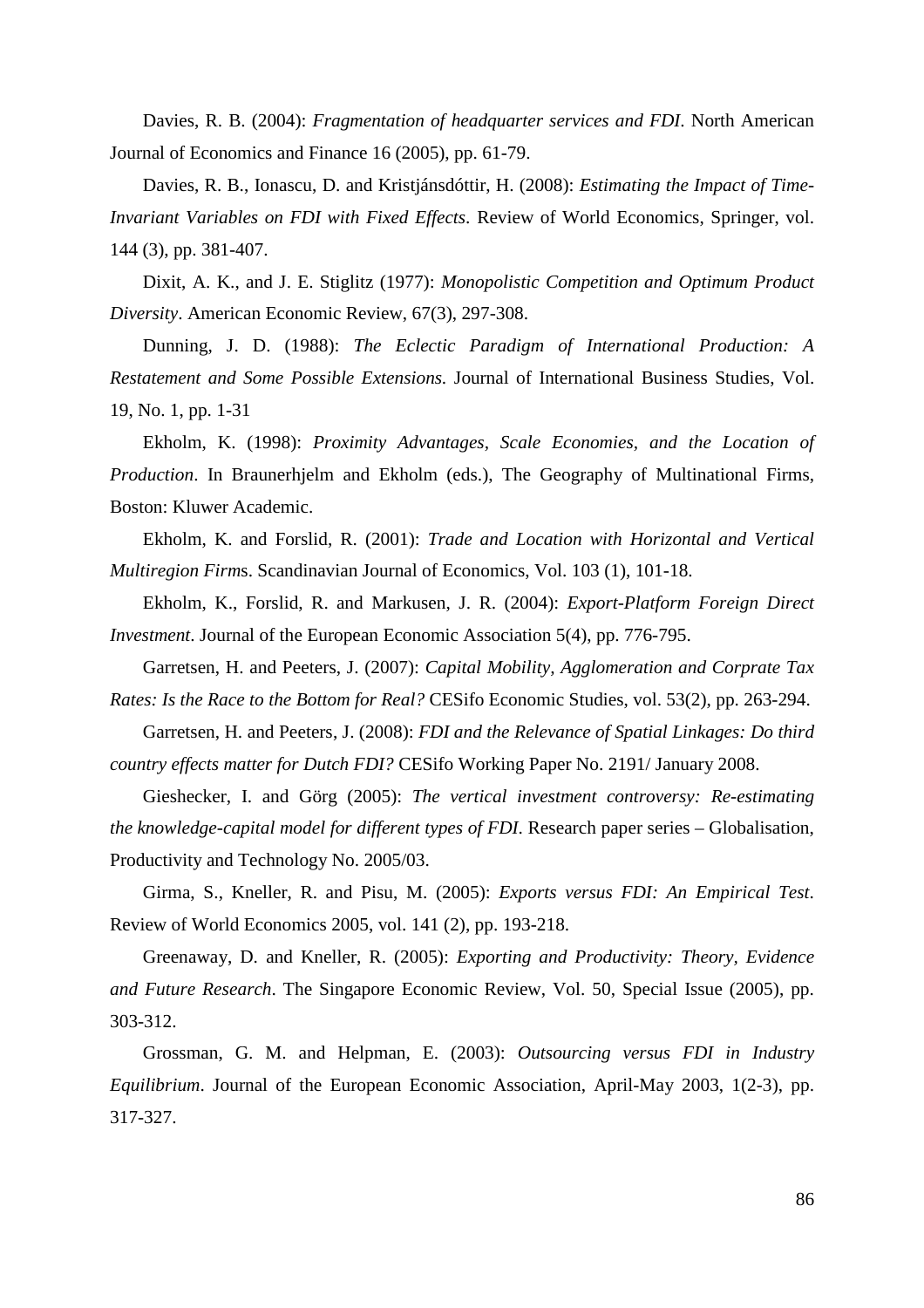Davies, R. B. (2004): *Fragmentation of headquarter services and FDI*. North American Journal of Economics and Finance 16 (2005), pp. 61-79.

Davies, R. B., Ionascu, D. and Kristjánsdóttir, H. (2008): *Estimating the Impact of Time-Invariant Variables on FDI with Fixed Effects*. Review of World Economics, Springer, vol. 144 (3), pp. 381-407.

Dixit, A. K., and J. E. Stiglitz (1977): *Monopolistic Competition and Optimum Product Diversity*. American Economic Review, 67(3), 297-308.

Dunning, J. D. (1988): *The Eclectic Paradigm of International Production: A Restatement and Some Possible Extensions.* Journal of International Business Studies, Vol. 19, No. 1, pp. 1-31

Ekholm, K. (1998): *Proximity Advantages, Scale Economies, and the Location of Production*. In Braunerhjelm and Ekholm (eds.), The Geography of Multinational Firms, Boston: Kluwer Academic.

Ekholm, K. and Forslid, R. (2001): *Trade and Location with Horizontal and Vertical Multiregion Firm*s. Scandinavian Journal of Economics, Vol. 103 (1), 101-18.

Ekholm, K., Forslid, R. and Markusen, J. R. (2004): *Export-Platform Foreign Direct Investment*. Journal of the European Economic Association 5(4), pp. 776-795.

Garretsen, H. and Peeters, J. (2007): *Capital Mobility, Agglomeration and Corprate Tax Rates: Is the Race to the Bottom for Real?* CESifo Economic Studies, vol. 53(2), pp. 263-294.

Garretsen, H. and Peeters, J. (2008): *FDI and the Relevance of Spatial Linkages: Do third country effects matter for Dutch FDI?* CESifo Working Paper No. 2191/ January 2008.

Gieshecker, I. and Görg (2005): *The vertical investment controversy: Re-estimating the knowledge-capital model for different types of FDI*. Research paper series – Globalisation, Productivity and Technology No. 2005/03.

Girma, S., Kneller, R. and Pisu, M. (2005): *Exports versus FDI: An Empirical Test*. Review of World Economics 2005, vol. 141 (2), pp. 193-218.

Greenaway, D. and Kneller, R. (2005): *Exporting and Productivity: Theory, Evidence and Future Research*. The Singapore Economic Review, Vol. 50, Special Issue (2005), pp. 303-312.

Grossman, G. M. and Helpman, E. (2003): *Outsourcing versus FDI in Industry Equilibrium*. Journal of the European Economic Association, April-May 2003, 1(2-3), pp. 317-327.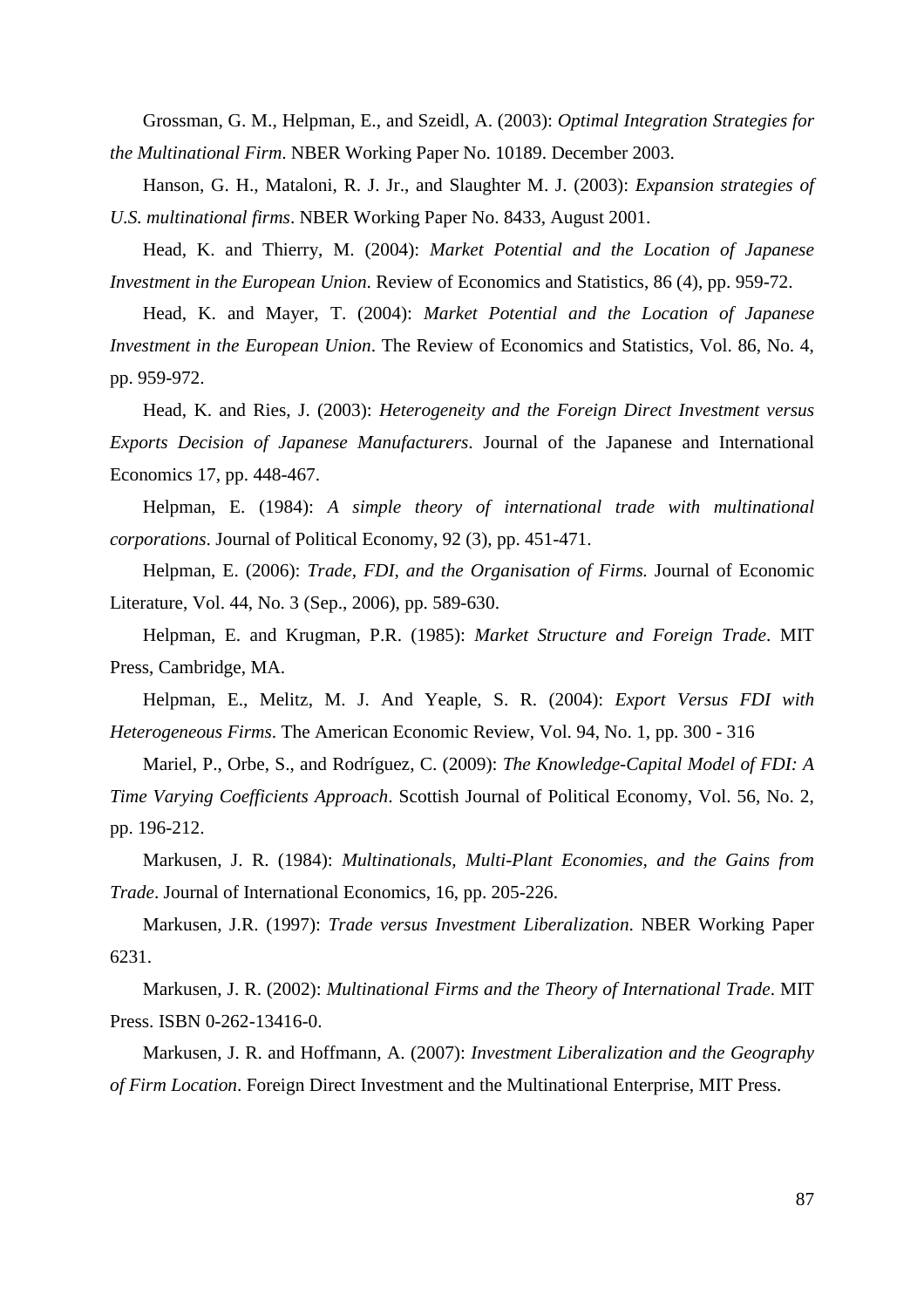Grossman, G. M., Helpman, E., and Szeidl, A. (2003): *Optimal Integration Strategies for the Multinational Firm*. NBER Working Paper No. 10189. December 2003.

Hanson, G. H., Mataloni, R. J. Jr., and Slaughter M. J. (2003): *Expansion strategies of U.S. multinational firms*. NBER Working Paper No. 8433, August 2001.

Head, K. and Thierry, M. (2004): *Market Potential and the Location of Japanese Investment in the European Union*. Review of Economics and Statistics, 86 (4), pp. 959-72.

Head, K. and Mayer, T. (2004): *Market Potential and the Location of Japanese Investment in the European Union*. The Review of Economics and Statistics, Vol. 86, No. 4, pp. 959-972.

Head, K. and Ries, J. (2003): *Heterogeneity and the Foreign Direct Investment versus Exports Decision of Japanese Manufacturers*. Journal of the Japanese and International Economics 17, pp. 448-467.

Helpman, E. (1984): *A simple theory of international trade with multinational corporations*. Journal of Political Economy, 92 (3), pp. 451-471.

Helpman, E. (2006): *Trade, FDI, and the Organisation of Firms.* Journal of Economic Literature, Vol. 44, No. 3 (Sep., 2006), pp. 589-630.

Helpman, E. and Krugman, P.R. (1985): *Market Structure and Foreign Trade*. MIT Press, Cambridge, MA.

Helpman, E., Melitz, M. J. And Yeaple, S. R. (2004): *Export Versus FDI with Heterogeneous Firms*. The American Economic Review, Vol. 94, No. 1, pp. 300 - 316

Mariel, P., Orbe, S., and Rodríguez, C. (2009): *The Knowledge-Capital Model of FDI: A Time Varying Coefficients Approach*. Scottish Journal of Political Economy, Vol. 56, No. 2, pp. 196-212.

Markusen, J. R. (1984): *Multinationals, Multi-Plant Economies, and the Gains from Trade*. Journal of International Economics, 16, pp. 205-226.

Markusen, J.R. (1997): *Trade versus Investment Liberalization*. NBER Working Paper 6231.

Markusen, J. R. (2002): *Multinational Firms and the Theory of International Trade*. MIT Press. ISBN 0-262-13416-0.

Markusen, J. R. and Hoffmann, A. (2007): *Investment Liberalization and the Geography of Firm Location*. Foreign Direct Investment and the Multinational Enterprise, MIT Press.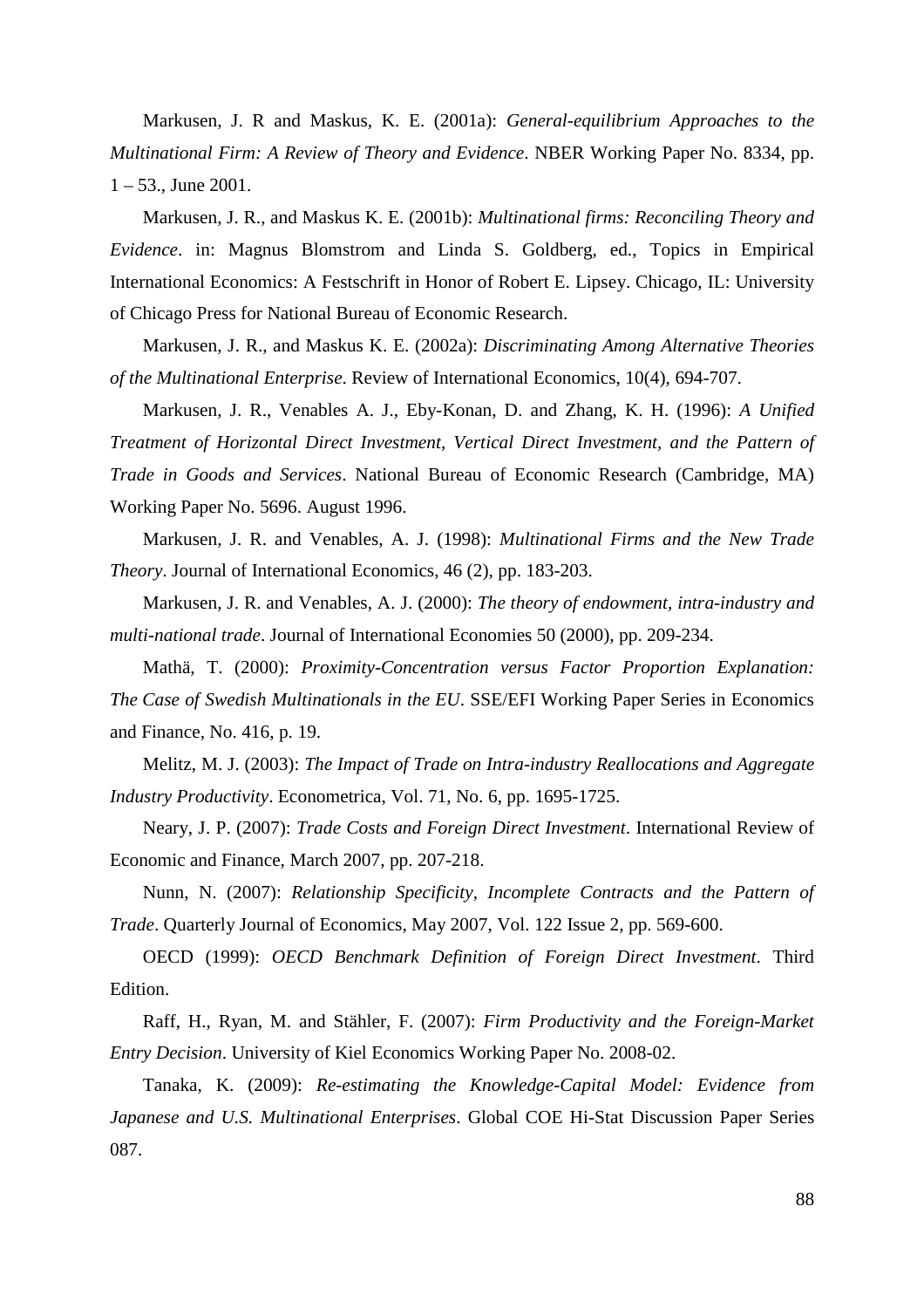Markusen, J. R and Maskus, K. E. (2001a): *General-equilibrium Approaches to the Multinational Firm: A Review of Theory and Evidence*. NBER Working Paper No. 8334, pp.  $1 - 53$ ., June 2001.

Markusen, J. R., and Maskus K. E. (2001b): *Multinational firms: Reconciling Theory and Evidence*. in: Magnus Blomstrom and Linda S. Goldberg, ed., Topics in Empirical International Economics: A Festschrift in Honor of Robert E. Lipsey. Chicago, IL: University of Chicago Press for National Bureau of Economic Research.

Markusen, J. R., and Maskus K. E. (2002a): *Discriminating Among Alternative Theories of the Multinational Enterprise*. Review of International Economics, 10(4), 694-707.

Markusen, J. R., Venables A. J., Eby-Konan, D. and Zhang, K. H. (1996): *A Unified Treatment of Horizontal Direct Investment, Vertical Direct Investment, and the Pattern of Trade in Goods and Services*. National Bureau of Economic Research (Cambridge, MA) Working Paper No. 5696. August 1996.

Markusen, J. R. and Venables, A. J. (1998): *Multinational Firms and the New Trade Theory*. Journal of International Economics, 46 (2), pp. 183-203.

Markusen, J. R. and Venables, A. J. (2000): *The theory of endowment, intra-industry and multi-national trade*. Journal of International Economies 50 (2000), pp. 209-234.

Mathä, T. (2000): *Proximity-Concentration versus Factor Proportion Explanation: The Case of Swedish Multinationals in the EU*. SSE/EFI Working Paper Series in Economics and Finance, No. 416, p. 19.

Melitz, M. J. (2003): *The Impact of Trade on Intra-industry Reallocations and Aggregate Industry Productivity*. Econometrica, Vol. 71, No. 6, pp. 1695-1725.

Neary, J. P. (2007): *Trade Costs and Foreign Direct Investment*. International Review of Economic and Finance, March 2007, pp. 207-218.

Nunn, N. (2007): *Relationship Specificity, Incomplete Contracts and the Pattern of Trade*. Quarterly Journal of Economics, May 2007, Vol. 122 Issue 2, pp. 569-600.

OECD (1999): *OECD Benchmark Definition of Foreign Direct Investment*. Third Edition.

Raff, H., Ryan, M. and Stähler, F. (2007): *Firm Productivity and the Foreign-Market Entry Decision*. University of Kiel Economics Working Paper No. 2008-02.

Tanaka, K. (2009): *Re-estimating the Knowledge-Capital Model: Evidence from Japanese and U.S. Multinational Enterprises*. Global COE Hi-Stat Discussion Paper Series 087.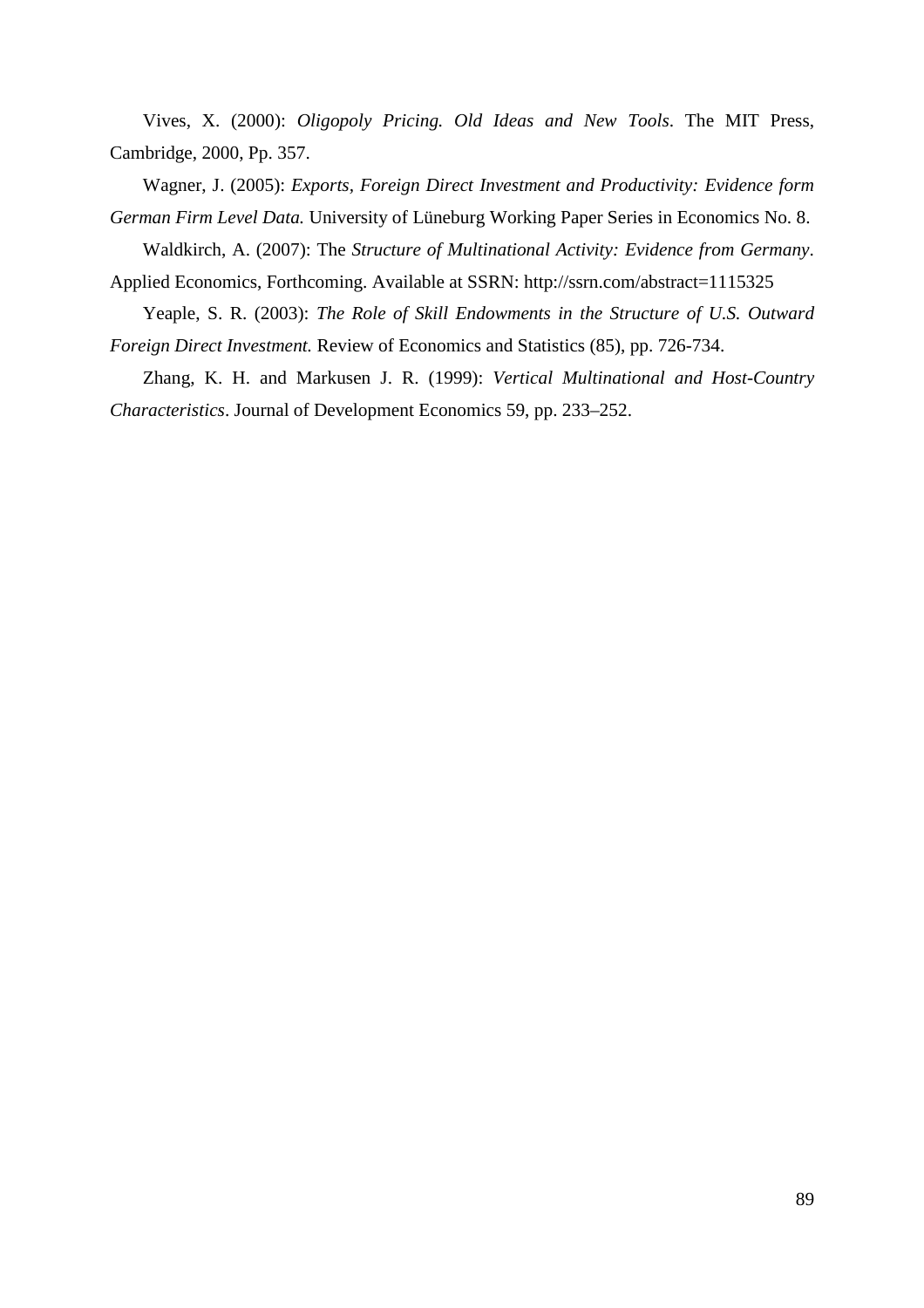Vives, X. (2000): *Oligopoly Pricing. Old Ideas and New Tools*. The MIT Press, Cambridge, 2000, Pp. 357.

Wagner, J. (2005): *Exports, Foreign Direct Investment and Productivity: Evidence form German Firm Level Data.* University of Lüneburg Working Paper Series in Economics No. 8.

Waldkirch, A. (2007): The *Structure of Multinational Activity: Evidence from Germany*. Applied Economics, Forthcoming. Available at SSRN: http://ssrn.com/abstract=1115325

Yeaple, S. R. (2003): *The Role of Skill Endowments in the Structure of U.S. Outward Foreign Direct Investment.* Review of Economics and Statistics (85), pp. 726-734.

Zhang, K. H. and Markusen J. R. (1999): *Vertical Multinational and Host-Country Characteristics*. Journal of Development Economics 59, pp. 233–252.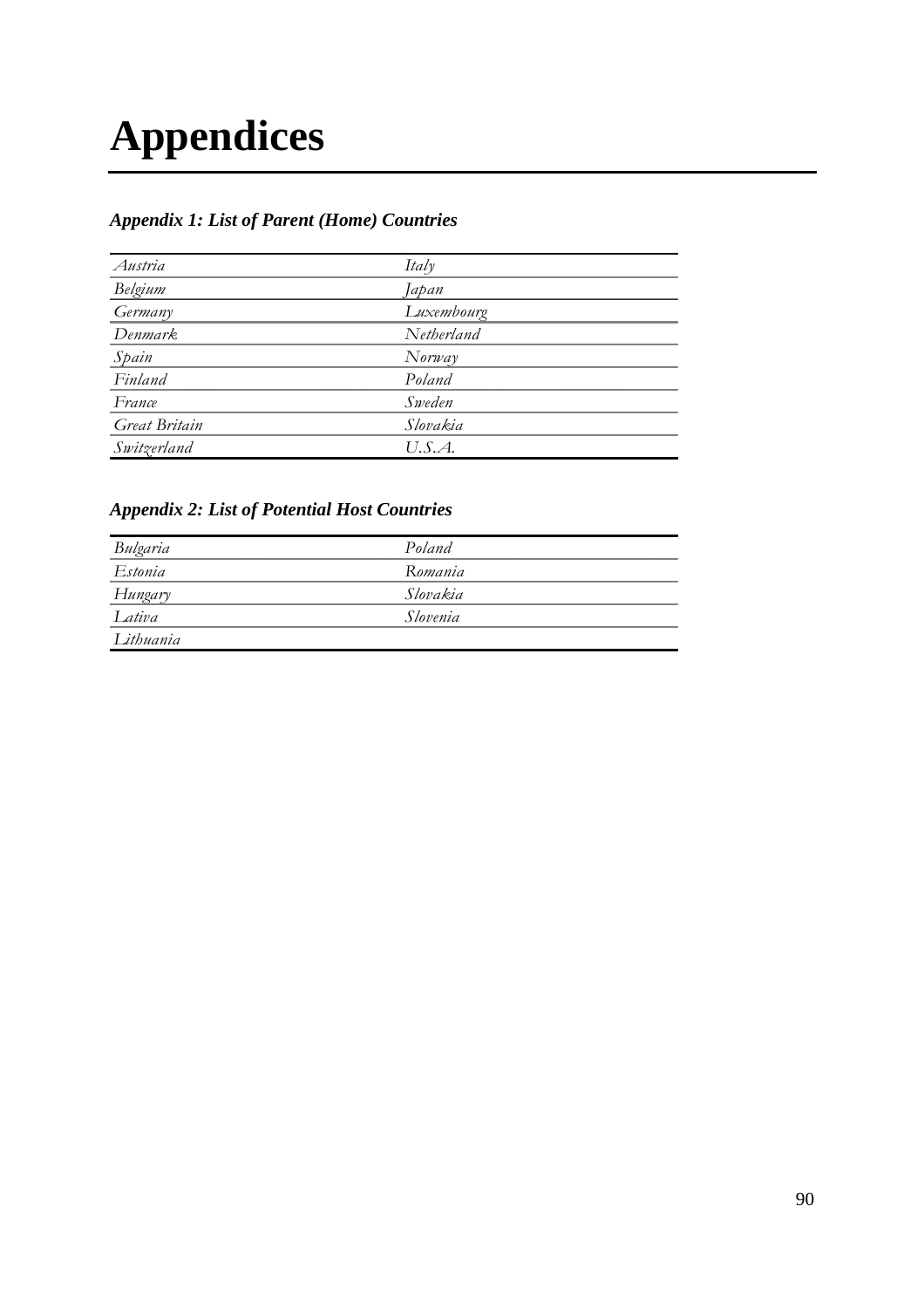## **Appendices**

### *Appendix 1: List of Parent (Home) Countries*

| Austria              | ltalν      |  |
|----------------------|------------|--|
| Belgium              | Japan      |  |
| Germany              | Luxembourg |  |
| Denmark.             | Netherland |  |
| Spain                | Norway     |  |
| Finland              | Poland     |  |
| France               | Sweden     |  |
| <b>Great Britain</b> | Slovakia   |  |
| witzerland           | U.S.A.     |  |

### *Appendix 2: List of Potential Host Countries*

| Bulgaria  | Poland   |  |
|-----------|----------|--|
| Estonia   | Romania  |  |
| Hungary   | Slovakia |  |
| ativa     | Slovenia |  |
| Lithuania |          |  |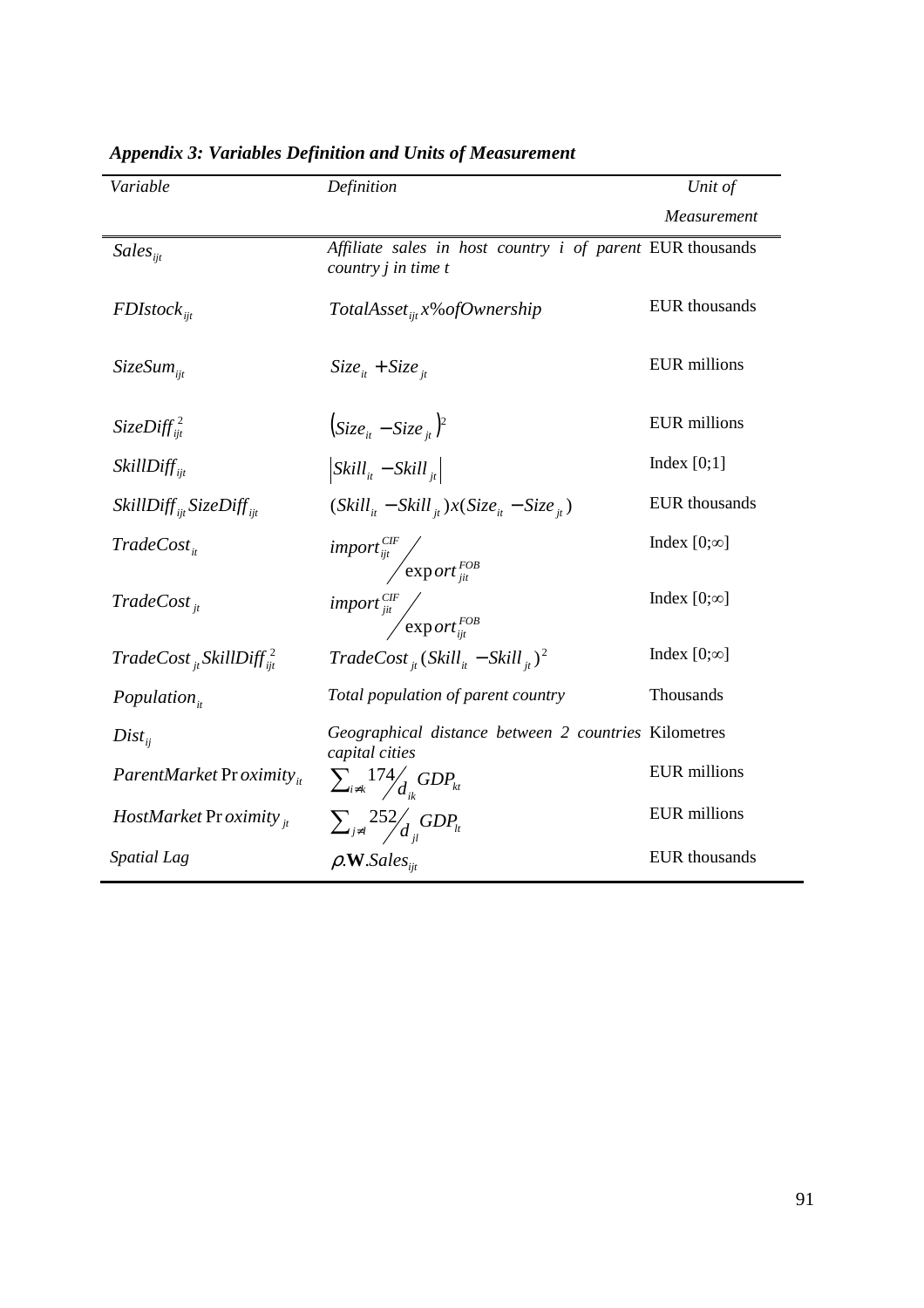| Variable                                  | Definition                                                                                                                     | Unit of              |
|-------------------------------------------|--------------------------------------------------------------------------------------------------------------------------------|----------------------|
|                                           |                                                                                                                                | Measurement          |
| $Sales_{ii}$                              | Affiliate sales in host country i of parent EUR thousands<br>country <i>j</i> in time t                                        |                      |
| $FDI stock_{\text{int}}$                  | TotalAsset <sub>iit</sub> $x\%$ of Ownership                                                                                   | <b>EUR</b> thousands |
| $SizeSum_{ii}$                            | $Size_{it} + Size_{it}$                                                                                                        | <b>EUR</b> millions  |
| SizeDiff <sup>2</sup>                     | $\left( Size_{it} - Size_{it} \right)^2$                                                                                       | <b>EUR</b> millions  |
| $SkillDiff_{ii}$                          | $\left $ Skill <sub>it</sub> – Skill <sub>it</sub>                                                                             | Index $[0;1]$        |
| $SkillDiff_{ii}SizeDiff_{ii}$             | $(Skill_{it} - Skill_{it})x(Size_{it} - Size_{it})$                                                                            | <b>EUR</b> thousands |
| $TradeCost_{i}$                           | $\left. \begin{array}{cc} import^{CIF}_{ijt} & \\ & \begin{array}{cc} \exp{ort^{FOB}_{jit}} & \end{array} \end{array} \right.$ | Index $[0;\infty]$   |
| $TradeCost_{it}$                          | $\left. \begin{array}{cc} import^{CIF}_{jit} & \\ & \begin{array}{cc} \exp{ort^{FOB}_{ijt}} & \end{array} \end{array} \right.$ | Index $[0;\infty]$   |
| $TradeCost_{it}$ SkillDiff $\frac{2}{it}$ | $TradeCost_{it} (Skill_{it} - Skill_{it})^2$                                                                                   | Index $[0;\infty]$   |
| $Population_{it}$                         | Total population of parent country                                                                                             | Thousands            |
| $Dist_{ii}$                               | Geographical distance between 2 countries Kilometres<br>capital cities                                                         |                      |
| ParentMarket Proximity <sub>it</sub>      | $\sum_{i\neq k}174/_{d}GDP_{kt}$                                                                                               | <b>EUR</b> millions  |
| <i>HostMarket Proximity</i> $_{it}$       | $\sum_{j \neq l} 252 / d_{ij} GDP_{lt}$                                                                                        | <b>EUR</b> millions  |
| Spatial Lag                               | $\rho$ .W.Sales <sub>iit</sub>                                                                                                 | <b>EUR</b> thousands |

### *Appendix 3: Variables Definition and Units of Measurement*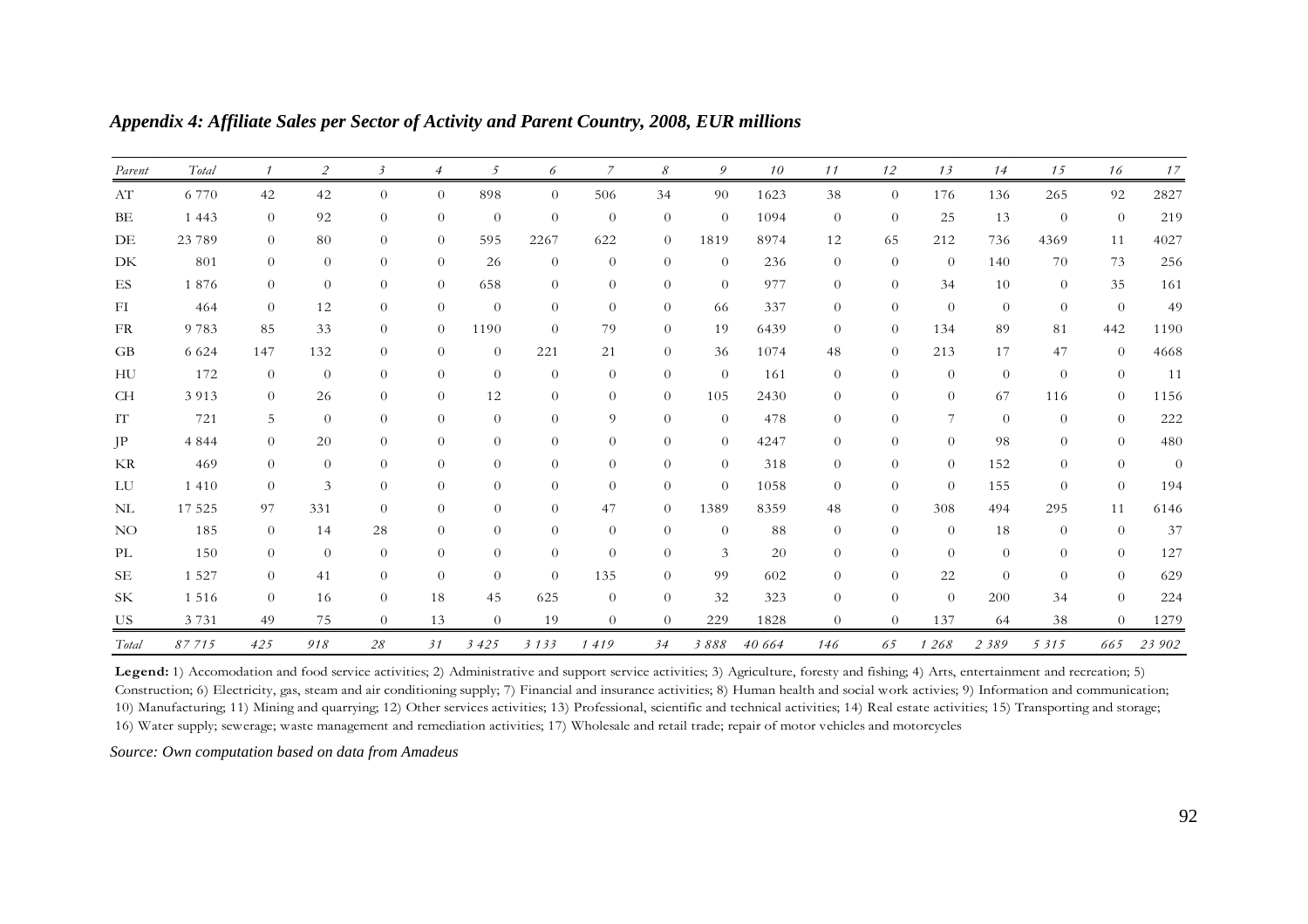| Parent          | Total   |                | $\overline{2}$ | $\mathfrak{Z}$ | $\overline{4}$ | 5              | 6              | $\overline{7}$ | 8        | 9              | 10     | 11             | 12       | 13             | 14       | 15             | 16             | 17             |
|-----------------|---------|----------------|----------------|----------------|----------------|----------------|----------------|----------------|----------|----------------|--------|----------------|----------|----------------|----------|----------------|----------------|----------------|
| AT              | 6 7 7 0 | 42             | 42             | $\overline{0}$ | $\overline{0}$ | 898            | $\theta$       | 506            | 34       | 90             | 1623   | 38             | $\theta$ | 176            | 136      | 265            | 92             | 2827           |
| BE              | 1 4 4 3 | $\theta$       | 92             | $\overline{0}$ | $\Omega$       | $\theta$       | $\theta$       | $\theta$       | $\theta$ | $\theta$       | 1094   | $\overline{0}$ | $\theta$ | 25             | 13       | $\theta$       | $\theta$       | 219            |
| DE              | 23 7 89 | $\theta$       | 80             | $\overline{0}$ | $\theta$       | 595            | 2267           | 622            | $\theta$ | 1819           | 8974   | 12             | 65       | 212            | 736      | 4369           | 11             | 4027           |
| DK              | 801     | $\overline{0}$ | $\theta$       | $\theta$       | $\overline{0}$ | 26             | $\theta$       | $\theta$       | $\theta$ | $\theta$       | 236    | $\theta$       | $\theta$ | $\theta$       | 140      | 70             | 73             | 256            |
| ES              | 1876    | $\overline{0}$ | $\theta$       | $\overline{0}$ | $\theta$       | 658            | $\theta$       | $\theta$       | $\theta$ | $\theta$       | 977    | $\theta$       | $\theta$ | 34             | 10       | $\theta$       | 35             | 161            |
| FI              | 464     | $\theta$       | 12             | $\theta$       | $\theta$       | $\theta$       | $\theta$       | $\theta$       | $\theta$ | 66             | 337    | $\theta$       | $\theta$ | $\theta$       | $\theta$ | $\theta$       | $\theta$       | 49             |
| FR              | 9783    | 85             | 33             | $\overline{0}$ | $\theta$       | 1190           | $\theta$       | 79             | $\theta$ | 19             | 6439   | $\overline{0}$ | $\theta$ | 134            | 89       | 81             | 442            | 1190           |
| GB              | 6 6 2 4 | 147            | 132            | $\theta$       | $\Omega$       | $\overline{0}$ | 221            | 21             | $\theta$ | 36             | 1074   | 48             | $\theta$ | 213            | 17       | 47             | $\theta$       | 4668           |
| HU              | 172     | $\theta$       | $\theta$       | $\overline{0}$ | $\theta$       | $\theta$       | $\theta$       | $\theta$       | $\theta$ | $\theta$       | 161    | $\theta$       | $\theta$ | $\theta$       | $\theta$ | $\theta$       | $\theta$       | 11             |
| CH              | 3913    | $\overline{0}$ | 26             | $\overline{0}$ | $\Omega$       | 12             | $\theta$       | $\theta$       | $\theta$ | 105            | 2430   | $\theta$       | $\theta$ | $\theta$       | 67       | 116            | $\overline{0}$ | 1156           |
| IT              | 721     | 5              | $\Omega$       | $\Omega$       | $\Omega$       | $\Omega$       | $\Omega$       | 9              | $\Omega$ | $\theta$       | 478    | $\theta$       | $\theta$ | 7              | $\theta$ | $\theta$       | $\overline{0}$ | 222            |
| $\rm JP$        | 4 8 4 4 | $\overline{0}$ | 20             | $\overline{0}$ | $\Omega$       | $\overline{0}$ | $\theta$       | $\theta$       | $\theta$ | $\theta$       | 4247   | $\theta$       | $\theta$ | $\overline{0}$ | 98       | $\overline{0}$ | $\overline{0}$ | 480            |
| KR              | 469     | $\overline{0}$ | $\theta$       | $\overline{0}$ | $\theta$       | $\overline{0}$ | $\theta$       | $\theta$       | $\theta$ | $\overline{0}$ | 318    | $\overline{0}$ | $\theta$ | $\theta$       | 152      | $\theta$       | $\theta$       | $\overline{0}$ |
| LU              | 1 4 1 0 | $\theta$       | 3              | $\overline{0}$ | $\Omega$       | $\theta$       | $\theta$       | $\theta$       | $\theta$ | $\theta$       | 1058   | $\theta$       | $\theta$ | $\theta$       | 155      | $\theta$       | $\theta$       | 194            |
| $\rm NL$        | 17 525  | 97             | 331            | $\theta$       | $\theta$       | $\theta$       | $\theta$       | 47             | $\theta$ | 1389           | 8359   | 48             | $\theta$ | 308            | 494      | 295            | 11             | 6146           |
| NO <sub>1</sub> | 185     | $\theta$       | 14             | 28             | $\overline{0}$ | $\overline{0}$ | $\overline{0}$ | $\theta$       | $\theta$ | $\theta$       | 88     | $\theta$       | $\theta$ | $\theta$       | 18       | $\theta$       | $\theta$       | 37             |
| PL              | 150     | $\overline{0}$ | $\Omega$       | $\theta$       | $\Omega$       | $\theta$       | $\theta$       | $\Omega$       | $\theta$ | 3              | 20     | $\theta$       | $\theta$ | $\theta$       | $\theta$ | $\theta$       | $\theta$       | 127            |
| <b>SE</b>       | 1 5 2 7 | $\theta$       | 41             | $\overline{0}$ | $\Omega$       | $\overline{0}$ | $\theta$       | 135            | $\theta$ | 99             | 602    | $\theta$       | $\theta$ | 22             | $\theta$ | $\theta$       | $\overline{0}$ | 629            |
| <b>SK</b>       | 1 5 1 6 | $\theta$       | 16             | $\overline{0}$ | 18             | 45             | 625            | $\theta$       | $\theta$ | 32             | 323    | $\theta$       | $\theta$ | $\theta$       | 200      | 34             | $\theta$       | 224            |
| US              | 3 7 3 1 | 49             | 75             | $\theta$       | 13             | $\theta$       | 19             | $\theta$       | $\theta$ | 229            | 1828   | $\theta$       | $\theta$ | 137            | 64       | 38             | $\theta$       | 1279           |
| Total           | 87715   | 425            | 918            | 28             | 31             | 3425           | 3133           | 1419           | 34       | 3888           | 40 664 | 146            | 65       | 1 268          | 2 3 8 9  | 5 3 1 5        | 665            | 23 902         |

*Appendix 4: Affiliate Sales per Sector of Activity and Parent Country, 2008, EUR millions* 

Legend: 1) Accomodation and food service activities; 2) Administrative and support service activities; 3) Agriculture, foresty and fishing; 4) Arts, entertainment and recreation; 5) Construction; 6) Electricity, gas, steam and air conditioning supply; 7) Financial and insurance activities; 8) Human health and social work activies; 9) Information and communication; 10) Manufacturing; 11) Mining and quarrying; 12) Other services activities; 13) Professional, scientific and technical activities; 14) Real estate activities; 15) Transporting and storage; 16) Water supply; sewerage; waste management and remediation activities; 17) Wholesale and retail trade; repair of motor vehicles and motorcycles

*Source: Own computation based on data from Amadeus*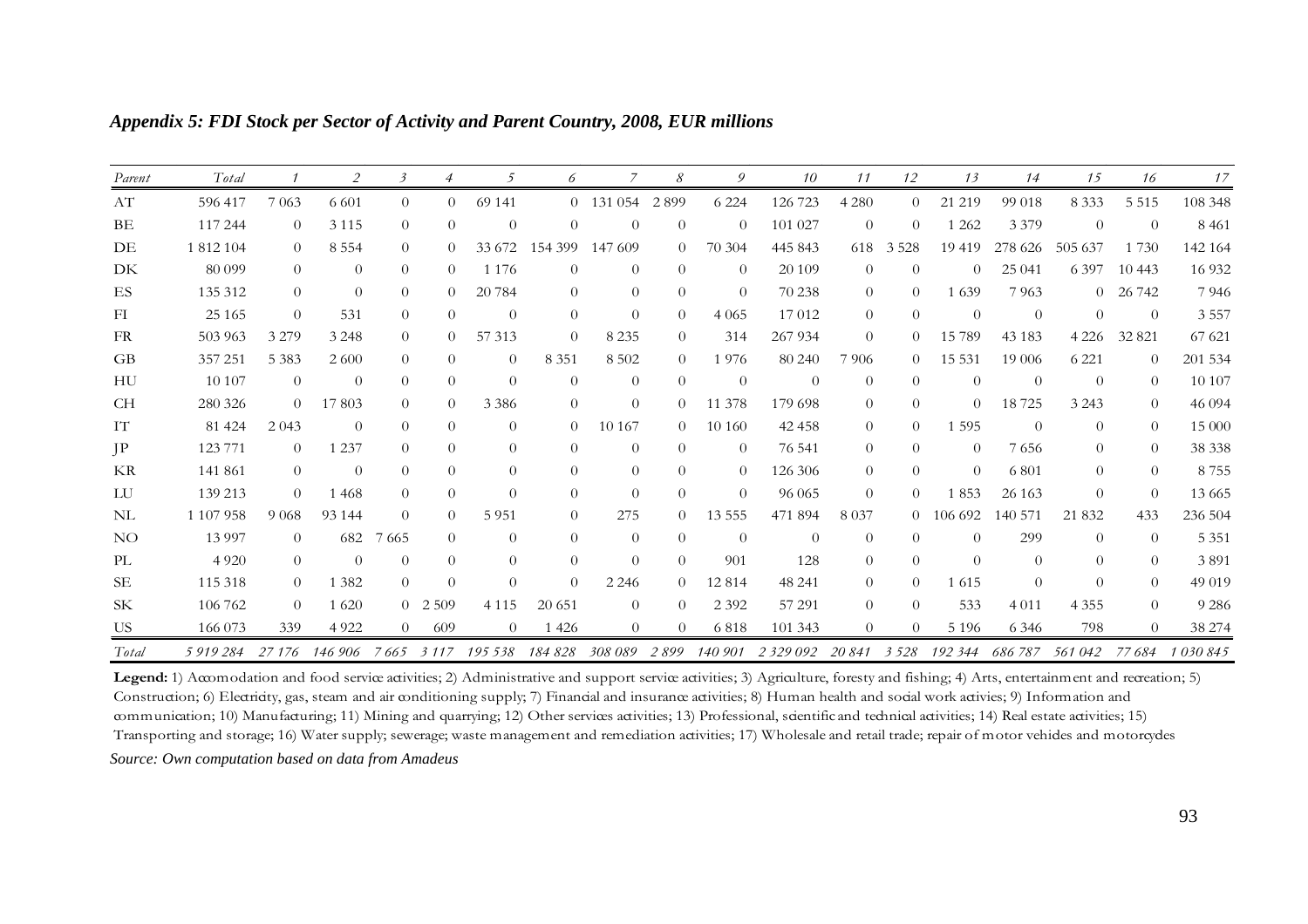| Parent    | Total     |          | 2        | 3        | $\overline{4}$ | -5       | 6        |           | 8        | 9              | 10           | 11             | 12       | 13       | 14       | 15       | 16         | 17      |
|-----------|-----------|----------|----------|----------|----------------|----------|----------|-----------|----------|----------------|--------------|----------------|----------|----------|----------|----------|------------|---------|
| AT        | 596 417   | 7 0 6 3  | 6 6 0 1  | $\Omega$ | $\Omega$       | 69 141   |          | 0 131 054 | 2899     | 6 2 2 4        | 126 723      | 4 2 8 0        | $\Omega$ | 21 219   | 99 018   | 8 3 3 3  | 5 5 1 5    | 108 348 |
| BE        | 117 244   | $\Omega$ | 3 1 1 5  | $\Omega$ | $\Omega$       | $\Omega$ | $\Omega$ | $\Omega$  | $\Omega$ | $\Omega$       | 101 027      | $\theta$       | $\Omega$ | 1 2 6 2  | 3 3 7 9  | $\Omega$ | $\Omega$   | 8 4 6 1 |
| DE        | 1 812 104 | $\Omega$ | 8 5 5 4  | $\Omega$ | $\Omega$       | 33 672   | 154 399  | 147 609   | 0        | 70 304         | 445 843      | 618            | 3528     | 19 419   | 278 626  | 505 637  | 1 7 3 0    | 142 164 |
| DK        | 80 099    | $\theta$ | $\theta$ | $\Omega$ | $\Omega$       | 1 1 7 6  | $\left($ | $\theta$  | $\theta$ | $\theta$       | 20 109       | $\theta$       | $\Omega$ | $\theta$ | 25 041   | 6 3 9 7  | 10443      | 16 9 32 |
| ES        | 135 312   | $\theta$ | $\theta$ | $\Omega$ | $\Omega$       | 20784    | $\Omega$ | $\Omega$  | $\Omega$ | $\theta$       | 70 238       | $\overline{0}$ | $\Omega$ | 1639     | 7963     |          | $0$ 26 742 | 7946    |
| FI        | 25 1 65   | $\theta$ | 531      | $\Omega$ | $\Omega$       | $\Omega$ | $\theta$ | $\Omega$  | $\Omega$ | 4 0 6 5        | 17012        | $\theta$       | $\Omega$ | $\Omega$ | $\Omega$ | 0        | $\Omega$   | 3 5 5 7 |
| FR        | 503 963   | 3 2 7 9  | 3 2 4 8  | $\Omega$ | $\Omega$       | 57 313   | $\theta$ | 8 2 3 5   | $\Omega$ | 314            | 267 934      | $\theta$       | $\Omega$ | 15 789   | 43 1 83  | 4 2 2 6  | 32 821     | 67 621  |
| GB        | 357 251   | 5 3 8 3  | 2600     | $\Omega$ | $\Omega$       | $\Omega$ | 8 3 5 1  | 8 5 0 2   | $\Omega$ | 1976           | 80 240       | 7906           | $\Omega$ | 15 5 31  | 19 006   | 6 2 2 1  | $\Omega$   | 201 534 |
| HU        | 10 10 7   | $\theta$ | $\theta$ | $\Omega$ | $\Omega$       | $\Omega$ | $\Omega$ | $\theta$  | $\theta$ | $\theta$       | $\Omega$     | $\theta$       | $\Omega$ | $\Omega$ | $\Omega$ | $\Omega$ | $\Omega$   | 10 107  |
| <b>CH</b> | 280 326   | $\Omega$ | 17803    | $\Omega$ | $\Omega$       | 3 3 8 6  | $\theta$ | $\Omega$  | 0        | 11 378         | 179 698      | $\overline{0}$ | $\Omega$ | $\theta$ | 18725    | 3 2 4 3  | $\Omega$   | 46 094  |
| IT        | 81 424    | 2 0 4 3  | $\theta$ | $\Omega$ | $\Omega$       | $\Omega$ | $\Omega$ | 10 167    | $\Omega$ | 10 160         | 42 458       | $\Omega$       | $\Omega$ | 1 5 9 5  | $\Omega$ | $\Omega$ | $\Omega$   | 15 000  |
| $\rm IP$  | 123 771   | $\theta$ | 1 2 3 7  | $\Omega$ | $\Omega$       | $\Omega$ | $\left($ | $\theta$  | $\theta$ | $\theta$       | 76 541       | $\theta$       | $\Omega$ | $\Omega$ | 7656     | 0        | $\Omega$   | 38 338  |
| KR        | 141 861   | $\theta$ | $\theta$ | $\Omega$ | $\Omega$       | $\Omega$ | $\theta$ | $\theta$  | $\theta$ | $\overline{0}$ | 126 306      | $\overline{0}$ | $\Omega$ | $\Omega$ | 6801     | $\Omega$ | $\Omega$   | 8755    |
| LU        | 139 213   | $\Omega$ | 1 4 6 8  | $\Omega$ | $\Omega$       | $\Omega$ | $\Omega$ | $\Omega$  | $\Omega$ | $\Omega$       | 96 065       | $\theta$       | $\Omega$ | 1853     | 26 163   | $\Omega$ | $\Omega$   | 13 6 65 |
| NL        | 1 107 958 | 9 0 6 8  | 93 144   | $\Omega$ | $\Omega$       | 5951     | $\Omega$ | 275       | 0        | 13 5 5 5       | 471 894      | 8 0 3 7        | $\Omega$ | 106 692  | 140 571  | 21 8 3 2 | 433        | 236 504 |
| NO.       | 13 9 9 7  | $\Omega$ | 682      | 7665     | $\Omega$       | $\Omega$ | $\theta$ | $\theta$  | $\theta$ | $\theta$       | $\theta$     | $\theta$       | $\Omega$ | $\Omega$ | 299      | $\Omega$ | $\Omega$   | 5 3 5 1 |
| PL        | 4 9 2 0   | $\theta$ | $\theta$ | $\Omega$ | $\Omega$       | $\Omega$ | $\Omega$ | $\Omega$  | $\Omega$ | 901            | 128          | $\overline{0}$ | $\Omega$ | $\Omega$ | $\Omega$ | 0        | $\Omega$   | 3891    |
| SE        | 115 318   | $\Omega$ | 1 3 8 2  | $\theta$ | $\Omega$       | $\Omega$ | $\Omega$ | 2 2 4 6   | $\Omega$ | 12814          | 48 241       | $\Omega$       | $\Omega$ | 1 615    | $\theta$ | $\Omega$ | $\Omega$   | 49 019  |
| <b>SK</b> | 106 762   | $\theta$ | 1 6 20   | $\Omega$ | 2 5 0 9        | 4 1 1 5  | 20 651   | $\theta$  | $\Omega$ | 2 3 9 2        | 57 291       | $\overline{0}$ | $\Omega$ | 533      | 4 0 1 1  | 4 3 5 5  | $\Omega$   | 9 2 8 6 |
| US.       | 166 073   | 339      | 4 9 2 2  | $\theta$ | 609            | $\Omega$ | 1 4 2 6  | $\theta$  | $\Omega$ | 6818           | 101 343      | $\theta$       | $\Omega$ | 5 1 9 6  | 6 3 4 6  | 798      | $\Omega$   | 38 274  |
| Total     | 5919284   | 27 176   | 146 906  | 7665     | 3 1 1 7        | 195 538  | 184 828  | 308 089   | 2899     | 140 901        | 2 3 29 0 9 2 | 20 841         | 3 5 2 8  | 192 344  | 686 787  | 561042   | 77 684     | 1030845 |

*Appendix 5: FDI Stock per Sector of Activity and Parent Country, 2008, EUR millions* 

Legend: 1) Accomodation and food service activities; 2) Administrative and support service activities; 3) Agriculture, foresty and fishing; 4) Arts, entertainment and recreation; 5) Construction; 6) Electricity, gas, steam and air conditioning supply; 7) Financial and insurance activities; 8) Human health and social work activies; 9) Information and communication; 10) Manufacturing; 11) Mining and quarrying; 12) Other services activities; 13) Professional, scientific and technical activities; 14) Real estate activities; 15) Transporting and storage; 16) Water supply; sewerage; waste management and remediation activities; 17) Wholesale and retail trade; repair of motor vehicles and motorcycles

*Source: Own computation based on data from Amadeus*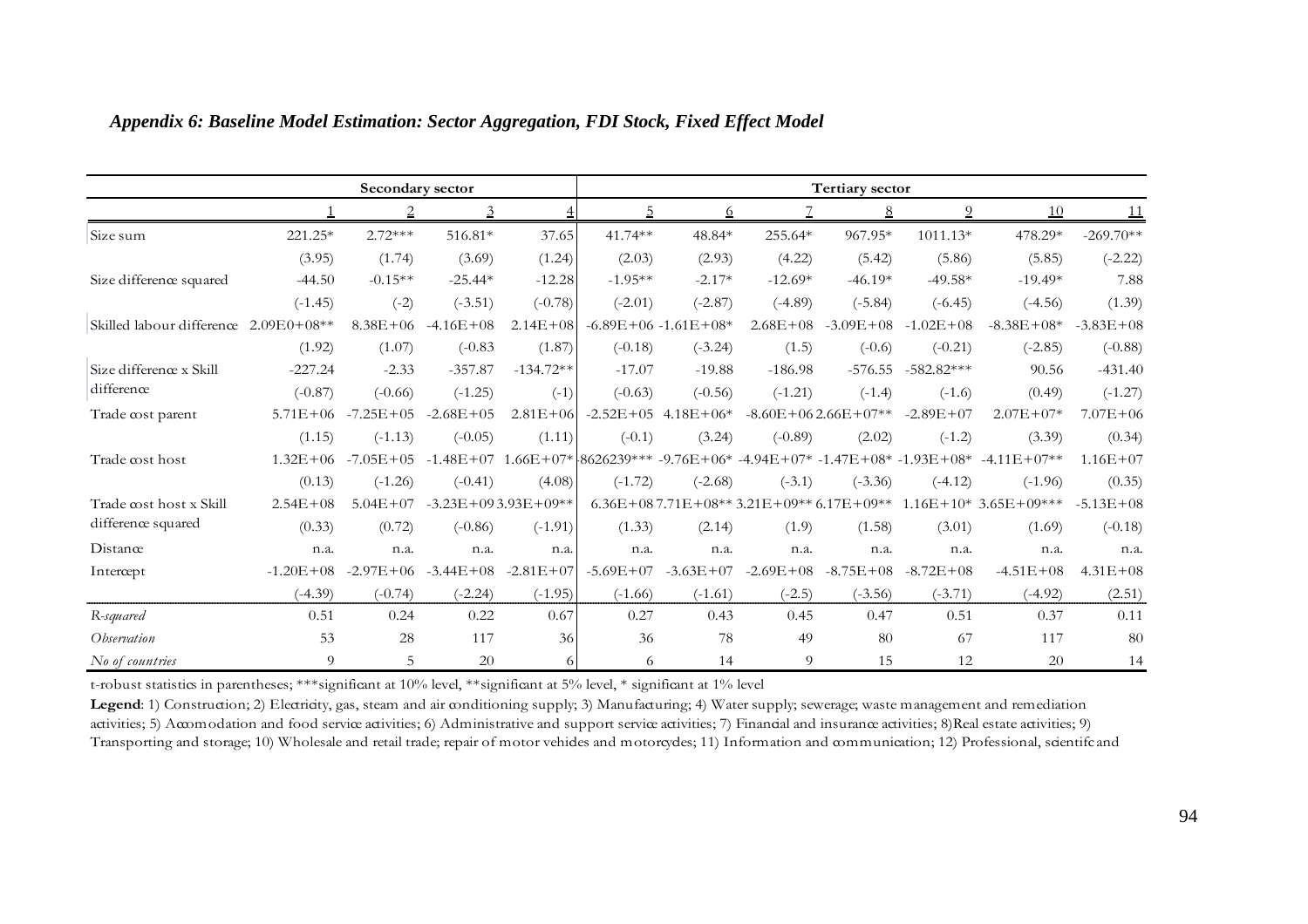|                           |               | Secondary sector |                |                           |                                                                    |                             |                                          | <b>Tertiary sector</b>    |                |                        |              |
|---------------------------|---------------|------------------|----------------|---------------------------|--------------------------------------------------------------------|-----------------------------|------------------------------------------|---------------------------|----------------|------------------------|--------------|
|                           |               | $\overline{2}$   | $\overline{3}$ |                           | <u>5</u>                                                           | 6                           |                                          | $8\overline{8}$           | $\overline{0}$ | 10                     | 11           |
| Size sum                  | 221.25*       | $2.72***$        | 516.81*        | 37.65                     | $41.74**$                                                          | 48.84*                      | 255.64*                                  | 967.95*                   | $1011.13*$     | 478.29*                | $-269.70**$  |
|                           | (3.95)        | (1.74)           | (3.69)         | (1.24)                    | (2.03)                                                             | (2.93)                      | (4.22)                                   | (5.42)                    | (5.86)         | (5.85)                 | $(-2.22)$    |
| Size difference squared   | $-44.50$      | $-0.15**$        | $-25.44*$      | $-12.28$                  | $-1.95**$                                                          | $-2.17*$                    | $-12.69*$                                | $-46.19*$                 | $-49.58*$      | $-19.49*$              | 7.88         |
|                           | $(-1.45)$     | $(-2)$           | $(-3.51)$      | $(-0.78)$                 | $(-2.01)$                                                          | $(-2.87)$                   | $(-4.89)$                                | $(-5.84)$                 | $(-6.45)$      | $(-4.56)$              | (1.39)       |
| Skilled labour difference | $2.09E0+08**$ | $8.38E + 06$     | $-4.16E+08$    | $2.14E + 08$              |                                                                    | $-6.89E + 06 - 1.61E + 08*$ | $2.68E + 08$                             | $-3.09E + 08$             | $-1.02E + 08$  | $-8.38E + 08*$         | $-3.83E+08$  |
|                           | (1.92)        | (1.07)           | $(-0.83)$      | (1.87)                    | $(-0.18)$                                                          | $(-3.24)$                   | (1.5)                                    | $(-0.6)$                  | $(-0.21)$      | $(-2.85)$              | $(-0.88)$    |
| Size difference x Skill   | $-227.24$     | $-2.33$          | $-357.87$      | $-134.72**$               | $-17.07$                                                           | $-19.88$                    | $-186.98$                                | $-576.55$                 | $-582.82***$   | 90.56                  | $-431.40$    |
| difference                | $(-0.87)$     | $(-0.66)$        | $(-1.25)$      | $(-1)$                    | $(-0.63)$                                                          | $(-0.56)$                   | $(-1.21)$                                | $(-1.4)$                  | $(-1.6)$       | (0.49)                 | $(-1.27)$    |
| Trade cost parent         | $5.71E + 06$  | $-7.25E + 05$    | $-2.68E + 05$  | $2.81E + 06$              |                                                                    | $-2.52E+05$ 4.18E+06*       |                                          | $-8.60E + 062.66E + 07**$ | $-2.89E + 07$  | $2.07E + 07*$          | $7.07E + 06$ |
|                           | (1.15)        | $(-1.13)$        | $(-0.05)$      | (1.11)                    | $(-0.1)$                                                           | (3.24)                      | $(-0.89)$                                | (2.02)                    | $(-1.2)$       | (3.39)                 | (0.34)       |
| Trade cost host           | $1.32E + 06$  | $-7.05E + 05$    | $-1.48E + 07$  |                           | $1.66E+07*18626239*** -9.76E+06* -4.94E+07* -1.47E+08* -1.93E+08*$ |                             |                                          |                           |                | $-4.11E+07**$          | $1.16E + 07$ |
|                           | (0.13)        | $(-1.26)$        | $(-0.41)$      | (4.08)                    | $(-1.72)$                                                          | $(-2.68)$                   | $(-3.1)$                                 | $(-3.36)$                 | $(-4.12)$      | $(-1.96)$              | (0.35)       |
| Trade cost host x Skill   | $2.54E + 08$  | $5.04E + 07$     |                | $-3.23E + 093.93E + 09**$ |                                                                    |                             | $6.36E+087.71E+08**3.21E+09**6.17E+09**$ |                           |                | $1.16E+10*3.65E+09***$ | $-5.13E+08$  |
| difference squared        | (0.33)        | (0.72)           | $(-0.86)$      | $(-1.91)$                 | (1.33)                                                             | (2.14)                      | (1.9)                                    | (1.58)                    | (3.01)         | (1.69)                 | $(-0.18)$    |
| Distance                  | n.a.          | n.a.             | n.a.           | n.a.                      | n.a.                                                               | n.a.                        | n.a.                                     | n.a.                      | n.a.           | n.a.                   | n.a.         |
| Intercept                 | $-1.20E + 08$ | $-2.97E + 06$    | $-3.44E + 08$  | $-2.81E+07$               | $-5.69E + 07$                                                      | $-3.63E + 07$               | $-2.69E + 08$                            | $-8.75E+08$               | $-8.72E+08$    | $-4.51E+08$            | $4.31E + 08$ |
|                           | $(-4.39)$     | $(-0.74)$        | $(-2.24)$      | $(-1.95)$                 | $(-1.66)$                                                          | $(-1.61)$                   | $(-2.5)$                                 | $(-3.56)$                 | $(-3.71)$      | $(-4.92)$              | (2.51)       |
| R-squared                 | 0.51          | 0.24             | 0.22           | 0.67                      | 0.27                                                               | 0.43                        | 0.45                                     | 0.47                      | 0.51           | 0.37                   | 0.11         |
| <i>Observation</i>        | 53            | 28               | 117            | 36                        | 36                                                                 | 78                          | 49                                       | 80                        | 67             | 117                    | 80           |
| No of countries           | 9             | .5               | 20             | 6                         | 6                                                                  | 14                          | 9                                        | 15                        | 12             | 20                     | 14           |

### *Appendix 6: Baseline Model Estimation: Sector Aggregation, FDI Stock, Fixed Effect Model*

t-robust statistics in parentheses; \*\*\*significant at 10% level, \*\*significant at 5% level, \* significant at 1% level

Legend: 1) Construction; 2) Electricity, gas, steam and air conditioning supply; 3) Manufacturing; 4) Water supply; sewerage; waste management and remediation activities; 5) Accomodation and food service activities; 6) Administrative and support service activities; 7) Financial and insurance activities; 8)Real estate activities; 9) Transporting and storage; 10) Wholesale and retail trade; repair of motor vehides and motorcydes; 11) Information and communication; 12) Professional, scientifc and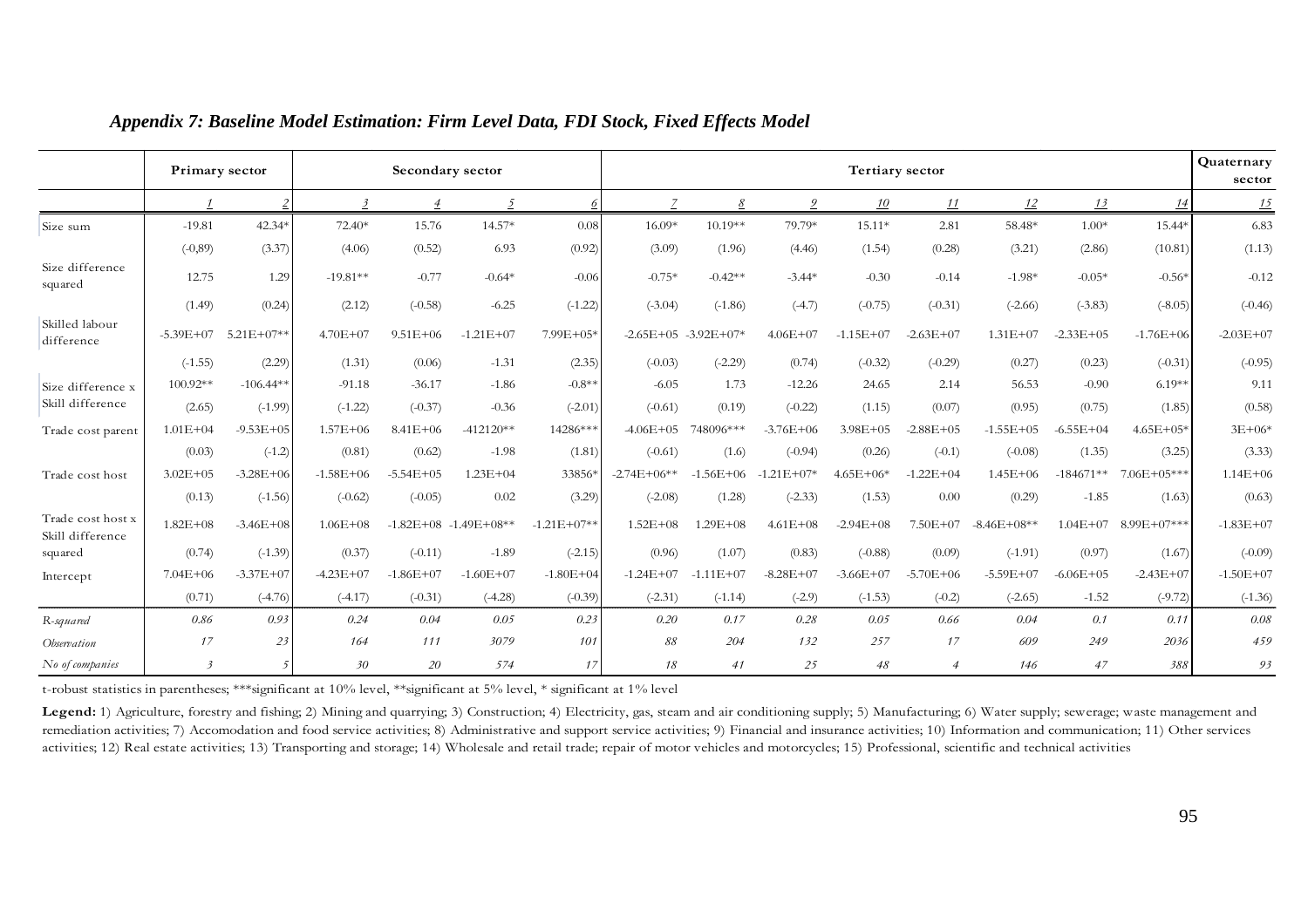|                                       |                | <b>Primary sector</b> |               |                | Secondary sector          |               |               |                          |                | <b>Tertiary sector</b> |                |               |               |                 | Quaternary<br>sector |
|---------------------------------------|----------------|-----------------------|---------------|----------------|---------------------------|---------------|---------------|--------------------------|----------------|------------------------|----------------|---------------|---------------|-----------------|----------------------|
|                                       |                | $\overline{2}$        |               | $\overline{4}$ | $\overline{2}$            | 6             |               | 8                        | $\overline{2}$ | <u>10</u>              | <u> 11</u>     | 12            | <u>13</u>     | <u>14</u>       | 15                   |
| Size sum                              | $-19.81$       | 42.34*                | 72.40*        | 15.76          | 14.57*                    | 0.08          | 16.09*        | 10.19**                  | 79.79*         | $15.11*$               | 2.81           | 58.48*        | $1.00*$       | 15.44*          | 6.83                 |
|                                       | $(-0, 89)$     | (3.37)                | (4.06)        | (0.52)         | 6.93                      | (0.92)        | (3.09)        | (1.96)                   | (4.46)         | (1.54)                 | (0.28)         | (3.21)        | (2.86)        | (10.81)         | (1.13)               |
| Size difference<br>squared            | 12.75          | 1.29                  | $-19.81**$    | $-0.77$        | $-0.64*$                  | $-0.06$       | $-0.75*$      | $-0.42**$                | $-3.44*$       | $-0.30$                | $-0.14$        | $-1.98*$      | $-0.05*$      | $-0.56*$        | $-0.12$              |
|                                       | (1.49)         | (0.24)                | (2.12)        | $(-0.58)$      | $-6.25$                   | $(-1.22)$     | $(-3.04)$     | $(-1.86)$                | $(-4.7)$       | $(-0.75)$              | $(-0.31)$      | $(-2.66)$     | $(-3.83)$     | $(-8.05)$       | $(-0.46)$            |
| Skilled labour<br>difference          | $-5.39E+07$    | $5.21E+07**$          | $4.70E + 07$  | $9.51E + 06$   | $-1.21E + 07$             | 7.99E+05*     |               | $-2.65E+05$ $-3.92E+07*$ | $4.06E + 07$   | $-1.15E+07$            | $-2.63E + 07$  | $1.31E + 07$  | $-2.33E+05$   | $-1.76E + 06$   | $-2.03E+07$          |
|                                       | $(-1.55)$      | (2.29)                | (1.31)        | (0.06)         | $-1.31$                   | (2.35)        | $(-0.03)$     | $(-2.29)$                | (0.74)         | $(-0.32)$              | $(-0.29)$      | (0.27)        | (0.23)        | $(-0.31)$       | $(-0.95)$            |
| Size difference x                     | 100.92**       | $-106.44**$           | $-91.18$      | $-36.17$       | $-1.86$                   | $-0.8**$      | $-6.05$       | 1.73                     | $-12.26$       | 24.65                  | 2.14           | 56.53         | $-0.90$       | $6.19**$        | 9.11                 |
| Skill difference                      | (2.65)         | $(-1.99)$             | $(-1.22)$     | $(-0.37)$      | $-0.36$                   | $(-2.01)$     | $(-0.61)$     | (0.19)                   | $(-0.22)$      | (1.15)                 | (0.07)         | (0.95)        | (0.75)        | (1.85)          | (0.58)               |
| Trade cost parent                     | $1.01E + 04$   | $-9.53E + 05$         | $1.57E + 06$  | $8.41E + 06$   | $-412120**$               | 14286***      | $-4.06E + 05$ | 748096***                | $-3.76E + 06$  | $3.98E + 05$           | $-2.88E + 05$  | $-1.55E + 05$ | $-6.55E + 04$ | $4.65E + 05*$   | $3E + 06*$           |
|                                       | (0.03)         | $(-1.2)$              | (0.81)        | (0.62)         | $-1.98$                   | (1.81)        | $(-0.61)$     | (1.6)                    | $(-0.94)$      | (0.26)                 | $(-0.1)$       | $(-0.08)$     | (1.35)        | (3.25)          | (3.33)               |
| Trade cost host                       | $3.02E + 05$   | $-3.28E + 06$         | $-1.58E + 06$ | $-5.54E + 05$  | $1.23E + 04$              | 33856*        | $-2.74E+06**$ | $-1.56E + 06$            | $1.21E + 07*$  | $4.65E + 06*$          | $-1.22E + 04$  | $1.45E + 06$  | $-184671**$   | $7.06E + 05***$ | $1.14E + 06$         |
|                                       | (0.13)         | $(-1.56)$             | $(-0.62)$     | $(-0.05)$      | 0.02                      | (3.29)        | $(-2.08)$     | (1.28)                   | $(-2.33)$      | (1.53)                 | 0.00           | (0.29)        | $-1.85$       | (1.63)          | (0.63)               |
| Trade cost host x<br>Skill difference | $1.82E + 08$   | $-3.46E + 08$         | $1.06E + 08$  |                | $-1.82E+08$ $-1.49E+08**$ | $-1.21E+07**$ | $1.52E + 08$  | $1.29E + 08$             | $4.61E + 08$   | $-2.94E+08$            | 7.50E+07       | $-8.46E+08**$ | $1.04E + 07$  | 8.99E+07***     | $-1.83E+07$          |
| squared                               | (0.74)         | $(-1.39)$             | (0.37)        | $(-0.11)$      | $-1.89$                   | $(-2.15)$     | (0.96)        | (1.07)                   | (0.83)         | $(-0.88)$              | (0.09)         | $(-1.91)$     | (0.97)        | (1.67)          | $(-0.09)$            |
| Intercept                             | $7.04E + 06$   | $-3.37E + 07$         | $-4.23E + 07$ | $-1.86E + 07$  | $-1.60E + 07$             | $-1.80E + 04$ | $-1.24E+07$   | $-1.11E+07$              | $-8.28E + 07$  | $-3.66E + 07$          | $-5.70E + 06$  | $-5.59E + 07$ | $-6.06E + 05$ | $-2.43E+07$     | $-1.50E + 07$        |
|                                       | (0.71)         | $(-4.76)$             | $(-4.17)$     | $(-0.31)$      | $(-4.28)$                 | $(-0.39)$     | $(-2.31)$     | $(-1.14)$                | $(-2.9)$       | $(-1.53)$              | $(-0.2)$       | $(-2.65)$     | $-1.52$       | $(-9.72)$       | $(-1.36)$            |
| R-squared                             | 0.86           | 0.93                  | 0.24          | 0.04           | 0.05                      | 0.23          | 0.20          | 0.17                     | 0.28           | 0.05                   | 0.66           | 0.04          | 0.1           | 0.11            | 0.08                 |
| Observation                           | 17             | 23                    | 164           | 111            | 3079                      | 101           | 88            | 204                      | 132            | 257                    | 17             | 609           | 249           | 2036            | 459                  |
| No of companies                       | $\mathfrak{Z}$ | $\mathcal{L}_{1}$     | 30            | 20             | 574                       | 17            | 18            | 41                       | 25             | 48                     | $\overline{4}$ | 146           | 47            | 388             | 93                   |

### *Appendix 7: Baseline Model Estimation: Firm Level Data, FDI Stock, Fixed Effects Model*

t-robust statistics in parentheses; \*\*\*significant at 10% level, \*\*significant at 5% level, \* significant at 1% level

Legend: 1) Agriculture, forestry and fishing; 2) Mining and quarrying; 3) Construction; 4) Electricity, gas, steam and air conditioning supply; 5) Manufacturing; 6) Water supply; sewerage; waste management and remediation activities; 7) Accomodation and food service activities; 8) Administrative and support service activities; 9) Financial and insurance activities; 10) Information and communication; 11) Other services activities; 12) Real estate activities; 13) Transporting and storage; 14) Wholesale and retail trade; repair of motor vehicles and motorcycles; 15) Professional, scientific and technical activities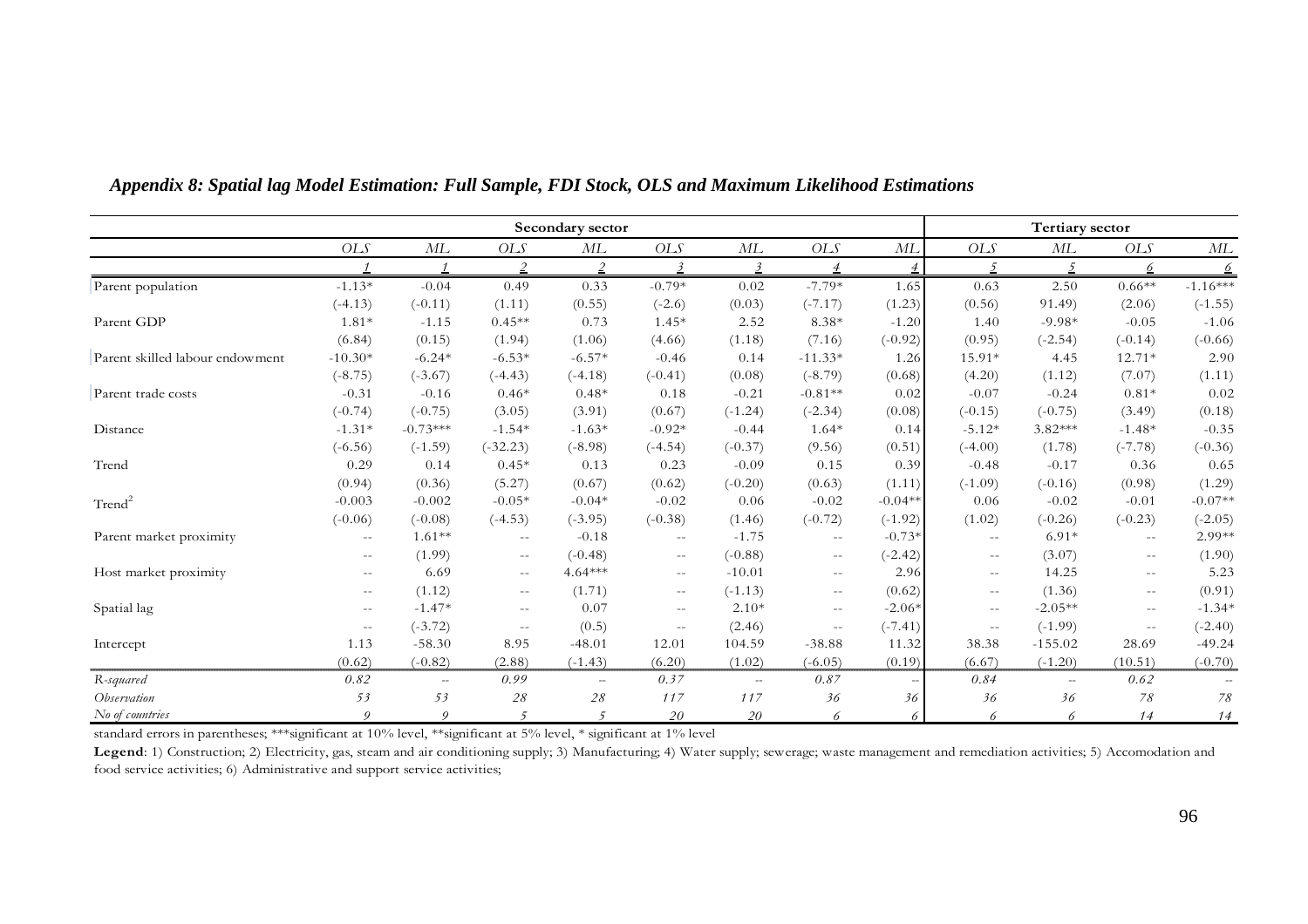|                                                                                                                   |                                                |                |                             | Secondary sector         |                             |                         |                                               |           |                          | Tertiary sector          |                  |               |
|-------------------------------------------------------------------------------------------------------------------|------------------------------------------------|----------------|-----------------------------|--------------------------|-----------------------------|-------------------------|-----------------------------------------------|-----------|--------------------------|--------------------------|------------------|---------------|
|                                                                                                                   | $OLS$                                          | ML             | <b>OLS</b>                  | ML                       | OLS                         | ML                      | <b>OLS</b>                                    | МL        | <b>OLS</b>               | ML                       | <b>OLS</b>       | ML            |
|                                                                                                                   |                                                |                |                             |                          | $\overline{\mathbf{3}}$     | $\overline{\mathbf{3}}$ |                                               |           |                          |                          | 6                | $\frac{6}{5}$ |
| Parent population                                                                                                 | $-1.13*$                                       | $-0.04$        | 0.49                        | 0.33                     | $-0.79*$                    | 0.02                    | $-7.79*$                                      | 1.65      | 0.63                     | 2.50                     | $0.66**$         | $-1.16***$    |
|                                                                                                                   | $(-4.13)$                                      | $(-0.11)$      | (1.11)                      | (0.55)                   | $(-2.6)$                    | (0.03)                  | $(-7.17)$                                     | (1.23)    | (0.56)                   | 91.49)                   | (2.06)           | $(-1.55)$     |
| Parent GDP                                                                                                        | $1.81*$                                        | $-1.15$        | $0.45**$                    | 0.73                     | $1.45*$                     | 2.52                    | 8.38*                                         | $-1.20$   | 1.40                     | $-9.98*$                 | $-0.05$          | $-1.06$       |
|                                                                                                                   | (6.84)                                         | (0.15)         | (1.94)                      | (1.06)                   | (4.66)                      | (1.18)                  | (7.16)                                        | $(-0.92)$ | (0.95)                   | $(-2.54)$                | $(-0.14)$        | $(-0.66)$     |
| Parent skilled labour endowment                                                                                   | $-10.30*$                                      | $-6.24*$       | $-6.53*$                    | $-6.57*$                 | $-0.46$                     | 0.14                    | $-11.33*$                                     | 1.26      | 15.91*                   | 4.45                     | 12.71*           | 2.90          |
|                                                                                                                   | $(-8.75)$                                      | $(-3.67)$      | $(-4.43)$                   | $(-4.18)$                | $(-0.41)$                   | (0.08)                  | $(-8.79)$                                     | (0.68)    | (4.20)                   | (1.12)                   | (7.07)           | (1.11)        |
| Parent trade costs                                                                                                | $-0.31$                                        | $-0.16$        | $0.46*$                     | $0.48*$                  | 0.18                        | $-0.21$                 | $-0.81**$                                     | 0.02      | $-0.07$                  | $-0.24$                  | $0.81*$          | 0.02          |
|                                                                                                                   | $(-0.74)$                                      | $(-0.75)$      | (3.05)                      | (3.91)                   | (0.67)                      | $(-1.24)$               | $(-2.34)$                                     | (0.08)    | $(-0.15)$                | $(-0.75)$                | (3.49)           | (0.18)        |
| Distance                                                                                                          | $-1.31*$                                       | $-0.73***$     | $-1.54*$                    | $-1.63*$                 | $-0.92*$                    | $-0.44$                 | $1.64*$                                       | 0.14      | $-5.12*$                 | $3.82***$                | $-1.48*$         | $-0.35$       |
|                                                                                                                   | $(-6.56)$                                      | $(-1.59)$      | $(-32.23)$                  | $(-8.98)$                | $(-4.54)$                   | $(-0.37)$               | (9.56)                                        | (0.51)    | $(-4.00)$                | (1.78)                   | $(-7.78)$        | $(-0.36)$     |
| Trend                                                                                                             | 0.29                                           | 0.14           | $0.45*$                     | 0.13                     | 0.23                        | $-0.09$                 | 0.15                                          | 0.39      | $-0.48$                  | $-0.17$                  | 0.36             | 0.65          |
|                                                                                                                   | (0.94)                                         | (0.36)         | (5.27)                      | (0.67)                   | (0.62)                      | $(-0.20)$               | (0.63)                                        | (1.11)    | $(-1.09)$                | $(-0.16)$                | (0.98)           | (1.29)        |
| Trend <sup>2</sup>                                                                                                | $-0.003$                                       | $-0.002$       | $-0.05*$                    | $-0.04*$                 | $-0.02$                     | 0.06                    | $-0.02$                                       | $-0.04**$ | 0.06                     | $-0.02$                  | $-0.01$          | $-0.07**$     |
|                                                                                                                   | $(-0.06)$                                      | $(-0.08)$      | $(-4.53)$                   | $(-3.95)$                | $(-0.38)$                   | (1.46)                  | $(-0.72)$                                     | $(-1.92)$ | (1.02)                   | $(-0.26)$                | $(-0.23)$        | $(-2.05)$     |
| Parent market proximity                                                                                           | $\sim$ $\sim$                                  | $1.61**$       | $\rightarrow$ $\rightarrow$ | $-0.18$                  | $\overline{\phantom{m}}$    | $-1.75$                 | $\mathord{\hspace{1pt}\text{--}\hspace{1pt}}$ | $-0.73*$  | $- -$                    | $6.91*$                  | $\sim$ $\sim$    | 2.99**        |
|                                                                                                                   | $\hspace{0.1mm}-\hspace{0.1mm}-\hspace{0.1mm}$ | (1.99)         | $\sim$ $-$                  | $(-0.48)$                | $\rightarrow$ $\rightarrow$ | $(-0.88)$               | $--$                                          | $(-2.42)$ | $\overline{\phantom{m}}$ | (3.07)                   | $--$             | (1.90)        |
| Host market proximity                                                                                             | $\frac{1}{2}$                                  | 6.69           | $\rightarrow$ $\rightarrow$ | $4.64***$                | $\sim$ $-$                  | $-10.01$                | $\frac{1}{2}$                                 | 2.96      | $- -$                    | 14.25                    | $\frac{1}{2}$    | 5.23          |
|                                                                                                                   | $\overline{\phantom{m}}$                       | (1.12)         | $\overline{\phantom{m}}$    | (1.71)                   | $-\,-$                      | $(-1.13)$               | $\overline{\phantom{m}}$                      | (0.62)    | $\qquad \qquad -$        | (1.36)                   | $- -$            | (0.91)        |
| Spatial lag                                                                                                       | $\overline{\phantom{m}}$                       | $-1.47*$       | $\sim$ $-$                  | 0.07                     | $\sim$ $\sim$               | $2.10*$                 | $\overline{\phantom{m}}$                      | $-2.06*$  | $- -$                    | $-2.05**$                | $\sim$ $\sim$    | $-1.34*$      |
|                                                                                                                   | $\mathord{\hspace{1pt}\text{--}\hspace{1pt}}$  | $(-3.72)$      | $\rightarrow$ $\rightarrow$ | (0.5)                    | $\rightarrow$ $\rightarrow$ | (2.46)                  | $\mathrel{{-}-}$                              | $(-7.41)$ | $\sim$ $\sim$            | $(-1.99)$                | $\mathrel{{-}-}$ | $(-2.40)$     |
| Intercept                                                                                                         | 1.13                                           | $-58.30$       | 8.95                        | $-48.01$                 | 12.01                       | 104.59                  | $-38.88$                                      | 11.32     | 38.38                    | $-155.02$                | 28.69            | $-49.24$      |
|                                                                                                                   | (0.62)                                         | $(-0.82)$      | (2.88)                      | $(-1.43)$                | (6.20)                      | (1.02)                  | $(-6.05)$                                     | (0.19)    | (6.67)                   | $(-1.20)$                | (10.51)          | $(-0.70)$     |
| R-squared                                                                                                         | 0.82                                           | $\overline{a}$ | 0.99                        | $\overline{\phantom{a}}$ | 0.37                        | $\sim$                  | 0.87                                          |           | 0.84                     | $\overline{\phantom{a}}$ | 0.62             |               |
| Observation                                                                                                       | 53                                             | 53             | $2\sqrt{8}$                 | 28                       | 117                         | 117                     | 36                                            | 36        | 36                       | 36                       | 78               | 78            |
| No of countries                                                                                                   | $\boldsymbol{O}$                               | 9              | $\sqrt{2}$                  |                          | 20                          | 20                      | 6                                             |           | 6                        | 6                        | 14               | 14            |
| standard errors in parentheses; ***significant at 10% level, **significant at 5% level, * significant at 1% level |                                                |                |                             |                          |                             |                         |                                               |           |                          |                          |                  |               |

### *Appendix 8: Spatial lag Model Estimation: Full Sample, FDI Stock, OLS and Maximum Likelihood Estimations*

Legend: 1) Construction; 2) Electricity, gas, steam and air conditioning supply; 3) Manufacturing; 4) Water supply; sewerage; waste management and remediation activities; 5) Accomodation and food service activities; 6) Administrative and support service activities;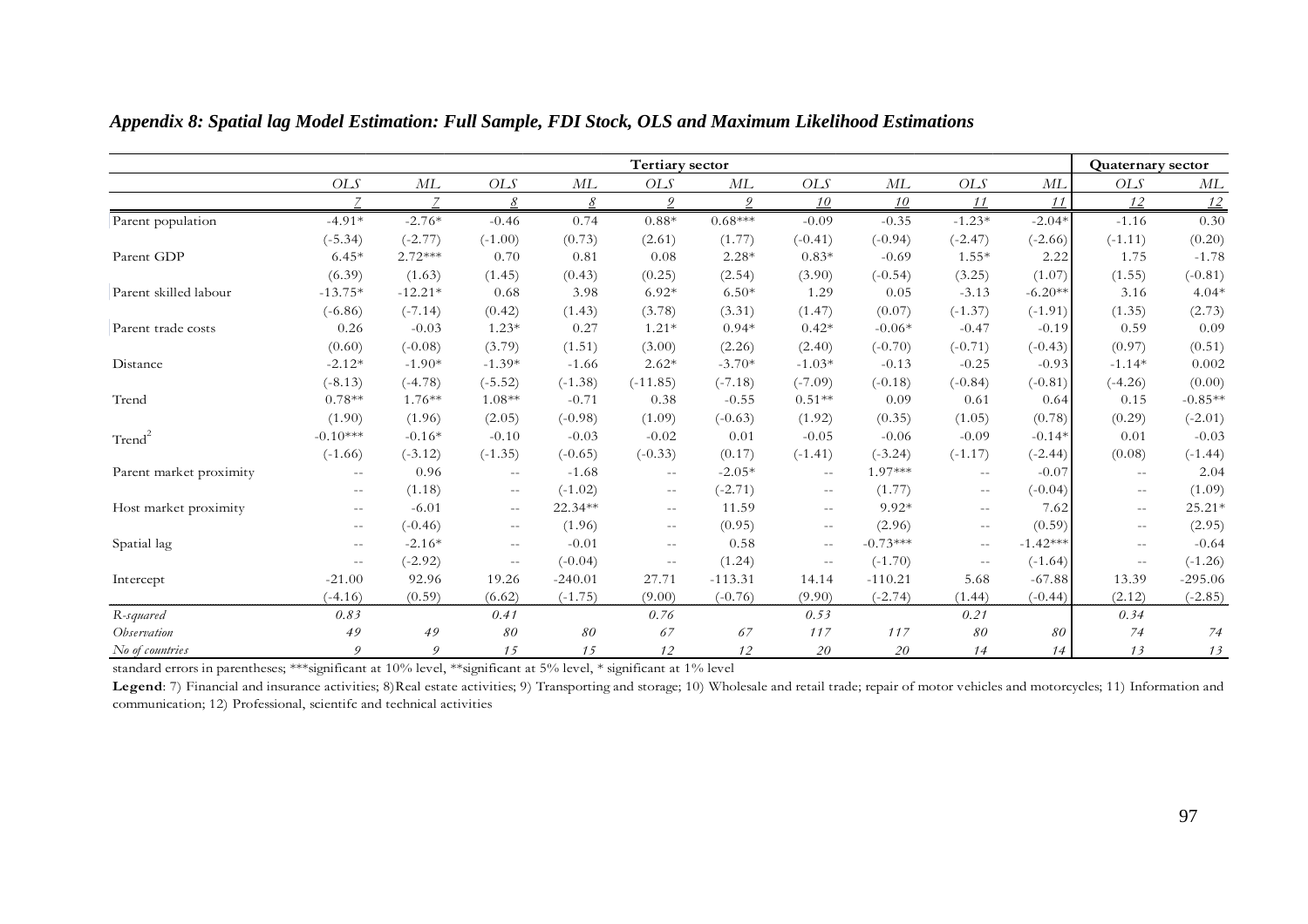|                         | <b>Tertiary sector</b> |                  |                                       |           |                             |           |               |            |                             |            | <b>Quaternary sector</b> |           |
|-------------------------|------------------------|------------------|---------------------------------------|-----------|-----------------------------|-----------|---------------|------------|-----------------------------|------------|--------------------------|-----------|
|                         | OLS                    | $M\!L$           | $OLS$                                 | ML        | <b>OLS</b>                  | $M\!L$    | <b>OLS</b>    | $M\!L$     | OLS                         | ML         | OLS                      | ML        |
|                         | $\overline{7}$         | $\overline{z}$   | 8                                     | 8         | 9                           | 9         | 10            | 10         | 11                          | 11         | 12                       | 12        |
| Parent population       | $-4.91*$               | $-2.76*$         | $-0.46$                               | 0.74      | $0.88*$                     | $0.68***$ | $-0.09$       | $-0.35$    | $-1.23*$                    | $-2.04*$   | $-1.16$                  | 0.30      |
|                         | $(-5.34)$              | $(-2.77)$        | $(-1.00)$                             | (0.73)    | (2.61)                      | (1.77)    | $(-0.41)$     | $(-0.94)$  | $(-2.47)$                   | $(-2.66)$  | $(-1.11)$                | (0.20)    |
| Parent GDP              | $6.45*$                | $2.72***$        | 0.70                                  | 0.81      | 0.08                        | $2.28*$   | $0.83*$       | $-0.69$    | $1.55*$                     | 2.22       | 1.75                     | $-1.78$   |
|                         | (6.39)                 | (1.63)           | (1.45)                                | (0.43)    | (0.25)                      | (2.54)    | (3.90)        | $(-0.54)$  | (3.25)                      | (1.07)     | (1.55)                   | $(-0.81)$ |
| Parent skilled labour   | $-13.75*$              | $-12.21*$        | 0.68                                  | 3.98      | $6.92*$                     | $6.50*$   | 1.29          | 0.05       | $-3.13$                     | $-6.20**$  | 3.16                     | $4.04*$   |
|                         | $(-6.86)$              | $(-7.14)$        | (0.42)                                | (1.43)    | (3.78)                      | (3.31)    | (1.47)        | (0.07)     | $(-1.37)$                   | $(-1.91)$  | (1.35)                   | (2.73)    |
| Parent trade costs      | 0.26                   | $-0.03$          | $1.23*$                               | 0.27      | $1.21*$                     | $0.94*$   | $0.42*$       | $-0.06*$   | $-0.47$                     | $-0.19$    | 0.59                     | 0.09      |
|                         | (0.60)                 | $(-0.08)$        | (3.79)                                | (1.51)    | (3.00)                      | (2.26)    | (2.40)        | $(-0.70)$  | $(-0.71)$                   | $(-0.43)$  | (0.97)                   | (0.51)    |
| Distance                | $-2.12*$               | $-1.90*$         | $-1.39*$                              | $-1.66$   | $2.62*$                     | $-3.70*$  | $-1.03*$      | $-0.13$    | $-0.25$                     | $-0.93$    | $-1.14*$                 | 0.002     |
|                         | $(-8.13)$              | $(-4.78)$        | $(-5.52)$                             | $(-1.38)$ | $(-11.85)$                  | $(-7.18)$ | $(-7.09)$     | $(-0.18)$  | $(-0.84)$                   | $(-0.81)$  | $(-4.26)$                | (0.00)    |
| Trend                   | $0.78**$               | $1.76**$         | $1.08**$                              | $-0.71$   | 0.38                        | $-0.55$   | $0.51**$      | 0.09       | 0.61                        | 0.64       | 0.15                     | $-0.85**$ |
|                         | (1.90)                 | (1.96)           | (2.05)                                | $(-0.98)$ | (1.09)                      | $(-0.63)$ | (1.92)        | (0.35)     | (1.05)                      | (0.78)     | (0.29)                   | $(-2.01)$ |
| Trend <sup>2</sup>      | $-0.10***$             | $-0.16*$         | $-0.10$                               | $-0.03$   | $-0.02$                     | 0.01      | $-0.05$       | $-0.06$    | $-0.09$                     | $-0.14*$   | 0.01                     | $-0.03$   |
|                         | $(-1.66)$              | $(-3.12)$        | $(-1.35)$                             | $(-0.65)$ | $(-0.33)$                   | (0.17)    | $(-1.41)$     | $(-3.24)$  | $(-1.17)$                   | $(-2.44)$  | (0.08)                   | $(-1.44)$ |
| Parent market proximity | $\sim$ $-$             | 0.96             | $\mathcal{L} \rightarrow \mathcal{L}$ | $-1.68$   | $\sim$ $\sim$               | $-2.05*$  | $\sim$ $\sim$ | 1.97***    | $\mathcal{L}=\mathcal{L}$   | $-0.07$    | $\sim$ $\sim$            | 2.04      |
|                         | $\sim$ $-$             | (1.18)           | $\mathbb{H}^{\mathbb{H}}$             | $(-1.02)$ | $\rightarrow$ $\rightarrow$ | $(-2.71)$ | $  \,$        | (1.77)     | $\rightarrow$ $\rightarrow$ | $(-0.04)$  | $--$                     | (1.09)    |
| Host market proximity   |                        | $-6.01$          | $\sim$ $\sim$                         | 22.34**   | $\hspace{0.05cm} \ldots$    | 11.59     | $  \,$        | $9.92*$    | $\sim$ $\sim$               | 7.62       | $\sim$ $-$               | 25.21*    |
|                         | $\sim$ $-$             | $(-0.46)$        | $\mathcal{L} \rightarrow \mathcal{L}$ | (1.96)    | $\overline{\phantom{m}}$    | (0.95)    | $  \,$        | (2.96)     | $ -$                        | (0.59)     | $\sim$ $-$               | (2.95)    |
| Spatial lag             | $\sim$ $-$             | $-2.16*$         | $-$                                   | $-0.01$   | $\equiv$ $\equiv$           | 0.58      | $\sim$ $\sim$ | $-0.73***$ | $\sim$ $\sim$               | $-1.42***$ | $\sim$ $\sim$            | $-0.64$   |
|                         | $\sim$ $-$             | $(-2.92)$        | $\sim$ $\sim$                         | $(-0.04)$ | $\rightarrow$ $\rightarrow$ | (1.24)    | $\sim$ $\sim$ | $(-1.70)$  | $\rightarrow$ $\rightarrow$ | $(-1.64)$  | $\sim$ $-$               | $(-1.26)$ |
| Intercept               | $-21.00$               | 92.96            | 19.26                                 | $-240.01$ | 27.71                       | $-113.31$ | 14.14         | $-110.21$  | 5.68                        | $-67.88$   | 13.39                    | $-295.06$ |
|                         | $(-4.16)$              | (0.59)           | (6.62)                                | $(-1.75)$ | (9.00)                      | $(-0.76)$ | (9.90)        | $(-2.74)$  | (1.44)                      | $(-0.44)$  | (2.12)                   | $(-2.85)$ |
| R-squared               | 0.83                   |                  | 0.41                                  |           | 0.76                        |           | 0.53          |            | 0.21                        |            | 0.34                     |           |
| Observation             | 49                     | 49               | 80                                    | 80        | 67                          | 67        | 117           | 117        | $\mathcal{S}O$              | 80         | 74                       | 74        |
| No of countries         | $\boldsymbol{Q}$       | $\boldsymbol{Q}$ | 15                                    | 15        | 12                          | 12        | 20            | 20         | 14                          | 14         | 13                       | 13        |

*Appendix 8: Spatial lag Model Estimation: Full Sample, FDI Stock, OLS and Maximum Likelihood Estimations* 

Legend: 7) Financial and insurance activities; 8)Real estate activities; 9) Transporting and storage; 10) Wholesale and retail trade; repair of motor vehicles and motorcycles; 11) Information and communication; 12) Professional, scientifc and technical activities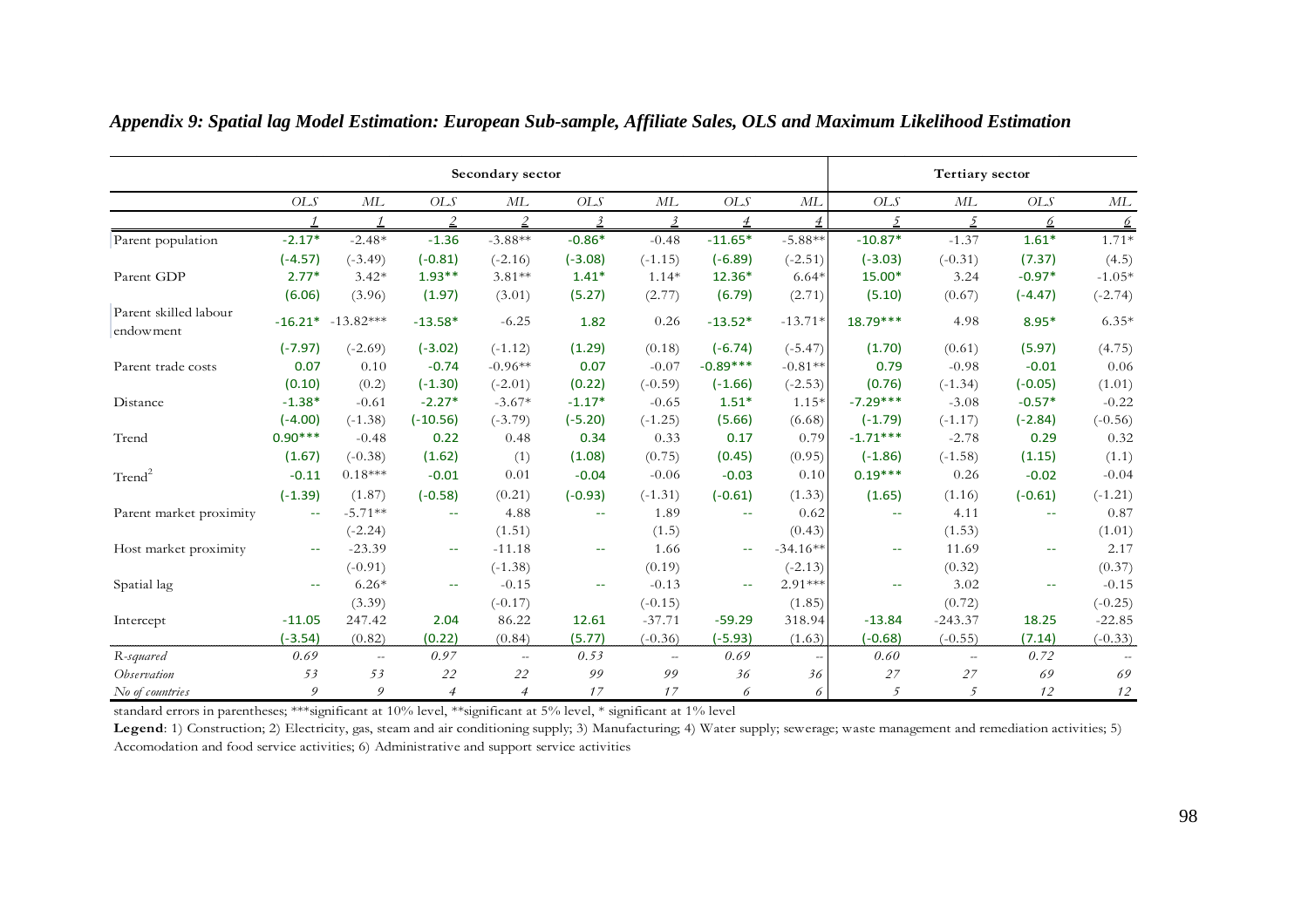|                                    | Secondary sector |             |                             |                |                             |                          |                |                          |                          | <b>Tertiary sector</b> |               |               |  |  |
|------------------------------------|------------------|-------------|-----------------------------|----------------|-----------------------------|--------------------------|----------------|--------------------------|--------------------------|------------------------|---------------|---------------|--|--|
|                                    | <b>OLS</b>       | ML          | <b>OLS</b>                  | ML             | <b>OLS</b>                  | ML                       | <b>OLS</b>     | ML                       | <b>OLS</b>               | ML                     | <b>OLS</b>    | ML            |  |  |
|                                    |                  |             | $\overline{c}$              | $\overline{2}$ | $\overline{\mathbf{3}}$     | $\overline{3}$           | $\overline{4}$ | $\overline{\mathcal{A}}$ | $\overline{2}$           | 5                      | 6             | $\frac{6}{2}$ |  |  |
| Parent population                  | $-2.17*$         | $-2.48*$    | $-1.36$                     | $-3.88**$      | $-0.86*$                    | $-0.48$                  | $-11.65*$      | $-5.88**$                | $-10.87*$                | $-1.37$                | $1.61*$       | $1.71*$       |  |  |
|                                    | $(-4.57)$        | $(-3.49)$   | $(-0.81)$                   | $(-2.16)$      | $(-3.08)$                   | $(-1.15)$                | $(-6.89)$      | $(-2.51)$                | $(-3.03)$                | $(-0.31)$              | (7.37)        | (4.5)         |  |  |
| Parent GDP                         | $2.77*$          | $3.42*$     | $1.93**$                    | $3.81**$       | $1.41*$                     | $1.14*$                  | 12.36*         | $6.64*$                  | 15.00*                   | 3.24                   | $-0.97*$      | $-1.05*$      |  |  |
|                                    | (6.06)           | (3.96)      | (1.97)                      | (3.01)         | (5.27)                      | (2.77)                   | (6.79)         | (2.71)                   | (5.10)                   | (0.67)                 | $(-4.47)$     | $(-2.74)$     |  |  |
| Parent skilled labour<br>endowment | $-16.21*$        | $-13.82***$ | $-13.58*$                   | $-6.25$        | 1.82                        | 0.26                     | $-13.52*$      | $-13.71*$                | $18.79***$               | 4.98                   | $8.95*$       | $6.35*$       |  |  |
|                                    | $(-7.97)$        | $(-2.69)$   | $(-3.02)$                   | $(-1.12)$      | (1.29)                      | (0.18)                   | $(-6.74)$      | $(-5.47)$                | (1.70)                   | (0.61)                 | (5.97)        | (4.75)        |  |  |
| Parent trade costs                 | 0.07             | 0.10        | $-0.74$                     | $-0.96**$      | 0.07                        | $-0.07$                  | $-0.89***$     | $-0.81**$                | 0.79                     | $-0.98$                | $-0.01$       | 0.06          |  |  |
|                                    | (0.10)           | (0.2)       | $(-1.30)$                   | $(-2.01)$      | (0.22)                      | $(-0.59)$                | $(-1.66)$      | $(-2.53)$                | (0.76)                   | $(-1.34)$              | $(-0.05)$     | (1.01)        |  |  |
| Distance                           | $-1.38*$         | $-0.61$     | $-2.27*$                    | $-3.67*$       | $-1.17*$                    | $-0.65$                  | $1.51*$        | $1.15*$                  | $-7.29***$               | $-3.08$                | $-0.57*$      | $-0.22$       |  |  |
|                                    | $(-4.00)$        | $(-1.38)$   | $(-10.56)$                  | $(-3.79)$      | $(-5.20)$                   | $(-1.25)$                | (5.66)         | (6.68)                   | $(-1.79)$                | $(-1.17)$              | $(-2.84)$     | $(-0.56)$     |  |  |
| Trend                              | $0.90***$        | $-0.48$     | 0.22                        | 0.48           | 0.34                        | 0.33                     | 0.17           | 0.79                     | $-1.71***$               | $-2.78$                | 0.29          | 0.32          |  |  |
|                                    | (1.67)           | $(-0.38)$   | (1.62)                      | (1)            | (1.08)                      | (0.75)                   | (0.45)         | (0.95)                   | $(-1.86)$                | $(-1.58)$              | (1.15)        | (1.1)         |  |  |
| Trend <sup>2</sup>                 | $-0.11$          | $0.18***$   | $-0.01$                     | 0.01           | $-0.04$                     | $-0.06$                  | $-0.03$        | 0.10                     | $0.19***$                | 0.26                   | $-0.02$       | $-0.04$       |  |  |
|                                    | $(-1.39)$        | (1.87)      | $(-0.58)$                   | (0.21)         | $(-0.93)$                   | $(-1.31)$                | $(-0.61)$      | (1.33)                   | (1.65)                   | (1.16)                 | $(-0.61)$     | $(-1.21)$     |  |  |
| Parent market proximity            | $\rightarrow$    | $-5.71**$   | $\rightarrow$ $\rightarrow$ | 4.88           | $\sim$ $\sim$               | 1.89                     | 44             | 0.62                     | $\rightarrow$            | 4.11                   | $\sim$ $-$    | 0.87          |  |  |
|                                    |                  | $(-2.24)$   |                             | (1.51)         |                             | (1.5)                    |                | (0.43)                   |                          | (1.53)                 |               | (1.01)        |  |  |
| Host market proximity              | $\sim$ $-$       | $-23.39$    | $\sim$ $\sim$               | $-11.18$       | $\sim$ $\sim$               | 1.66                     | $\sim$ $-$     | $-34.16**$               | $\overline{\phantom{m}}$ | 11.69                  | $\sim$ $-$    | 2.17          |  |  |
|                                    |                  | $(-0.91)$   |                             | $(-1.38)$      |                             | (0.19)                   |                | $(-2.13)$                |                          | (0.32)                 |               | (0.37)        |  |  |
| Spatial lag                        | $\sim$ $\sim$    | $6.26*$     | $\rightarrow$               | $-0.15$        | $\rightarrow$ $\rightarrow$ | $-0.13$                  | 44             | $2.91***$                | $\overline{\phantom{a}}$ | 3.02                   | $\rightarrow$ | $-0.15$       |  |  |
|                                    |                  | (3.39)      |                             | $(-0.17)$      |                             | $(-0.15)$                |                | (1.85)                   |                          | (0.72)                 |               | $(-0.25)$     |  |  |
| Intercept                          | $-11.05$         | 247.42      | 2.04                        | 86.22          | 12.61                       | $-37.71$                 | $-59.29$       | 318.94                   | $-13.84$                 | $-243.37$              | 18.25         | $-22.85$      |  |  |
|                                    | $(-3.54)$        | (0.82)      | (0.22)                      | (0.84)         | (5.77)                      | $(-0.36)$                | $(-5.93)$      | (1.63)                   | $(-0.68)$                | $(-0.55)$              | (7.14)        | $(-0.33)$     |  |  |
| R-squared                          | 0.69             | $\sim$      | 0.97                        | $\sim$         | 0.53                        | $\overline{\phantom{a}}$ | 0.69           |                          | 0.60                     | $\sim$                 | 0.72          |               |  |  |
| Observation                        | 53               | 53          | 22                          | 22             | 99                          | 99                       | 36             | 36                       | 27                       | 27                     | 69            | 69            |  |  |
| No of countries                    | 9                | 9           | $\overline{4}$              | $\overline{4}$ | 17                          | 17                       | 6              | 6                        | 5                        | 5                      | 12            | $12\,$        |  |  |

*Appendix 9: Spatial lag Model Estimation: European Sub-sample, Affiliate Sales, OLS and Maximum Likelihood Estimation* 

Legend: 1) Construction; 2) Electricity, gas, steam and air conditioning supply; 3) Manufacturing; 4) Water supply; sewerage; waste management and remediation activities; 5) Accomodation and food service activities; 6) Administrative and support service activities